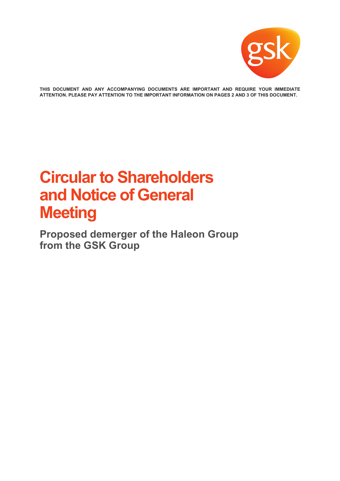

**THIS DOCUMENT AND ANY ACCOMPANYING DOCUMENTS ARE IMPORTANT AND REQUIRE YOUR IMMEDIATE ATTENTION. PLEASE PAY ATTENTION TO THE IMPORTANT INFORMATION ON PAGES 2 AND 3 OF THIS DOCUMENT.**

# **Circular to Shareholders and Notice of General Meeting**

**Proposed demerger of the Haleon Group from the GSK Group**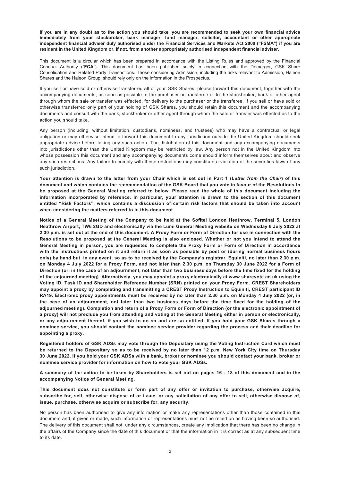**If you are in any doubt as to the action you should take, you are recommended to seek your own financial advice immediately from your stockbroker, bank manager, fund manager, solicitor, accountant or other appropriate independent financial adviser duly authorised under the Financial Services and Markets Act 2000 ("FSMA") if you are resident in the United Kingdom or, if not, from another appropriately authorised independent financial adviser.**

This document is a circular which has been prepared in accordance with the Listing Rules and approved by the Financial Conduct Authority ("**FCA**"). This document has been published solely in connection with the Demerger, GSK Share Consolidation and Related Party Transactions. Those considering Admission, including the risks relevant to Admission, Haleon Shares and the Haleon Group, should rely only on the information in the Prospectus.

If you sell or have sold or otherwise transferred all of your GSK Shares, please forward this document, together with the accompanying documents, as soon as possible to the purchaser or transferee or to the stockbroker, bank or other agent through whom the sale or transfer was effected, for delivery to the purchaser or the transferee. If you sell or have sold or otherwise transferred only part of your holding of GSK Shares, you should retain this document and the accompanying documents and consult with the bank, stockbroker or other agent through whom the sale or transfer was effected as to the action you should take.

Any person (including, without limitation, custodians, nominees, and trustees) who may have a contractual or legal obligation or may otherwise intend to forward this document to any jurisdiction outside the United Kingdom should seek appropriate advice before taking any such action. The distribution of this document and any accompanying documents into jurisdictions other than the United Kingdom may be restricted by law. Any person not in the United Kingdom into whose possession this document and any accompanying documents come should inform themselves about and observe any such restrictions. Any failure to comply with these restrictions may constitute a violation of the securities laws of any such jurisdiction.

**Your attention is drawn to the letter from your Chair which is set out in Part 1 (***Letter from the Chair***) of this document and which contains the recommendation of the GSK Board that you vote in favour of the Resolutions to be proposed at the General Meeting referred to below. Please read the whole of this document including the information incorporated by reference. In particular, your attention is drawn to the section of this document entitled "Risk Factors", which contains a discussion of certain risk factors that should be taken into account when considering the matters referred to in this document.**

**Notice of a General Meeting of the Company to be held at the Sofitel London Heathrow, Terminal 5, London Heathrow Airport, TW6 2GD and electronically via the Lumi General Meeting website on Wednesday 6 July 2022 at 2.30 p.m. is set out at the end of this document. A Proxy Form or Form of Direction for use in connection with the Resolutions to be proposed at the General Meeting is also enclosed. Whether or not you intend to attend the General Meeting in person, you are requested to complete the Proxy Form or Form of Direction in accordance with the instructions printed on it and return it as soon as possible by post or (during normal business hours only) by hand but, in any event, so as to be received by the Company's registrar, Equiniti, no later than 2.30 p.m. on Monday 4 July 2022 for a Proxy Form, and not later than 2.30 p.m. on Thursday 30 June 2022 for a Form of Direction (or, in the case of an adjournment, not later than two business days before the time fixed for the holding of the adjourned meeting). Alternatively, you may appoint a proxy electronically at www.sharevote.co.uk using the Voting ID, Task ID and Shareholder Reference Number (SRN) printed on your Proxy Form. CREST Shareholders may appoint a proxy by completing and transmitting a CREST Proxy Instruction to Equiniti, CREST participant ID RA19. Electronic proxy appointments must be received by no later than 2.30 p.m. on Monday 4 July 2022 (or, in the case of an adjournment, not later than two business days before the time fixed for the holding of the adjourned meeting). Completion and return of a Proxy Form or Form of Direction (or the electronic appointment of a proxy) will not preclude you from attending and voting at the General Meeting either in person or electronically, or any adjournment thereof, if you wish to do so and are so entitled. If you hold your GSK Shares through a nominee service, you should contact the nominee service provider regarding the process and their deadline for appointing a proxy.**

**Registered holders of GSK ADSs may vote through the Depositary using the Voting Instruction Card which must be returned to the Depositary so as to be received by no later than 12 p.m. New York City time on Thursday 30 June 2022. If you hold your GSK ADSs with a bank, broker or nominee you should contact your bank, broker or nominee service provider for information on how to vote your GSK ADSs.**

**A summary of the action to be taken by Shareholders is set out on pages 16 - 18 of this document and in the accompanying Notice of General Meeting.**

**This document does not constitute or form part of any offer or invitation to purchase, otherwise acquire, subscribe for, sell, otherwise dispose of or issue, or any solicitation of any offer to sell, otherwise dispose of, issue, purchase, otherwise acquire or subscribe for, any security.**

No person has been authorised to give any information or make any representations other than those contained in this document and, if given or made, such information or representations must not be relied on as having been so authorised. The delivery of this document shall not, under any circumstances, create any implication that there has been no change in the affairs of the Company since the date of this document or that the information in it is correct as at any subsequent time to its date.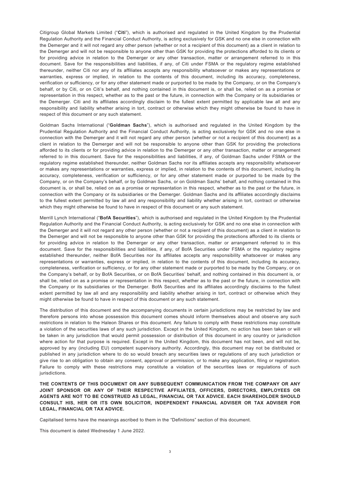Citigroup Global Markets Limited ("**Citi**"), which is authorised and regulated in the United Kingdom by the Prudential Regulation Authority and the Financial Conduct Authority, is acting exclusively for GSK and no one else in connection with the Demerger and it will not regard any other person (whether or not a recipient of this document) as a client in relation to the Demerger and will not be responsible to anyone other than GSK for providing the protections afforded to its clients or for providing advice in relation to the Demerger or any other transaction, matter or arrangement referred to in this document. Save for the responsibilities and liabilities, if any, of Citi under FSMA or the regulatory regime established thereunder, neither Citi nor any of its affiliates accepts any responsibility whatsoever or makes any representations or warranties, express or implied, in relation to the contents of this document, including its accuracy, completeness, verification or sufficiency, or for any other statement made or purported to be made by the Company, or on the Company's behalf, or by Citi, or on Citi's behalf, and nothing contained in this document is, or shall be, relied on as a promise or representation in this respect, whether as to the past or the future, in connection with the Company or its subsidiaries or the Demerger. Citi and its affiliates accordingly disclaim to the fullest extent permitted by applicable law all and any responsibility and liability whether arising in tort, contract or otherwise which they might otherwise be found to have in respect of this document or any such statement.

Goldman Sachs International ("**Goldman Sachs**"), which is authorised and regulated in the United Kingdom by the Prudential Regulation Authority and the Financial Conduct Authority, is acting exclusively for GSK and no one else in connection with the Demerger and it will not regard any other person (whether or not a recipient of this document) as a client in relation to the Demerger and will not be responsible to anyone other than GSK for providing the protections afforded to its clients or for providing advice in relation to the Demerger or any other transaction, matter or arrangement referred to in this document. Save for the responsibilities and liabilities, if any, of Goldman Sachs under FSMA or the regulatory regime established thereunder, neither Goldman Sachs nor its affiliates accepts any responsibility whatsoever or makes any representations or warranties, express or implied, in relation to the contents of this document, including its accuracy, completeness, verification or sufficiency, or for any other statement made or purported to be made by the Company, or on the Company's behalf, or by Goldman Sachs, or on Goldman Sachs' behalf, and nothing contained in this document is, or shall be, relied on as a promise or representation in this respect, whether as to the past or the future, in connection with the Company or its subsidiaries or the Demerger. Goldman Sachs and its affiliates accordingly disclaims to the fullest extent permitted by law all and any responsibility and liability whether arising in tort, contract or otherwise which they might otherwise be found to have in respect of this document or any such statement.

Merrill Lynch International ("**BofA Securities**"), which is authorised and regulated in the United Kingdom by the Prudential Regulation Authority and the Financial Conduct Authority, is acting exclusively for GSK and no one else in connection with the Demerger and it will not regard any other person (whether or not a recipient of this document) as a client in relation to the Demerger and will not be responsible to anyone other than GSK for providing the protections afforded to its clients or for providing advice in relation to the Demerger or any other transaction, matter or arrangement referred to in this document. Save for the responsibilities and liabilities, if any, of BofA Securities under FSMA or the regulatory regime established thereunder, neither BofA Securities nor its affiliates accepts any responsibility whatsoever or makes any representations or warranties, express or implied, in relation to the contents of this document, including its accuracy, completeness, verification or sufficiency, or for any other statement made or purported to be made by the Company, or on the Company's behalf, or by BofA Securities, or on BofA Securities' behalf, and nothing contained in this document is, or shall be, relied on as a promise or representation in this respect, whether as to the past or the future, in connection with the Company or its subsidiaries or the Demerger. BofA Securities and its affiliates accordingly disclaims to the fullest extent permitted by law all and any responsibility and liability whether arising in tort, contract or otherwise which they might otherwise be found to have in respect of this document or any such statement.

The distribution of this document and the accompanying documents in certain jurisdictions may be restricted by law and therefore persons into whose possession this document comes should inform themselves about and observe any such restrictions in relation to the Haleon Shares or this document. Any failure to comply with these restrictions may constitute a violation of the securities laws of any such jurisdiction. Except in the United Kingdom, no action has been taken or will be taken in any jurisdiction that would permit possession or distribution of this document in any country or jurisdiction where action for that purpose is required. Except in the United Kingdom, this document has not been, and will not be, approved by any (including EU) competent supervisory authority. Accordingly, this document may not be distributed or published in any jurisdiction where to do so would breach any securities laws or regulations of any such jurisdiction or give rise to an obligation to obtain any consent, approval or permission, or to make any application, filing or registration. Failure to comply with these restrictions may constitute a violation of the securities laws or regulations of such jurisdictions.

**THE CONTENTS OF THIS DOCUMENT OR ANY SUBSEQUENT COMMUNICATION FROM THE COMPANY OR ANY JOINT SPONSOR OR ANY OF THEIR RESPECTIVE AFFILIATES, OFFICERS, DIRECTORS, EMPLOYEES OR AGENTS ARE NOT TO BE CONSTRUED AS LEGAL, FINANCIAL OR TAX ADVICE. EACH SHAREHOLDER SHOULD CONSULT HIS, HER OR ITS OWN SOLICITOR, INDEPENDENT FINANCIAL ADVISER OR TAX ADVISER FOR LEGAL, FINANCIAL OR TAX ADVICE.**

Capitalised terms have the meanings ascribed to them in the "Definitions" section of this document.

This document is dated Wednesday 1 June 2022.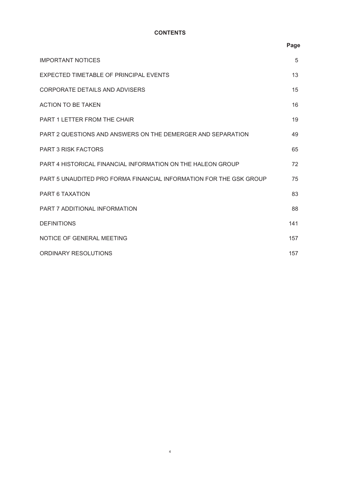# **CONTENTS**

|                                                                    | Page |  |
|--------------------------------------------------------------------|------|--|
| <b>IMPORTANT NOTICES</b>                                           | 5    |  |
| EXPECTED TIMETABLE OF PRINCIPAL EVENTS                             | 13   |  |
| <b>CORPORATE DETAILS AND ADVISERS</b>                              | 15   |  |
| <b>ACTION TO BE TAKEN</b>                                          | 16   |  |
| <b>PART 1 LETTER FROM THE CHAIR</b>                                | 19   |  |
| PART 2 QUESTIONS AND ANSWERS ON THE DEMERGER AND SEPARATION        | 49   |  |
| <b>PART 3 RISK FACTORS</b>                                         | 65   |  |
| PART 4 HISTORICAL FINANCIAL INFORMATION ON THE HALEON GROUP        | 72   |  |
| PART 5 UNAUDITED PRO FORMA FINANCIAL INFORMATION FOR THE GSK GROUP | 75   |  |
| <b>PART 6 TAXATION</b>                                             | 83   |  |
| PART 7 ADDITIONAL INFORMATION                                      | 88   |  |
| <b>DEFINITIONS</b>                                                 | 141  |  |
| NOTICE OF GENERAL MEETING                                          | 157  |  |
| ORDINARY RESOLUTIONS                                               | 157  |  |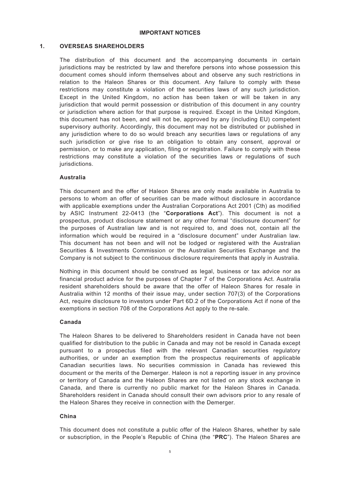#### **IMPORTANT NOTICES**

# <span id="page-4-0"></span>**1. OVERSEAS SHAREHOLDERS**

The distribution of this document and the accompanying documents in certain jurisdictions may be restricted by law and therefore persons into whose possession this document comes should inform themselves about and observe any such restrictions in relation to the Haleon Shares or this document. Any failure to comply with these restrictions may constitute a violation of the securities laws of any such jurisdiction. Except in the United Kingdom, no action has been taken or will be taken in any jurisdiction that would permit possession or distribution of this document in any country or jurisdiction where action for that purpose is required. Except in the United Kingdom, this document has not been, and will not be, approved by any (including EU) competent supervisory authority. Accordingly, this document may not be distributed or published in any jurisdiction where to do so would breach any securities laws or regulations of any such jurisdiction or give rise to an obligation to obtain any consent, approval or permission, or to make any application, filing or registration. Failure to comply with these restrictions may constitute a violation of the securities laws or regulations of such jurisdictions.

# **Australia**

This document and the offer of Haleon Shares are only made available in Australia to persons to whom an offer of securities can be made without disclosure in accordance with applicable exemptions under the Australian Corporations Act 2001 (Cth) as modified by ASIC Instrument 22-0413 (the "**Corporations Act**"). This document is not a prospectus, product disclosure statement or any other formal "disclosure document" for the purposes of Australian law and is not required to, and does not, contain all the information which would be required in a "disclosure document" under Australian law. This document has not been and will not be lodged or registered with the Australian Securities & Investments Commission or the Australian Securities Exchange and the Company is not subject to the continuous disclosure requirements that apply in Australia.

Nothing in this document should be construed as legal, business or tax advice nor as financial product advice for the purposes of Chapter 7 of the Corporations Act. Australia resident shareholders should be aware that the offer of Haleon Shares for resale in Australia within 12 months of their issue may, under section 707(3) of the Corporations Act, require disclosure to investors under Part 6D.2 of the Corporations Act if none of the exemptions in section 708 of the Corporations Act apply to the re-sale.

### **Canada**

The Haleon Shares to be delivered to Shareholders resident in Canada have not been qualified for distribution to the public in Canada and may not be resold in Canada except pursuant to a prospectus filed with the relevant Canadian securities regulatory authorities, or under an exemption from the prospectus requirements of applicable Canadian securities laws. No securities commission in Canada has reviewed this document or the merits of the Demerger. Haleon is not a reporting issuer in any province or territory of Canada and the Haleon Shares are not listed on any stock exchange in Canada, and there is currently no public market for the Haleon Shares in Canada. Shareholders resident in Canada should consult their own advisors prior to any resale of the Haleon Shares they receive in connection with the Demerger.

### **China**

This document does not constitute a public offer of the Haleon Shares, whether by sale or subscription, in the People's Republic of China (the "**PRC**"). The Haleon Shares are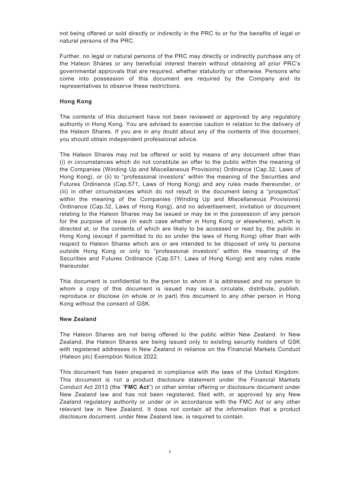not being offered or sold directly or indirectly in the PRC to or for the benefits of legal or natural persons of the PRC.

Further, no legal or natural persons of the PRC may directly or indirectly purchase any of the Haleon Shares or any beneficial interest therein without obtaining all prior PRC's governmental approvals that are required, whether statutorily or otherwise. Persons who come into possession of this document are required by the Company and its representatives to observe these restrictions.

# **Hong Kong**

The contents of this document have not been reviewed or approved by any regulatory authority in Hong Kong. You are advised to exercise caution in relation to the delivery of the Haleon Shares. If you are in any doubt about any of the contents of this document, you should obtain independent professional advice.

The Haleon Shares may not be offered or sold by means of any document other than (i) in circumstances which do not constitute an offer to the public within the meaning of the Companies (Winding Up and Miscellaneous Provisions) Ordinance (Cap.32, Laws of Hong Kong), or (ii) to "professional investors" within the meaning of the Securities and Futures Ordinance (Cap.571, Laws of Hong Kong) and any rules made thereunder, or (iii) in other circumstances which do not result in the document being a "prospectus" within the meaning of the Companies (Winding Up and Miscellaneous Provisions) Ordinance (Cap.32, Laws of Hong Kong), and no advertisement, invitation or document relating to the Haleon Shares may be issued or may be in the possession of any person for the purpose of issue (in each case whether in Hong Kong or elsewhere), which is directed at, or the contents of which are likely to be accessed or read by, the public in Hong Kong (except if permitted to do so under the laws of Hong Kong) other than with respect to Haleon Shares which are or are intended to be disposed of only to persons outside Hong Kong or only to "professional investors" within the meaning of the Securities and Futures Ordinance (Cap.571, Laws of Hong Kong) and any rules made thereunder.

This document is confidential to the person to whom it is addressed and no person to whom a copy of this document is issued may issue, circulate, distribute, publish, reproduce or disclose (in whole or in part) this document to any other person in Hong Kong without the consent of GSK.

### **New Zealand**

The Haleon Shares are not being offered to the public within New Zealand. In New Zealand, the Haleon Shares are being issued only to existing security holders of GSK with registered addresses in New Zealand in reliance on the Financial Markets Conduct (Haleon plc) Exemption Notice 2022.

This document has been prepared in compliance with the laws of the United Kingdom. This document is not a product disclosure statement under the Financial Markets Conduct Act 2013 (the "**FMC Act**") or other similar offering or disclosure document under New Zealand law and has not been registered, filed with, or approved by any New Zealand regulatory authority or under or in accordance with the FMC Act or any other relevant law in New Zealand. It does not contain all the information that a product disclosure document, under New Zealand law, is required to contain.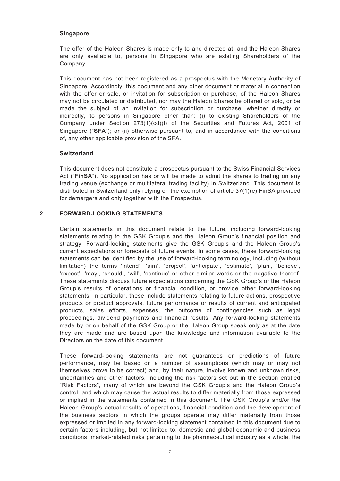#### **Singapore**

The offer of the Haleon Shares is made only to and directed at, and the Haleon Shares are only available to, persons in Singapore who are existing Shareholders of the Company.

This document has not been registered as a prospectus with the Monetary Authority of Singapore. Accordingly, this document and any other document or material in connection with the offer or sale, or invitation for subscription or purchase, of the Haleon Shares may not be circulated or distributed, nor may the Haleon Shares be offered or sold, or be made the subject of an invitation for subscription or purchase, whether directly or indirectly, to persons in Singapore other than: (i) to existing Shareholders of the Company under Section 273(1)(cd)(i) of the Securities and Futures Act, 2001 of Singapore ("**SFA**"); or (ii) otherwise pursuant to, and in accordance with the conditions of, any other applicable provision of the SFA.

#### **Switzerland**

This document does not constitute a prospectus pursuant to the Swiss Financial Services Act ("**FinSA**"). No application has or will be made to admit the shares to trading on any trading venue (exchange or multilateral trading facility) in Switzerland. This document is distributed in Switzerland only relying on the exemption of article 37(1)(e) FinSA provided for demergers and only together with the Prospectus.

#### **2. FORWARD-LOOKING STATEMENTS**

Certain statements in this document relate to the future, including forward-looking statements relating to the GSK Group's and the Haleon Group's financial position and strategy. Forward-looking statements give the GSK Group's and the Haleon Group's current expectations or forecasts of future events. In some cases, these forward-looking statements can be identified by the use of forward-looking terminology, including (without limitation) the terms 'intend', 'aim', 'project', 'anticipate', 'estimate', 'plan', 'believe', 'expect', 'may', 'should', 'will', 'continue' or other similar words or the negative thereof. These statements discuss future expectations concerning the GSK Group's or the Haleon Group's results of operations or financial condition, or provide other forward-looking statements. In particular, these include statements relating to future actions, prospective products or product approvals, future performance or results of current and anticipated products, sales efforts, expenses, the outcome of contingencies such as legal proceedings, dividend payments and financial results. Any forward-looking statements made by or on behalf of the GSK Group or the Haleon Group speak only as at the date they are made and are based upon the knowledge and information available to the Directors on the date of this document.

These forward-looking statements are not guarantees or predictions of future performance, may be based on a number of assumptions (which may or may not themselves prove to be correct) and, by their nature, involve known and unknown risks, uncertainties and other factors, including the risk factors set out in the section entitled "Risk Factors", many of which are beyond the GSK Group's and the Haleon Group's control, and which may cause the actual results to differ materially from those expressed or implied in the statements contained in this document. The GSK Group's and/or the Haleon Group's actual results of operations, financial condition and the development of the business sectors in which the groups operate may differ materially from those expressed or implied in any forward-looking statement contained in this document due to certain factors including, but not limited to, domestic and global economic and business conditions, market-related risks pertaining to the pharmaceutical industry as a whole, the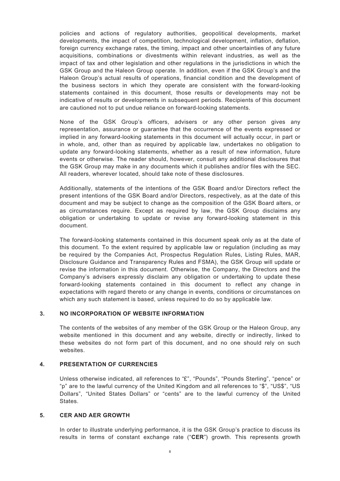policies and actions of regulatory authorities, geopolitical developments, market developments, the impact of competition, technological development, inflation, deflation, foreign currency exchange rates, the timing, impact and other uncertainties of any future acquisitions, combinations or divestments within relevant industries, as well as the impact of tax and other legislation and other regulations in the jurisdictions in which the GSK Group and the Haleon Group operate. In addition, even if the GSK Group's and the Haleon Group's actual results of operations, financial condition and the development of the business sectors in which they operate are consistent with the forward-looking statements contained in this document, those results or developments may not be indicative of results or developments in subsequent periods. Recipients of this document are cautioned not to put undue reliance on forward-looking statements.

None of the GSK Group's officers, advisers or any other person gives any representation, assurance or guarantee that the occurrence of the events expressed or implied in any forward-looking statements in this document will actually occur, in part or in whole, and, other than as required by applicable law, undertakes no obligation to update any forward-looking statements, whether as a result of new information, future events or otherwise. The reader should, however, consult any additional disclosures that the GSK Group may make in any documents which it publishes and/or files with the SEC. All readers, wherever located, should take note of these disclosures.

Additionally, statements of the intentions of the GSK Board and/or Directors reflect the present intentions of the GSK Board and/or Directors, respectively, as at the date of this document and may be subject to change as the composition of the GSK Board alters, or as circumstances require. Except as required by law, the GSK Group disclaims any obligation or undertaking to update or revise any forward-looking statement in this document.

The forward-looking statements contained in this document speak only as at the date of this document. To the extent required by applicable law or regulation (including as may be required by the Companies Act, Prospectus Regulation Rules, Listing Rules, MAR, Disclosure Guidance and Transparency Rules and FSMA), the GSK Group will update or revise the information in this document. Otherwise, the Company, the Directors and the Company's advisers expressly disclaim any obligation or undertaking to update these forward-looking statements contained in this document to reflect any change in expectations with regard thereto or any change in events, conditions or circumstances on which any such statement is based, unless required to do so by applicable law.

### **3. NO INCORPORATION OF WEBSITE INFORMATION**

The contents of the websites of any member of the GSK Group or the Haleon Group, any website mentioned in this document and any website, directly or indirectly, linked to these websites do not form part of this document, and no one should rely on such websites.

#### **4. PRESENTATION OF CURRENCIES**

Unless otherwise indicated, all references to "£", "Pounds", "Pounds Sterling", "pence" or "p" are to the lawful currency of the United Kingdom and all references to "\$", "US\$", "US Dollars", "United States Dollars" or "cents" are to the lawful currency of the United States.

#### **5. CER AND AER GROWTH**

In order to illustrate underlying performance, it is the GSK Group's practice to discuss its results in terms of constant exchange rate ("**CER**") growth. This represents growth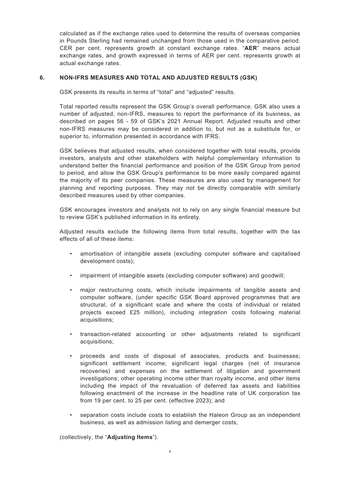calculated as if the exchange rates used to determine the results of overseas companies in Pounds Sterling had remained unchanged from those used in the comparative period. CER per cent. represents growth at constant exchange rates. "**AER**" means actual exchange rates, and growth expressed in terms of AER per cent. represents growth at actual exchange rates.

# **6. NON-IFRS MEASURES AND TOTAL AND ADJUSTED RESULTS (GSK)**

GSK presents its results in terms of "total" and "adjusted" results.

Total reported results represent the GSK Group's overall performance. GSK also uses a number of adjusted, non-IFRS, measures to report the performance of its business, as described on pages 56 - 59 of GSK's 2021 Annual Report. Adjusted results and other non-IFRS measures may be considered in addition to, but not as a substitute for, or superior to, information presented in accordance with IFRS.

GSK believes that adjusted results, when considered together with total results, provide investors, analysts and other stakeholders with helpful complementary information to understand better the financial performance and position of the GSK Group from period to period, and allow the GSK Group's performance to be more easily compared against the majority of its peer companies. These measures are also used by management for planning and reporting purposes. They may not be directly comparable with similarly described measures used by other companies.

GSK encourages investors and analysts not to rely on any single financial measure but to review GSK's published information in its entirety.

Adjusted results exclude the following items from total results, together with the tax effects of all of these items:

- amortisation of intangible assets (excluding computer software and capitalised development costs);
- impairment of intangible assets (excluding computer software) and goodwill;
- major restructuring costs, which include impairments of tangible assets and computer software, (under specific GSK Board approved programmes that are structural, of a significant scale and where the costs of individual or related projects exceed £25 million), including integration costs following material acquisitions;
- transaction-related accounting or other adjustments related to significant acquisitions;
- proceeds and costs of disposal of associates, products and businesses; significant settlement income; significant legal charges (net of insurance recoveries) and expenses on the settlement of litigation and government investigations; other operating income other than royalty income, and other items including the impact of the revaluation of deferred tax assets and liabilities following enactment of the increase in the headline rate of UK corporation tax from 19 per cent. to 25 per cent. (effective 2023); and
- separation costs include costs to establish the Haleon Group as an independent business, as well as admission listing and demerger costs,

(collectively, the "**Adjusting Items**").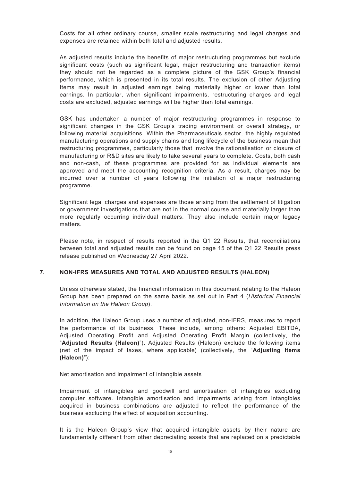Costs for all other ordinary course, smaller scale restructuring and legal charges and expenses are retained within both total and adjusted results.

As adjusted results include the benefits of major restructuring programmes but exclude significant costs (such as significant legal, major restructuring and transaction items) they should not be regarded as a complete picture of the GSK Group's financial performance, which is presented in its total results. The exclusion of other Adjusting Items may result in adjusted earnings being materially higher or lower than total earnings. In particular, when significant impairments, restructuring charges and legal costs are excluded, adjusted earnings will be higher than total earnings.

GSK has undertaken a number of major restructuring programmes in response to significant changes in the GSK Group's trading environment or overall strategy, or following material acquisitions. Within the Pharmaceuticals sector, the highly regulated manufacturing operations and supply chains and long lifecycle of the business mean that restructuring programmes, particularly those that involve the rationalisation or closure of manufacturing or R&D sites are likely to take several years to complete. Costs, both cash and non-cash, of these programmes are provided for as individual elements are approved and meet the accounting recognition criteria. As a result, charges may be incurred over a number of years following the initiation of a major restructuring programme.

Significant legal charges and expenses are those arising from the settlement of litigation or government investigations that are not in the normal course and materially larger than more regularly occurring individual matters. They also include certain major legacy matters.

Please note, in respect of results reported in the Q1 22 Results, that reconciliations between total and adjusted results can be found on page 15 of the Q1 22 Results press release published on Wednesday 27 April 2022.

### **7. NON-IFRS MEASURES AND TOTAL AND ADJUSTED RESULTS (HALEON)**

Unless otherwise stated, the financial information in this document relating to the Haleon Group has been prepared on the same basis as set out in Part 4 (*Historical Financial Information on the Haleon Group*).

In addition, the Haleon Group uses a number of adjusted, non-IFRS, measures to report the performance of its business. These include, among others: Adjusted EBITDA, Adjusted Operating Profit and Adjusted Operating Profit Margin (collectively, the "**Adjusted Results (Haleon)**"). Adjusted Results (Haleon) exclude the following items (net of the impact of taxes, where applicable) (collectively, the "**Adjusting Items (Haleon)**"):

#### Net amortisation and impairment of intangible assets

Impairment of intangibles and goodwill and amortisation of intangibles excluding computer software. Intangible amortisation and impairments arising from intangibles acquired in business combinations are adjusted to reflect the performance of the business excluding the effect of acquisition accounting.

It is the Haleon Group's view that acquired intangible assets by their nature are fundamentally different from other depreciating assets that are replaced on a predictable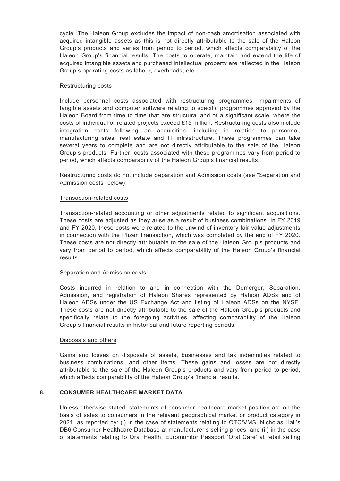cycle. The Haleon Group excludes the impact of non-cash amortisation associated with acquired intangible assets as this is not directly attributable to the sale of the Haleon Group's products and varies from period to period, which affects comparability of the Haleon Group's financial results. The costs to operate, maintain and extend the life of acquired intangible assets and purchased intellectual property are reflected in the Haleon Group's operating costs as labour, overheads, etc.

#### Restructuring costs

Include personnel costs associated with restructuring programmes, impairments of tangible assets and computer software relating to specific programmes approved by the Haleon Board from time to time that are structural and of a significant scale, where the costs of individual or related projects exceed £15 million. Restructuring costs also include integration costs following an acquisition, including in relation to personnel, manufacturing sites, real estate and IT infrastructure. These programmes can take several years to complete and are not directly attributable to the sale of the Haleon Group's products. Further, costs associated with these programmes vary from period to period, which affects comparability of the Haleon Group's financial results.

Restructuring costs do not include Separation and Admission costs (see "Separation and Admission costs" below).

### Transaction-related costs

Transaction-related accounting or other adjustments related to significant acquisitions. These costs are adjusted as they arise as a result of business combinations. In FY 2019 and FY 2020, these costs were related to the unwind of inventory fair value adjustments in connection with the Pfizer Transaction, which was completed by the end of FY 2020. These costs are not directly attributable to the sale of the Haleon Group's products and vary from period to period, which affects comparability of the Haleon Group's financial results.

### Separation and Admission costs

Costs incurred in relation to and in connection with the Demerger, Separation, Admission, and registration of Haleon Shares represented by Haleon ADSs and of Haleon ADSs under the US Exchange Act and listing of Haleon ADSs on the NYSE. These costs are not directly attributable to the sale of the Haleon Group's products and specifically relate to the foregoing activities, affecting comparability of the Haleon Group's financial results in historical and future reporting periods.

### Disposals and others

Gains and losses on disposals of assets, businesses and tax indemnities related to business combinations, and other items. These gains and losses are not directly attributable to the sale of the Haleon Group's products and vary from period to period, which affects comparability of the Haleon Group's financial results.

# **8. CONSUMER HEALTHCARE MARKET DATA**

Unless otherwise stated, statements of consumer healthcare market position are on the basis of sales to consumers in the relevant geographical market or product category in 2021, as reported by: (i) in the case of statements relating to OTC/VMS, Nicholas Hall's DB6 Consumer Healthcare Database at manufacturer's selling prices; and (ii) in the case of statements relating to Oral Health, Euromonitor Passport 'Oral Care' at retail selling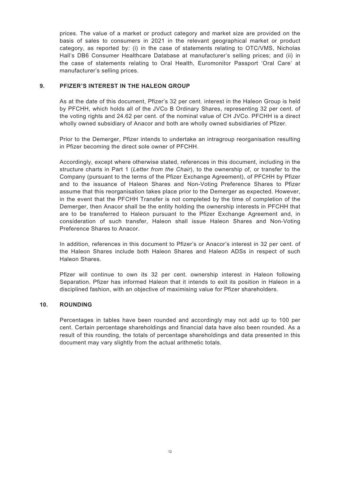prices. The value of a market or product category and market size are provided on the basis of sales to consumers in 2021 in the relevant geographical market or product category, as reported by: (i) in the case of statements relating to OTC/VMS, Nicholas Hall's DB6 Consumer Healthcare Database at manufacturer's selling prices; and (ii) in the case of statements relating to Oral Health, Euromonitor Passport 'Oral Care' at manufacturer's selling prices.

# **9. PFIZER'S INTEREST IN THE HALEON GROUP**

As at the date of this document, Pfizer's 32 per cent. interest in the Haleon Group is held by PFCHH, which holds all of the JVCo B Ordinary Shares, representing 32 per cent. of the voting rights and 24.62 per cent. of the nominal value of CH JVCo. PFCHH is a direct wholly owned subsidiary of Anacor and both are wholly owned subsidiaries of Pfizer.

Prior to the Demerger, Pfizer intends to undertake an intragroup reorganisation resulting in Pfizer becoming the direct sole owner of PFCHH.

Accordingly, except where otherwise stated, references in this document, including in the structure charts in Part 1 (*Letter from the Chair*), to the ownership of, or transfer to the Company (pursuant to the terms of the Pfizer Exchange Agreement), of PFCHH by Pfizer and to the issuance of Haleon Shares and Non-Voting Preference Shares to Pfizer assume that this reorganisation takes place prior to the Demerger as expected. However, in the event that the PFCHH Transfer is not completed by the time of completion of the Demerger, then Anacor shall be the entity holding the ownership interests in PFCHH that are to be transferred to Haleon pursuant to the Pfizer Exchange Agreement and, in consideration of such transfer, Haleon shall issue Haleon Shares and Non-Voting Preference Shares to Anacor.

In addition, references in this document to Pfizer's or Anacor's interest in 32 per cent. of the Haleon Shares include both Haleon Shares and Haleon ADSs in respect of such Haleon Shares.

Pfizer will continue to own its 32 per cent. ownership interest in Haleon following Separation. Pfizer has informed Haleon that it intends to exit its position in Haleon in a disciplined fashion, with an objective of maximising value for Pfizer shareholders.

### **10. ROUNDING**

Percentages in tables have been rounded and accordingly may not add up to 100 per cent. Certain percentage shareholdings and financial data have also been rounded. As a result of this rounding, the totals of percentage shareholdings and data presented in this document may vary slightly from the actual arithmetic totals.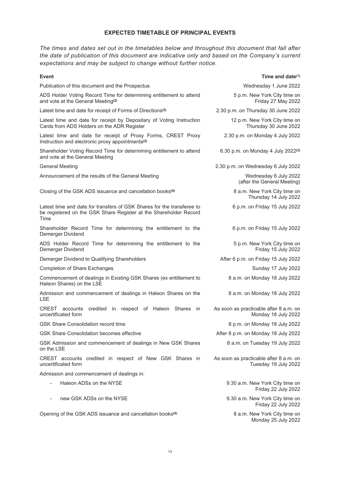# **EXPECTED TIMETABLE OF PRINCIPAL EVENTS**

<span id="page-12-0"></span>*The times and dates set out in the timetables below and throughout this document that fall after the date of publication of this document are indicative only and based on the Company's current expectations and may be subject to change without further notice.*

| Event                                                                                                                                               | Time and date $(1)$                                            |
|-----------------------------------------------------------------------------------------------------------------------------------------------------|----------------------------------------------------------------|
| Publication of this document and the Prospectus                                                                                                     | Wednesday 1 June 2022                                          |
| ADS Holder Voting Record Time for determining entitlement to attend<br>and vote at the General Meeting <sup>(2)</sup>                               | 5 p.m. New York City time on<br>Friday 27 May 2022             |
| Latest time and date for receipt of Forms of Directions <sup>(2)</sup>                                                                              | 2.30 p.m. on Thursday 30 June 2022                             |
| Latest time and date for receipt by Depositary of Voting Instruction<br>Cards from ADS Holders on the ADR Register                                  | 12 p.m. New York City time on<br>Thursday 30 June 2022         |
| Latest time and date for receipt of Proxy Forms, CREST Proxy<br>Instruction and electronic proxy appointments <sup>(2)</sup>                        | 2.30 p.m. on Monday 4 July 2022                                |
| Shareholder Voting Record Time for determining entitlement to attend<br>and vote at the General Meeting                                             | 6.30 p.m. on Monday 4 July 2022(3)                             |
| <b>General Meeting</b>                                                                                                                              | 2.30 p.m. on Wednesday 6 July 2022                             |
| Announcement of the results of the General Meeting                                                                                                  | Wednesday 6 July 2022<br>(after the General Meeting)           |
| Closing of the GSK ADS issuance and cancellation books <sup>(4)</sup>                                                                               | 8 a.m. New York City time on<br>Thursday 14 July 2022          |
| Latest time and date for transfers of GSK Shares for the transferee to<br>be registered on the GSK Share Register at the Shareholder Record<br>Time | 6 p.m. on Friday 15 July 2022                                  |
| Shareholder Record Time for determining the entitlement to the<br>Demerger Dividend                                                                 | 6 p.m. on Friday 15 July 2022                                  |
| ADS Holder Record Time for determining the entitlement to the<br>Demerger Dividend                                                                  | 5 p.m. New York City time on<br>Friday 15 July 2022            |
| Demerger Dividend to Qualifying Shareholders                                                                                                        | After 6 p.m. on Friday 15 July 2022                            |
| <b>Completion of Share Exchanges</b>                                                                                                                | Sunday 17 July 2022                                            |
| Commencement of dealings in Existing GSK Shares (ex entitlement to<br>Haleon Shares) on the LSE                                                     | 8 a.m. on Monday 18 July 2022                                  |
| Admission and commencement of dealings in Haleon Shares on the<br><b>LSE</b>                                                                        | 8 a.m. on Monday 18 July 2022                                  |
| CREST accounts<br>credited<br>in respect of Haleon Shares<br>in<br>uncertificated form                                                              | As soon as practicable after 8 a.m. on<br>Monday 18 July 2022  |
| GSK Share Consolidation record time                                                                                                                 | 8 p.m. on Monday 18 July 2022                                  |
| <b>GSK Share Consolidation becomes effective</b>                                                                                                    | After 8 p.m. on Monday 18 July 2022                            |
| GSK Admission and commencement of dealings in New GSK Shares<br>on the LSE                                                                          | 8 a.m. on Tuesday 19 July 2022                                 |
| CREST accounts credited in respect of New GSK Shares in<br>uncertificated form                                                                      | As soon as practicable after 8 a.m. on<br>Tuesday 19 July 2022 |
| Admission and commencement of dealings in:                                                                                                          |                                                                |
| Haleon ADSs on the NYSE                                                                                                                             | 9.30 a.m. New York City time on<br>Friday 22 July 2022         |
| new GSK ADSs on the NYSE                                                                                                                            | 9.30 a.m. New York City time on<br>Friday 22 July 2022         |
| Opening of the GSK ADS issuance and cancellation books <sup>(4)</sup>                                                                               | 8 a.m. New York City time on<br>Monday 25 July 2022            |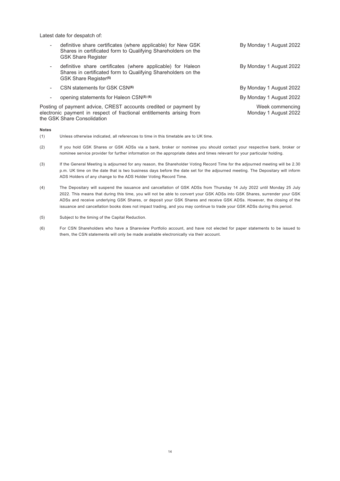Latest date for despatch of:

| definitive share certificates (where applicable) for New GSK<br>Shares in certificated form to Qualifying Shareholders on the<br><b>GSK Share Register</b>               | By Monday 1 August 2022                 |
|--------------------------------------------------------------------------------------------------------------------------------------------------------------------------|-----------------------------------------|
| definitive share certificates (where applicable) for Haleon<br>Shares in certificated form to Qualifying Shareholders on the<br>GSK Share Register <sup>(5)</sup>        | By Monday 1 August 2022                 |
| CSN statements for GSK CSN(6)                                                                                                                                            | By Monday 1 August 2022                 |
| opening statements for Haleon CSN(5) (6)                                                                                                                                 | By Monday 1 August 2022                 |
| Posting of payment advice, CREST accounts credited or payment by<br>electronic payment in respect of fractional entitlements arising from<br>the GSK Share Consolidation | Week commencing<br>Monday 1 August 2022 |

#### **Notes**

- (1) Unless otherwise indicated, all references to time in this timetable are to UK time.
- (2) If you hold GSK Shares or GSK ADSs via a bank, broker or nominee you should contact your respective bank, broker or nominee service provider for further information on the appropriate dates and times relevant for your particular holding.
- (3) If the General Meeting is adjourned for any reason, the Shareholder Voting Record Time for the adjourned meeting will be 2.30 p.m. UK time on the date that is two business days before the date set for the adjourned meeting. The Depositary will inform ADS Holders of any change to the ADS Holder Voting Record Time.
- (4) The Depositary will suspend the issuance and cancellation of GSK ADSs from Thursday 14 July 2022 until Monday 25 July 2022. This means that during this time, you will not be able to convert your GSK ADSs into GSK Shares, surrender your GSK ADSs and receive underlying GSK Shares, or deposit your GSK Shares and receive GSK ADSs. However, the closing of the issuance and cancellation books does not impact trading, and you may continue to trade your GSK ADSs during this period.
- (5) Subject to the timing of the Capital Reduction.
- (6) For CSN Shareholders who have a Shareview Portfolio account, and have not elected for paper statements to be issued to them, the CSN statements will only be made available electronically via their account.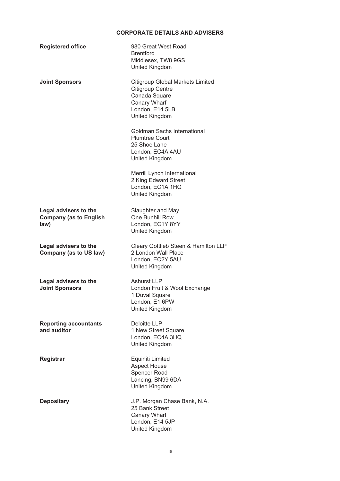# **CORPORATE DETAILS AND ADVISERS**

<span id="page-14-0"></span>

| <b>Registered office</b>                                       | 980 Great West Road<br><b>Brentford</b><br>Middlesex, TW8 9GS<br><b>United Kingdom</b>                                                   |
|----------------------------------------------------------------|------------------------------------------------------------------------------------------------------------------------------------------|
| <b>Joint Sponsors</b>                                          | <b>Citigroup Global Markets Limited</b><br><b>Citigroup Centre</b><br>Canada Square<br>Canary Wharf<br>London, E14 5LB<br>United Kingdom |
|                                                                | Goldman Sachs International<br><b>Plumtree Court</b><br>25 Shoe Lane<br>London, EC4A 4AU<br><b>United Kingdom</b>                        |
|                                                                | Merrill Lynch International<br>2 King Edward Street<br>London, EC1A 1HQ<br><b>United Kingdom</b>                                         |
| Legal advisers to the<br><b>Company (as to English</b><br>law) | Slaughter and May<br>One Bunhill Row<br>London, EC1Y 8YY<br>United Kingdom                                                               |
| Legal advisers to the<br><b>Company (as to US law)</b>         | Cleary Gottlieb Steen & Hamilton LLP<br>2 London Wall Place<br>London, EC2Y 5AU<br><b>United Kingdom</b>                                 |
| Legal advisers to the<br><b>Joint Sponsors</b>                 | Ashurst LLP<br>London Fruit & Wool Exchange<br>1 Duval Square<br>London, E1 6PW<br>United Kingdom                                        |
| <b>Reporting accountants</b><br>and auditor                    | <b>Deloitte LLP</b><br>1 New Street Square<br>London, EC4A 3HQ<br>United Kingdom                                                         |
| Registrar                                                      | Equiniti Limited<br><b>Aspect House</b><br>Spencer Road<br>Lancing, BN99 6DA<br>United Kingdom                                           |
| <b>Depositary</b>                                              | J.P. Morgan Chase Bank, N.A.<br>25 Bank Street<br>Canary Wharf<br>London, E14 5JP<br>United Kingdom                                      |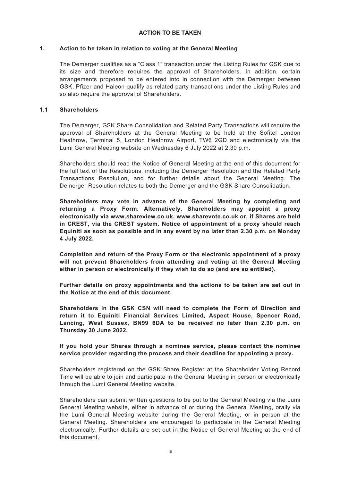# **ACTION TO BE TAKEN**

# <span id="page-15-0"></span>**1. Action to be taken in relation to voting at the General Meeting**

The Demerger qualifies as a "Class 1" transaction under the Listing Rules for GSK due to its size and therefore requires the approval of Shareholders. In addition, certain arrangements proposed to be entered into in connection with the Demerger between GSK, Pfizer and Haleon qualify as related party transactions under the Listing Rules and so also require the approval of Shareholders.

# **1.1 Shareholders**

The Demerger, GSK Share Consolidation and Related Party Transactions will require the approval of Shareholders at the General Meeting to be held at the Sofitel London Heathrow, Terminal 5, London Heathrow Airport, TW6 2GD and electronically via the Lumi General Meeting website on Wednesday 6 July 2022 at 2.30 p.m.

Shareholders should read the Notice of General Meeting at the end of this document for the full text of the Resolutions, including the Demerger Resolution and the Related Party Transactions Resolution, and for further details about the General Meeting. The Demerger Resolution relates to both the Demerger and the GSK Share Consolidation.

**Shareholders may vote in advance of the General Meeting by completing and returning a Proxy Form. Alternatively, Shareholders may appoint a proxy electronically via www.shareview.co.uk, www.sharevote.co.uk or, if Shares are held in CREST, via the CREST system. Notice of appointment of a proxy should reach Equiniti as soon as possible and in any event by no later than 2.30 p.m. on Monday 4 July 2022.**

**Completion and return of the Proxy Form or the electronic appointment of a proxy will not prevent Shareholders from attending and voting at the General Meeting either in person or electronically if they wish to do so (and are so entitled).**

**Further details on proxy appointments and the actions to be taken are set out in the Notice at the end of this document.**

**Shareholders in the GSK CSN will need to complete the Form of Direction and return it to Equiniti Financial Services Limited, Aspect House, Spencer Road, Lancing, West Sussex, BN99 6DA to be received no later than 2.30 p.m. on Thursday 30 June 2022.**

# **If you hold your Shares through a nominee service, please contact the nominee service provider regarding the process and their deadline for appointing a proxy.**

Shareholders registered on the GSK Share Register at the Shareholder Voting Record Time will be able to join and participate in the General Meeting in person or electronically through the Lumi General Meeting website.

Shareholders can submit written questions to be put to the General Meeting via the Lumi General Meeting website, either in advance of or during the General Meeting, orally via the Lumi General Meeting website during the General Meeting, or in person at the General Meeting. Shareholders are encouraged to participate in the General Meeting electronically. Further details are set out in the Notice of General Meeting at the end of this document.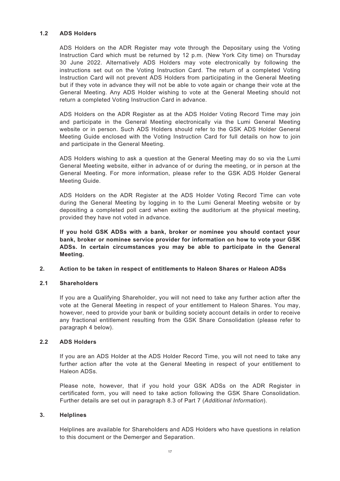# **1.2 ADS Holders**

ADS Holders on the ADR Register may vote through the Depositary using the Voting Instruction Card which must be returned by 12 p.m. (New York City time) on Thursday 30 June 2022. Alternatively ADS Holders may vote electronically by following the instructions set out on the Voting Instruction Card. The return of a completed Voting Instruction Card will not prevent ADS Holders from participating in the General Meeting but if they vote in advance they will not be able to vote again or change their vote at the General Meeting. Any ADS Holder wishing to vote at the General Meeting should not return a completed Voting Instruction Card in advance.

ADS Holders on the ADR Register as at the ADS Holder Voting Record Time may join and participate in the General Meeting electronically via the Lumi General Meeting website or in person. Such ADS Holders should refer to the GSK ADS Holder General Meeting Guide enclosed with the Voting Instruction Card for full details on how to join and participate in the General Meeting.

ADS Holders wishing to ask a question at the General Meeting may do so via the Lumi General Meeting website, either in advance of or during the meeting, or in person at the General Meeting. For more information, please refer to the GSK ADS Holder General Meeting Guide.

ADS Holders on the ADR Register at the ADS Holder Voting Record Time can vote during the General Meeting by logging in to the Lumi General Meeting website or by depositing a completed poll card when exiting the auditorium at the physical meeting, provided they have not voted in advance.

**If you hold GSK ADSs with a bank, broker or nominee you should contact your bank, broker or nominee service provider for information on how to vote your GSK ADSs. In certain circumstances you may be able to participate in the General Meeting.**

### **2. Action to be taken in respect of entitlements to Haleon Shares or Haleon ADSs**

### **2.1 Shareholders**

If you are a Qualifying Shareholder, you will not need to take any further action after the vote at the General Meeting in respect of your entitlement to Haleon Shares. You may, however, need to provide your bank or building society account details in order to receive any fractional entitlement resulting from the GSK Share Consolidation (please refer to paragraph 4 below).

### **2.2 ADS Holders**

If you are an ADS Holder at the ADS Holder Record Time, you will not need to take any further action after the vote at the General Meeting in respect of your entitlement to Haleon ADSs.

Please note, however, that if you hold your GSK ADSs on the ADR Register in certificated form, you will need to take action following the GSK Share Consolidation. Further details are set out in paragraph 8.3 of Part 7 (*Additional Information*).

### **3. Helplines**

Helplines are available for Shareholders and ADS Holders who have questions in relation to this document or the Demerger and Separation.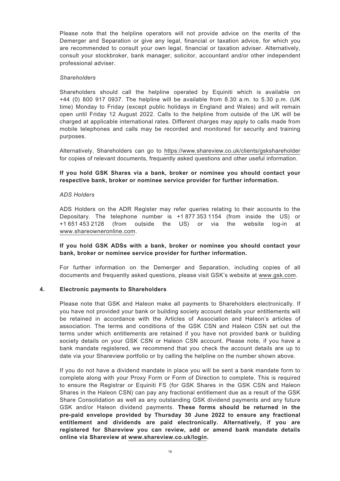Please note that the helpline operators will not provide advice on the merits of the Demerger and Separation or give any legal, financial or taxation advice, for which you are recommended to consult your own legal, financial or taxation adviser. Alternatively, consult your stockbroker, bank manager, solicitor, accountant and/or other independent professional adviser.

#### *Shareholders*

Shareholders should call the helpline operated by Equiniti which is available on +44 (0) 800 917 0937. The helpline will be available from 8.30 a.m. to 5.30 p.m. (UK time) Monday to Friday (except public holidays in England and Wales) and will remain open until Friday 12 August 2022. Calls to the helpline from outside of the UK will be charged at applicable international rates. Different charges may apply to calls made from mobile telephones and calls may be recorded and monitored for security and training purposes.

Alternatively, Shareholders can go to https://www.shareview.co.uk/clients/gskshareholder for copies of relevant documents, frequently asked questions and other useful information.

### **If you hold GSK Shares via a bank, broker or nominee you should contact your respective bank, broker or nominee service provider for further information.**

#### *ADS Holders*

ADS Holders on the ADR Register may refer queries relating to their accounts to the Depositary. The telephone number is +1 877 353 1154 (from inside the US) or +1 651 453 2128 (from outside the US) or via the website log-in at www.shareowneronline.com.

# **If you hold GSK ADSs with a bank, broker or nominee you should contact your bank, broker or nominee service provider for further information.**

For further information on the Demerger and Separation, including copies of all documents and frequently asked questions, please visit GSK's website at www.gsk.com.

#### **4. Electronic payments to Shareholders**

Please note that GSK and Haleon make all payments to Shareholders electronically. If you have not provided your bank or building society account details your entitlements will be retained in accordance with the Articles of Association and Haleon's articles of association. The terms and conditions of the GSK CSN and Haleon CSN set out the terms under which entitlements are retained if you have not provided bank or building society details on your GSK CSN or Haleon CSN account. Please note, if you have a bank mandate registered, we recommend that you check the account details are up to date via your Shareview portfolio or by calling the helpline on the number shown above.

If you do not have a dividend mandate in place you will be sent a bank mandate form to complete along with your Proxy Form or Form of Direction to complete. This is required to ensure the Registrar or Equiniti FS (for GSK Shares in the GSK CSN and Haleon Shares in the Haleon CSN) can pay any fractional entitlement due as a result of the GSK Share Consolidation as well as any outstanding GSK dividend payments and any future GSK and/or Haleon dividend payments. **These forms should be returned in the pre-paid envelope provided by Thursday 30 June 2022 to ensure any fractional entitlement and dividends are paid electronically. Alternatively, if you are registered for Shareview you can review, add or amend bank mandate details online via Shareview at www.shareview.co.uk/login.**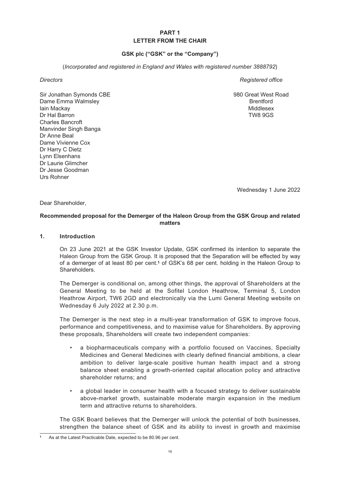# **PART 1 LETTER FROM THE CHAIR**

# **GSK plc ("GSK" or the "Company")**

(*Incorporated and registered in England and Wales with registered number 3888792*)

Sir Jonathan Symonds CBE Dame Emma Walmsley Iain Mackay Dr Hal Barron Charles Bancroft Manvinder Singh Banga Dr Anne Beal Dame Vivienne Cox Dr Harry C Dietz Lynn Elsenhans Dr Laurie Glimcher Dr Jesse Goodman Urs Rohner

<span id="page-18-0"></span>**Directors** Registered office

980 Great West Road **Brentford** Middlesex TW8 9GS

Wednesday 1 June 2022

Dear Shareholder,

# **Recommended proposal for the Demerger of the Haleon Group from the GSK Group and related matters**

#### **1. Introduction**

On 23 June 2021 at the GSK Investor Update, GSK confirmed its intention to separate the Haleon Group from the GSK Group. It is proposed that the Separation will be effected by way of a demerger of at least 80 per cent.**<sup>1</sup>** of GSK's 68 per cent. holding in the Haleon Group to **Shareholders** 

The Demerger is conditional on, among other things, the approval of Shareholders at the General Meeting to be held at the Sofitel London Heathrow, Terminal 5, London Heathrow Airport, TW6 2GD and electronically via the Lumi General Meeting website on Wednesday 6 July 2022 at 2.30 p.m.

The Demerger is the next step in a multi-year transformation of GSK to improve focus, performance and competitiveness, and to maximise value for Shareholders. By approving these proposals, Shareholders will create two independent companies:

- a biopharmaceuticals company with a portfolio focused on Vaccines, Specialty Medicines and General Medicines with clearly defined financial ambitions, a clear ambition to deliver large-scale positive human health impact and a strong balance sheet enabling a growth-oriented capital allocation policy and attractive shareholder returns; and
- a global leader in consumer health with a focused strategy to deliver sustainable above-market growth, sustainable moderate margin expansion in the medium term and attractive returns to shareholders.

The GSK Board believes that the Demerger will unlock the potential of both businesses, strengthen the balance sheet of GSK and its ability to invest in growth and maximise

**<sup>1</sup>** As at the Latest Practicable Date, expected to be 80.96 per cent.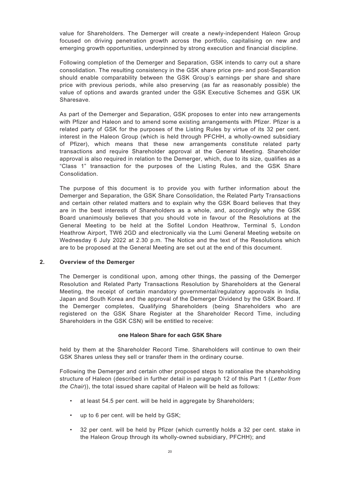value for Shareholders. The Demerger will create a newly-independent Haleon Group focused on driving penetration growth across the portfolio, capitalising on new and emerging growth opportunities, underpinned by strong execution and financial discipline.

Following completion of the Demerger and Separation, GSK intends to carry out a share consolidation. The resulting consistency in the GSK share price pre- and post-Separation should enable comparability between the GSK Group's earnings per share and share price with previous periods, while also preserving (as far as reasonably possible) the value of options and awards granted under the GSK Executive Schemes and GSK UK Sharesave.

As part of the Demerger and Separation, GSK proposes to enter into new arrangements with Pfizer and Haleon and to amend some existing arrangements with Pfizer. Pfizer is a related party of GSK for the purposes of the Listing Rules by virtue of its 32 per cent. interest in the Haleon Group (which is held through PFCHH, a wholly-owned subsidiary of Pfizer), which means that these new arrangements constitute related party transactions and require Shareholder approval at the General Meeting. Shareholder approval is also required in relation to the Demerger, which, due to its size, qualifies as a "Class 1" transaction for the purposes of the Listing Rules, and the GSK Share Consolidation.

The purpose of this document is to provide you with further information about the Demerger and Separation, the GSK Share Consolidation, the Related Party Transactions and certain other related matters and to explain why the GSK Board believes that they are in the best interests of Shareholders as a whole, and, accordingly why the GSK Board unanimously believes that you should vote in favour of the Resolutions at the General Meeting to be held at the Sofitel London Heathrow, Terminal 5, London Heathrow Airport, TW6 2GD and electronically via the Lumi General Meeting website on Wednesday 6 July 2022 at 2.30 p.m. The Notice and the text of the Resolutions which are to be proposed at the General Meeting are set out at the end of this document.

### **2. Overview of the Demerger**

The Demerger is conditional upon, among other things, the passing of the Demerger Resolution and Related Party Transactions Resolution by Shareholders at the General Meeting, the receipt of certain mandatory governmental/regulatory approvals in India, Japan and South Korea and the approval of the Demerger Dividend by the GSK Board. If the Demerger completes, Qualifying Shareholders (being Shareholders who are registered on the GSK Share Register at the Shareholder Record Time, including Shareholders in the GSK CSN) will be entitled to receive:

### **one Haleon Share for each GSK Share**

held by them at the Shareholder Record Time. Shareholders will continue to own their GSK Shares unless they sell or transfer them in the ordinary course.

Following the Demerger and certain other proposed steps to rationalise the shareholding structure of Haleon (described in further detail in paragraph 12 of this Part 1 (*Letter from the Chair*)), the total issued share capital of Haleon will be held as follows:

- at least 54.5 per cent, will be held in aggregate by Shareholders;
- up to 6 per cent. will be held by GSK;
- 32 per cent. will be held by Pfizer (which currently holds a 32 per cent. stake in the Haleon Group through its wholly-owned subsidiary, PFCHH); and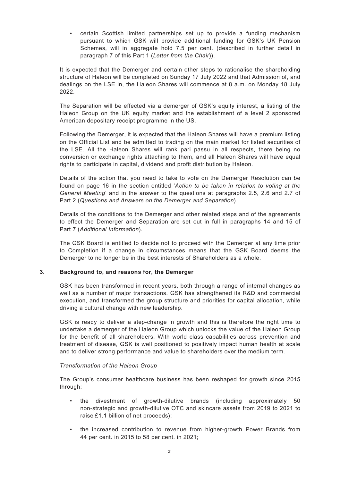• certain Scottish limited partnerships set up to provide a funding mechanism pursuant to which GSK will provide additional funding for GSK's UK Pension Schemes, will in aggregate hold 7.5 per cent. (described in further detail in paragraph 7 of this Part 1 (*Letter from the Chair*)).

It is expected that the Demerger and certain other steps to rationalise the shareholding structure of Haleon will be completed on Sunday 17 July 2022 and that Admission of, and dealings on the LSE in, the Haleon Shares will commence at 8 a.m. on Monday 18 July 2022.

The Separation will be effected via a demerger of GSK's equity interest, a listing of the Haleon Group on the UK equity market and the establishment of a level 2 sponsored American depositary receipt programme in the US.

Following the Demerger, it is expected that the Haleon Shares will have a premium listing on the Official List and be admitted to trading on the main market for listed securities of the LSE. All the Haleon Shares will rank pari passu in all respects, there being no conversion or exchange rights attaching to them, and all Haleon Shares will have equal rights to participate in capital, dividend and profit distribution by Haleon.

Details of the action that you need to take to vote on the Demerger Resolution can be found on page 16 in the section entitled '*Action to be taken in relation to voting at the General Meeting*' and in the answer to the questions at paragraphs 2.5, 2.6 and 2.7 of Part 2 (*Questions and Answers on the Demerger and Separation*).

Details of the conditions to the Demerger and other related steps and of the agreements to effect the Demerger and Separation are set out in full in paragraphs 14 and 15 of Part 7 (*Additional Information*).

The GSK Board is entitled to decide not to proceed with the Demerger at any time prior to Completion if a change in circumstances means that the GSK Board deems the Demerger to no longer be in the best interests of Shareholders as a whole.

### **3. Background to, and reasons for, the Demerger**

GSK has been transformed in recent years, both through a range of internal changes as well as a number of major transactions. GSK has strengthened its R&D and commercial execution, and transformed the group structure and priorities for capital allocation, while driving a cultural change with new leadership.

GSK is ready to deliver a step-change in growth and this is therefore the right time to undertake a demerger of the Haleon Group which unlocks the value of the Haleon Group for the benefit of all shareholders. With world class capabilities across prevention and treatment of disease, GSK is well positioned to positively impact human health at scale and to deliver strong performance and value to shareholders over the medium term.

### *Transformation of the Haleon Group*

The Group's consumer healthcare business has been reshaped for growth since 2015 through:

- the divestment of growth-dilutive brands (including approximately 50 non-strategic and growth-dilutive OTC and skincare assets from 2019 to 2021 to raise £1.1 billion of net proceeds);
- the increased contribution to revenue from higher-growth Power Brands from 44 per cent. in 2015 to 58 per cent. in 2021;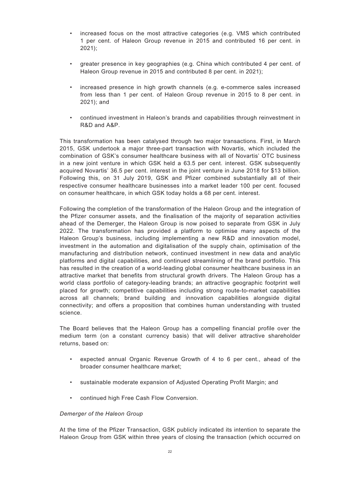- increased focus on the most attractive categories (e.g. VMS which contributed 1 per cent. of Haleon Group revenue in 2015 and contributed 16 per cent. in 2021);
- greater presence in key geographies (e.g. China which contributed 4 per cent. of Haleon Group revenue in 2015 and contributed 8 per cent. in 2021);
- increased presence in high growth channels (e.g. e-commerce sales increased from less than 1 per cent. of Haleon Group revenue in 2015 to 8 per cent. in 2021); and
- continued investment in Haleon's brands and capabilities through reinvestment in R&D and A&P.

This transformation has been catalysed through two major transactions. First, in March 2015, GSK undertook a major three-part transaction with Novartis, which included the combination of GSK's consumer healthcare business with all of Novartis' OTC business in a new joint venture in which GSK held a 63.5 per cent. interest. GSK subsequently acquired Novartis' 36.5 per cent. interest in the joint venture in June 2018 for \$13 billion. Following this, on 31 July 2019, GSK and Pfizer combined substantially all of their respective consumer healthcare businesses into a market leader 100 per cent. focused on consumer healthcare, in which GSK today holds a 68 per cent. interest.

Following the completion of the transformation of the Haleon Group and the integration of the Pfizer consumer assets, and the finalisation of the majority of separation activities ahead of the Demerger, the Haleon Group is now poised to separate from GSK in July 2022. The transformation has provided a platform to optimise many aspects of the Haleon Group's business, including implementing a new R&D and innovation model, investment in the automation and digitalisation of the supply chain, optimisation of the manufacturing and distribution network, continued investment in new data and analytic platforms and digital capabilities, and continued streamlining of the brand portfolio. This has resulted in the creation of a world-leading global consumer healthcare business in an attractive market that benefits from structural growth drivers. The Haleon Group has a world class portfolio of category-leading brands; an attractive geographic footprint well placed for growth; competitive capabilities including strong route-to-market capabilities across all channels; brand building and innovation capabilities alongside digital connectivity; and offers a proposition that combines human understanding with trusted science.

The Board believes that the Haleon Group has a compelling financial profile over the medium term (on a constant currency basis) that will deliver attractive shareholder returns, based on:

- expected annual Organic Revenue Growth of 4 to 6 per cent., ahead of the broader consumer healthcare market;
- sustainable moderate expansion of Adjusted Operating Profit Margin; and
- continued high Free Cash Flow Conversion.

### *Demerger of the Haleon Group*

At the time of the Pfizer Transaction, GSK publicly indicated its intention to separate the Haleon Group from GSK within three years of closing the transaction (which occurred on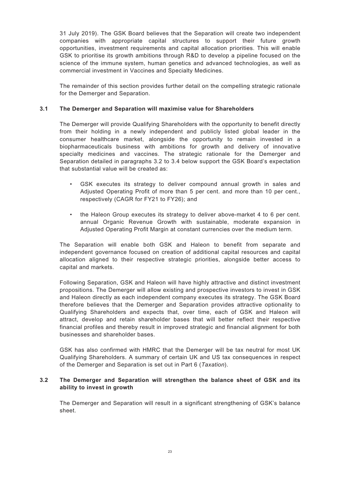31 July 2019). The GSK Board believes that the Separation will create two independent companies with appropriate capital structures to support their future growth opportunities, investment requirements and capital allocation priorities. This will enable GSK to prioritise its growth ambitions through R&D to develop a pipeline focused on the science of the immune system, human genetics and advanced technologies, as well as commercial investment in Vaccines and Specialty Medicines.

The remainder of this section provides further detail on the compelling strategic rationale for the Demerger and Separation.

# **3.1 The Demerger and Separation will maximise value for Shareholders**

The Demerger will provide Qualifying Shareholders with the opportunity to benefit directly from their holding in a newly independent and publicly listed global leader in the consumer healthcare market, alongside the opportunity to remain invested in a biopharmaceuticals business with ambitions for growth and delivery of innovative specialty medicines and vaccines. The strategic rationale for the Demerger and Separation detailed in paragraphs 3.2 to 3.4 below support the GSK Board's expectation that substantial value will be created as:

- GSK executes its strategy to deliver compound annual growth in sales and Adjusted Operating Profit of more than 5 per cent. and more than 10 per cent., respectively (CAGR for FY21 to FY26); and
- the Haleon Group executes its strategy to deliver above-market 4 to 6 per cent. annual Organic Revenue Growth with sustainable, moderate expansion in Adjusted Operating Profit Margin at constant currencies over the medium term.

The Separation will enable both GSK and Haleon to benefit from separate and independent governance focused on creation of additional capital resources and capital allocation aligned to their respective strategic priorities, alongside better access to capital and markets.

Following Separation, GSK and Haleon will have highly attractive and distinct investment propositions. The Demerger will allow existing and prospective investors to invest in GSK and Haleon directly as each independent company executes its strategy. The GSK Board therefore believes that the Demerger and Separation provides attractive optionality to Qualifying Shareholders and expects that, over time, each of GSK and Haleon will attract, develop and retain shareholder bases that will better reflect their respective financial profiles and thereby result in improved strategic and financial alignment for both businesses and shareholder bases.

GSK has also confirmed with HMRC that the Demerger will be tax neutral for most UK Qualifying Shareholders. A summary of certain UK and US tax consequences in respect of the Demerger and Separation is set out in Part 6 (*Taxation*).

# **3.2 The Demerger and Separation will strengthen the balance sheet of GSK and its ability to invest in growth**

The Demerger and Separation will result in a significant strengthening of GSK's balance sheet.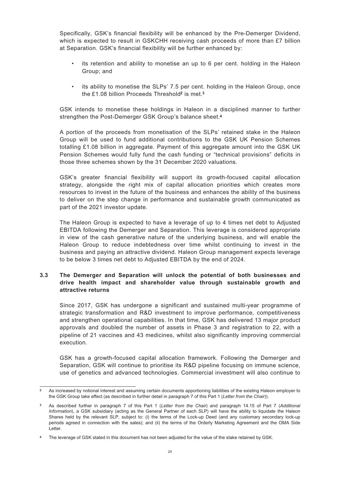Specifically, GSK's financial flexibility will be enhanced by the Pre-Demerger Dividend, which is expected to result in GSKCHH receiving cash proceeds of more than £7 billion at Separation. GSK's financial flexibility will be further enhanced by:

- its retention and ability to monetise an up to 6 per cent. holding in the Haleon Group; and
- its ability to monetise the SLPs' 7.5 per cent. holding in the Haleon Group, once the £1.08 billion Proceeds Threshold**<sup>2</sup>** is met.**<sup>3</sup>**

GSK intends to monetise these holdings in Haleon in a disciplined manner to further strengthen the Post-Demerger GSK Group's balance sheet.**<sup>4</sup>**

A portion of the proceeds from monetisation of the SLPs' retained stake in the Haleon Group will be used to fund additional contributions to the GSK UK Pension Schemes totalling £1.08 billion in aggregate. Payment of this aggregate amount into the GSK UK Pension Schemes would fully fund the cash funding or "technical provisions" deficits in those three schemes shown by the 31 December 2020 valuations.

GSK's greater financial flexibility will support its growth-focused capital allocation strategy, alongside the right mix of capital allocation priorities which creates more resources to invest in the future of the business and enhances the ability of the business to deliver on the step change in performance and sustainable growth communicated as part of the 2021 investor update.

The Haleon Group is expected to have a leverage of up to 4 times net debt to Adjusted EBITDA following the Demerger and Separation. This leverage is considered appropriate in view of the cash generative nature of the underlying business, and will enable the Haleon Group to reduce indebtedness over time whilst continuing to invest in the business and paying an attractive dividend. Haleon Group management expects leverage to be below 3 times net debt to Adjusted EBITDA by the end of 2024.

# **3.3 The Demerger and Separation will unlock the potential of both businesses and drive health impact and shareholder value through sustainable growth and attractive returns**

Since 2017, GSK has undergone a significant and sustained multi-year programme of strategic transformation and R&D investment to improve performance, competitiveness and strengthen operational capabilities. In that time, GSK has delivered 13 major product approvals and doubled the number of assets in Phase 3 and registration to 22, with a pipeline of 21 vaccines and 43 medicines, whilst also significantly improving commercial execution.

GSK has a growth-focused capital allocation framework. Following the Demerger and Separation, GSK will continue to prioritise its R&D pipeline focusing on immune science, use of genetics and advanced technologies. Commercial investment will also continue to

**<sup>2</sup>** As increased by notional interest and assuming certain documents apportioning liabilities of the existing Haleon employer to the GSK Group take effect (as described in further detail in paragraph 7 of this Part 1 (*Letter from the Chair*)).

**<sup>3</sup>** As described further in paragraph 7 of this Part 1 (*Letter from the Chair*) and paragraph 14.15 of Part 7 (*Additional Information*), a GSK subsidiary (acting as the General Partner of each SLP) will have the ability to liquidate the Haleon Shares held by the relevant SLP, subject to: (i) the terms of the Lock-up Deed (and any customary secondary lock-up periods agreed in connection with the sales); and (ii) the terms of the Orderly Marketing Agreement and the OMA Side Letter.

**<sup>4</sup>** The leverage of GSK stated in this document has not been adjusted for the value of the stake retained by GSK.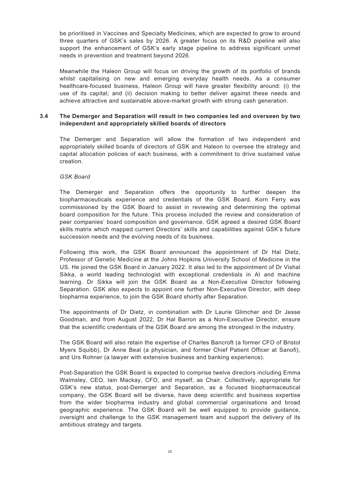be prioritised in Vaccines and Specialty Medicines, which are expected to grow to around three quarters of GSK's sales by 2026. A greater focus on its R&D pipeline will also support the enhancement of GSK's early stage pipeline to address significant unmet needs in prevention and treatment beyond 2026.

Meanwhile the Haleon Group will focus on driving the growth of its portfolio of brands whilst capitalising on new and emerging everyday health needs. As a consumer healthcare-focused business, Haleon Group will have greater flexibility around: (i) the use of its capital; and (ii) decision making to better deliver against these needs and achieve attractive and sustainable above-market growth with strong cash generation.

### **3.4 The Demerger and Separation will result in two companies led and overseen by two independent and appropriately skilled boards of directors**

The Demerger and Separation will allow the formation of two independent and appropriately skilled boards of directors of GSK and Haleon to oversee the strategy and capital allocation policies of each business, with a commitment to drive sustained value creation.

### *GSK Board*

The Demerger and Separation offers the opportunity to further deepen the biopharmaceuticals experience and credentials of the GSK Board. Korn Ferry was commissioned by the GSK Board to assist in reviewing and determining the optimal board composition for the future. This process included the review and consideration of peer companies' board composition and governance. GSK agreed a desired GSK Board skills matrix which mapped current Directors' skills and capabilities against GSK's future succession needs and the evolving needs of its business.

Following this work, the GSK Board announced the appointment of Dr Hal Dietz, Professor of Genetic Medicine at the Johns Hopkins University School of Medicine in the US. He joined the GSK Board in January 2022. It also led to the appointment of Dr Vishal Sikka, a world leading technologist with exceptional credentials in AI and machine learning. Dr Sikka will join the GSK Board as a Non-Executive Director following Separation. GSK also expects to appoint one further Non-Executive Director, with deep biopharma experience, to join the GSK Board shortly after Separation.

The appointments of Dr Dietz, in combination with Dr Laurie Glimcher and Dr Jesse Goodman, and from August 2022, Dr Hal Barron as a Non-Executive Director, ensure that the scientific credentials of the GSK Board are among the strongest in the industry.

The GSK Board will also retain the expertise of Charles Bancroft (a former CFO of Bristol Myers Squibb), Dr Anne Beal (a physician, and former Chief Patient Officer at Sanofi), and Urs Rohner (a lawyer with extensive business and banking experience).

Post-Separation the GSK Board is expected to comprise twelve directors including Emma Walmsley, CEO, Iain Mackay, CFO, and myself, as Chair. Collectively, appropriate for GSK's new status, post-Demerger and Separation, as a focused biopharmaceutical company, the GSK Board will be diverse, have deep scientific and business expertise from the wider biopharma industry and global commercial organisations and broad geographic experience. The GSK Board will be well equipped to provide guidance, oversight and challenge to the GSK management team and support the delivery of its ambitious strategy and targets.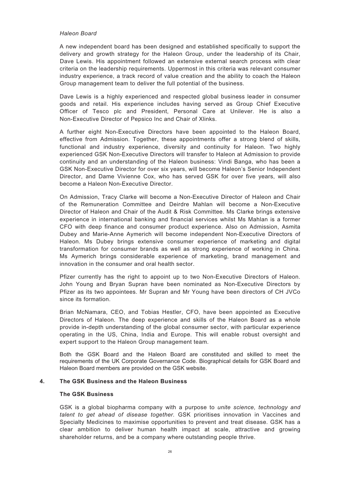#### *Haleon Board*

A new independent board has been designed and established specifically to support the delivery and growth strategy for the Haleon Group, under the leadership of its Chair, Dave Lewis. His appointment followed an extensive external search process with clear criteria on the leadership requirements. Uppermost in this criteria was relevant consumer industry experience, a track record of value creation and the ability to coach the Haleon Group management team to deliver the full potential of the business.

Dave Lewis is a highly experienced and respected global business leader in consumer goods and retail. His experience includes having served as Group Chief Executive Officer of Tesco plc and President, Personal Care at Unilever. He is also a Non-Executive Director of Pepsico Inc and Chair of Xlinks.

A further eight Non-Executive Directors have been appointed to the Haleon Board, effective from Admission. Together, these appointments offer a strong blend of skills, functional and industry experience, diversity and continuity for Haleon. Two highly experienced GSK Non-Executive Directors will transfer to Haleon at Admission to provide continuity and an understanding of the Haleon business: Vindi Banga, who has been a GSK Non-Executive Director for over six years, will become Haleon's Senior Independent Director, and Dame Vivienne Cox, who has served GSK for over five years, will also become a Haleon Non-Executive Director.

On Admission, Tracy Clarke will become a Non-Executive Director of Haleon and Chair of the Remuneration Committee and Deirdre Mahlan will become a Non-Executive Director of Haleon and Chair of the Audit & Risk Committee. Ms Clarke brings extensive experience in international banking and financial services whilst Ms Mahlan is a former CFO with deep finance and consumer product experience. Also on Admission, Asmita Dubey and Marie-Anne Aymerich will become independent Non-Executive Directors of Haleon. Ms Dubey brings extensive consumer experience of marketing and digital transformation for consumer brands as well as strong experience of working in China. Ms Aymerich brings considerable experience of marketing, brand management and innovation in the consumer and oral health sector.

Pfizer currently has the right to appoint up to two Non-Executive Directors of Haleon. John Young and Bryan Supran have been nominated as Non-Executive Directors by Pfizer as its two appointees. Mr Supran and Mr Young have been directors of CH JVCo since its formation.

Brian McNamara, CEO, and Tobias Hestler, CFO, have been appointed as Executive Directors of Haleon. The deep experience and skills of the Haleon Board as a whole provide in-depth understanding of the global consumer sector, with particular experience operating in the US, China, India and Europe. This will enable robust oversight and expert support to the Haleon Group management team.

Both the GSK Board and the Haleon Board are constituted and skilled to meet the requirements of the UK Corporate Governance Code. Biographical details for GSK Board and Haleon Board members are provided on the GSK website.

### **4. The GSK Business and the Haleon Business**

#### **The GSK Business**

GSK is a global biopharma company with a purpose to *unite science, technology and talent to get ahead of disease together.* GSK prioritises innovation in Vaccines and Specialty Medicines to maximise opportunities to prevent and treat disease. GSK has a clear ambition to deliver human health impact at scale, attractive and growing shareholder returns, and be a company where outstanding people thrive.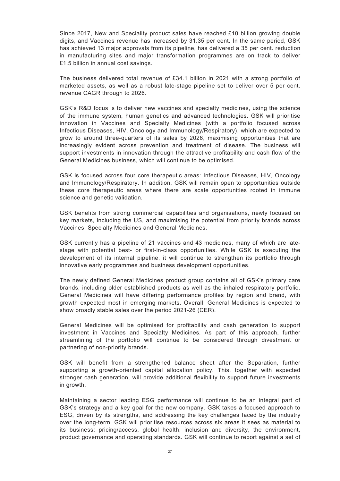Since 2017, New and Speciality product sales have reached £10 billion growing double digits, and Vaccines revenue has increased by 31.35 per cent. In the same period, GSK has achieved 13 major approvals from its pipeline, has delivered a 35 per cent. reduction in manufacturing sites and major transformation programmes are on track to deliver £1.5 billion in annual cost savings.

The business delivered total revenue of £34.1 billion in 2021 with a strong portfolio of marketed assets, as well as a robust late-stage pipeline set to deliver over 5 per cent. revenue CAGR through to 2026.

GSK's R&D focus is to deliver new vaccines and specialty medicines, using the science of the immune system, human genetics and advanced technologies. GSK will prioritise innovation in Vaccines and Specialty Medicines (with a portfolio focused across Infectious Diseases, HIV, Oncology and Immunology/Respiratory), which are expected to grow to around three-quarters of its sales by 2026, maximising opportunities that are increasingly evident across prevention and treatment of disease. The business will support investments in innovation through the attractive profitability and cash flow of the General Medicines business, which will continue to be optimised.

GSK is focused across four core therapeutic areas: Infectious Diseases, HIV, Oncology and Immunology/Respiratory. In addition, GSK will remain open to opportunities outside these core therapeutic areas where there are scale opportunities rooted in immune science and genetic validation.

GSK benefits from strong commercial capabilities and organisations, newly focused on key markets, including the US, and maximising the potential from priority brands across Vaccines, Specialty Medicines and General Medicines.

GSK currently has a pipeline of 21 vaccines and 43 medicines, many of which are latestage with potential best- or first-in-class opportunities. While GSK is executing the development of its internal pipeline, it will continue to strengthen its portfolio through innovative early programmes and business development opportunities.

The newly defined General Medicines product group contains all of GSK's primary care brands, including older established products as well as the inhaled respiratory portfolio. General Medicines will have differing performance profiles by region and brand, with growth expected most in emerging markets. Overall, General Medicines is expected to show broadly stable sales over the period 2021-26 (CER).

General Medicines will be optimised for profitability and cash generation to support investment in Vaccines and Specialty Medicines. As part of this approach, further streamlining of the portfolio will continue to be considered through divestment or partnering of non-priority brands.

GSK will benefit from a strengthened balance sheet after the Separation, further supporting a growth-oriented capital allocation policy. This, together with expected stronger cash generation, will provide additional flexibility to support future investments in growth.

Maintaining a sector leading ESG performance will continue to be an integral part of GSK's strategy and a key goal for the new company. GSK takes a focused approach to ESG, driven by its strengths, and addressing the key challenges faced by the industry over the long-term. GSK will prioritise resources across six areas it sees as material to its business: pricing/access, global health, inclusion and diversity, the environment, product governance and operating standards. GSK will continue to report against a set of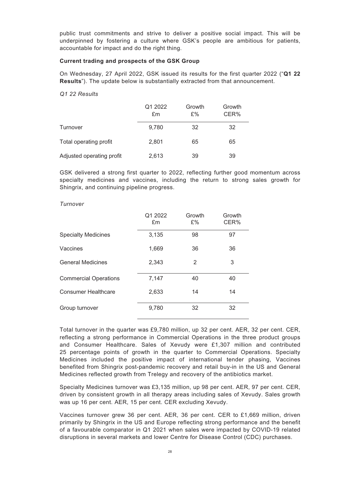public trust commitments and strive to deliver a positive social impact. This will be underpinned by fostering a culture where GSK's people are ambitious for patients, accountable for impact and do the right thing.

#### **Current trading and prospects of the GSK Group**

On Wednesday, 27 April 2022, GSK issued its results for the first quarter 2022 ("**Q1 22 Results**"). The update below is substantially extracted from that announcement.

*Q1 22 Results*

|                           | Q1 2022<br>£m | Growth<br>£% | Growth<br>CER% |
|---------------------------|---------------|--------------|----------------|
| Turnover                  | 9,780         | 32           | 32             |
| Total operating profit    | 2,801         | 65           | 65             |
| Adjusted operating profit | 2,613         | 39           | 39             |

GSK delivered a strong first quarter to 2022, reflecting further good momentum across specialty medicines and vaccines, including the return to strong sales growth for Shingrix, and continuing pipeline progress.

|                              | Q1 2022<br>£m | Growth<br>£% | Growth<br>CER% |
|------------------------------|---------------|--------------|----------------|
| <b>Specialty Medicines</b>   | 3,135         | 98           | 97             |
| Vaccines                     | 1,669         | 36           | 36             |
| <b>General Medicines</b>     | 2,343         | 2            | 3              |
| <b>Commercial Operations</b> | 7,147         | 40           | 40             |
| <b>Consumer Healthcare</b>   | 2,633         | 14           | 14             |
| Group turnover               | 9,780         | 32           | 32             |

#### *Turnover*

Total turnover in the quarter was £9,780 million, up 32 per cent. AER, 32 per cent. CER, reflecting a strong performance in Commercial Operations in the three product groups and Consumer Healthcare. Sales of Xevudy were £1,307 million and contributed 25 percentage points of growth in the quarter to Commercial Operations. Specialty Medicines included the positive impact of international tender phasing, Vaccines benefited from Shingrix post-pandemic recovery and retail buy-in in the US and General Medicines reflected growth from Trelegy and recovery of the antibiotics market.

Specialty Medicines turnover was £3,135 million, up 98 per cent. AER, 97 per cent. CER, driven by consistent growth in all therapy areas including sales of Xevudy. Sales growth was up 16 per cent. AER, 15 per cent. CER excluding Xevudy.

Vaccines turnover grew 36 per cent. AER, 36 per cent. CER to £1,669 million, driven primarily by Shingrix in the US and Europe reflecting strong performance and the benefit of a favourable comparator in Q1 2021 when sales were impacted by COVID-19 related disruptions in several markets and lower Centre for Disease Control (CDC) purchases.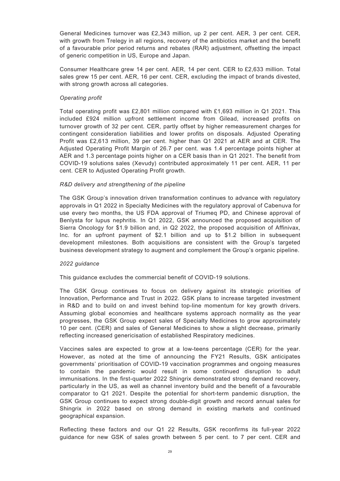General Medicines turnover was £2,343 million, up 2 per cent. AER, 3 per cent. CER, with growth from Trelegy in all regions, recovery of the antibiotics market and the benefit of a favourable prior period returns and rebates (RAR) adjustment, offsetting the impact of generic competition in US, Europe and Japan.

Consumer Healthcare grew 14 per cent. AER, 14 per cent. CER to £2,633 million. Total sales grew 15 per cent. AER, 16 per cent. CER, excluding the impact of brands divested, with strong growth across all categories.

#### *Operating profit*

Total operating profit was £2,801 million compared with £1,693 million in Q1 2021. This included £924 million upfront settlement income from Gilead, increased profits on turnover growth of 32 per cent. CER, partly offset by higher remeasurement charges for contingent consideration liabilities and lower profits on disposals. Adjusted Operating Profit was £2,613 million, 39 per cent. higher than Q1 2021 at AER and at CER. The Adjusted Operating Profit Margin of 26.7 per cent. was 1.4 percentage points higher at AER and 1.3 percentage points higher on a CER basis than in Q1 2021. The benefit from COVID-19 solutions sales (Xevudy) contributed approximately 11 per cent. AER, 11 per cent. CER to Adjusted Operating Profit growth.

#### *R&D delivery and strengthening of the pipeline*

The GSK Group's innovation driven transformation continues to advance with regulatory approvals in Q1 2022 in Specialty Medicines with the regulatory approval of Cabenuva for use every two months, the US FDA approval of Triumeq PD, and Chinese approval of Benlysta for lupus nephritis. In Q1 2022, GSK announced the proposed acquisition of Sierra Oncology for \$1.9 billion and, in Q2 2022, the proposed acquisition of Affinivax, Inc. for an upfront payment of \$2.1 billion and up to \$1.2 billion in subsequent development milestones. Both acquisitions are consistent with the Group's targeted business development strategy to augment and complement the Group's organic pipeline.

#### *2022 guidance*

This guidance excludes the commercial benefit of COVID-19 solutions.

The GSK Group continues to focus on delivery against its strategic priorities of Innovation, Performance and Trust in 2022. GSK plans to increase targeted investment in R&D and to build on and invest behind top-line momentum for key growth drivers. Assuming global economies and healthcare systems approach normality as the year progresses, the GSK Group expect sales of Specialty Medicines to grow approximately 10 per cent. (CER) and sales of General Medicines to show a slight decrease, primarily reflecting increased genericisation of established Respiratory medicines.

Vaccines sales are expected to grow at a low-teens percentage (CER) for the year. However, as noted at the time of announcing the FY21 Results, GSK anticipates governments' prioritisation of COVID-19 vaccination programmes and ongoing measures to contain the pandemic would result in some continued disruption to adult immunisations. In the first-quarter 2022 Shingrix demonstrated strong demand recovery, particularly in the US, as well as channel inventory build and the benefit of a favourable comparator to Q1 2021. Despite the potential for short-term pandemic disruption, the GSK Group continues to expect strong double-digit growth and record annual sales for Shingrix in 2022 based on strong demand in existing markets and continued geographical expansion.

Reflecting these factors and our Q1 22 Results, GSK reconfirms its full-year 2022 guidance for new GSK of sales growth between 5 per cent. to 7 per cent. CER and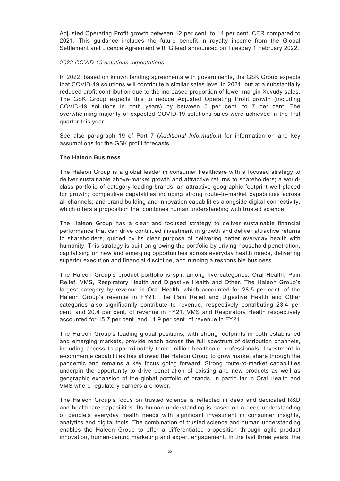Adjusted Operating Profit growth between 12 per cent. to 14 per cent. CER compared to 2021. This guidance includes the future benefit in royalty income from the Global Settlement and Licence Agreement with Gilead announced on Tuesday 1 February 2022.

#### *2022 COVID-19 solutions expectations*

In 2022, based on known binding agreements with governments, the GSK Group expects that COVID-19 solutions will contribute a similar sales level to 2021, but at a substantially reduced profit contribution due to the increased proportion of lower margin Xevudy sales. The GSK Group expects this to reduce Adjusted Operating Profit growth (including COVID-19 solutions in both years) by between 5 per cent. to 7 per cent. The overwhelming majority of expected COVID-19 solutions sales were achieved in the first quarter this year.

See also paragraph 19 of Part 7 (*Additional Information*) for information on and key assumptions for the GSK profit forecasts.

### **The Haleon Business**

The Haleon Group is a global leader in consumer healthcare with a focused strategy to deliver sustainable above-market growth and attractive returns to shareholders; a worldclass portfolio of category-leading brands; an attractive geographic footprint well placed for growth; competitive capabilities including strong route-to-market capabilities across all channels; and brand building and innovation capabilities alongside digital connectivity, which offers a proposition that combines human understanding with trusted science.

The Haleon Group has a clear and focused strategy to deliver sustainable financial performance that can drive continued investment in growth and deliver attractive returns to shareholders, guided by its clear purpose of delivering better everyday health with humanity. This strategy is built on growing the portfolio by driving household penetration, capitalising on new and emerging opportunities across everyday health needs, delivering superior execution and financial discipline, and running a responsible business.

The Haleon Group's product portfolio is split among five categories: Oral Health, Pain Relief, VMS, Respiratory Health and Digestive Health and Other. The Haleon Group's largest category by revenue is Oral Health, which accounted for 28.5 per cent. of the Haleon Group's revenue in FY21. The Pain Relief and Digestive Health and Other categories also significantly contribute to revenue, respectively contributing 23.4 per cent. and 20.4 per cent. of revenue in FY21. VMS and Respiratory Health respectively accounted for 15.7 per cent. and 11.9 per cent. of revenue in FY21.

The Haleon Group's leading global positions, with strong footprints in both established and emerging markets, provide reach across the full spectrum of distribution channels, including access to approximately three million healthcare professionals. Investment in e-commerce capabilities has allowed the Haleon Group to grow market share through the pandemic and remains a key focus going forward. Strong route-to-market capabilities underpin the opportunity to drive penetration of existing and new products as well as geographic expansion of the global portfolio of brands, in particular in Oral Health and VMS where regulatory barriers are lower.

The Haleon Group's focus on trusted science is reflected in deep and dedicated R&D and healthcare capabilities. Its human understanding is based on a deep understanding of people's everyday health needs with significant investment in consumer insights, analytics and digital tools. The combination of trusted science and human understanding enables the Haleon Group to offer a differentiated proposition through agile product innovation, human-centric marketing and expert engagement. In the last three years, the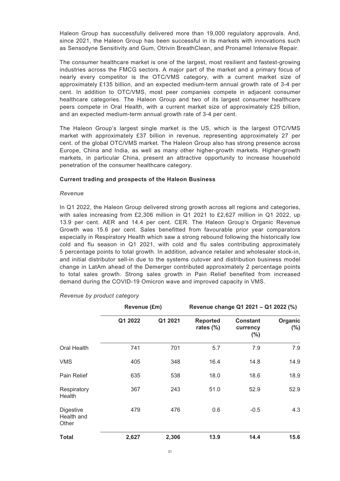Haleon Group has successfully delivered more than 19,000 regulatory approvals. And, since 2021, the Haleon Group has been successful in its markets with innovations such as Sensodyne Sensitivity and Gum, Otrivin BreathClean, and Pronamel Intensive Repair.

The consumer healthcare market is one of the largest, most resilient and fastest-growing industries across the FMCG sectors. A major part of the market and a primary focus of nearly every competitor is the OTC/VMS category, with a current market size of approximately £135 billion, and an expected medium-term annual growth rate of 3-4 per cent. In addition to OTC/VMS, most peer companies compete in adjacent consumer healthcare categories. The Haleon Group and two of its largest consumer healthcare peers compete in Oral Health, with a current market size of approximately £25 billion, and an expected medium-term annual growth rate of 3-4 per cent.

The Haleon Group's largest single market is the US, which is the largest OTC/VMS market with approximately £37 billion in revenue, representing approximately 27 per cent. of the global OTC/VMS market. The Haleon Group also has strong presence across Europe, China and India, as well as many other higher-growth markets. Higher-growth markets, in particular China, present an attractive opportunity to increase household penetration of the consumer healthcare category.

#### **Current trading and prospects of the Haleon Business**

#### *Revenue*

In Q1 2022, the Haleon Group delivered strong growth across all regions and categories, with sales increasing from £2,306 million in Q1 2021 to £2,627 million in Q1 2022, up 13.9 per cent. AER and 14.4 per cent. CER. The Haleon Group's Organic Revenue Growth was 15.6 per cent. Sales benefitted from favourable prior year comparators especially in Respiratory Health which saw a strong rebound following the historically low cold and flu season in Q1 2021, with cold and flu sales contributing approximately 5 percentage points to total growth. In addition, advance retailer and wholesaler stock-in, and initial distributor sell-in due to the systems cutover and distribution business model change in LatAm ahead of the Demerger contributed approximately 2 percentage points to total sales growth. Strong sales growth in Pain Relief benefited from increased demand during the COVID-19 Omicron wave and improved capacity in VMS.

|                                         | Revenue (£m) |         | Revenue change Q1 2021 - Q1 2022 (%) |                                       |                    |
|-----------------------------------------|--------------|---------|--------------------------------------|---------------------------------------|--------------------|
|                                         | Q1 2022      | Q1 2021 | <b>Reported</b><br>rates $(\%)$      | <b>Constant</b><br>currency<br>$(\%)$ | Organic<br>$(\% )$ |
| <b>Oral Health</b>                      | 741          | 701     | 5.7                                  | 7.9                                   | 7.9                |
| <b>VMS</b>                              | 405          | 348     | 16.4                                 | 14.8                                  | 14.9               |
| Pain Relief                             | 635          | 538     | 18.0                                 | 18.6                                  | 18.9               |
| Respiratory<br>Health                   | 367          | 243     | 51.0                                 | 52.9                                  | 52.9               |
| <b>Digestive</b><br>Health and<br>Other | 479          | 476     | 0.6                                  | $-0.5$                                | 4.3                |
| <b>Total</b>                            | 2,627        | 2,306   | 13.9                                 | 14.4                                  | 15.6               |

*Revenue by product category*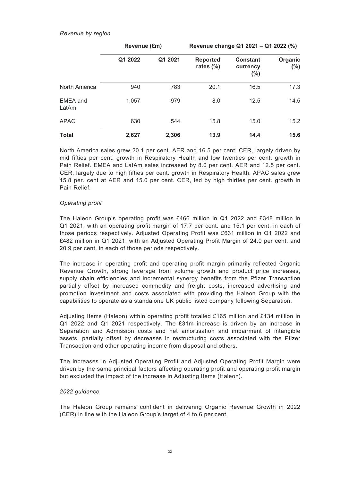#### *Revenue by region*

|                   | Revenue (£m) |         | Revenue change Q1 2021 - Q1 2022 (%) |                                        |                    |
|-------------------|--------------|---------|--------------------------------------|----------------------------------------|--------------------|
|                   | Q1 2022      | Q1 2021 | <b>Reported</b><br>rates $(\%)$      | <b>Constant</b><br>currency<br>$(\% )$ | Organic<br>$(\% )$ |
| North America     | 940          | 783     | 20.1                                 | 16.5                                   | 17.3               |
| EMEA and<br>LatAm | 1,057        | 979     | 8.0                                  | 12.5                                   | 14.5               |
| <b>APAC</b>       | 630          | 544     | 15.8                                 | 15.0                                   | 15.2               |
| <b>Total</b>      | 2,627        | 2,306   | 13.9                                 | 14.4                                   | 15.6               |

North America sales grew 20.1 per cent. AER and 16.5 per cent. CER, largely driven by mid fifties per cent. growth in Respiratory Health and low twenties per cent. growth in Pain Relief. EMEA and LatAm sales increased by 8.0 per cent. AER and 12.5 per cent. CER, largely due to high fifties per cent. growth in Respiratory Health. APAC sales grew 15.8 per. cent at AER and 15.0 per cent. CER, led by high thirties per cent. growth in Pain Relief.

# *Operating profit*

The Haleon Group's operating profit was £466 million in Q1 2022 and £348 million in Q1 2021, with an operating profit margin of 17.7 per cent. and 15.1 per cent. in each of those periods respectively. Adjusted Operating Profit was £631 million in Q1 2022 and £482 million in Q1 2021, with an Adjusted Operating Profit Margin of 24.0 per cent. and 20.9 per cent. in each of those periods respectively.

The increase in operating profit and operating profit margin primarily reflected Organic Revenue Growth, strong leverage from volume growth and product price increases, supply chain efficiencies and incremental synergy benefits from the Pfizer Transaction partially offset by increased commodity and freight costs, increased advertising and promotion investment and costs associated with providing the Haleon Group with the capabilities to operate as a standalone UK public listed company following Separation.

Adjusting Items (Haleon) within operating profit totalled £165 million and £134 million in Q1 2022 and Q1 2021 respectively. The £31m increase is driven by an increase in Separation and Admission costs and net amortisation and impairment of intangible assets, partially offset by decreases in restructuring costs associated with the Pfizer Transaction and other operating income from disposal and others.

The increases in Adjusted Operating Profit and Adjusted Operating Profit Margin were driven by the same principal factors affecting operating profit and operating profit margin but excluded the impact of the increase in Adjusting Items (Haleon).

### *2022 guidance*

The Haleon Group remains confident in delivering Organic Revenue Growth in 2022 (CER) in line with the Haleon Group's target of 4 to 6 per cent.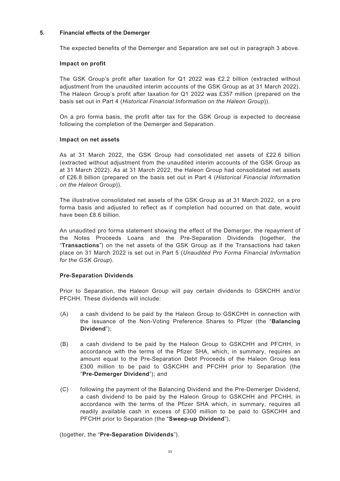#### **5. Financial effects of the Demerger**

The expected benefits of the Demerger and Separation are set out in paragraph 3 above.

#### **Impact on profit**

The GSK Group's profit after taxation for Q1 2022 was £2.2 billion (extracted without adjustment from the unaudited interim accounts of the GSK Group as at 31 March 2022). The Haleon Group's profit after taxation for Q1 2022 was £357 million (prepared on the basis set out in Part 4 (*Historical Financial Information on the Haleon Group*)).

On a pro forma basis, the profit after tax for the GSK Group is expected to decrease following the completion of the Demerger and Separation.

#### **Impact on net assets**

As at 31 March 2022, the GSK Group had consolidated net assets of £22.6 billion (extracted without adjustment from the unaudited interim accounts of the GSK Group as at 31 March 2022). As at 31 March 2022, the Haleon Group had consolidated net assets of £26.8 billion (prepared on the basis set out in Part 4 (*Historical Financial Information on the Haleon Group*)).

The illustrative consolidated net assets of the GSK Group as at 31 March 2022, on a pro forma basis and adjusted to reflect as if completion had occurred on that date, would have been £8.6 billion.

An unaudited pro forma statement showing the effect of the Demerger, the repayment of the Notes Proceeds Loans and the Pre-Separation Dividends (together, the "**Transactions**") on the net assets of the GSK Group as if the Transactions had taken place on 31 March 2022 is set out in Part 5 (*Unaudited Pro Forma Financial Information for the GSK Group*).

### **Pre-Separation Dividends**

Prior to Separation, the Haleon Group will pay certain dividends to GSKCHH and/or PFCHH. These dividends will include:

- (A) a cash dividend to be paid by the Haleon Group to GSKCHH in connection with the issuance of the Non-Voting Preference Shares to Pfizer (the "**Balancing Dividend**");
- (B) a cash dividend to be paid by the Haleon Group to GSKCHH and PFCHH, in accordance with the terms of the Pfizer SHA, which, in summary, requires an amount equal to the Pre-Separation Debt Proceeds of the Haleon Group less £300 million to be paid to GSKCHH and PFCHH prior to Separation (the "**Pre-Demerger Dividend**"); and
- (C) following the payment of the Balancing Dividend and the Pre-Demerger Dividend, a cash dividend to be paid by the Haleon Group to GSKCHH and PFCHH, in accordance with the terms of the Pfizer SHA which, in summary, requires all readily available cash in excess of £300 million to be paid to GSKCHH and PFCHH prior to Separation (the "**Sweep-up Dividend**"),

(together, the "**Pre-Separation Dividends**").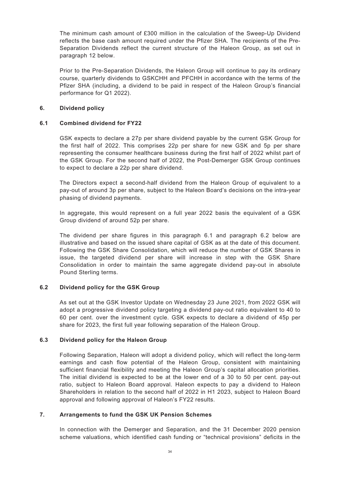The minimum cash amount of £300 million in the calculation of the Sweep-Up Dividend reflects the base cash amount required under the Pfizer SHA. The recipients of the Pre-Separation Dividends reflect the current structure of the Haleon Group, as set out in paragraph 12 below.

Prior to the Pre-Separation Dividends, the Haleon Group will continue to pay its ordinary course, quarterly dividends to GSKCHH and PFCHH in accordance with the terms of the Pfizer SHA (including, a dividend to be paid in respect of the Haleon Group's financial performance for Q1 2022).

### **6. Dividend policy**

# **6.1 Combined dividend for FY22**

GSK expects to declare a 27p per share dividend payable by the current GSK Group for the first half of 2022. This comprises 22p per share for new GSK and 5p per share representing the consumer healthcare business during the first half of 2022 whilst part of the GSK Group. For the second half of 2022, the Post-Demerger GSK Group continues to expect to declare a 22p per share dividend.

The Directors expect a second-half dividend from the Haleon Group of equivalent to a pay-out of around 3p per share, subject to the Haleon Board's decisions on the intra-year phasing of dividend payments.

In aggregate, this would represent on a full year 2022 basis the equivalent of a GSK Group dividend of around 52p per share.

The dividend per share figures in this paragraph 6.1 and paragraph 6.2 below are illustrative and based on the issued share capital of GSK as at the date of this document. Following the GSK Share Consolidation, which will reduce the number of GSK Shares in issue, the targeted dividend per share will increase in step with the GSK Share Consolidation in order to maintain the same aggregate dividend pay-out in absolute Pound Sterling terms.

# **6.2 Dividend policy for the GSK Group**

As set out at the GSK Investor Update on Wednesday 23 June 2021, from 2022 GSK will adopt a progressive dividend policy targeting a dividend pay-out ratio equivalent to 40 to 60 per cent. over the investment cycle. GSK expects to declare a dividend of 45p per share for 2023, the first full year following separation of the Haleon Group.

### **6.3 Dividend policy for the Haleon Group**

Following Separation, Haleon will adopt a dividend policy, which will reflect the long-term earnings and cash flow potential of the Haleon Group, consistent with maintaining sufficient financial flexibility and meeting the Haleon Group's capital allocation priorities. The initial dividend is expected to be at the lower end of a 30 to 50 per cent. pay-out ratio, subject to Haleon Board approval. Haleon expects to pay a dividend to Haleon Shareholders in relation to the second half of 2022 in H1 2023, subject to Haleon Board approval and following approval of Haleon's FY22 results.

### **7. Arrangements to fund the GSK UK Pension Schemes**

In connection with the Demerger and Separation, and the 31 December 2020 pension scheme valuations, which identified cash funding or "technical provisions" deficits in the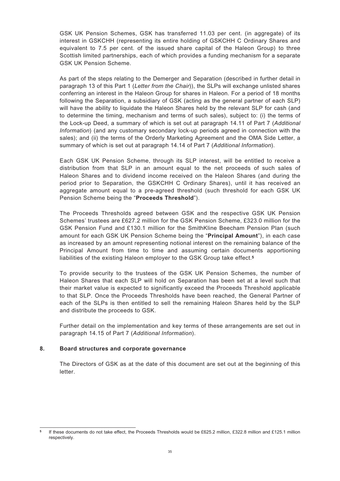GSK UK Pension Schemes, GSK has transferred 11.03 per cent. (in aggregate) of its interest in GSKCHH (representing its entire holding of GSKCHH C Ordinary Shares and equivalent to 7.5 per cent. of the issued share capital of the Haleon Group) to three Scottish limited partnerships, each of which provides a funding mechanism for a separate GSK UK Pension Scheme.

As part of the steps relating to the Demerger and Separation (described in further detail in paragraph 13 of this Part 1 (*Letter from the Chair*)), the SLPs will exchange unlisted shares conferring an interest in the Haleon Group for shares in Haleon. For a period of 18 months following the Separation, a subsidiary of GSK (acting as the general partner of each SLP) will have the ability to liquidate the Haleon Shares held by the relevant SLP for cash (and to determine the timing, mechanism and terms of such sales), subject to: (i) the terms of the Lock-up Deed, a summary of which is set out at paragraph 14.11 of Part 7 (*Additional Information*) (and any customary secondary lock-up periods agreed in connection with the sales); and (ii) the terms of the Orderly Marketing Agreement and the OMA Side Letter, a summary of which is set out at paragraph 14.14 of Part 7 (*Additional Information*).

Each GSK UK Pension Scheme, through its SLP interest, will be entitled to receive a distribution from that SLP in an amount equal to the net proceeds of such sales of Haleon Shares and to dividend income received on the Haleon Shares (and during the period prior to Separation, the GSKCHH C Ordinary Shares), until it has received an aggregate amount equal to a pre-agreed threshold (such threshold for each GSK UK Pension Scheme being the "**Proceeds Threshold**").

The Proceeds Thresholds agreed between GSK and the respective GSK UK Pension Schemes' trustees are £627.2 million for the GSK Pension Scheme, £323.0 million for the GSK Pension Fund and £130.1 million for the SmithKline Beecham Pension Plan (such amount for each GSK UK Pension Scheme being the "**Principal Amount**"), in each case as increased by an amount representing notional interest on the remaining balance of the Principal Amount from time to time and assuming certain documents apportioning liabilities of the existing Haleon employer to the GSK Group take effect.**<sup>5</sup>**

To provide security to the trustees of the GSK UK Pension Schemes, the number of Haleon Shares that each SLP will hold on Separation has been set at a level such that their market value is expected to significantly exceed the Proceeds Threshold applicable to that SLP. Once the Proceeds Thresholds have been reached, the General Partner of each of the SLPs is then entitled to sell the remaining Haleon Shares held by the SLP and distribute the proceeds to GSK.

Further detail on the implementation and key terms of these arrangements are set out in paragraph 14.15 of Part 7 (*Additional Information*).

### **8. Board structures and corporate governance**

The Directors of GSK as at the date of this document are set out at the beginning of this letter.

**<sup>5</sup>** If these documents do not take effect, the Proceeds Thresholds would be £625.2 million, £322.8 million and £125.1 million respectively.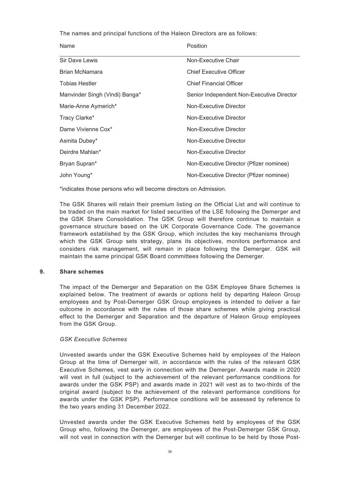The names and principal functions of the Haleon Directors are as follows:

| Name                           | Position                                  |
|--------------------------------|-------------------------------------------|
| Sir Dave Lewis                 | Non-Executive Chair                       |
| Brian McNamara                 | <b>Chief Executive Officer</b>            |
| <b>Tobias Hestler</b>          | <b>Chief Financial Officer</b>            |
| Manvinder Singh (Vindi) Banga* | Senior Independent Non-Executive Director |
| Marie-Anne Aymerich*           | Non-Executive Director                    |
| Tracy Clarke*                  | Non-Executive Director                    |
| Dame Vivienne Cox*             | Non-Executive Director                    |
| Asmita Dubey*                  | Non-Executive Director                    |
| Deirdre Mahlan*                | Non-Executive Director                    |
| Bryan Supran*                  | Non-Executive Director (Pfizer nominee)   |
| John Young*                    | Non-Executive Director (Pfizer nominee)   |

\*indicates those persons who will become directors on Admission.

The GSK Shares will retain their premium listing on the Official List and will continue to be traded on the main market for listed securities of the LSE following the Demerger and the GSK Share Consolidation. The GSK Group will therefore continue to maintain a governance structure based on the UK Corporate Governance Code. The governance framework established by the GSK Group, which includes the key mechanisms through which the GSK Group sets strategy, plans its objectives, monitors performance and considers risk management, will remain in place following the Demerger. GSK will maintain the same principal GSK Board committees following the Demerger.

#### **9. Share schemes**

The impact of the Demerger and Separation on the GSK Employee Share Schemes is explained below. The treatment of awards or options held by departing Haleon Group employees and by Post-Demerger GSK Group employees is intended to deliver a fair outcome in accordance with the rules of those share schemes while giving practical effect to the Demerger and Separation and the departure of Haleon Group employees from the GSK Group.

#### *GSK Executive Schemes*

Unvested awards under the GSK Executive Schemes held by employees of the Haleon Group at the time of Demerger will, in accordance with the rules of the relevant GSK Executive Schemes, vest early in connection with the Demerger. Awards made in 2020 will vest in full (subject to the achievement of the relevant performance conditions for awards under the GSK PSP) and awards made in 2021 will vest as to two-thirds of the original award (subject to the achievement of the relevant performance conditions for awards under the GSK PSP). Performance conditions will be assessed by reference to the two years ending 31 December 2022.

Unvested awards under the GSK Executive Schemes held by employees of the GSK Group who, following the Demerger, are employees of the Post-Demerger GSK Group, will not vest in connection with the Demerger but will continue to be held by those Post-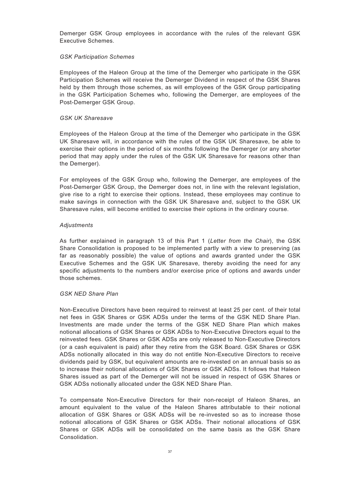Demerger GSK Group employees in accordance with the rules of the relevant GSK Executive Schemes.

### *GSK Participation Schemes*

Employees of the Haleon Group at the time of the Demerger who participate in the GSK Participation Schemes will receive the Demerger Dividend in respect of the GSK Shares held by them through those schemes, as will employees of the GSK Group participating in the GSK Participation Schemes who, following the Demerger, are employees of the Post-Demerger GSK Group.

#### *GSK UK Sharesave*

Employees of the Haleon Group at the time of the Demerger who participate in the GSK UK Sharesave will, in accordance with the rules of the GSK UK Sharesave, be able to exercise their options in the period of six months following the Demerger (or any shorter period that may apply under the rules of the GSK UK Sharesave for reasons other than the Demerger).

For employees of the GSK Group who, following the Demerger, are employees of the Post-Demerger GSK Group, the Demerger does not, in line with the relevant legislation, give rise to a right to exercise their options. Instead, these employees may continue to make savings in connection with the GSK UK Sharesave and, subject to the GSK UK Sharesave rules, will become entitled to exercise their options in the ordinary course.

### *Adjustments*

As further explained in paragraph 13 of this Part 1 (*Letter from the Chair*), the GSK Share Consolidation is proposed to be implemented partly with a view to preserving (as far as reasonably possible) the value of options and awards granted under the GSK Executive Schemes and the GSK UK Sharesave, thereby avoiding the need for any specific adjustments to the numbers and/or exercise price of options and awards under those schemes.

#### *GSK NED Share Plan*

Non-Executive Directors have been required to reinvest at least 25 per cent. of their total net fees in GSK Shares or GSK ADSs under the terms of the GSK NED Share Plan. Investments are made under the terms of the GSK NED Share Plan which makes notional allocations of GSK Shares or GSK ADSs to Non-Executive Directors equal to the reinvested fees. GSK Shares or GSK ADSs are only released to Non-Executive Directors (or a cash equivalent is paid) after they retire from the GSK Board. GSK Shares or GSK ADSs notionally allocated in this way do not entitle Non-Executive Directors to receive dividends paid by GSK, but equivalent amounts are re-invested on an annual basis so as to increase their notional allocations of GSK Shares or GSK ADSs. It follows that Haleon Shares issued as part of the Demerger will not be issued in respect of GSK Shares or GSK ADSs notionally allocated under the GSK NED Share Plan.

To compensate Non-Executive Directors for their non-receipt of Haleon Shares, an amount equivalent to the value of the Haleon Shares attributable to their notional allocation of GSK Shares or GSK ADSs will be re-invested so as to increase those notional allocations of GSK Shares or GSK ADSs. Their notional allocations of GSK Shares or GSK ADSs will be consolidated on the same basis as the GSK Share Consolidation.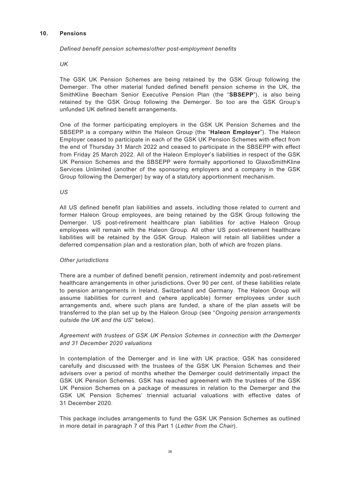## **10. Pensions**

## *Defined benefit pension schemes/other post-employment benefits*

*UK*

The GSK UK Pension Schemes are being retained by the GSK Group following the Demerger. The other material funded defined benefit pension scheme in the UK, the SmithKline Beecham Senior Executive Pension Plan (the "**SBSEPP**"), is also being retained by the GSK Group following the Demerger. So too are the GSK Group's unfunded UK defined benefit arrangements.

One of the former participating employers in the GSK UK Pension Schemes and the SBSEPP is a company within the Haleon Group (the "**Haleon Employer**"). The Haleon Employer ceased to participate in each of the GSK UK Pension Schemes with effect from the end of Thursday 31 March 2022 and ceased to participate in the SBSEPP with effect from Friday 25 March 2022. All of the Haleon Employer's liabilities in respect of the GSK UK Pension Schemes and the SBSEPP were formally apportioned to GlaxoSmithKline Services Unlimited (another of the sponsoring employers and a company in the GSK Group following the Demerger) by way of a statutory apportionment mechanism.

*US*

All US defined benefit plan liabilities and assets, including those related to current and former Haleon Group employees, are being retained by the GSK Group following the Demerger. US post-retirement healthcare plan liabilities for active Haleon Group employees will remain with the Haleon Group. All other US post-retirement healthcare liabilities will be retained by the GSK Group. Haleon will retain all liabilities under a deferred compensation plan and a restoration plan, both of which are frozen plans.

## *Other jurisdictions*

There are a number of defined benefit pension, retirement indemnity and post-retirement healthcare arrangements in other jurisdictions. Over 90 per cent. of these liabilities relate to pension arrangements in Ireland, Switzerland and Germany. The Haleon Group will assume liabilities for current and (where applicable) former employees under such arrangements and, where such plans are funded, a share of the plan assets will be transferred to the plan set up by the Haleon Group (see "*Ongoing pension arrangements outside the UK and the US*" below).

# *Agreement with trustees of GSK UK Pension Schemes in connection with the Demerger and 31 December 2020 valuations*

In contemplation of the Demerger and in line with UK practice, GSK has considered carefully and discussed with the trustees of the GSK UK Pension Schemes and their advisers over a period of months whether the Demerger could detrimentally impact the GSK UK Pension Schemes. GSK has reached agreement with the trustees of the GSK UK Pension Schemes on a package of measures in relation to the Demerger and the GSK UK Pension Schemes' triennial actuarial valuations with effective dates of 31 December 2020.

This package includes arrangements to fund the GSK UK Pension Schemes as outlined in more detail in paragraph 7 of this Part 1 (*Letter from the Chair*).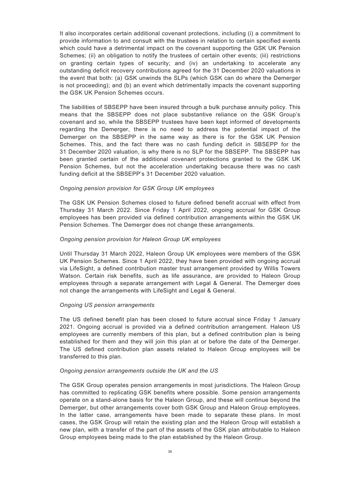It also incorporates certain additional covenant protections, including (i) a commitment to provide information to and consult with the trustees in relation to certain specified events which could have a detrimental impact on the covenant supporting the GSK UK Pension Schemes; (ii) an obligation to notify the trustees of certain other events; (iii) restrictions on granting certain types of security; and (iv) an undertaking to accelerate any outstanding deficit recovery contributions agreed for the 31 December 2020 valuations in the event that both: (a) GSK unwinds the SLPs (which GSK can do where the Demerger is not proceeding); and (b) an event which detrimentally impacts the covenant supporting the GSK UK Pension Schemes occurs.

The liabilities of SBSEPP have been insured through a bulk purchase annuity policy. This means that the SBSEPP does not place substantive reliance on the GSK Group's covenant and so, while the SBSEPP trustees have been kept informed of developments regarding the Demerger, there is no need to address the potential impact of the Demerger on the SBSEPP in the same way as there is for the GSK UK Pension Schemes. This, and the fact there was no cash funding deficit in SBSEPP for the 31 December 2020 valuation, is why there is no SLP for the SBSEPP. The SBSEPP has been granted certain of the additional covenant protections granted to the GSK UK Pension Schemes, but not the acceleration undertaking because there was no cash funding deficit at the SBSEPP's 31 December 2020 valuation.

### *Ongoing pension provision for GSK Group UK employees*

The GSK UK Pension Schemes closed to future defined benefit accrual with effect from Thursday 31 March 2022. Since Friday 1 April 2022, ongoing accrual for GSK Group employees has been provided via defined contribution arrangements within the GSK UK Pension Schemes. The Demerger does not change these arrangements.

#### *Ongoing pension provision for Haleon Group UK employees*

Until Thursday 31 March 2022, Haleon Group UK employees were members of the GSK UK Pension Schemes. Since 1 April 2022, they have been provided with ongoing accrual via LifeSight, a defined contribution master trust arrangement provided by Willis Towers Watson. Certain risk benefits, such as life assurance, are provided to Haleon Group employees through a separate arrangement with Legal & General. The Demerger does not change the arrangements with LifeSight and Legal & General.

#### *Ongoing US pension arrangements*

The US defined benefit plan has been closed to future accrual since Friday 1 January 2021. Ongoing accrual is provided via a defined contribution arrangement. Haleon US employees are currently members of this plan, but a defined contribution plan is being established for them and they will join this plan at or before the date of the Demerger. The US defined contribution plan assets related to Haleon Group employees will be transferred to this plan.

#### *Ongoing pension arrangements outside the UK and the US*

The GSK Group operates pension arrangements in most jurisdictions. The Haleon Group has committed to replicating GSK benefits where possible. Some pension arrangements operate on a stand-alone basis for the Haleon Group, and these will continue beyond the Demerger, but other arrangements cover both GSK Group and Haleon Group employees. In the latter case, arrangements have been made to separate these plans. In most cases, the GSK Group will retain the existing plan and the Haleon Group will establish a new plan, with a transfer of the part of the assets of the GSK plan attributable to Haleon Group employees being made to the plan established by the Haleon Group.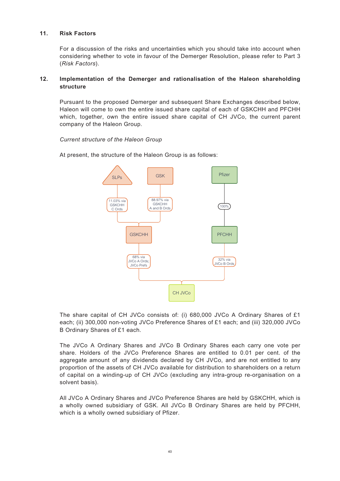## **11. Risk Factors**

For a discussion of the risks and uncertainties which you should take into account when considering whether to vote in favour of the Demerger Resolution, please refer to Part 3 (*Risk Factors*).

# **12. Implementation of the Demerger and rationalisation of the Haleon shareholding structure**

Pursuant to the proposed Demerger and subsequent Share Exchanges described below, Haleon will come to own the entire issued share capital of each of GSKCHH and PFCHH which, together, own the entire issued share capital of CH JVCo, the current parent company of the Haleon Group.

## *Current structure of the Haleon Group*

At present, the structure of the Haleon Group is as follows:



The share capital of CH JVCo consists of: (i) 680,000 JVCo A Ordinary Shares of £1 each; (ii) 300,000 non-voting JVCo Preference Shares of £1 each; and (iii) 320,000 JVCo B Ordinary Shares of £1 each.

The JVCo A Ordinary Shares and JVCo B Ordinary Shares each carry one vote per share. Holders of the JVCo Preference Shares are entitled to 0.01 per cent. of the aggregate amount of any dividends declared by CH JVCo, and are not entitled to any proportion of the assets of CH JVCo available for distribution to shareholders on a return of capital on a winding-up of CH JVCo (excluding any intra-group re-organisation on a solvent basis).

All JVCo A Ordinary Shares and JVCo Preference Shares are held by GSKCHH, which is a wholly owned subsidiary of GSK. All JVCo B Ordinary Shares are held by PFCHH, which is a wholly owned subsidiary of Pfizer.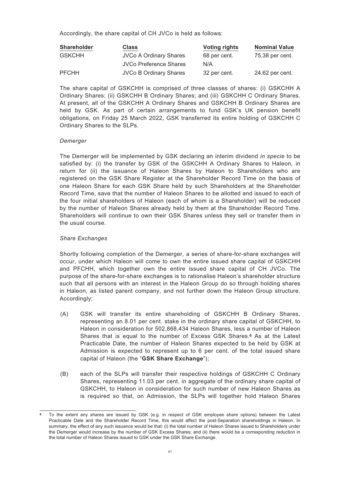Accordingly, the share capital of CH JVCo is held as follows:

| <b>Shareholder</b> | <b>Class</b>                  | <b>Voting rights</b> | <b>Nominal Value</b> |
|--------------------|-------------------------------|----------------------|----------------------|
| <b>GSKCHH</b>      | <b>JVCo A Ordinary Shares</b> | 68 per cent.         | 75.38 per cent.      |
|                    | JVCo Preference Shares        | N/A                  |                      |
| <b>PFCHH</b>       | <b>JVCo B Ordinary Shares</b> | 32 per cent.         | 24.62 per cent.      |

The share capital of GSKCHH is comprised of three classes of shares: (i) GSKCHH A Ordinary Shares; (ii) GSKCHH B Ordinary Shares; and (iii) GSKCHH C Ordinary Shares. At present, all of the GSKCHH A Ordinary Shares and GSKCHH B Ordinary Shares are held by GSK. As part of certain arrangements to fund GSK's UK pension benefit obligations, on Friday 25 March 2022, GSK transferred its entire holding of GSKCHH C Ordinary Shares to the SLPs.

# *Demerger*

The Demerger will be implemented by GSK declaring an interim dividend *in specie* to be satisfied by: (i) the transfer by GSK of the GSKCHH A Ordinary Shares to Haleon, in return for (ii) the issuance of Haleon Shares by Haleon to Shareholders who are registered on the GSK Share Register at the Shareholder Record Time on the basis of one Haleon Share for each GSK Share held by such Shareholders at the Shareholder Record Time, save that the number of Haleon Shares to be allotted and issued to each of the four initial shareholders of Haleon (each of whom is a Shareholder) will be reduced by the number of Haleon Shares already held by them at the Shareholder Record Time. Shareholders will continue to own their GSK Shares unless they sell or transfer them in the usual course.

# *Share Exchanges*

Shortly following completion of the Demerger, a series of share-for-share exchanges will occur, under which Haleon will come to own the entire issued share capital of GSKCHH and PFCHH, which together own the entire issued share capital of CH JVCo. The purpose of the share-for-share exchanges is to rationalise Haleon's shareholder structure such that all persons with an interest in the Haleon Group do so through holding shares in Haleon, as listed parent company, and not further down the Haleon Group structure. Accordingly:

- (A) GSK will transfer its entire shareholding of GSKCHH B Ordinary Shares, representing an 8.01 per cent. stake in the ordinary share capital of GSKCHH, to Haleon in consideration for 502,868,434 Haleon Shares, less a number of Haleon Shares that is equal to the number of Excess GSK Shares.**<sup>6</sup>** As at the Latest Practicable Date, the number of Haleon Shares expected to be held by GSK at Admission is expected to represent up to 6 per cent. of the total issued share capital of Haleon (the "**GSK Share Exchange**");
- (B) each of the SLPs will transfer their respective holdings of GSKCHH C Ordinary Shares, representing 11.03 per cent. in aggregate of the ordinary share capital of GSKCHH, to Haleon in consideration for such number of new Haleon Shares as is required so that, on Admission, the SLPs will together hold Haleon Shares

**<sup>6</sup>** To the extent any shares are issued by GSK (e.g. in respect of GSK employee share options) between the Latest Practicable Date and the Shareholder Record Time, this would affect the post-Separation shareholdings in Haleon. In summary, the effect of any such issuance would be that: (i) the total number of Haleon Shares issued to Shareholders under the Demerger would increase by the number of GSK Excess Shares; and (ii) there would be a corresponding reduction in the total number of Haleon Shares issued to GSK under the GSK Share Exchange.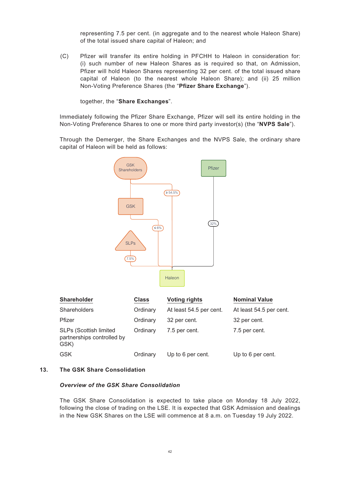representing 7.5 per cent. (in aggregate and to the nearest whole Haleon Share) of the total issued share capital of Haleon; and

(C) Pfizer will transfer its entire holding in PFCHH to Haleon in consideration for: (i) such number of new Haleon Shares as is required so that, on Admission, Pfizer will hold Haleon Shares representing 32 per cent. of the total issued share capital of Haleon (to the nearest whole Haleon Share); and (ii) 25 million Non-Voting Preference Shares (the "**Pfizer Share Exchange**").

together, the "**Share Exchanges**".

Immediately following the Pfizer Share Exchange, Pfizer will sell its entire holding in the Non-Voting Preference Shares to one or more third party investor(s) (the "**NVPS Sale**").

Through the Demerger, the Share Exchanges and the NVPS Sale, the ordinary share capital of Haleon will be held as follows:



| <b>Shareholder</b>                                                  | <b>Class</b> | <b>Voting rights</b>    | <b>Nominal Value</b>    |
|---------------------------------------------------------------------|--------------|-------------------------|-------------------------|
| Shareholders                                                        | Ordinary     | At least 54.5 per cent. | At least 54.5 per cent. |
| Pfizer                                                              | Ordinary     | 32 per cent.            | 32 per cent.            |
| <b>SLPs (Scottish limited</b><br>partnerships controlled by<br>GSK) | Ordinary     | 7.5 per cent.           | 7.5 per cent.           |
| <b>GSK</b>                                                          | Ordinary     | Up to 6 per cent.       | Up to 6 per cent.       |

## **13. The GSK Share Consolidation**

### *Overview of the GSK Share Consolidation*

The GSK Share Consolidation is expected to take place on Monday 18 July 2022, following the close of trading on the LSE. It is expected that GSK Admission and dealings in the New GSK Shares on the LSE will commence at 8 a.m. on Tuesday 19 July 2022.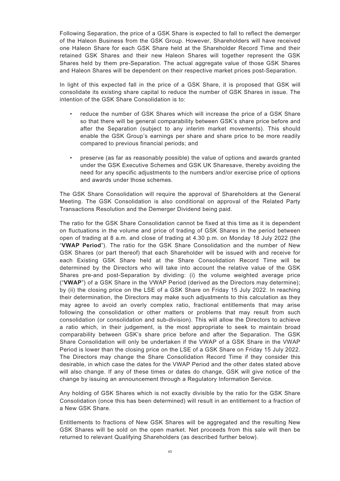Following Separation, the price of a GSK Share is expected to fall to reflect the demerger of the Haleon Business from the GSK Group. However, Shareholders will have received one Haleon Share for each GSK Share held at the Shareholder Record Time and their retained GSK Shares and their new Haleon Shares will together represent the GSK Shares held by them pre-Separation. The actual aggregate value of those GSK Shares and Haleon Shares will be dependent on their respective market prices post-Separation.

In light of this expected fall in the price of a GSK Share, it is proposed that GSK will consolidate its existing share capital to reduce the number of GSK Shares in issue. The intention of the GSK Share Consolidation is to:

- reduce the number of GSK Shares which will increase the price of a GSK Share so that there will be general comparability between GSK's share price before and after the Separation (subject to any interim market movements). This should enable the GSK Group's earnings per share and share price to be more readily compared to previous financial periods; and
- preserve (as far as reasonably possible) the value of options and awards granted under the GSK Executive Schemes and GSK UK Sharesave, thereby avoiding the need for any specific adjustments to the numbers and/or exercise price of options and awards under those schemes.

The GSK Share Consolidation will require the approval of Shareholders at the General Meeting. The GSK Consolidation is also conditional on approval of the Related Party Transactions Resolution and the Demerger Dividend being paid.

The ratio for the GSK Share Consolidation cannot be fixed at this time as it is dependent on fluctuations in the volume and price of trading of GSK Shares in the period between open of trading at 8 a.m. and close of trading at 4.30 p.m. on Monday 18 July 2022 (the "**VWAP Period**"). The ratio for the GSK Share Consolidation and the number of New GSK Shares (or part thereof) that each Shareholder will be issued with and receive for each Existing GSK Share held at the Share Consolidation Record Time will be determined by the Directors who will take into account the relative value of the GSK Shares pre-and post-Separation by dividing: (i) the volume weighted average price ("**VWAP**") of a GSK Share in the VWAP Period (derived as the Directors may determine); by (ii) the closing price on the LSE of a GSK Share on Friday 15 July 2022. In reaching their determination, the Directors may make such adjustments to this calculation as they may agree to avoid an overly complex ratio, fractional entitlements that may arise following the consolidation or other matters or problems that may result from such consolidation (or consolidation and sub-division). This will allow the Directors to achieve a ratio which, in their judgement, is the most appropriate to seek to maintain broad comparability between GSK's share price before and after the Separation. The GSK Share Consolidation will only be undertaken if the VWAP of a GSK Share in the VWAP Period is lower than the closing price on the LSE of a GSK Share on Friday 15 July 2022. The Directors may change the Share Consolidation Record Time if they consider this desirable, in which case the dates for the VWAP Period and the other dates stated above will also change. If any of these times or dates do change, GSK will give notice of the change by issuing an announcement through a Regulatory Information Service.

Any holding of GSK Shares which is not exactly divisible by the ratio for the GSK Share Consolidation (once this has been determined) will result in an entitlement to a fraction of a New GSK Share.

Entitlements to fractions of New GSK Shares will be aggregated and the resulting New GSK Shares will be sold on the open market. Net proceeds from this sale will then be returned to relevant Qualifying Shareholders (as described further below).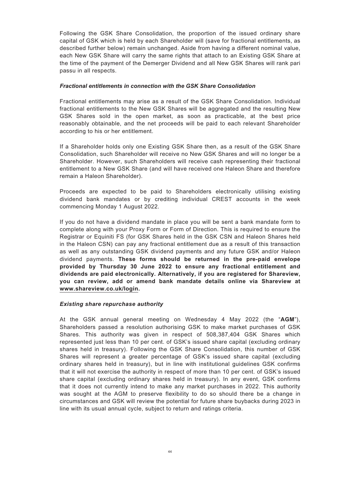Following the GSK Share Consolidation, the proportion of the issued ordinary share capital of GSK which is held by each Shareholder will (save for fractional entitlements, as described further below) remain unchanged. Aside from having a different nominal value, each New GSK Share will carry the same rights that attach to an Existing GSK Share at the time of the payment of the Demerger Dividend and all New GSK Shares will rank pari passu in all respects.

### *Fractional entitlements in connection with the GSK Share Consolidation*

Fractional entitlements may arise as a result of the GSK Share Consolidation. Individual fractional entitlements to the New GSK Shares will be aggregated and the resulting New GSK Shares sold in the open market, as soon as practicable, at the best price reasonably obtainable, and the net proceeds will be paid to each relevant Shareholder according to his or her entitlement.

If a Shareholder holds only one Existing GSK Share then, as a result of the GSK Share Consolidation, such Shareholder will receive no New GSK Shares and will no longer be a Shareholder. However, such Shareholders will receive cash representing their fractional entitlement to a New GSK Share (and will have received one Haleon Share and therefore remain a Haleon Shareholder).

Proceeds are expected to be paid to Shareholders electronically utilising existing dividend bank mandates or by crediting individual CREST accounts in the week commencing Monday 1 August 2022.

If you do not have a dividend mandate in place you will be sent a bank mandate form to complete along with your Proxy Form or Form of Direction. This is required to ensure the Registrar or Equiniti FS (for GSK Shares held in the GSK CSN and Haleon Shares held in the Haleon CSN) can pay any fractional entitlement due as a result of this transaction as well as any outstanding GSK dividend payments and any future GSK and/or Haleon dividend payments. **These forms should be returned in the pre-paid envelope provided by Thursday 30 June 2022 to ensure any fractional entitlement and dividends are paid electronically. Alternatively, if you are registered for Shareview, you can review, add or amend bank mandate details online via Shareview at www.shareview.co.uk/login.**

## *Existing share repurchase authority*

At the GSK annual general meeting on Wednesday 4 May 2022 (the "**AGM**"), Shareholders passed a resolution authorising GSK to make market purchases of GSK Shares. This authority was given in respect of 508,387,404 GSK Shares which represented just less than 10 per cent. of GSK's issued share capital (excluding ordinary shares held in treasury). Following the GSK Share Consolidation, this number of GSK Shares will represent a greater percentage of GSK's issued share capital (excluding ordinary shares held in treasury), but in line with institutional guidelines GSK confirms that it will not exercise the authority in respect of more than 10 per cent. of GSK's issued share capital (excluding ordinary shares held in treasury). In any event, GSK confirms that it does not currently intend to make any market purchases in 2022. This authority was sought at the AGM to preserve flexibility to do so should there be a change in circumstances and GSK will review the potential for future share buybacks during 2023 in line with its usual annual cycle, subject to return and ratings criteria.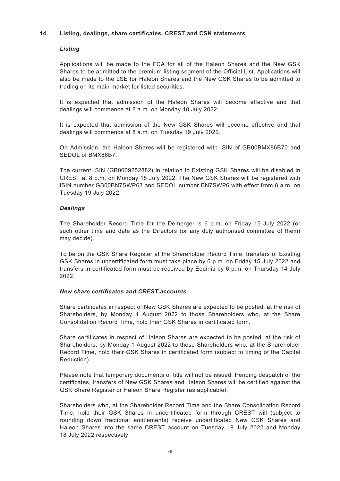## **14. Listing, dealings, share certificates, CREST and CSN statements**

## *Listing*

Applications will be made to the FCA for all of the Haleon Shares and the New GSK Shares to be admitted to the premium listing segment of the Official List. Applications will also be made to the LSE for Haleon Shares and the New GSK Shares to be admitted to trading on its main market for listed securities.

It is expected that admission of the Haleon Shares will become effective and that dealings will commence at 8 a.m. on Monday 18 July 2022.

It is expected that admission of the New GSK Shares will become effective and that dealings will commence at 8 a.m. on Tuesday 19 July 2022.

On Admission, the Haleon Shares will be registered with ISIN of GB00BMX86B70 and SEDOL of BMX86B7.

The current ISIN (GB0009252882) in relation to Existing GSK Shares will be disabled in CREST at 8 p.m. on Monday 18 July 2022. The New GSK Shares will be registered with ISIN number GB00BN7SWP63 and SEDOL number BN7SWP6 with effect from 8 a.m. on Tuesday 19 July 2022.

## *Dealings*

The Shareholder Record Time for the Demerger is 6 p.m. on Friday 15 July 2022 (or such other time and date as the Directors (or any duly authorised committee of them) may decide).

To be on the GSK Share Register at the Shareholder Record Time, transfers of Existing GSK Shares in uncertificated form must take place by 6 p.m. on Friday 15 July 2022 and transfers in certificated form must be received by Equiniti by 6 p.m. on Thursday 14 July 2022.

## *New share certificates and CREST accounts*

Share certificates in respect of New GSK Shares are expected to be posted, at the risk of Shareholders, by Monday 1 August 2022 to those Shareholders who, at the Share Consolidation Record Time, hold their GSK Shares in certificated form.

Share certificates in respect of Haleon Shares are expected to be posted, at the risk of Shareholders, by Monday 1 August 2022 to those Shareholders who, at the Shareholder Record Time, hold their GSK Shares in certificated form (subject to timing of the Capital Reduction).

Please note that temporary documents of title will not be issued. Pending despatch of the certificates, transfers of New GSK Shares and Haleon Shares will be certified against the GSK Share Register or Haleon Share Register (as applicable).

Shareholders who, at the Shareholder Record Time and the Share Consolidation Record Time, hold their GSK Shares in uncertificated form through CREST will (subject to rounding down fractional entitlements) receive uncertificated New GSK Shares and Haleon Shares into the same CREST account on Tuesday 19 July 2022 and Monday 18 July 2022 respectively.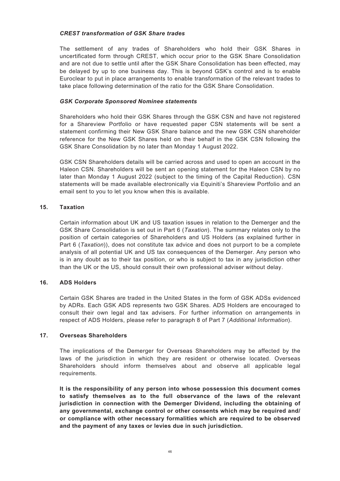## *CREST transformation of GSK Share trades*

The settlement of any trades of Shareholders who hold their GSK Shares in uncertificated form through CREST, which occur prior to the GSK Share Consolidation and are not due to settle until after the GSK Share Consolidation has been effected, may be delayed by up to one business day. This is beyond GSK's control and is to enable Euroclear to put in place arrangements to enable transformation of the relevant trades to take place following determination of the ratio for the GSK Share Consolidation.

# *GSK Corporate Sponsored Nominee statements*

Shareholders who hold their GSK Shares through the GSK CSN and have not registered for a Shareview Portfolio or have requested paper CSN statements will be sent a statement confirming their New GSK Share balance and the new GSK CSN shareholder reference for the New GSK Shares held on their behalf in the GSK CSN following the GSK Share Consolidation by no later than Monday 1 August 2022.

GSK CSN Shareholders details will be carried across and used to open an account in the Haleon CSN. Shareholders will be sent an opening statement for the Haleon CSN by no later than Monday 1 August 2022 (subject to the timing of the Capital Reduction). CSN statements will be made available electronically via Equiniti's Shareview Portfolio and an email sent to you to let you know when this is available.

# **15. Taxation**

Certain information about UK and US taxation issues in relation to the Demerger and the GSK Share Consolidation is set out in Part 6 (*Taxation*). The summary relates only to the position of certain categories of Shareholders and US Holders (as explained further in Part 6 (*Taxation*)), does not constitute tax advice and does not purport to be a complete analysis of all potential UK and US tax consequences of the Demerger. Any person who is in any doubt as to their tax position, or who is subject to tax in any jurisdiction other than the UK or the US, should consult their own professional adviser without delay.

## **16. ADS Holders**

Certain GSK Shares are traded in the United States in the form of GSK ADSs evidenced by ADRs. Each GSK ADS represents two GSK Shares. ADS Holders are encouraged to consult their own legal and tax advisers. For further information on arrangements in respect of ADS Holders, please refer to paragraph 8 of Part 7 (*Additional Information*).

## **17. Overseas Shareholders**

The implications of the Demerger for Overseas Shareholders may be affected by the laws of the jurisdiction in which they are resident or otherwise located. Overseas Shareholders should inform themselves about and observe all applicable legal requirements.

**It is the responsibility of any person into whose possession this document comes to satisfy themselves as to the full observance of the laws of the relevant jurisdiction in connection with the Demerger Dividend, including the obtaining of any governmental, exchange control or other consents which may be required and/ or compliance with other necessary formalities which are required to be observed and the payment of any taxes or levies due in such jurisdiction.**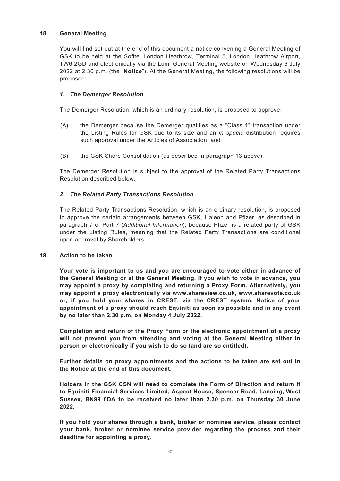## **18. General Meeting**

You will find set out at the end of this document a notice convening a General Meeting of GSK to be held at the Sofitel London Heathrow, Terminal 5, London Heathrow Airport, TW6 2GD and electronically via the Lumi General Meeting website on Wednesday 6 July 2022 at 2.30 p.m. (the "**Notice**"). At the General Meeting, the following resolutions will be proposed:

# *1. The Demerger Resolution*

The Demerger Resolution, which is an ordinary resolution, is proposed to approve:

- (A) the Demerger because the Demerger qualifies as a "Class 1" transaction under the Listing Rules for GSK due to its size and an *in specie* distribution requires such approval under the Articles of Association; and
- (B) the GSK Share Consolidation (as described in paragraph 13 above).

The Demerger Resolution is subject to the approval of the Related Party Transactions Resolution described below.

# *2. The Related Party Transactions Resolution*

The Related Party Transactions Resolution, which is an ordinary resolution, is proposed to approve the certain arrangements between GSK, Haleon and Pfizer, as described in paragraph 7 of Part 7 (*Additional Information*), because Pfizer is a related party of GSK under the Listing Rules, meaning that the Related Party Transactions are conditional upon approval by Shareholders.

## **19. Action to be taken**

**Your vote is important to us and you are encouraged to vote either in advance of the General Meeting or at the General Meeting. If you wish to vote in advance, you may appoint a proxy by completing and returning a Proxy Form. Alternatively, you may appoint a proxy electronically via www.shareview.co.uk, www.sharevote.co.uk or, if you hold your shares in CREST, via the CREST system. Notice of your appointment of a proxy should reach Equiniti as soon as possible and in any event by no later than 2.30 p.m. on Monday 4 July 2022.**

**Completion and return of the Proxy Form or the electronic appointment of a proxy will not prevent you from attending and voting at the General Meeting either in person or electronically if you wish to do so (and are so entitled).**

**Further details on proxy appointments and the actions to be taken are set out in the Notice at the end of this document.**

**Holders in the GSK CSN will need to complete the Form of Direction and return it to Equiniti Financial Services Limited, Aspect House, Spencer Road, Lancing, West Sussex, BN99 6DA to be received no later than 2.30 p.m. on Thursday 30 June 2022.**

**If you hold your shares through a bank, broker or nominee service, please contact your bank, broker or nominee service provider regarding the process and their deadline for appointing a proxy.**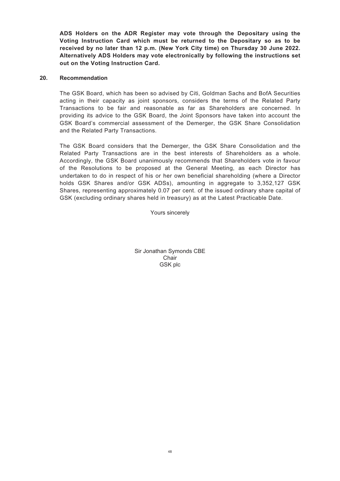**ADS Holders on the ADR Register may vote through the Depositary using the Voting Instruction Card which must be returned to the Depositary so as to be received by no later than 12 p.m. (New York City time) on Thursday 30 June 2022. Alternatively ADS Holders may vote electronically by following the instructions set out on the Voting Instruction Card.**

### **20. Recommendation**

The GSK Board, which has been so advised by Citi, Goldman Sachs and BofA Securities acting in their capacity as joint sponsors, considers the terms of the Related Party Transactions to be fair and reasonable as far as Shareholders are concerned. In providing its advice to the GSK Board, the Joint Sponsors have taken into account the GSK Board's commercial assessment of the Demerger, the GSK Share Consolidation and the Related Party Transactions.

The GSK Board considers that the Demerger, the GSK Share Consolidation and the Related Party Transactions are in the best interests of Shareholders as a whole. Accordingly, the GSK Board unanimously recommends that Shareholders vote in favour of the Resolutions to be proposed at the General Meeting, as each Director has undertaken to do in respect of his or her own beneficial shareholding (where a Director holds GSK Shares and/or GSK ADSs), amounting in aggregate to 3,352,127 GSK Shares, representing approximately 0.07 per cent. of the issued ordinary share capital of GSK (excluding ordinary shares held in treasury) as at the Latest Practicable Date.

Yours sincerely

Sir Jonathan Symonds CBE Chair GSK plc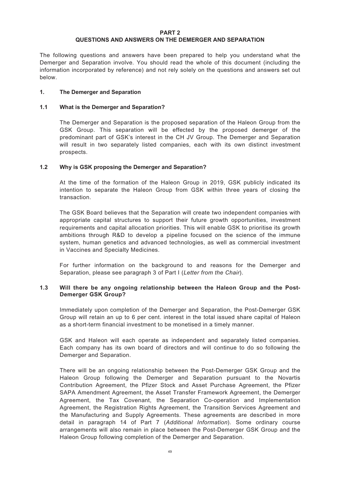#### **PART 2 QUESTIONS AND ANSWERS ON THE DEMERGER AND SEPARATION**

The following questions and answers have been prepared to help you understand what the Demerger and Separation involve. You should read the whole of this document (including the information incorporated by reference) and not rely solely on the questions and answers set out below.

## **1. The Demerger and Separation**

## **1.1 What is the Demerger and Separation?**

The Demerger and Separation is the proposed separation of the Haleon Group from the GSK Group. This separation will be effected by the proposed demerger of the predominant part of GSK's interest in the CH JV Group. The Demerger and Separation will result in two separately listed companies, each with its own distinct investment prospects.

# **1.2 Why is GSK proposing the Demerger and Separation?**

At the time of the formation of the Haleon Group in 2019, GSK publicly indicated its intention to separate the Haleon Group from GSK within three years of closing the transaction.

The GSK Board believes that the Separation will create two independent companies with appropriate capital structures to support their future growth opportunities, investment requirements and capital allocation priorities. This will enable GSK to prioritise its growth ambitions through R&D to develop a pipeline focused on the science of the immune system, human genetics and advanced technologies, as well as commercial investment in Vaccines and Specialty Medicines.

For further information on the background to and reasons for the Demerger and Separation, please see paragraph 3 of Part I (*Letter from the Chair*).

## **1.3 Will there be any ongoing relationship between the Haleon Group and the Post-Demerger GSK Group?**

Immediately upon completion of the Demerger and Separation, the Post-Demerger GSK Group will retain an up to 6 per cent. interest in the total issued share capital of Haleon as a short-term financial investment to be monetised in a timely manner.

GSK and Haleon will each operate as independent and separately listed companies. Each company has its own board of directors and will continue to do so following the Demerger and Separation.

There will be an ongoing relationship between the Post-Demerger GSK Group and the Haleon Group following the Demerger and Separation pursuant to the Novartis Contribution Agreement, the Pfizer Stock and Asset Purchase Agreement, the Pfizer SAPA Amendment Agreement, the Asset Transfer Framework Agreement, the Demerger Agreement, the Tax Covenant, the Separation Co-operation and Implementation Agreement, the Registration Rights Agreement, the Transition Services Agreement and the Manufacturing and Supply Agreements. These agreements are described in more detail in paragraph 14 of Part 7 (*Additional Information*). Some ordinary course arrangements will also remain in place between the Post-Demerger GSK Group and the Haleon Group following completion of the Demerger and Separation.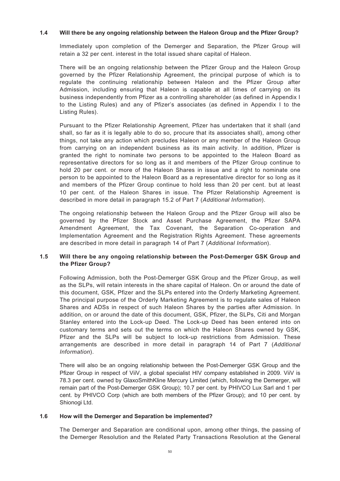## **1.4 Will there be any ongoing relationship between the Haleon Group and the Pfizer Group?**

Immediately upon completion of the Demerger and Separation, the Pfizer Group will retain a 32 per cent. interest in the total issued share capital of Haleon.

There will be an ongoing relationship between the Pfizer Group and the Haleon Group governed by the Pfizer Relationship Agreement, the principal purpose of which is to regulate the continuing relationship between Haleon and the Pfizer Group after Admission, including ensuring that Haleon is capable at all times of carrying on its business independently from Pfizer as a controlling shareholder (as defined in Appendix I to the Listing Rules) and any of Pfizer's associates (as defined in Appendix I to the Listing Rules).

Pursuant to the Pfizer Relationship Agreement, Pfizer has undertaken that it shall (and shall, so far as it is legally able to do so, procure that its associates shall), among other things, not take any action which precludes Haleon or any member of the Haleon Group from carrying on an independent business as its main activity. In addition, Pfizer is granted the right to nominate two persons to be appointed to the Haleon Board as representative directors for so long as it and members of the Pfizer Group continue to hold 20 per cent. or more of the Haleon Shares in issue and a right to nominate one person to be appointed to the Haleon Board as a representative director for so long as it and members of the Pfizer Group continue to hold less than 20 per cent. but at least 10 per cent. of the Haleon Shares in issue. The Pfizer Relationship Agreement is described in more detail in paragraph 15.2 of Part 7 (*Additional Information*).

The ongoing relationship between the Haleon Group and the Pfizer Group will also be governed by the Pfizer Stock and Asset Purchase Agreement, the Pfizer SAPA Amendment Agreement, the Tax Covenant, the Separation Co-operation and Implementation Agreement and the Registration Rights Agreement. These agreements are described in more detail in paragraph 14 of Part 7 (*Additional Information*).

## **1.5 Will there be any ongoing relationship between the Post-Demerger GSK Group and the Pfizer Group?**

Following Admission, both the Post-Demerger GSK Group and the Pfizer Group, as well as the SLPs, will retain interests in the share capital of Haleon. On or around the date of this document, GSK, Pfizer and the SLPs entered into the Orderly Marketing Agreement. The principal purpose of the Orderly Marketing Agreement is to regulate sales of Haleon Shares and ADSs in respect of such Haleon Shares by the parties after Admission. In addition, on or around the date of this document, GSK, Pfizer, the SLPs, Citi and Morgan Stanley entered into the Lock-up Deed. The Lock-up Deed has been entered into on customary terms and sets out the terms on which the Haleon Shares owned by GSK, Pfizer and the SLPs will be subject to lock-up restrictions from Admission. These arrangements are described in more detail in paragraph 14 of Part 7 (*Additional Information*).

There will also be an ongoing relationship between the Post-Demerger GSK Group and the Pfizer Group in respect of ViiV, a global specialist HIV company established in 2009. ViiV is 78.3 per cent. owned by GlaxoSmithKline Mercury Limited (which, following the Demerger, will remain part of the Post-Demerger GSK Group); 10.7 per cent. by PHIVCO Lux Sarl and 1 per cent. by PHIVCO Corp (which are both members of the Pfizer Group); and 10 per cent. by Shionogi Ltd.

## **1.6 How will the Demerger and Separation be implemented?**

The Demerger and Separation are conditional upon, among other things, the passing of the Demerger Resolution and the Related Party Transactions Resolution at the General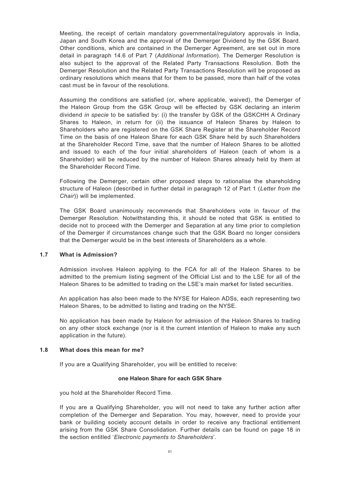Meeting, the receipt of certain mandatory governmental/regulatory approvals in India, Japan and South Korea and the approval of the Demerger Dividend by the GSK Board. Other conditions, which are contained in the Demerger Agreement, are set out in more detail in paragraph 14.6 of Part 7 (*Additional Information*). The Demerger Resolution is also subject to the approval of the Related Party Transactions Resolution. Both the Demerger Resolution and the Related Party Transactions Resolution will be proposed as ordinary resolutions which means that for them to be passed, more than half of the votes cast must be in favour of the resolutions.

Assuming the conditions are satisfied (or, where applicable, waived), the Demerger of the Haleon Group from the GSK Group will be effected by GSK declaring an interim dividend *in specie* to be satisfied by: (i) the transfer by GSK of the GSKCHH A Ordinary Shares to Haleon, in return for (ii) the issuance of Haleon Shares by Haleon to Shareholders who are registered on the GSK Share Register at the Shareholder Record Time on the basis of one Haleon Share for each GSK Share held by such Shareholders at the Shareholder Record Time, save that the number of Haleon Shares to be allotted and issued to each of the four initial shareholders of Haleon (each of whom is a Shareholder) will be reduced by the number of Haleon Shares already held by them at the Shareholder Record Time.

Following the Demerger, certain other proposed steps to rationalise the shareholding structure of Haleon (described in further detail in paragraph 12 of Part 1 (*Letter from the Chair*)) will be implemented.

The GSK Board unanimously recommends that Shareholders vote in favour of the Demerger Resolution. Notwithstanding this, it should be noted that GSK is entitled to decide not to proceed with the Demerger and Separation at any time prior to completion of the Demerger if circumstances change such that the GSK Board no longer considers that the Demerger would be in the best interests of Shareholders as a whole.

## **1.7 What is Admission?**

Admission involves Haleon applying to the FCA for all of the Haleon Shares to be admitted to the premium listing segment of the Official List and to the LSE for all of the Haleon Shares to be admitted to trading on the LSE's main market for listed securities.

An application has also been made to the NYSE for Haleon ADSs, each representing two Haleon Shares, to be admitted to listing and trading on the NYSE.

No application has been made by Haleon for admission of the Haleon Shares to trading on any other stock exchange (nor is it the current intention of Haleon to make any such application in the future).

#### **1.8 What does this mean for me?**

If you are a Qualifying Shareholder, you will be entitled to receive:

#### **one Haleon Share for each GSK Share**

you hold at the Shareholder Record Time.

If you are a Qualifying Shareholder, you will not need to take any further action after completion of the Demerger and Separation. You may, however, need to provide your bank or building society account details in order to receive any fractional entitlement arising from the GSK Share Consolidation. Further details can be found on page 18 in the section entitled '*Electronic payments to Shareholders*'.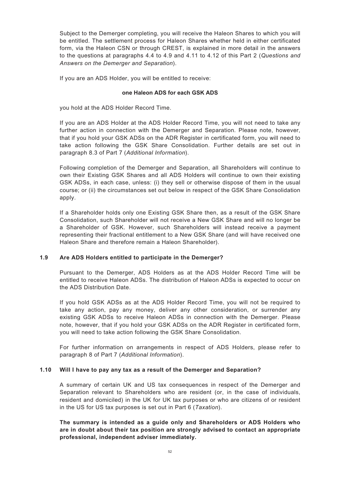Subject to the Demerger completing, you will receive the Haleon Shares to which you will be entitled. The settlement process for Haleon Shares whether held in either certificated form, via the Haleon CSN or through CREST, is explained in more detail in the answers to the questions at paragraphs 4.4 to 4.9 and 4.11 to 4.12 of this Part 2 (*Questions and Answers on the Demerger and Separation*).

If you are an ADS Holder, you will be entitled to receive:

### **one Haleon ADS for each GSK ADS**

you hold at the ADS Holder Record Time.

If you are an ADS Holder at the ADS Holder Record Time, you will not need to take any further action in connection with the Demerger and Separation. Please note, however, that if you hold your GSK ADSs on the ADR Register in certificated form, you will need to take action following the GSK Share Consolidation. Further details are set out in paragraph 8.3 of Part 7 (*Additional Information*).

Following completion of the Demerger and Separation, all Shareholders will continue to own their Existing GSK Shares and all ADS Holders will continue to own their existing GSK ADSs, in each case, unless: (i) they sell or otherwise dispose of them in the usual course; or (ii) the circumstances set out below in respect of the GSK Share Consolidation apply.

If a Shareholder holds only one Existing GSK Share then, as a result of the GSK Share Consolidation, such Shareholder will not receive a New GSK Share and will no longer be a Shareholder of GSK. However, such Shareholders will instead receive a payment representing their fractional entitlement to a New GSK Share (and will have received one Haleon Share and therefore remain a Haleon Shareholder).

## **1.9 Are ADS Holders entitled to participate in the Demerger?**

Pursuant to the Demerger, ADS Holders as at the ADS Holder Record Time will be entitled to receive Haleon ADSs. The distribution of Haleon ADSs is expected to occur on the ADS Distribution Date.

If you hold GSK ADSs as at the ADS Holder Record Time, you will not be required to take any action, pay any money, deliver any other consideration, or surrender any existing GSK ADSs to receive Haleon ADSs in connection with the Demerger. Please note, however, that if you hold your GSK ADSs on the ADR Register in certificated form, you will need to take action following the GSK Share Consolidation.

For further information on arrangements in respect of ADS Holders, please refer to paragraph 8 of Part 7 (*Additional Information*).

## **1.10 Will I have to pay any tax as a result of the Demerger and Separation?**

A summary of certain UK and US tax consequences in respect of the Demerger and Separation relevant to Shareholders who are resident (or, in the case of individuals, resident and domiciled) in the UK for UK tax purposes or who are citizens of or resident in the US for US tax purposes is set out in Part 6 (*Taxation*).

**The summary is intended as a guide only and Shareholders or ADS Holders who are in doubt about their tax position are strongly advised to contact an appropriate professional, independent adviser immediately.**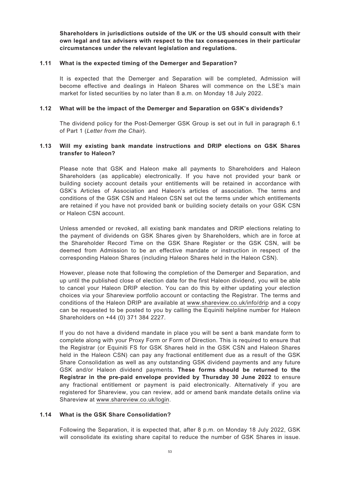**Shareholders in jurisdictions outside of the UK or the US should consult with their own legal and tax advisers with respect to the tax consequences in their particular circumstances under the relevant legislation and regulations.**

### **1.11 What is the expected timing of the Demerger and Separation?**

It is expected that the Demerger and Separation will be completed, Admission will become effective and dealings in Haleon Shares will commence on the LSE's main market for listed securities by no later than 8 a.m. on Monday 18 July 2022.

## **1.12 What will be the impact of the Demerger and Separation on GSK's dividends?**

The dividend policy for the Post-Demerger GSK Group is set out in full in paragraph 6.1 of Part 1 (*Letter from the Chair*).

### **1.13 Will my existing bank mandate instructions and DRIP elections on GSK Shares transfer to Haleon?**

Please note that GSK and Haleon make all payments to Shareholders and Haleon Shareholders (as applicable) electronically. If you have not provided your bank or building society account details your entitlements will be retained in accordance with GSK's Articles of Association and Haleon's articles of association. The terms and conditions of the GSK CSN and Haleon CSN set out the terms under which entitlements are retained if you have not provided bank or building society details on your GSK CSN or Haleon CSN account.

Unless amended or revoked, all existing bank mandates and DRIP elections relating to the payment of dividends on GSK Shares given by Shareholders, which are in force at the Shareholder Record Time on the GSK Share Register or the GSK CSN, will be deemed from Admission to be an effective mandate or instruction in respect of the corresponding Haleon Shares (including Haleon Shares held in the Haleon CSN).

However, please note that following the completion of the Demerger and Separation, and up until the published close of election date for the first Haleon dividend, you will be able to cancel your Haleon DRIP election. You can do this by either updating your election choices via your Shareview portfolio account or contacting the Registrar. The terms and conditions of the Haleon DRIP are available at www.shareview.co.uk/info/drip and a copy can be requested to be posted to you by calling the Equiniti helpline number for Haleon Shareholders on +44 (0) 371 384 2227.

If you do not have a dividend mandate in place you will be sent a bank mandate form to complete along with your Proxy Form or Form of Direction. This is required to ensure that the Registrar (or Equiniti FS for GSK Shares held in the GSK CSN and Haleon Shares held in the Haleon CSN) can pay any fractional entitlement due as a result of the GSK Share Consolidation as well as any outstanding GSK dividend payments and any future GSK and/or Haleon dividend payments. **These forms should be returned to the Registrar in the pre-paid envelope provided by Thursday 30 June 2022** to ensure any fractional entitlement or payment is paid electronically. Alternatively if you are registered for Shareview, you can review, add or amend bank mandate details online via Shareview at www.shareview.co.uk/login.

# **1.14 What is the GSK Share Consolidation?**

Following the Separation, it is expected that, after 8 p.m. on Monday 18 July 2022, GSK will consolidate its existing share capital to reduce the number of GSK Shares in issue.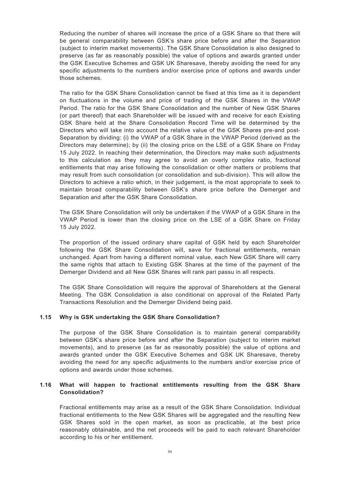Reducing the number of shares will increase the price of a GSK Share so that there will be general comparability between GSK's share price before and after the Separation (subject to interim market movements). The GSK Share Consolidation is also designed to preserve (as far as reasonably possible) the value of options and awards granted under the GSK Executive Schemes and GSK UK Sharesave, thereby avoiding the need for any specific adjustments to the numbers and/or exercise price of options and awards under those schemes.

The ratio for the GSK Share Consolidation cannot be fixed at this time as it is dependent on fluctuations in the volume and price of trading of the GSK Shares in the VWAP Period. The ratio for the GSK Share Consolidation and the number of New GSK Shares (or part thereof) that each Shareholder will be issued with and receive for each Existing GSK Share held at the Share Consolidation Record Time will be determined by the Directors who will take into account the relative value of the GSK Shares pre-and post-Separation by dividing: (i) the VWAP of a GSK Share in the VWAP Period (derived as the Directors may determine); by (ii) the closing price on the LSE of a GSK Share on Friday 15 July 2022. In reaching their determination, the Directors may make such adjustments to this calculation as they may agree to avoid an overly complex ratio, fractional entitlements that may arise following the consolidation or other matters or problems that may result from such consolidation (or consolidation and sub-division). This will allow the Directors to achieve a ratio which, in their judgement, is the most appropriate to seek to maintain broad comparability between GSK's share price before the Demerger and Separation and after the GSK Share Consolidation.

The GSK Share Consolidation will only be undertaken if the VWAP of a GSK Share in the VWAP Period is lower than the closing price on the LSE of a GSK Share on Friday 15 July 2022.

The proportion of the issued ordinary share capital of GSK held by each Shareholder following the GSK Share Consolidation will, save for fractional entitlements, remain unchanged. Apart from having a different nominal value, each New GSK Share will carry the same rights that attach to Existing GSK Shares at the time of the payment of the Demerger Dividend and all New GSK Shares will rank pari passu in all respects.

The GSK Share Consolidation will require the approval of Shareholders at the General Meeting. The GSK Consolidation is also conditional on approval of the Related Party Transactions Resolution and the Demerger Dividend being paid.

## **1.15 Why is GSK undertaking the GSK Share Consolidation?**

The purpose of the GSK Share Consolidation is to maintain general comparability between GSK's share price before and after the Separation (subject to interim market movements), and to preserve (as far as reasonably possible) the value of options and awards granted under the GSK Executive Schemes and GSK UK Sharesave, thereby avoiding the need for any specific adjustments to the numbers and/or exercise price of options and awards under those schemes.

# **1.16 What will happen to fractional entitlements resulting from the GSK Share Consolidation?**

Fractional entitlements may arise as a result of the GSK Share Consolidation. Individual fractional entitlements to the New GSK Shares will be aggregated and the resulting New GSK Shares sold in the open market, as soon as practicable, at the best price reasonably obtainable, and the net proceeds will be paid to each relevant Shareholder according to his or her entitlement.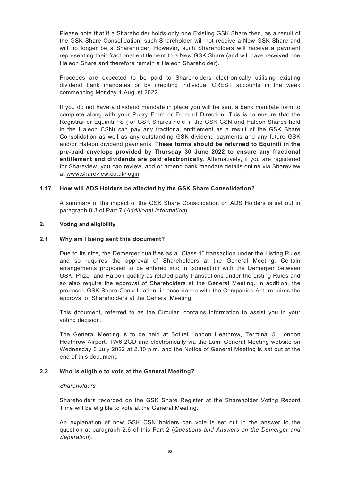Please note that if a Shareholder holds only one Existing GSK Share then, as a result of the GSK Share Consolidation, such Shareholder will not receive a New GSK Share and will no longer be a Shareholder. However, such Shareholders will receive a payment representing their fractional entitlement to a New GSK Share (and will have received one Haleon Share and therefore remain a Haleon Shareholder).

Proceeds are expected to be paid to Shareholders electronically utilising existing dividend bank mandates or by crediting individual CREST accounts in the week commencing Monday 1 August 2022.

If you do not have a dividend mandate in place you will be sent a bank mandate form to complete along with your Proxy Form or Form of Direction. This is to ensure that the Registrar or Equiniti FS (for GSK Shares held in the GSK CSN and Haleon Shares held in the Haleon CSN) can pay any fractional entitlement as a result of the GSK Share Consolidation as well as any outstanding GSK dividend payments and any future GSK and/or Haleon dividend payments. **These forms should be returned to Equiniti in the pre-paid envelope provided by Thursday 30 June 2022 to ensure any fractional entitlement and dividends are paid electronically.** Alternatively, if you are registered for Shareview, you can review, add or amend bank mandate details online via Shareview at www.shareview.co.uk/login.

## **1.17 How will ADS Holders be affected by the GSK Share Consolidation?**

A summary of the impact of the GSK Share Consolidation on ADS Holders is set out in paragraph 8.3 of Part 7 (*Additional Information*).

### **2. Voting and eligibility**

### **2.1 Why am I being sent this document?**

Due to its size, the Demerger qualifies as a "Class 1" transaction under the Listing Rules and so requires the approval of Shareholders at the General Meeting. Certain arrangements proposed to be entered into in connection with the Demerger between GSK, Pfizer and Haleon qualify as related party transactions under the Listing Rules and so also require the approval of Shareholders at the General Meeting. In addition, the proposed GSK Share Consolidation, in accordance with the Companies Act, requires the approval of Shareholders at the General Meeting.

This document, referred to as the Circular, contains information to assist you in your voting decision.

The General Meeting is to be held at Sofitel London Heathrow, Terminal 5, London Heathrow Airport, TW6 2GD and electronically via the Lumi General Meeting website on Wednesday 6 July 2022 at 2.30 p.m. and the Notice of General Meeting is set out at the end of this document.

#### **2.2 Who is eligible to vote at the General Meeting?**

#### *Shareholders*

Shareholders recorded on the GSK Share Register at the Shareholder Voting Record Time will be eligible to vote at the General Meeting.

An explanation of how GSK CSN holders can vote is set out in the answer to the question at paragraph 2.6 of this Part 2 (*Questions and Answers on the Demerger and Separation*).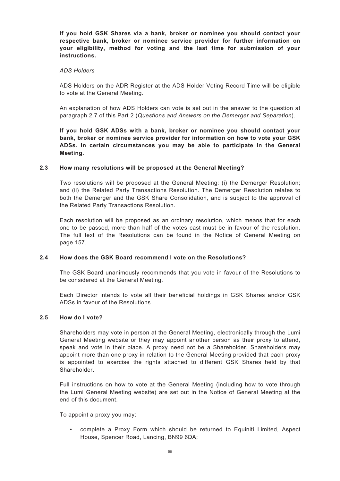**If you hold GSK Shares via a bank, broker or nominee you should contact your respective bank, broker or nominee service provider for further information on your eligibility, method for voting and the last time for submission of your instructions.**

#### *ADS Holders*

ADS Holders on the ADR Register at the ADS Holder Voting Record Time will be eligible to vote at the General Meeting.

An explanation of how ADS Holders can vote is set out in the answer to the question at paragraph 2.7 of this Part 2 (*Questions and Answers on the Demerger and Separation*).

**If you hold GSK ADSs with a bank, broker or nominee you should contact your bank, broker or nominee service provider for information on how to vote your GSK ADSs. In certain circumstances you may be able to participate in the General Meeting.**

## **2.3 How many resolutions will be proposed at the General Meeting?**

Two resolutions will be proposed at the General Meeting: (i) the Demerger Resolution; and (ii) the Related Party Transactions Resolution. The Demerger Resolution relates to both the Demerger and the GSK Share Consolidation, and is subject to the approval of the Related Party Transactions Resolution.

Each resolution will be proposed as an ordinary resolution, which means that for each one to be passed, more than half of the votes cast must be in favour of the resolution. The full text of the Resolutions can be found in the Notice of General Meeting on page 157.

## **2.4 How does the GSK Board recommend I vote on the Resolutions?**

The GSK Board unanimously recommends that you vote in favour of the Resolutions to be considered at the General Meeting.

Each Director intends to vote all their beneficial holdings in GSK Shares and/or GSK ADSs in favour of the Resolutions.

#### **2.5 How do I vote?**

Shareholders may vote in person at the General Meeting, electronically through the Lumi General Meeting website or they may appoint another person as their proxy to attend, speak and vote in their place. A proxy need not be a Shareholder. Shareholders may appoint more than one proxy in relation to the General Meeting provided that each proxy is appointed to exercise the rights attached to different GSK Shares held by that Shareholder.

Full instructions on how to vote at the General Meeting (including how to vote through the Lumi General Meeting website) are set out in the Notice of General Meeting at the end of this document.

To appoint a proxy you may:

• complete a Proxy Form which should be returned to Equiniti Limited, Aspect House, Spencer Road, Lancing, BN99 6DA;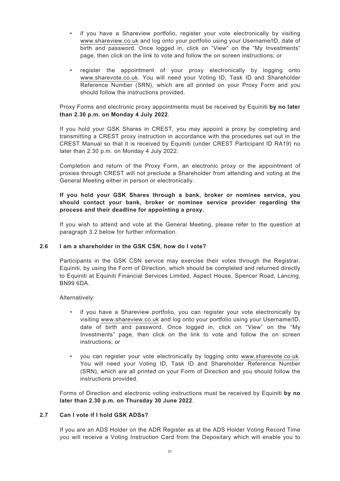- if you have a Shareview portfolio, register your vote electronically by visiting www.shareview.co.uk and log onto your portfolio using your Username/ID, date of birth and password. Once logged in, click on "View" on the "My Investments" page, then click on the link to vote and follow the on screen instructions; or
- register the appointment of your proxy electronically by logging onto www.sharevote.co.uk. You will need your Voting ID, Task ID and Shareholder Reference Number (SRN), which are all printed on your Proxy Form and you should follow the instructions provided.

Proxy Forms and electronic proxy appointments must be received by Equiniti **by no later than 2.30 p.m. on Monday 4 July 2022**.

If you hold your GSK Shares in CREST, you may appoint a proxy by completing and transmitting a CREST proxy instruction in accordance with the procedures set out in the CREST Manual so that it is received by Equiniti (under CREST Participant ID RA19) no later than 2.30 p.m. on Monday 4 July 2022.

Completion and return of the Proxy Form, an electronic proxy or the appointment of proxies through CREST will not preclude a Shareholder from attending and voting at the General Meeting either in person or electronically.

# **If you hold your GSK Shares through a bank, broker or nominee service, you should contact your bank, broker or nominee service provider regarding the process and their deadline for appointing a proxy.**

If you wish to attend and vote at the General Meeting, please refer to the question at paragraph 3.2 below for further information.

## **2.6 I am a shareholder in the GSK CSN, how do I vote?**

Participants in the GSK CSN service may exercise their votes through the Registrar, Equiniti, by using the Form of Direction, which should be completed and returned directly to Equiniti at Equiniti Financial Services Limited, Aspect House, Spencer Road, Lancing, BN99 6DA.

Alternatively:

- if you have a Shareview portfolio, you can register your vote electronically by visiting www.shareview.co.uk and log onto your portfolio using your Username/ID, date of birth and password. Once logged in, click on "View" on the "My Investments" page, then click on the link to vote and follow the on screen instructions; or
- you can register your vote electronically by logging onto www.sharevote.co.uk. You will need your Voting ID, Task ID and Shareholder Reference Number (SRN), which are all printed on your Form of Direction and you should follow the instructions provided.

Forms of Direction and electronic voting instructions must be received by Equiniti **by no later than 2.30 p.m. on Thursday 30 June 2022**.

## **2.7 Can I vote if I hold GSK ADSs?**

If you are an ADS Holder on the ADR Register as at the ADS Holder Voting Record Time you will receive a Voting Instruction Card from the Depositary which will enable you to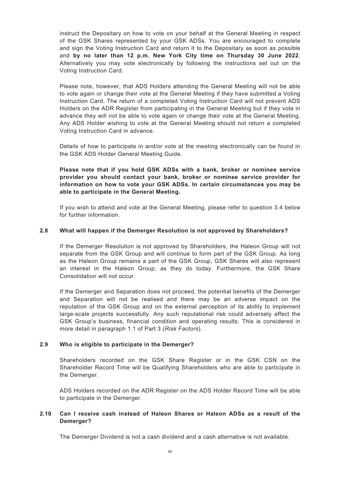instruct the Depositary on how to vote on your behalf at the General Meeting in respect of the GSK Shares represented by your GSK ADSs. You are encouraged to complete and sign the Voting Instruction Card and return it to the Depositary as soon as possible and **by no later than 12 p.m. New York City time on Thursday 30 June 2022**. Alternatively you may vote electronically by following the instructions set out on the Voting Instruction Card.

Please note, however, that ADS Holders attending the General Meeting will not be able to vote again or change their vote at the General Meeting if they have submitted a Voting Instruction Card. The return of a completed Voting Instruction Card will not prevent ADS Holders on the ADR Register from participating in the General Meeting but if they vote in advance they will not be able to vote again or change their vote at the General Meeting. Any ADS Holder wishing to vote at the General Meeting should not return a completed Voting Instruction Card in advance.

Details of how to participate in and/or vote at the meeting electronically can be found in the GSK ADS Holder General Meeting Guide.

**Please note that if you hold GSK ADSs with a bank, broker or nominee service provider you should contact your bank, broker or nominee service provider for information on how to vote your GSK ADSs. In certain circumstances you may be able to participate in the General Meeting.**

If you wish to attend and vote at the General Meeting, please refer to question 3.4 below for further information.

## **2.8 What will happen if the Demerger Resolution is not approved by Shareholders?**

If the Demerger Resolution is not approved by Shareholders, the Haleon Group will not separate from the GSK Group and will continue to form part of the GSK Group. As long as the Haleon Group remains a part of the GSK Group, GSK Shares will also represent an interest in the Haleon Group, as they do today. Furthermore, the GSK Share Consolidation will not occur.

If the Demerger and Separation does not proceed, the potential benefits of the Demerger and Separation will not be realised and there may be an adverse impact on the reputation of the GSK Group and on the external perception of its ability to implement large-scale projects successfully. Any such reputational risk could adversely affect the GSK Group's business, financial condition and operating results. This is considered in more detail in paragraph 1.1 of Part 3 (*Risk Factors*).

## **2.9 Who is eligible to participate in the Demerger?**

Shareholders recorded on the GSK Share Register or in the GSK CSN on the Shareholder Record Time will be Qualifying Shareholders who are able to participate in the Demerger.

ADS Holders recorded on the ADR Register on the ADS Holder Record Time will be able to participate in the Demerger.

# **2.10 Can I receive cash instead of Haleon Shares or Haleon ADSs as a result of the Demerger?**

The Demerger Dividend is not a cash dividend and a cash alternative is not available.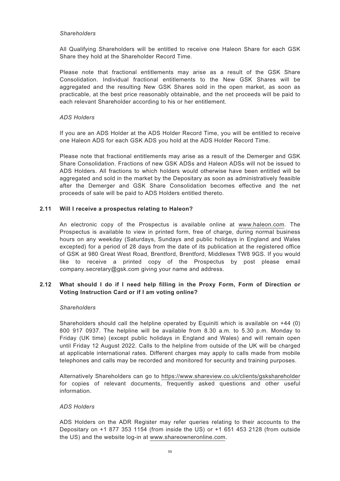### *Shareholders*

All Qualifying Shareholders will be entitled to receive one Haleon Share for each GSK Share they hold at the Shareholder Record Time.

Please note that fractional entitlements may arise as a result of the GSK Share Consolidation. Individual fractional entitlements to the New GSK Shares will be aggregated and the resulting New GSK Shares sold in the open market, as soon as practicable, at the best price reasonably obtainable, and the net proceeds will be paid to each relevant Shareholder according to his or her entitlement.

### *ADS Holders*

If you are an ADS Holder at the ADS Holder Record Time, you will be entitled to receive one Haleon ADS for each GSK ADS you hold at the ADS Holder Record Time.

Please note that fractional entitlements may arise as a result of the Demerger and GSK Share Consolidation. Fractions of new GSK ADSs and Haleon ADSs will not be issued to ADS Holders. All fractions to which holders would otherwise have been entitled will be aggregated and sold in the market by the Depositary as soon as administratively feasible after the Demerger and GSK Share Consolidation becomes effective and the net proceeds of sale will be paid to ADS Holders entitled thereto.

### **2.11 Will I receive a prospectus relating to Haleon?**

An electronic copy of the Prospectus is available online at www.haleon.com. The Prospectus is available to view in printed form, free of charge, during normal business hours on any weekday (Saturdays, Sundays and public holidays in England and Wales excepted) for a period of 28 days from the date of its publication at the registered office of GSK at 980 Great West Road, Brentford, Brentford, Middlesex TW8 9GS. If you would like to receive a printed copy of the Prospectus by post please email company.secretary@gsk.com giving your name and address.

# **2.12 What should I do if I need help filling in the Proxy Form, Form of Direction or Voting Instruction Card or if I am voting online?**

#### *Shareholders*

Shareholders should call the helpline operated by Equiniti which is available on +44 (0) 800 917 0937. The helpline will be available from 8.30 a.m. to 5.30 p.m. Monday to Friday (UK time) (except public holidays in England and Wales) and will remain open until Friday 12 August 2022. Calls to the helpline from outside of the UK will be charged at applicable international rates. Different charges may apply to calls made from mobile telephones and calls may be recorded and monitored for security and training purposes.

Alternatively Shareholders can go to https://www.shareview.co.uk/clients/gskshareholder for copies of relevant documents, frequently asked questions and other useful information.

### *ADS Holders*

ADS Holders on the ADR Register may refer queries relating to their accounts to the Depositary on +1 877 353 1154 (from inside the US) or +1 651 453 2128 (from outside the US) and the website log-in at www.shareowneronline.com.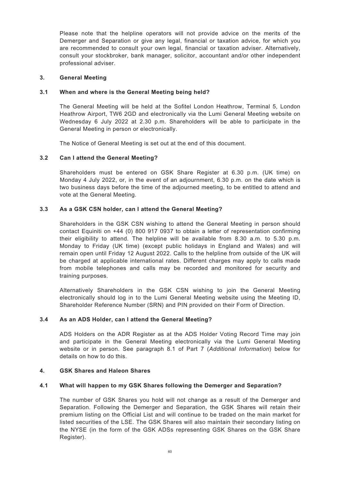Please note that the helpline operators will not provide advice on the merits of the Demerger and Separation or give any legal, financial or taxation advice, for which you are recommended to consult your own legal, financial or taxation adviser. Alternatively, consult your stockbroker, bank manager, solicitor, accountant and/or other independent professional adviser.

### **3. General Meeting**

## **3.1 When and where is the General Meeting being held?**

The General Meeting will be held at the Sofitel London Heathrow, Terminal 5, London Heathrow Airport, TW6 2GD and electronically via the Lumi General Meeting website on Wednesday 6 July 2022 at 2.30 p.m. Shareholders will be able to participate in the General Meeting in person or electronically.

The Notice of General Meeting is set out at the end of this document.

## **3.2 Can I attend the General Meeting?**

Shareholders must be entered on GSK Share Register at 6.30 p.m. (UK time) on Monday 4 July 2022, or, in the event of an adjournment, 6.30 p.m. on the date which is two business days before the time of the adjourned meeting, to be entitled to attend and vote at the General Meeting.

## **3.3 As a GSK CSN holder, can I attend the General Meeting?**

Shareholders in the GSK CSN wishing to attend the General Meeting in person should contact Equiniti on +44 (0) 800 917 0937 to obtain a letter of representation confirming their eligibility to attend. The helpline will be available from 8.30 a.m. to 5.30 p.m. Monday to Friday (UK time) (except public holidays in England and Wales) and will remain open until Friday 12 August 2022. Calls to the helpline from outside of the UK will be charged at applicable international rates. Different charges may apply to calls made from mobile telephones and calls may be recorded and monitored for security and training purposes.

Alternatively Shareholders in the GSK CSN wishing to join the General Meeting electronically should log in to the Lumi General Meeting website using the Meeting ID, Shareholder Reference Number (SRN) and PIN provided on their Form of Direction.

## **3.4 As an ADS Holder, can I attend the General Meeting?**

ADS Holders on the ADR Register as at the ADS Holder Voting Record Time may join and participate in the General Meeting electronically via the Lumi General Meeting website or in person. See paragraph 8.1 of Part 7 (*Additional Information*) below for details on how to do this.

#### **4. GSK Shares and Haleon Shares**

### **4.1 What will happen to my GSK Shares following the Demerger and Separation?**

The number of GSK Shares you hold will not change as a result of the Demerger and Separation. Following the Demerger and Separation, the GSK Shares will retain their premium listing on the Official List and will continue to be traded on the main market for listed securities of the LSE. The GSK Shares will also maintain their secondary listing on the NYSE (in the form of the GSK ADSs representing GSK Shares on the GSK Share Register).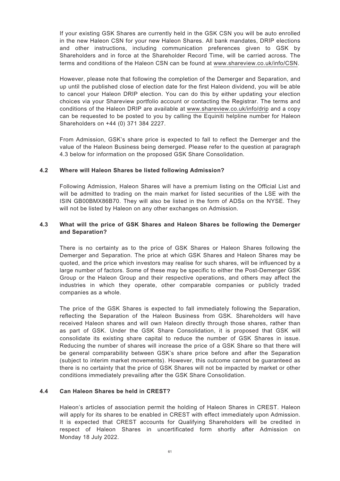If your existing GSK Shares are currently held in the GSK CSN you will be auto enrolled in the new Haleon CSN for your new Haleon Shares. All bank mandates, DRIP elections and other instructions, including communication preferences given to GSK by Shareholders and in force at the Shareholder Record Time, will be carried across. The terms and conditions of the Haleon CSN can be found at www.shareview.co.uk/info/CSN.

However, please note that following the completion of the Demerger and Separation, and up until the published close of election date for the first Haleon dividend, you will be able to cancel your Haleon DRIP election. You can do this by either updating your election choices via your Shareview portfolio account or contacting the Registrar. The terms and conditions of the Haleon DRIP are available at www.shareview.co.uk/info/drip and a copy can be requested to be posted to you by calling the Equiniti helpline number for Haleon Shareholders on +44 (0) 371 384 2227.

From Admission, GSK's share price is expected to fall to reflect the Demerger and the value of the Haleon Business being demerged. Please refer to the question at paragraph 4.3 below for information on the proposed GSK Share Consolidation.

# **4.2 Where will Haleon Shares be listed following Admission?**

Following Admission, Haleon Shares will have a premium listing on the Official List and will be admitted to trading on the main market for listed securities of the LSE with the ISIN GB00BMX86B70. They will also be listed in the form of ADSs on the NYSE. They will not be listed by Haleon on any other exchanges on Admission.

## **4.3 What will the price of GSK Shares and Haleon Shares be following the Demerger and Separation?**

There is no certainty as to the price of GSK Shares or Haleon Shares following the Demerger and Separation. The price at which GSK Shares and Haleon Shares may be quoted, and the price which investors may realise for such shares, will be influenced by a large number of factors. Some of these may be specific to either the Post-Demerger GSK Group or the Haleon Group and their respective operations, and others may affect the industries in which they operate, other comparable companies or publicly traded companies as a whole.

The price of the GSK Shares is expected to fall immediately following the Separation, reflecting the Separation of the Haleon Business from GSK. Shareholders will have received Haleon shares and will own Haleon directly through those shares, rather than as part of GSK. Under the GSK Share Consolidation, it is proposed that GSK will consolidate its existing share capital to reduce the number of GSK Shares in issue. Reducing the number of shares will increase the price of a GSK Share so that there will be general comparability between GSK's share price before and after the Separation (subject to interim market movements). However, this outcome cannot be guaranteed as there is no certainty that the price of GSK Shares will not be impacted by market or other conditions immediately prevailing after the GSK Share Consolidation.

## **4.4 Can Haleon Shares be held in CREST?**

Haleon's articles of association permit the holding of Haleon Shares in CREST. Haleon will apply for its shares to be enabled in CREST with effect immediately upon Admission. It is expected that CREST accounts for Qualifying Shareholders will be credited in respect of Haleon Shares in uncertificated form shortly after Admission on Monday 18 July 2022.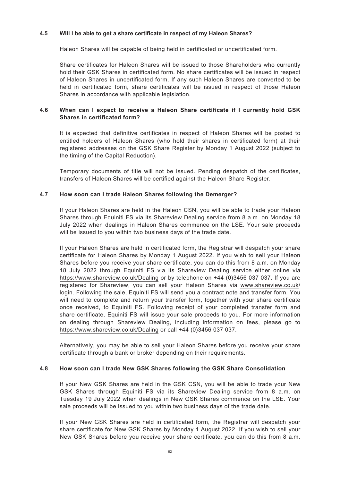## **4.5 Will I be able to get a share certificate in respect of my Haleon Shares?**

Haleon Shares will be capable of being held in certificated or uncertificated form.

Share certificates for Haleon Shares will be issued to those Shareholders who currently hold their GSK Shares in certificated form. No share certificates will be issued in respect of Haleon Shares in uncertificated form. If any such Haleon Shares are converted to be held in certificated form, share certificates will be issued in respect of those Haleon Shares in accordance with applicable legislation.

## **4.6 When can I expect to receive a Haleon Share certificate if I currently hold GSK Shares in certificated form?**

It is expected that definitive certificates in respect of Haleon Shares will be posted to entitled holders of Haleon Shares (who hold their shares in certificated form) at their registered addresses on the GSK Share Register by Monday 1 August 2022 (subject to the timing of the Capital Reduction).

Temporary documents of title will not be issued. Pending despatch of the certificates, transfers of Haleon Shares will be certified against the Haleon Share Register.

### **4.7 How soon can I trade Haleon Shares following the Demerger?**

If your Haleon Shares are held in the Haleon CSN, you will be able to trade your Haleon Shares through Equiniti FS via its Shareview Dealing service from 8 a.m. on Monday 18 July 2022 when dealings in Haleon Shares commence on the LSE. Your sale proceeds will be issued to you within two business days of the trade date.

If your Haleon Shares are held in certificated form, the Registrar will despatch your share certificate for Haleon Shares by Monday 1 August 2022. If you wish to sell your Haleon Shares before you receive your share certificate, you can do this from 8 a.m. on Monday 18 July 2022 through Equiniti FS via its Shareview Dealing service either online via https://www.shareview.co.uk/Dealing or by telephone on +44 (0)3456 037 037. If you are registered for Shareview, you can sell your Haleon Shares via www.shareview.co.uk/ login. Following the sale, Equiniti FS will send you a contract note and transfer form. You will need to complete and return your transfer form, together with your share certificate once received, to Equiniti FS. Following receipt of your completed transfer form and share certificate, Equiniti FS will issue your sale proceeds to you. For more information on dealing through Shareview Dealing, including information on fees, please go to https://www.shareview.co.uk/Dealing or call +44 (0)3456 037 037.

Alternatively, you may be able to sell your Haleon Shares before you receive your share certificate through a bank or broker depending on their requirements.

#### **4.8 How soon can I trade New GSK Shares following the GSK Share Consolidation**

If your New GSK Shares are held in the GSK CSN, you will be able to trade your New GSK Shares through Equiniti FS via its Shareview Dealing service from 8 a.m. on Tuesday 19 July 2022 when dealings in New GSK Shares commence on the LSE. Your sale proceeds will be issued to you within two business days of the trade date.

If your New GSK Shares are held in certificated form, the Registrar will despatch your share certificate for New GSK Shares by Monday 1 August 2022. If you wish to sell your New GSK Shares before you receive your share certificate, you can do this from 8 a.m.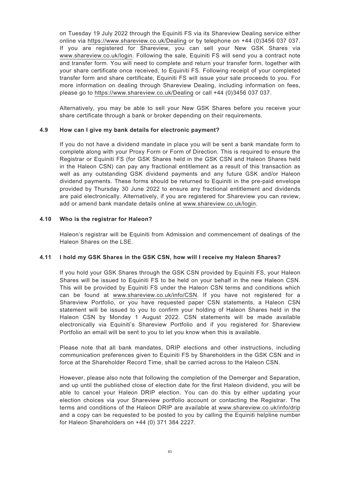on Tuesday 19 July 2022 through the Equiniti FS via its Shareview Dealing service either online via https://www.shareview.co.uk/Dealing or by telephone on +44 (0)3456 037 037. If you are registered for Shareview, you can sell your New GSK Shares via www.shareview.co.uk/login. Following the sale, Equiniti FS will send you a contract note and transfer form. You will need to complete and return your transfer form, together with your share certificate once received, to Equiniti FS. Following receipt of your completed transfer form and share certificate, Equiniti FS will issue your sale proceeds to you. For more information on dealing through Shareview Dealing, including information on fees, please go to https://www.shareview.co.uk/Dealing or call +44 (0)3456 037 037.

Alternatively, you may be able to sell your New GSK Shares before you receive your share certificate through a bank or broker depending on their requirements.

# **4.9 How can I give my bank details for electronic payment?**

If you do not have a dividend mandate in place you will be sent a bank mandate form to complete along with your Proxy Form or Form of Direction. This is required to ensure the Registrar or Equiniti FS (for GSK Shares held in the GSK CSN and Haleon Shares held in the Haleon CSN) can pay any fractional entitlement as a result of this transaction as well as any outstanding GSK dividend payments and any future GSK and/or Haleon dividend payments. These forms should be returned to Equiniti in the pre-paid envelope provided by Thursday 30 June 2022 to ensure any fractional entitlement and dividends are paid electronically. Alternatively, if you are registered for Shareview you can review, add or amend bank mandate details online at www.shareview.co.uk/login.

# **4.10 Who is the registrar for Haleon?**

Haleon's registrar will be Equiniti from Admission and commencement of dealings of the Haleon Shares on the LSE.

## **4.11 I hold my GSK Shares in the GSK CSN, how will I receive my Haleon Shares?**

If you hold your GSK Shares through the GSK CSN provided by Equiniti FS, your Haleon Shares will be issued to Equiniti FS to be held on your behalf in the new Haleon CSN. This will be provided by Equiniti FS under the Haleon CSN terms and conditions which can be found at www.shareview.co.uk/info/CSN. If you have not registered for a Shareview Portfolio, or you have requested paper CSN statements, a Haleon CSN statement will be issued to you to confirm your holding of Haleon Shares held in the Haleon CSN by Monday 1 August 2022. CSN statements will be made available electronically via Equiniti's Shareview Portfolio and if you registered for Shareview Portfolio an email will be sent to you to let you know when this is available.

Please note that all bank mandates, DRIP elections and other instructions, including communication preferences given to Equiniti FS by Shareholders in the GSK CSN and in force at the Shareholder Record Time, shall be carried across to the Haleon CSN.

However, please also note that following the completion of the Demerger and Separation, and up until the published close of election date for the first Haleon dividend, you will be able to cancel your Haleon DRIP election. You can do this by either updating your election choices via your Shareview portfolio account or contacting the Registrar. The terms and conditions of the Haleon DRIP are available at www.shareview.co.uk/info/drip and a copy can be requested to be posted to you by calling the Equiniti helpline number for Haleon Shareholders on +44 (0) 371 384 2227.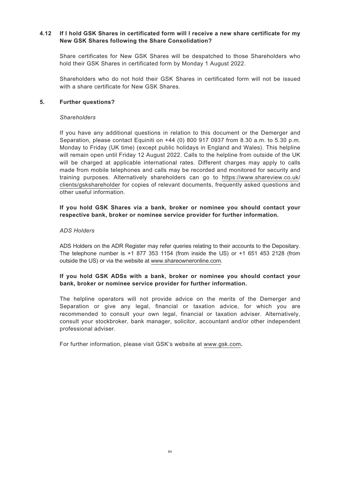## **4.12 If I hold GSK Shares in certificated form will I receive a new share certificate for my New GSK Shares following the Share Consolidation?**

Share certificates for New GSK Shares will be despatched to those Shareholders who hold their GSK Shares in certificated form by Monday 1 August 2022.

Shareholders who do not hold their GSK Shares in certificated form will not be issued with a share certificate for New GSK Shares.

### **5. Further questions?**

### *Shareholders*

If you have any additional questions in relation to this document or the Demerger and Separation, please contact Equiniti on +44 (0) 800 917 0937 from 8.30 a.m. to 5.30 p.m. Monday to Friday (UK time) (except public holidays in England and Wales). This helpline will remain open until Friday 12 August 2022. Calls to the helpline from outside of the UK will be charged at applicable international rates. Different charges may apply to calls made from mobile telephones and calls may be recorded and monitored for security and training purposes. Alternatively shareholders can go to https://www.shareview.co.uk/ clients/gskshareholder for copies of relevant documents, frequently asked questions and other useful information.

## **If you hold GSK Shares via a bank, broker or nominee you should contact your respective bank, broker or nominee service provider for further information.**

### *ADS Holders*

ADS Holders on the ADR Register may refer queries relating to their accounts to the Depositary. The telephone number is +1 877 353 1154 (from inside the US) or +1 651 453 2128 (from outside the US) or via the website at www.shareowneronline.com.

## **If you hold GSK ADSs with a bank, broker or nominee you should contact your bank, broker or nominee service provider for further information.**

The helpline operators will not provide advice on the merits of the Demerger and Separation or give any legal, financial or taxation advice, for which you are recommended to consult your own legal, financial or taxation adviser. Alternatively, consult your stockbroker, bank manager, solicitor, accountant and/or other independent professional adviser.

For further information, please visit GSK's website at www.gsk.com**.**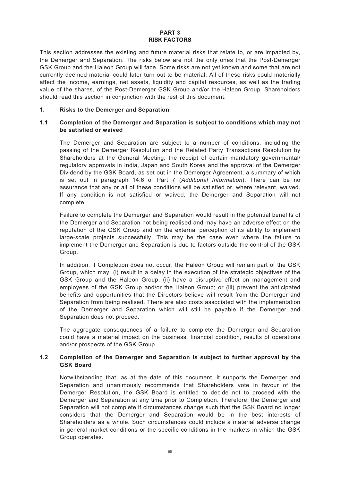### **PART 3 RISK FACTORS**

This section addresses the existing and future material risks that relate to, or are impacted by, the Demerger and Separation. The risks below are not the only ones that the Post-Demerger GSK Group and the Haleon Group will face. Some risks are not yet known and some that are not currently deemed material could later turn out to be material. All of these risks could materially affect the income, earnings, net assets, liquidity and capital resources, as well as the trading value of the shares, of the Post-Demerger GSK Group and/or the Haleon Group. Shareholders should read this section in conjunction with the rest of this document.

### **1. Risks to the Demerger and Separation**

## **1.1 Completion of the Demerger and Separation is subject to conditions which may not be satisfied or waived**

The Demerger and Separation are subject to a number of conditions, including the passing of the Demerger Resolution and the Related Party Transactions Resolution by Shareholders at the General Meeting, the receipt of certain mandatory governmental/ regulatory approvals in India, Japan and South Korea and the approval of the Demerger Dividend by the GSK Board, as set out in the Demerger Agreement, a summary of which is set out in paragraph 14.6 of Part 7 (*Additional Information*). There can be no assurance that any or all of these conditions will be satisfied or, where relevant, waived. If any condition is not satisfied or waived, the Demerger and Separation will not complete.

Failure to complete the Demerger and Separation would result in the potential benefits of the Demerger and Separation not being realised and may have an adverse effect on the reputation of the GSK Group and on the external perception of its ability to implement large-scale projects successfully. This may be the case even where the failure to implement the Demerger and Separation is due to factors outside the control of the GSK Group.

In addition, if Completion does not occur, the Haleon Group will remain part of the GSK Group, which may: (i) result in a delay in the execution of the strategic objectives of the GSK Group and the Haleon Group; (ii) have a disruptive effect on management and employees of the GSK Group and/or the Haleon Group; or (iii) prevent the anticipated benefits and opportunities that the Directors believe will result from the Demerger and Separation from being realised. There are also costs associated with the implementation of the Demerger and Separation which will still be payable if the Demerger and Separation does not proceed.

The aggregate consequences of a failure to complete the Demerger and Separation could have a material impact on the business, financial condition, results of operations and/or prospects of the GSK Group.

## **1.2 Completion of the Demerger and Separation is subject to further approval by the GSK Board**

Notwithstanding that, as at the date of this document, it supports the Demerger and Separation and unanimously recommends that Shareholders vote in favour of the Demerger Resolution, the GSK Board is entitled to decide not to proceed with the Demerger and Separation at any time prior to Completion. Therefore, the Demerger and Separation will not complete if circumstances change such that the GSK Board no longer considers that the Demerger and Separation would be in the best interests of Shareholders as a whole. Such circumstances could include a material adverse change in general market conditions or the specific conditions in the markets in which the GSK Group operates.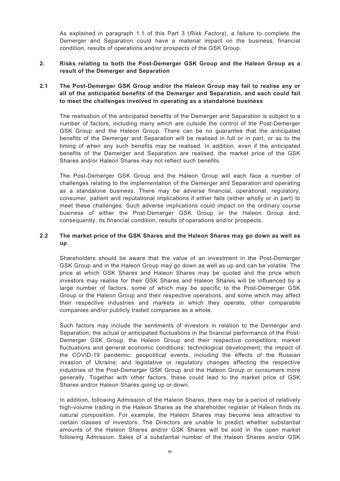As explained in paragraph 1.1 of this Part 3 (*Risk Factors*), a failure to complete the Demerger and Separation could have a material impact on the business, financial condition, results of operations and/or prospects of the GSK Group.

## **2. Risks relating to both the Post-Demerger GSK Group and the Haleon Group as a result of the Demerger and Separation**

## **2.1 The Post-Demerger GSK Group and/or the Haleon Group may fail to realise any or all of the anticipated benefits of the Demerger and Separation, and each could fail to meet the challenges involved in operating as a standalone business**

The realisation of the anticipated benefits of the Demerger and Separation is subject to a number of factors, including many which are outside the control of the Post-Demerger GSK Group and the Haleon Group. There can be no guarantee that the anticipated benefits of the Demerger and Separation will be realised in full or in part, or as to the timing of when any such benefits may be realised. In addition, even if the anticipated benefits of the Demerger and Separation are realised, the market price of the GSK Shares and/or Haleon Shares may not reflect such benefits.

The Post-Demerger GSK Group and the Haleon Group will each face a number of challenges relating to the implementation of the Demerger and Separation and operating as a standalone business. There may be adverse financial, operational, regulatory, consumer, patient and reputational implications if either fails (either wholly or in part) to meet these challenges. Such adverse implications could impact on the ordinary course business of either the Post-Demerger GSK Group or the Haleon Group and, consequently, its financial condition, results of operations and/or prospects.

## **2.2 The market price of the GSK Shares and the Haleon Shares may go down as well as up**

Shareholders should be aware that the value of an investment in the Post-Demerger GSK Group and in the Haleon Group may go down as well as up and can be volatile. The price at which GSK Shares and Haleon Shares may be quoted and the price which investors may realise for their GSK Shares and Haleon Shares will be influenced by a large number of factors, some of which may be specific to the Post-Demerger GSK Group or the Haleon Group and their respective operations, and some which may affect their respective industries and markets in which they operate, other comparable companies and/or publicly traded companies as a whole.

Such factors may include the sentiments of investors in relation to the Demerger and Separation; the actual or anticipated fluctuations in the financial performance of the Post-Demerger GSK Group, the Haleon Group and their respective competitors; market fluctuations and general economic conditions; technological development; the impact of the COVID-19 pandemic; geopolitical events, including the effects of the Russian invasion of Ukraine; and legislative or regulatory changes affecting the respective industries of the Post-Demerger GSK Group and the Haleon Group or consumers more generally. Together with other factors, these could lead to the market price of GSK Shares and/or Haleon Shares going up or down.

In addition, following Admission of the Haleon Shares, there may be a period of relatively high-volume trading in the Haleon Shares as the shareholder register of Haleon finds its natural composition. For example, the Haleon Shares may become less attractive to certain classes of investors. The Directors are unable to predict whether substantial amounts of the Haleon Shares and/or GSK Shares will be sold in the open market following Admission. Sales of a substantial number of the Haleon Shares and/or GSK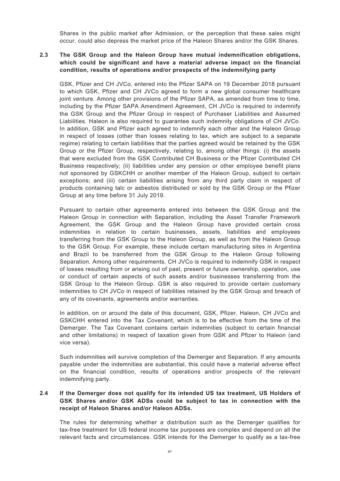Shares in the public market after Admission, or the perception that these sales might occur, could also depress the market price of the Haleon Shares and/or the GSK Shares.

# **2.3 The GSK Group and the Haleon Group have mutual indemnification obligations, which could be significant and have a material adverse impact on the financial condition, results of operations and/or prospects of the indemnifying party**

GSK, Pfizer and CH JVCo, entered into the Pfizer SAPA on 19 December 2018 pursuant to which GSK, Pfizer and CH JVCo agreed to form a new global consumer healthcare joint venture. Among other provisions of the Pfizer SAPA, as amended from time to time, including by the Pfizer SAPA Amendment Agreement, CH JVCo is required to indemnify the GSK Group and the Pfizer Group in respect of Purchaser Liabilities and Assumed Liabilities. Haleon is also required to guarantee such indemnity obligations of CH JVCo. In addition, GSK and Pfizer each agreed to indemnify each other and the Haleon Group in respect of losses (other than losses relating to tax, which are subject to a separate regime) relating to certain liabilities that the parties agreed would be retained by the GSK Group or the Pfizer Group, respectively, relating to, among other things: (i) the assets that were excluded from the GSK Contributed CH Business or the Pfizer Contributed CH Business respectively; (ii) liabilities under any pension or other employee benefit plans not sponsored by GSKCHH or another member of the Haleon Group, subject to certain exceptions; and (iii) certain liabilities arising from any third party claim in respect of products containing talc or asbestos distributed or sold by the GSK Group or the Pfizer Group at any time before 31 July 2019.

Pursuant to certain other agreements entered into between the GSK Group and the Haleon Group in connection with Separation, including the Asset Transfer Framework Agreement, the GSK Group and the Haleon Group have provided certain cross indemnities in relation to certain businesses, assets, liabilities and employees transferring from the GSK Group to the Haleon Group, as well as from the Haleon Group to the GSK Group. For example, these include certain manufacturing sites in Argentina and Brazil to be transferred from the GSK Group to the Haleon Group following Separation. Among other requirements, CH JVCo is required to indemnify GSK in respect of losses resulting from or arising out of past, present or future ownership, operation, use or conduct of certain aspects of such assets and/or businesses transferring from the GSK Group to the Haleon Group. GSK is also required to provide certain customary indemnities to CH JVCo in respect of liabilities retained by the GSK Group and breach of any of its covenants, agreements and/or warranties.

In addition, on or around the date of this document, GSK, Pfizer, Haleon, CH JVCo and GSKCHH entered into the Tax Covenant, which is to be effective from the time of the Demerger. The Tax Covenant contains certain indemnities (subject to certain financial and other limitations) in respect of taxation given from GSK and Pfizer to Haleon (and vice versa).

Such indemnities will survive completion of the Demerger and Separation. If any amounts payable under the indemnities are substantial, this could have a material adverse effect on the financial condition, results of operations and/or prospects of the relevant indemnifying party.

# **2.4 If the Demerger does not qualify for its intended US tax treatment, US Holders of GSK Shares and/or GSK ADSs could be subject to tax in connection with the receipt of Haleon Shares and/or Haleon ADSs.**

The rules for determining whether a distribution such as the Demerger qualifies for tax-free treatment for US federal income tax purposes are complex and depend on all the relevant facts and circumstances. GSK intends for the Demerger to qualify as a tax-free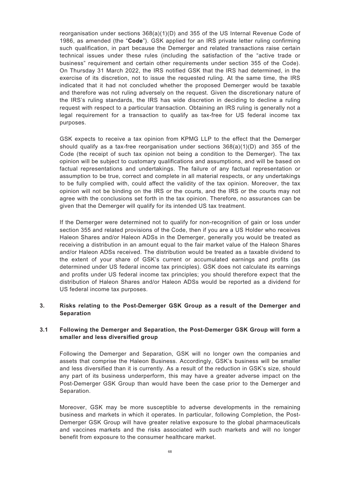reorganisation under sections 368(a)(1)(D) and 355 of the US Internal Revenue Code of 1986, as amended (the "**Code**"). GSK applied for an IRS private letter ruling confirming such qualification, in part because the Demerger and related transactions raise certain technical issues under these rules (including the satisfaction of the "active trade or business" requirement and certain other requirements under section 355 of the Code). On Thursday 31 March 2022, the IRS notified GSK that the IRS had determined, in the exercise of its discretion, not to issue the requested ruling. At the same time, the IRS indicated that it had not concluded whether the proposed Demerger would be taxable and therefore was not ruling adversely on the request. Given the discretionary nature of the IRS's ruling standards, the IRS has wide discretion in deciding to decline a ruling request with respect to a particular transaction. Obtaining an IRS ruling is generally not a legal requirement for a transaction to qualify as tax-free for US federal income tax purposes.

GSK expects to receive a tax opinion from KPMG LLP to the effect that the Demerger should qualify as a tax-free reorganisation under sections 368(a)(1)(D) and 355 of the Code (the receipt of such tax opinion not being a condition to the Demerger). The tax opinion will be subject to customary qualifications and assumptions, and will be based on factual representations and undertakings. The failure of any factual representation or assumption to be true, correct and complete in all material respects, or any undertakings to be fully complied with, could affect the validity of the tax opinion. Moreover, the tax opinion will not be binding on the IRS or the courts, and the IRS or the courts may not agree with the conclusions set forth in the tax opinion. Therefore, no assurances can be given that the Demerger will qualify for its intended US tax treatment.

If the Demerger were determined not to qualify for non-recognition of gain or loss under section 355 and related provisions of the Code, then if you are a US Holder who receives Haleon Shares and/or Haleon ADSs in the Demerger, generally you would be treated as receiving a distribution in an amount equal to the fair market value of the Haleon Shares and/or Haleon ADSs received. The distribution would be treated as a taxable dividend to the extent of your share of GSK's current or accumulated earnings and profits (as determined under US federal income tax principles). GSK does not calculate its earnings and profits under US federal income tax principles; you should therefore expect that the distribution of Haleon Shares and/or Haleon ADSs would be reported as a dividend for US federal income tax purposes.

## **3. Risks relating to the Post-Demerger GSK Group as a result of the Demerger and Separation**

## **3.1 Following the Demerger and Separation, the Post-Demerger GSK Group will form a smaller and less diversified group**

Following the Demerger and Separation, GSK will no longer own the companies and assets that comprise the Haleon Business. Accordingly, GSK's business will be smaller and less diversified than it is currently. As a result of the reduction in GSK's size, should any part of its business underperform, this may have a greater adverse impact on the Post-Demerger GSK Group than would have been the case prior to the Demerger and Separation.

Moreover, GSK may be more susceptible to adverse developments in the remaining business and markets in which it operates. In particular, following Completion, the Post-Demerger GSK Group will have greater relative exposure to the global pharmaceuticals and vaccines markets and the risks associated with such markets and will no longer benefit from exposure to the consumer healthcare market.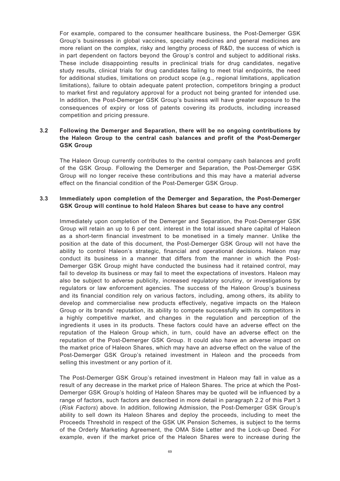For example, compared to the consumer healthcare business, the Post-Demerger GSK Group's businesses in global vaccines, specialty medicines and general medicines are more reliant on the complex, risky and lengthy process of R&D, the success of which is in part dependent on factors beyond the Group's control and subject to additional risks. These include disappointing results in preclinical trials for drug candidates, negative study results, clinical trials for drug candidates failing to meet trial endpoints, the need for additional studies, limitations on product scope (e.g., regional limitations, application limitations), failure to obtain adequate patent protection, competitors bringing a product to market first and regulatory approval for a product not being granted for intended use. In addition, the Post-Demerger GSK Group's business will have greater exposure to the consequences of expiry or loss of patents covering its products, including increased competition and pricing pressure.

# **3.2 Following the Demerger and Separation, there will be no ongoing contributions by the Haleon Group to the central cash balances and profit of the Post-Demerger GSK Group**

The Haleon Group currently contributes to the central company cash balances and profit of the GSK Group. Following the Demerger and Separation, the Post-Demerger GSK Group will no longer receive these contributions and this may have a material adverse effect on the financial condition of the Post-Demerger GSK Group.

## **3.3 Immediately upon completion of the Demerger and Separation, the Post-Demerger GSK Group will continue to hold Haleon Shares but cease to have any control**

Immediately upon completion of the Demerger and Separation, the Post-Demerger GSK Group will retain an up to 6 per cent. interest in the total issued share capital of Haleon as a short-term financial investment to be monetised in a timely manner. Unlike the position at the date of this document, the Post-Demerger GSK Group will not have the ability to control Haleon's strategic, financial and operational decisions. Haleon may conduct its business in a manner that differs from the manner in which the Post-Demerger GSK Group might have conducted the business had it retained control, may fail to develop its business or may fail to meet the expectations of investors. Haleon may also be subject to adverse publicity, increased regulatory scrutiny, or investigations by regulators or law enforcement agencies. The success of the Haleon Group's business and its financial condition rely on various factors, including, among others, its ability to develop and commercialise new products effectively, negative impacts on the Haleon Group or its brands' reputation, its ability to compete successfully with its competitors in a highly competitive market, and changes in the regulation and perception of the ingredients it uses in its products. These factors could have an adverse effect on the reputation of the Haleon Group which, in turn, could have an adverse effect on the reputation of the Post-Demerger GSK Group. It could also have an adverse impact on the market price of Haleon Shares, which may have an adverse effect on the value of the Post-Demerger GSK Group's retained investment in Haleon and the proceeds from selling this investment or any portion of it.

The Post-Demerger GSK Group's retained investment in Haleon may fall in value as a result of any decrease in the market price of Haleon Shares. The price at which the Post-Demerger GSK Group's holding of Haleon Shares may be quoted will be influenced by a range of factors, such factors are described in more detail in paragraph 2.2 of this Part 3 (*Risk Factors*) above. In addition, following Admission, the Post-Demerger GSK Group's ability to sell down its Haleon Shares and deploy the proceeds, including to meet the Proceeds Threshold in respect of the GSK UK Pension Schemes, is subject to the terms of the Orderly Marketing Agreement, the OMA Side Letter and the Lock-up Deed. For example, even if the market price of the Haleon Shares were to increase during the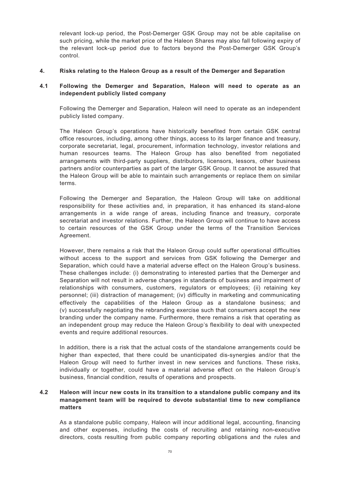relevant lock-up period, the Post-Demerger GSK Group may not be able capitalise on such pricing, while the market price of the Haleon Shares may also fall following expiry of the relevant lock-up period due to factors beyond the Post-Demerger GSK Group's control.

### **4. Risks relating to the Haleon Group as a result of the Demerger and Separation**

## **4.1 Following the Demerger and Separation, Haleon will need to operate as an independent publicly listed company**

Following the Demerger and Separation, Haleon will need to operate as an independent publicly listed company.

The Haleon Group's operations have historically benefited from certain GSK central office resources, including, among other things, access to its larger finance and treasury, corporate secretariat, legal, procurement, information technology, investor relations and human resources teams. The Haleon Group has also benefited from negotiated arrangements with third-party suppliers, distributors, licensors, lessors, other business partners and/or counterparties as part of the larger GSK Group. It cannot be assured that the Haleon Group will be able to maintain such arrangements or replace them on similar terms.

Following the Demerger and Separation, the Haleon Group will take on additional responsibility for these activities and, in preparation, it has enhanced its stand-alone arrangements in a wide range of areas, including finance and treasury, corporate secretariat and investor relations. Further, the Haleon Group will continue to have access to certain resources of the GSK Group under the terms of the Transition Services Agreement.

However, there remains a risk that the Haleon Group could suffer operational difficulties without access to the support and services from GSK following the Demerger and Separation, which could have a material adverse effect on the Haleon Group's business. These challenges include: (i) demonstrating to interested parties that the Demerger and Separation will not result in adverse changes in standards of business and impairment of relationships with consumers, customers, regulators or employees; (ii) retaining key personnel; (iii) distraction of management; (iv) difficulty in marketing and communicating effectively the capabilities of the Haleon Group as a standalone business; and (v) successfully negotiating the rebranding exercise such that consumers accept the new branding under the company name. Furthermore, there remains a risk that operating as an independent group may reduce the Haleon Group's flexibility to deal with unexpected events and require additional resources.

In addition, there is a risk that the actual costs of the standalone arrangements could be higher than expected, that there could be unanticipated dis-synergies and/or that the Haleon Group will need to further invest in new services and functions. These risks, individually or together, could have a material adverse effect on the Haleon Group's business, financial condition, results of operations and prospects.

# **4.2 Haleon will incur new costs in its transition to a standalone public company and its management team will be required to devote substantial time to new compliance matters**

As a standalone public company, Haleon will incur additional legal, accounting, financing and other expenses, including the costs of recruiting and retaining non-executive directors, costs resulting from public company reporting obligations and the rules and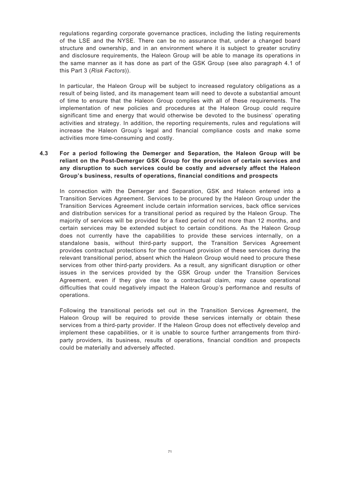regulations regarding corporate governance practices, including the listing requirements of the LSE and the NYSE. There can be no assurance that, under a changed board structure and ownership, and in an environment where it is subject to greater scrutiny and disclosure requirements, the Haleon Group will be able to manage its operations in the same manner as it has done as part of the GSK Group (see also paragraph 4.1 of this Part 3 (*Risk Factors*)).

In particular, the Haleon Group will be subject to increased regulatory obligations as a result of being listed, and its management team will need to devote a substantial amount of time to ensure that the Haleon Group complies with all of these requirements. The implementation of new policies and procedures at the Haleon Group could require significant time and energy that would otherwise be devoted to the business' operating activities and strategy. In addition, the reporting requirements, rules and regulations will increase the Haleon Group's legal and financial compliance costs and make some activities more time-consuming and costly.

# **4.3 For a period following the Demerger and Separation, the Haleon Group will be reliant on the Post-Demerger GSK Group for the provision of certain services and any disruption to such services could be costly and adversely affect the Haleon Group's business, results of operations, financial conditions and prospects**

In connection with the Demerger and Separation, GSK and Haleon entered into a Transition Services Agreement. Services to be procured by the Haleon Group under the Transition Services Agreement include certain information services, back office services and distribution services for a transitional period as required by the Haleon Group. The majority of services will be provided for a fixed period of not more than 12 months, and certain services may be extended subject to certain conditions. As the Haleon Group does not currently have the capabilities to provide these services internally, on a standalone basis, without third-party support, the Transition Services Agreement provides contractual protections for the continued provision of these services during the relevant transitional period, absent which the Haleon Group would need to procure these services from other third-party providers. As a result, any significant disruption or other issues in the services provided by the GSK Group under the Transition Services Agreement, even if they give rise to a contractual claim, may cause operational difficulties that could negatively impact the Haleon Group's performance and results of operations.

Following the transitional periods set out in the Transition Services Agreement, the Haleon Group will be required to provide these services internally or obtain these services from a third-party provider. If the Haleon Group does not effectively develop and implement these capabilities, or it is unable to source further arrangements from thirdparty providers, its business, results of operations, financial condition and prospects could be materially and adversely affected.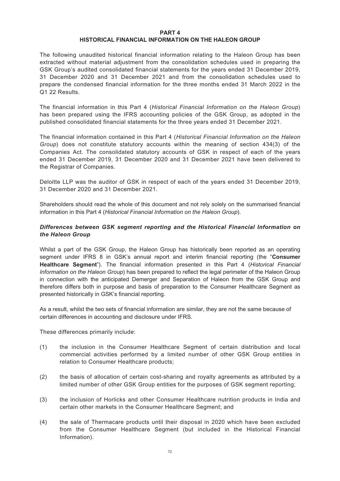#### **PART 4 HISTORICAL FINANCIAL INFORMATION ON THE HALEON GROUP**

The following unaudited historical financial information relating to the Haleon Group has been extracted without material adjustment from the consolidation schedules used in preparing the GSK Group's audited consolidated financial statements for the years ended 31 December 2019, 31 December 2020 and 31 December 2021 and from the consolidation schedules used to prepare the condensed financial information for the three months ended 31 March 2022 in the Q1 22 Results.

The financial information in this Part 4 (*Historical Financial Information on the Haleon Group*) has been prepared using the IFRS accounting policies of the GSK Group, as adopted in the published consolidated financial statements for the three years ended 31 December 2021.

The financial information contained in this Part 4 (*Historical Financial Information on the Haleon Group*) does not constitute statutory accounts within the meaning of section 434(3) of the Companies Act. The consolidated statutory accounts of GSK in respect of each of the years ended 31 December 2019, 31 December 2020 and 31 December 2021 have been delivered to the Registrar of Companies.

Deloitte LLP was the auditor of GSK in respect of each of the years ended 31 December 2019, 31 December 2020 and 31 December 2021.

Shareholders should read the whole of this document and not rely solely on the summarised financial information in this Part 4 (*Historical Financial Information on the Haleon Group*).

## *Differences between GSK segment reporting and the Historical Financial Information on the Haleon Group*

Whilst a part of the GSK Group, the Haleon Group has historically been reported as an operating segment under IFRS 8 in GSK's annual report and interim financial reporting (the "**Consumer Healthcare Segment**"). The financial information presented in this Part 4 (*Historical Financial Information on the Haleon Group*) has been prepared to reflect the legal perimeter of the Haleon Group in connection with the anticipated Demerger and Separation of Haleon from the GSK Group and therefore differs both in purpose and basis of preparation to the Consumer Healthcare Segment as presented historically in GSK's financial reporting.

As a result, whilst the two sets of financial information are similar, they are not the same because of certain differences in accounting and disclosure under IFRS.

These differences primarily include:

- (1) the inclusion in the Consumer Healthcare Segment of certain distribution and local commercial activities performed by a limited number of other GSK Group entities in relation to Consumer Healthcare products;
- (2) the basis of allocation of certain cost-sharing and royalty agreements as attributed by a limited number of other GSK Group entities for the purposes of GSK segment reporting;
- (3) the inclusion of Horlicks and other Consumer Healthcare nutrition products in India and certain other markets in the Consumer Healthcare Segment; and
- (4) the sale of Thermacare products until their disposal in 2020 which have been excluded from the Consumer Healthcare Segment (but included in the Historical Financial Information).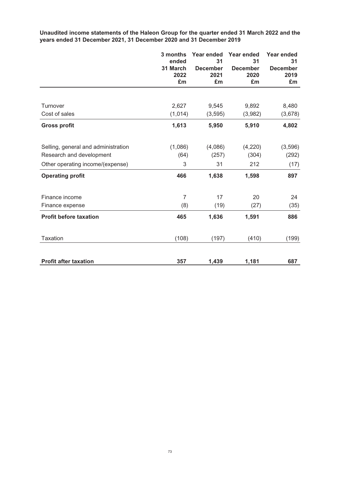**Unaudited income statements of the Haleon Group for the quarter ended 31 March 2022 and the years ended 31 December 2021, 31 December 2020 and 31 December 2019**

|                                     | 3 months<br>ended<br>31 March<br>2022<br>£m | Year ended<br>31<br><b>December</b><br>2021<br>£m | Year ended<br>31<br><b>December</b><br>2020<br>£m | Year ended<br>31<br><b>December</b><br>2019<br>£m |
|-------------------------------------|---------------------------------------------|---------------------------------------------------|---------------------------------------------------|---------------------------------------------------|
|                                     |                                             |                                                   |                                                   |                                                   |
| Turnover                            | 2,627                                       | 9,545                                             | 9,892                                             | 8,480                                             |
| Cost of sales                       | (1,014)                                     | (3, 595)                                          | (3,982)                                           | (3,678)                                           |
| <b>Gross profit</b>                 | 1,613                                       | 5,950                                             | 5,910                                             | 4,802                                             |
| Selling, general and administration | (1,086)                                     | (4,086)                                           | (4,220)                                           | (3,596)                                           |
| Research and development            | (64)                                        | (257)                                             | (304)                                             | (292)                                             |
| Other operating income/(expense)    | 3                                           | 31                                                | 212                                               | (17)                                              |
| <b>Operating profit</b>             | 466                                         | 1,638                                             | 1,598                                             | 897                                               |
| Finance income                      | $\overline{7}$                              | 17                                                | 20                                                | 24                                                |
| Finance expense                     | (8)                                         | (19)                                              | (27)                                              | (35)                                              |
| <b>Profit before taxation</b>       | 465                                         | 1,636                                             | 1,591                                             | 886                                               |
| <b>Taxation</b>                     | (108)                                       | (197)                                             | (410)                                             | (199)                                             |
| <b>Profit after taxation</b>        | 357                                         | 1,439                                             | 1,181                                             | 687                                               |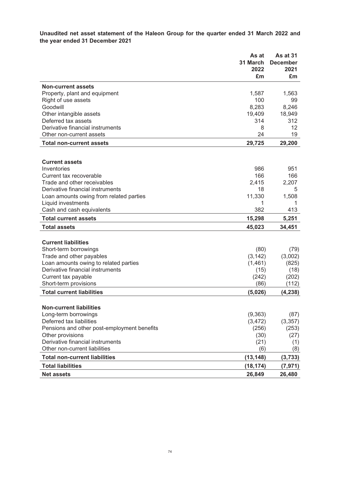**Unaudited net asset statement of the Haleon Group for the quarter ended 31 March 2022 and the year ended 31 December 2021**

|                                                        | As at<br>31 March<br>2022<br>£m | As at 31<br><b>December</b><br>2021<br>£m |
|--------------------------------------------------------|---------------------------------|-------------------------------------------|
| <b>Non-current assets</b>                              |                                 |                                           |
| Property, plant and equipment                          | 1,587                           | 1,563                                     |
| Right of use assets                                    | 100                             | 99                                        |
| Goodwill                                               | 8,283                           | 8,246                                     |
| Other intangible assets                                | 19,409                          | 18,949                                    |
| Deferred tax assets                                    | 314                             | 312                                       |
| Derivative financial instruments                       | 8                               | 12                                        |
| Other non-current assets                               | 24                              | 19                                        |
| <b>Total non-current assets</b>                        | 29,725                          | 29,200                                    |
|                                                        |                                 |                                           |
| <b>Current assets</b>                                  |                                 |                                           |
| Inventories                                            | 986                             | 951<br>166                                |
| Current tax recoverable<br>Trade and other receivables | 166<br>2,415                    | 2,207                                     |
| Derivative financial instruments                       | 18                              | 5                                         |
| Loan amounts owing from related parties                | 11,330                          | 1,508                                     |
| Liquid investments                                     | 1                               | 1                                         |
| Cash and cash equivalents                              | 382                             | 413                                       |
| <b>Total current assets</b>                            | 15,298                          | 5,251                                     |
|                                                        |                                 |                                           |
| <b>Total assets</b>                                    | 45,023                          | 34,451                                    |
|                                                        |                                 |                                           |
| <b>Current liabilities</b><br>Short-term borrowings    |                                 |                                           |
| Trade and other payables                               | (80)<br>(3, 142)                | (79)<br>(3,002)                           |
| Loan amounts owing to related parties                  | (1,461)                         | (825)                                     |
| Derivative financial instruments                       | (15)                            | (18)                                      |
| Current tax payable                                    | (242)                           | (202)                                     |
| Short-term provisions                                  | (86)                            | (112)                                     |
| <b>Total current liabilities</b>                       | (5,026)                         | (4, 238)                                  |
|                                                        |                                 |                                           |
| <b>Non-current liabilities</b>                         |                                 |                                           |
| Long-term borrowings                                   | (9, 363)                        | (87)                                      |
| Deferred tax liabilities                               | (3, 472)                        | (3, 357)                                  |
| Pensions and other post-employment benefits            | (256)                           | (253)                                     |
| Other provisions                                       | (30)                            | (27)                                      |
| Derivative financial instruments                       | (21)                            | (1)                                       |
| Other non-current liabilities                          | (6)                             | (8)                                       |
| <b>Total non-current liabilities</b>                   | (13, 148)                       | (3,733)                                   |
| <b>Total liabilities</b>                               | (18, 174)                       | (7, 971)                                  |
| <b>Net assets</b>                                      | 26,849                          | 26,480                                    |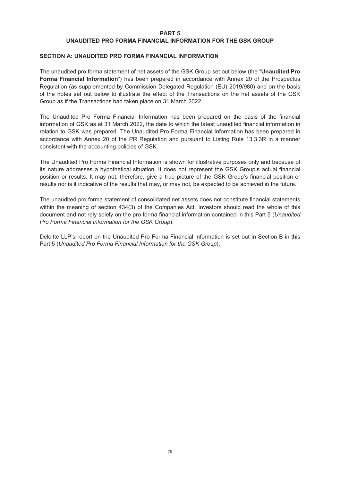#### **PART 5 UNAUDITED PRO FORMA FINANCIAL INFORMATION FOR THE GSK GROUP**

#### **SECTION A: UNAUDITED PRO FORMA FINANCIAL INFORMATION**

The unaudited pro forma statement of net assets of the GSK Group set out below (the "**Unaudited Pro Forma Financial Information**") has been prepared in accordance with Annex 20 of the Prospectus Regulation (as supplemented by Commission Delegated Regulation (EU) 2019/980) and on the basis of the notes set out below to illustrate the effect of the Transactions on the net assets of the GSK Group as if the Transactions had taken place on 31 March 2022.

The Unaudited Pro Forma Financial Information has been prepared on the basis of the financial information of GSK as at 31 March 2022, the date to which the latest unaudited financial information in relation to GSK was prepared. The Unaudited Pro Forma Financial Information has been prepared in accordance with Annex 20 of the PR Regulation and pursuant to Listing Rule 13.3.3R in a manner consistent with the accounting policies of GSK.

The Unaudited Pro Forma Financial Information is shown for illustrative purposes only and because of its nature addresses a hypothetical situation. It does not represent the GSK Group's actual financial position or results. It may not, therefore, give a true picture of the GSK Group's financial position or results nor is it indicative of the results that may, or may not, be expected to be achieved in the future.

The unaudited pro forma statement of consolidated net assets does not constitute financial statements within the meaning of section 434(3) of the Companies Act. Investors should read the whole of this document and not rely solely on the pro forma financial information contained in this Part 5 (*Unaudited Pro Forma Financial Information for the GSK Group*).

Deloitte LLP's report on the Unaudited Pro Forma Financial Information is set out in Section B in this Part 5 (*Unaudited Pro Forma Financial Information for the GSK Group*).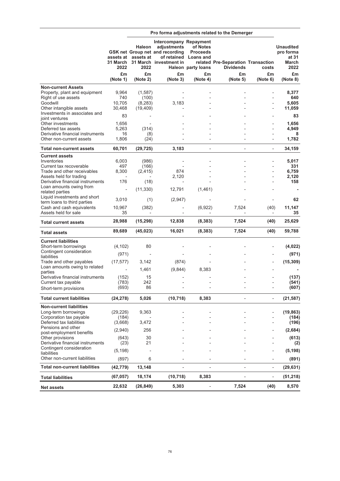|                                                                                                                                                               |                                   |                                       |                                                                                                    |                                                                            | Pro forma adjustments related to the Demerger          |                              |                                                         |
|---------------------------------------------------------------------------------------------------------------------------------------------------------------|-----------------------------------|---------------------------------------|----------------------------------------------------------------------------------------------------|----------------------------------------------------------------------------|--------------------------------------------------------|------------------------------|---------------------------------------------------------|
|                                                                                                                                                               | 31 March<br>2022                  | Haleon<br>assets at assets at<br>2022 | Intercompany Repayment<br>adjustments<br>GSK net Group net and recording<br>31 March investment in | of Notes<br><b>Proceeds</b><br>of retained Loans and<br>Haleon party loans | related Pre-Separation Transaction<br><b>Dividends</b> | costs                        | <b>Unaudited</b><br>pro forma<br>at 31<br>March<br>2022 |
|                                                                                                                                                               | £m<br>(Note 1)                    | £m<br>(Note 2)                        | £m<br>(Note 3)                                                                                     | £m<br>(Note 4)                                                             | £m<br>(Note 5)                                         | £m<br>(Note 6)               | £m<br>(Note 8)                                          |
| <b>Non-current Assets</b><br>Property, plant and equipment<br>Right of use assets<br>Goodwill                                                                 | 9,964<br>740<br>10,705            | (1, 587)<br>(100)<br>(8, 283)         | 3,183                                                                                              |                                                                            |                                                        |                              | 8,377<br>640<br>5,605                                   |
| Other intangible assets<br>Investments in associates and<br>joint ventures                                                                                    | 30,468<br>83                      | (19, 409)                             |                                                                                                    |                                                                            |                                                        |                              | 11,059<br>83                                            |
| Other investments<br>Deferred tax assets<br>Derivative financial instruments                                                                                  | 1,656<br>5,263<br>16              | (314)                                 |                                                                                                    |                                                                            |                                                        |                              | 1,656<br>4,949<br>8                                     |
| Other non-current assets                                                                                                                                      | 1,806                             | (8)<br>(24)                           |                                                                                                    |                                                                            |                                                        |                              | 1,782                                                   |
| <b>Total non-current assets</b>                                                                                                                               | 60,701                            | (29, 725)                             | 3,183                                                                                              |                                                                            |                                                        | $\overline{\phantom{0}}$     | 34,159                                                  |
| <b>Current assets</b><br>Inventories<br>Current tax recoverable<br>Trade and other receivables<br>Assets held for trading<br>Derivative financial instruments | 6,003<br>497<br>8.300<br>176      | (986)<br>(166)<br>(2, 415)<br>(18)    | 874<br>2.120<br>÷,                                                                                 |                                                                            |                                                        | L,                           | 5,017<br>331<br>6,759<br>2,120<br>158                   |
| Loan amounts owing from<br>related parties<br>Liquid investments and short                                                                                    | $\overline{\phantom{a}}$<br>3,010 | (11, 330)                             | 12,791                                                                                             | (1,461)                                                                    |                                                        |                              | 62                                                      |
| term loans to third parties<br>Cash and cash equivalents<br>Assets held for sale                                                                              | 10,967<br>35                      | (1)<br>(382)                          | (2,947)                                                                                            | (6,922)                                                                    | 7,524                                                  | (40)                         | 11,147<br>35                                            |
| <b>Total current assets</b>                                                                                                                                   | 28,988                            | (15, 298)                             | 12,838                                                                                             | (8, 383)                                                                   | 7,524                                                  | (40)                         | 25,629                                                  |
| <b>Total assets</b>                                                                                                                                           | 89,689                            | (45, 023)                             | 16,021                                                                                             | (8, 383)                                                                   | 7,524                                                  | (40)                         | 59,788                                                  |
| <b>Current liabilities</b><br>Short-term borrowings<br>Contingent consideration<br>liabilities                                                                | (4, 102)<br>(971)                 | 80                                    |                                                                                                    |                                                                            |                                                        |                              | (4,022)<br>(971)                                        |
| Trade and other payables<br>Loan amounts owing to related<br>parties                                                                                          | (17, 577)                         | 3,142<br>1,461                        | (874)<br>(9,844)                                                                                   | 8,383                                                                      |                                                        |                              | (15, 309)                                               |
| Derivative financial instruments<br>Current tax payable<br>Short-term provisions                                                                              | (152)<br>(783)<br>(693)           | 15<br>242<br>86                       |                                                                                                    |                                                                            |                                                        |                              | (137)<br>(541)<br>(607)                                 |
| <b>Total current liabilities</b>                                                                                                                              | (24, 278)                         | 5,026                                 | (10, 718)                                                                                          | 8,383                                                                      |                                                        | $\qquad \qquad \blacksquare$ | (21, 587)                                               |
| <b>Non-current liabilities</b><br>Long-term borrowings<br>Corporation tax payable<br>Deferred tax liabilities                                                 | (29, 226)<br>(184)<br>(3,668)     | 9,363<br>3,472                        |                                                                                                    |                                                                            |                                                        |                              | (19, 863)<br>(184)<br>(196)                             |
| Pensions and other<br>post-employment benefits                                                                                                                | (2,940)                           | 256                                   |                                                                                                    |                                                                            |                                                        |                              | (2,684)                                                 |
| Other provisions<br>Derivative financial instruments<br>Contingent consideration                                                                              | (643)<br>(23)                     | 30<br>21                              |                                                                                                    |                                                                            |                                                        |                              | (613)<br>(2)                                            |
| liabilities<br>Other non-current liabilities                                                                                                                  | (5, 198)<br>(897)                 | 6                                     |                                                                                                    |                                                                            |                                                        |                              | (5, 198)<br>(891)                                       |
| <b>Total non-current liabilities</b>                                                                                                                          | (42, 779)                         | 13,148                                |                                                                                                    |                                                                            |                                                        | $\overline{\phantom{m}}$     | (29, 631)                                               |
| <b>Total liabilities</b>                                                                                                                                      | (67, 057)                         | 18,174                                | (10, 718)                                                                                          | 8,383                                                                      |                                                        |                              | (51, 218)                                               |
| <b>Net assets</b>                                                                                                                                             | 22,632                            | (26, 849)                             | 5,303                                                                                              |                                                                            | 7,524                                                  | (40)                         | 8,570                                                   |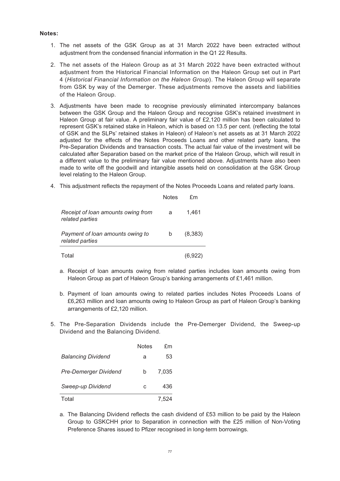#### **Notes:**

- 1. The net assets of the GSK Group as at 31 March 2022 have been extracted without adjustment from the condensed financial information in the Q1 22 Results.
- 2. The net assets of the Haleon Group as at 31 March 2022 have been extracted without adjustment from the Historical Financial Information on the Haleon Group set out in Part 4 (*Historical Financial Information on the Haleon Group*). The Haleon Group will separate from GSK by way of the Demerger. These adjustments remove the assets and liabilities of the Haleon Group.
- 3. Adjustments have been made to recognise previously eliminated intercompany balances between the GSK Group and the Haleon Group and recognise GSK's retained investment in Haleon Group at fair value. A preliminary fair value of £2,120 million has been calculated to represent GSK's retained stake in Haleon, which is based on 13.5 per cent. (reflecting the total of GSK and the SLPs' retained stakes in Haleon) of Haleon's net assets as at 31 March 2022 adjusted for the effects of the Notes Proceeds Loans and other related party loans, the Pre-Separation Dividends and transaction costs. The actual fair value of the investment will be calculated after Separation based on the market price of the Haleon Group, which will result in a different value to the preliminary fair value mentioned above. Adjustments have also been made to write off the goodwill and intangible assets held on consolidation at the GSK Group level relating to the Haleon Group.
- 4. This adjustment reflects the repayment of the Notes Proceeds Loans and related party loans.

|                                                       | <b>Notes</b> | fm      |
|-------------------------------------------------------|--------------|---------|
| Receipt of loan amounts owing from<br>related parties | a            | 1.461   |
| Payment of loan amounts owing to<br>related parties   | b            | (8.383) |
| Total                                                 |              | (6,922) |

- a. Receipt of loan amounts owing from related parties includes loan amounts owing from Haleon Group as part of Haleon Group's banking arrangements of £1,461 million.
- b. Payment of loan amounts owing to related parties includes Notes Proceeds Loans of £6,263 million and loan amounts owing to Haleon Group as part of Haleon Group's banking arrangements of £2,120 million.
- 5. The Pre-Separation Dividends include the Pre-Demerger Dividend, the Sweep-up Dividend and the Balancing Dividend.

|                              | <b>Notes</b> | £m    |
|------------------------------|--------------|-------|
| <b>Balancing Dividend</b>    | a            | 53    |
| <b>Pre-Demerger Dividend</b> | b            | 7.035 |
| Sweep-up Dividend            | C            | 436   |
| Total                        |              | 7.524 |

a. The Balancing Dividend reflects the cash dividend of £53 million to be paid by the Haleon Group to GSKCHH prior to Separation in connection with the £25 million of Non-Voting Preference Shares issued to Pfizer recognised in long-term borrowings.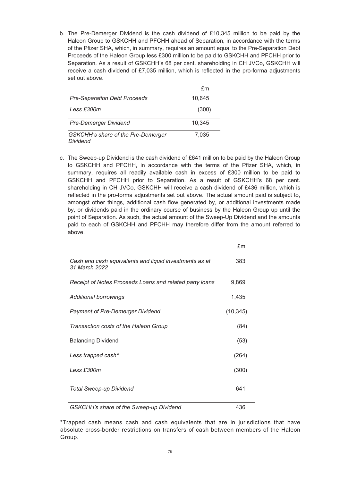b. The Pre-Demerger Dividend is the cash dividend of £10,345 million to be paid by the Haleon Group to GSKCHH and PFCHH ahead of Separation, in accordance with the terms of the Pfizer SHA, which, in summary, requires an amount equal to the Pre-Separation Debt Proceeds of the Haleon Group less £300 million to be paid to GSKCHH and PFCHH prior to Separation. As a result of GSKCHH's 68 per cent. shareholding in CH JVCo, GSKCHH will receive a cash dividend of £7,035 million, which is reflected in the pro-forma adjustments set out above.

|                                                | £m     |
|------------------------------------------------|--------|
| <b>Pre-Separation Debt Proceeds</b>            | 10,645 |
| Less £300m                                     | (300)  |
| Pre-Demerger Dividend                          | 10,345 |
| GSKCHH's share of the Pre-Demerger<br>Dividend | 7,035  |

c. The Sweep-up Dividend is the cash dividend of £641 million to be paid by the Haleon Group to GSKCHH and PFCHH, in accordance with the terms of the Pfizer SHA, which, in summary, requires all readily available cash in excess of £300 million to be paid to GSKCHH and PFCHH prior to Separation. As a result of GSKCHH's 68 per cent. shareholding in CH JVCo, GSKCHH will receive a cash dividend of £436 million, which is reflected in the pro-forma adjustments set out above. The actual amount paid is subject to, amongst other things, additional cash flow generated by, or additional investments made by, or dividends paid in the ordinary course of business by the Haleon Group up until the point of Separation. As such, the actual amount of the Sweep-Up Dividend and the amounts paid to each of GSKCHH and PFCHH may therefore differ from the amount referred to above.

£m

| Cash and cash equivalents and liquid investments as at<br>31 March 2022 | 383       |
|-------------------------------------------------------------------------|-----------|
| Receipt of Notes Proceeds Loans and related party loans                 | 9,869     |
| Additional borrowings                                                   | 1,435     |
| <b>Payment of Pre-Demerger Dividend</b>                                 | (10, 345) |
| Transaction costs of the Haleon Group                                   | (84)      |
| <b>Balancing Dividend</b>                                               | (53)      |
| Less trapped cash*                                                      | (264)     |
| Less £300m                                                              | (300)     |
| <b>Total Sweep-up Dividend</b>                                          | 641       |
| GSKCHH's share of the Sweep-up Dividend                                 | 436       |

\*Trapped cash means cash and cash equivalents that are in jurisdictions that have absolute cross-border restrictions on transfers of cash between members of the Haleon Group.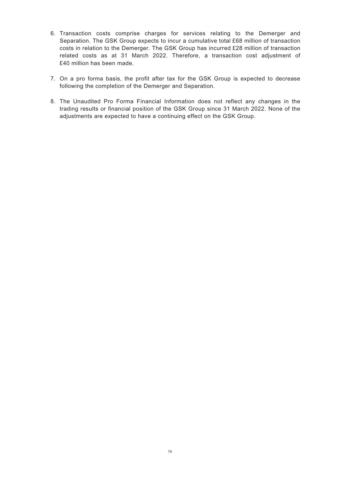- 6. Transaction costs comprise charges for services relating to the Demerger and Separation. The GSK Group expects to incur a cumulative total £68 million of transaction costs in relation to the Demerger. The GSK Group has incurred £28 million of transaction related costs as at 31 March 2022. Therefore, a transaction cost adjustment of £40 million has been made.
- 7. On a pro forma basis, the profit after tax for the GSK Group is expected to decrease following the completion of the Demerger and Separation.
- 8. The Unaudited Pro Forma Financial Information does not reflect any changes in the trading results or financial position of the GSK Group since 31 March 2022. None of the adjustments are expected to have a continuing effect on the GSK Group.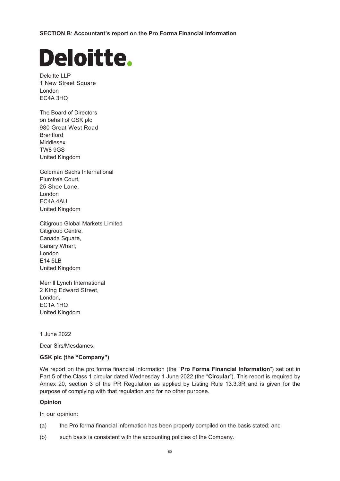**SECTION B**: **Accountant's report on the Pro Forma Financial Information**

# **Deloitte.**

Deloitte LLP 1 New Street Square London EC4A 3HQ

The Board of Directors on behalf of GSK plc 980 Great West Road **Brentford** Middlesex TW8 9GS United Kingdom

Goldman Sachs International Plumtree Court, 25 Shoe Lane, London EC4A 4AU United Kingdom

Citigroup Global Markets Limited Citigroup Centre, Canada Square, Canary Wharf, London E14 5LB United Kingdom

Merrill Lynch International 2 King Edward Street, London, EC1A 1HQ United Kingdom

1 June 2022

Dear Sirs/Mesdames,

## **GSK plc (the "Company")**

We report on the pro forma financial information (the "**Pro Forma Financial Information**") set out in Part 5 of the Class 1 circular dated Wednesday 1 June 2022 (the "**Circular**"). This report is required by Annex 20, section 3 of the PR Regulation as applied by Listing Rule 13.3.3R and is given for the purpose of complying with that regulation and for no other purpose.

## **Opinion**

In our opinion:

- (a) the Pro forma financial information has been properly compiled on the basis stated; and
- (b) such basis is consistent with the accounting policies of the Company.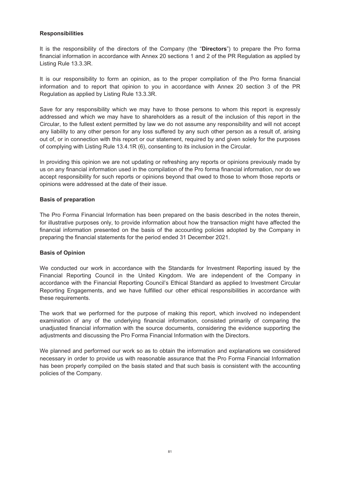## **Responsibilities**

It is the responsibility of the directors of the Company (the "**Directors**") to prepare the Pro forma financial information in accordance with Annex 20 sections 1 and 2 of the PR Regulation as applied by Listing Rule 13.3.3R.

It is our responsibility to form an opinion, as to the proper compilation of the Pro forma financial information and to report that opinion to you in accordance with Annex 20 section 3 of the PR Regulation as applied by Listing Rule 13.3.3R.

Save for any responsibility which we may have to those persons to whom this report is expressly addressed and which we may have to shareholders as a result of the inclusion of this report in the Circular, to the fullest extent permitted by law we do not assume any responsibility and will not accept any liability to any other person for any loss suffered by any such other person as a result of, arising out of, or in connection with this report or our statement, required by and given solely for the purposes of complying with Listing Rule 13.4.1R (6), consenting to its inclusion in the Circular.

In providing this opinion we are not updating or refreshing any reports or opinions previously made by us on any financial information used in the compilation of the Pro forma financial information, nor do we accept responsibility for such reports or opinions beyond that owed to those to whom those reports or opinions were addressed at the date of their issue.

#### **Basis of preparation**

The Pro Forma Financial Information has been prepared on the basis described in the notes therein, for illustrative purposes only, to provide information about how the transaction might have affected the financial information presented on the basis of the accounting policies adopted by the Company in preparing the financial statements for the period ended 31 December 2021.

#### **Basis of Opinion**

We conducted our work in accordance with the Standards for Investment Reporting issued by the Financial Reporting Council in the United Kingdom. We are independent of the Company in accordance with the Financial Reporting Council's Ethical Standard as applied to Investment Circular Reporting Engagements, and we have fulfilled our other ethical responsibilities in accordance with these requirements.

The work that we performed for the purpose of making this report, which involved no independent examination of any of the underlying financial information, consisted primarily of comparing the unadjusted financial information with the source documents, considering the evidence supporting the adjustments and discussing the Pro Forma Financial Information with the Directors.

We planned and performed our work so as to obtain the information and explanations we considered necessary in order to provide us with reasonable assurance that the Pro Forma Financial Information has been properly compiled on the basis stated and that such basis is consistent with the accounting policies of the Company.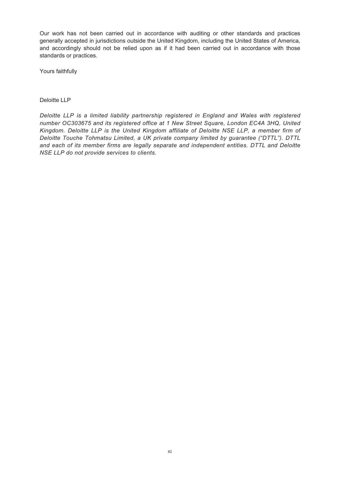Our work has not been carried out in accordance with auditing or other standards and practices generally accepted in jurisdictions outside the United Kingdom, including the United States of America, and accordingly should not be relied upon as if it had been carried out in accordance with those standards or practices.

Yours faithfully

#### Deloitte LLP

*Deloitte LLP is a limited liability partnership registered in England and Wales with registered number OC303675 and its registered office at 1 New Street Square, London EC4A 3HQ, United Kingdom. Deloitte LLP is the United Kingdom affiliate of Deloitte NSE LLP, a member firm of Deloitte Touche Tohmatsu Limited, a UK private company limited by guarantee ("DTTL"). DTTL and each of its member firms are legally separate and independent entities. DTTL and Deloitte NSE LLP do not provide services to clients.*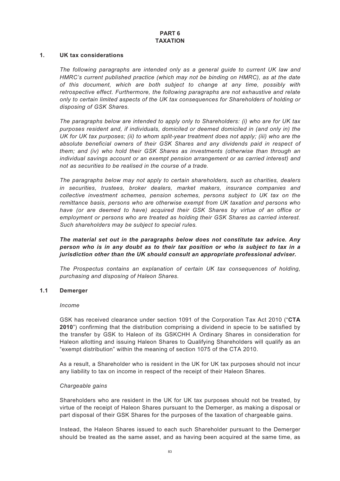# **PART 6 TAXATION**

#### **1. UK tax considerations**

*The following paragraphs are intended only as a general guide to current UK law and HMRC's current published practice (which may not be binding on HMRC), as at the date of this document, which are both subject to change at any time, possibly with retrospective effect. Furthermore, the following paragraphs are not exhaustive and relate only to certain limited aspects of the UK tax consequences for Shareholders of holding or disposing of GSK Shares.*

*The paragraphs below are intended to apply only to Shareholders: (i) who are for UK tax purposes resident and, if individuals, domiciled or deemed domiciled in (and only in) the UK for UK tax purposes; (ii) to whom split-year treatment does not apply; (iii) who are the absolute beneficial owners of their GSK Shares and any dividends paid in respect of them; and (iv) who hold their GSK Shares as investments (otherwise than through an individual savings account or an exempt pension arrangement or as carried interest) and not as securities to be realised in the course of a trade.*

*The paragraphs below may not apply to certain shareholders, such as charities, dealers in securities, trustees, broker dealers, market makers, insurance companies and collective investment schemes, pension schemes, persons subject to UK tax on the remittance basis, persons who are otherwise exempt from UK taxation and persons who have (or are deemed to have) acquired their GSK Shares by virtue of an office or employment or persons who are treated as holding their GSK Shares as carried interest. Such shareholders may be subject to special rules.*

*The material set out in the paragraphs below does not constitute tax advice. Any person who is in any doubt as to their tax position or who is subject to tax in a jurisdiction other than the UK should consult an appropriate professional adviser.*

*The Prospectus contains an explanation of certain UK tax consequences of holding, purchasing and disposing of Haleon Shares.*

#### **1.1 Demerger**

#### *Income*

GSK has received clearance under section 1091 of the Corporation Tax Act 2010 ("**CTA 2010**") confirming that the distribution comprising a dividend in specie to be satisfied by the transfer by GSK to Haleon of its GSKCHH A Ordinary Shares in consideration for Haleon allotting and issuing Haleon Shares to Qualifying Shareholders will qualify as an "exempt distribution" within the meaning of section 1075 of the CTA 2010.

As a result, a Shareholder who is resident in the UK for UK tax purposes should not incur any liability to tax on income in respect of the receipt of their Haleon Shares.

#### *Chargeable gains*

Shareholders who are resident in the UK for UK tax purposes should not be treated, by virtue of the receipt of Haleon Shares pursuant to the Demerger, as making a disposal or part disposal of their GSK Shares for the purposes of the taxation of chargeable gains.

Instead, the Haleon Shares issued to each such Shareholder pursuant to the Demerger should be treated as the same asset, and as having been acquired at the same time, as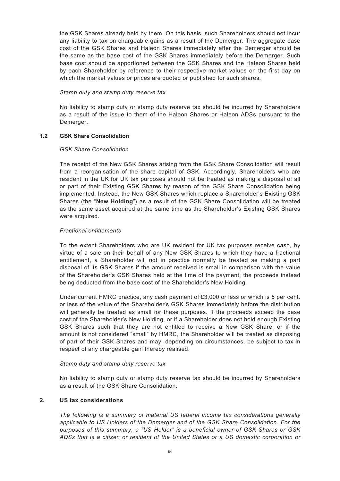the GSK Shares already held by them. On this basis, such Shareholders should not incur any liability to tax on chargeable gains as a result of the Demerger. The aggregate base cost of the GSK Shares and Haleon Shares immediately after the Demerger should be the same as the base cost of the GSK Shares immediately before the Demerger. Such base cost should be apportioned between the GSK Shares and the Haleon Shares held by each Shareholder by reference to their respective market values on the first day on which the market values or prices are quoted or published for such shares.

## *Stamp duty and stamp duty reserve tax*

No liability to stamp duty or stamp duty reserve tax should be incurred by Shareholders as a result of the issue to them of the Haleon Shares or Haleon ADSs pursuant to the Demerger.

# **1.2 GSK Share Consolidation**

# *GSK Share Consolidation*

The receipt of the New GSK Shares arising from the GSK Share Consolidation will result from a reorganisation of the share capital of GSK. Accordingly, Shareholders who are resident in the UK for UK tax purposes should not be treated as making a disposal of all or part of their Existing GSK Shares by reason of the GSK Share Consolidation being implemented. Instead, the New GSK Shares which replace a Shareholder's Existing GSK Shares (the "**New Holding**") as a result of the GSK Share Consolidation will be treated as the same asset acquired at the same time as the Shareholder's Existing GSK Shares were acquired.

# *Fractional entitlements*

To the extent Shareholders who are UK resident for UK tax purposes receive cash, by virtue of a sale on their behalf of any New GSK Shares to which they have a fractional entitlement, a Shareholder will not in practice normally be treated as making a part disposal of its GSK Shares if the amount received is small in comparison with the value of the Shareholder's GSK Shares held at the time of the payment, the proceeds instead being deducted from the base cost of the Shareholder's New Holding.

Under current HMRC practice, any cash payment of £3,000 or less or which is 5 per cent. or less of the value of the Shareholder's GSK Shares immediately before the distribution will generally be treated as small for these purposes. If the proceeds exceed the base cost of the Shareholder's New Holding, or if a Shareholder does not hold enough Existing GSK Shares such that they are not entitled to receive a New GSK Share, or if the amount is not considered "small" by HMRC, the Shareholder will be treated as disposing of part of their GSK Shares and may, depending on circumstances, be subject to tax in respect of any chargeable gain thereby realised.

## *Stamp duty and stamp duty reserve tax*

No liability to stamp duty or stamp duty reserve tax should be incurred by Shareholders as a result of the GSK Share Consolidation.

# **2. US tax considerations**

*The following is a summary of material US federal income tax considerations generally applicable to US Holders of the Demerger and of the GSK Share Consolidation. For the purposes of this summary, a "US Holder" is a beneficial owner of GSK Shares or GSK ADSs that is a citizen or resident of the United States or a US domestic corporation or*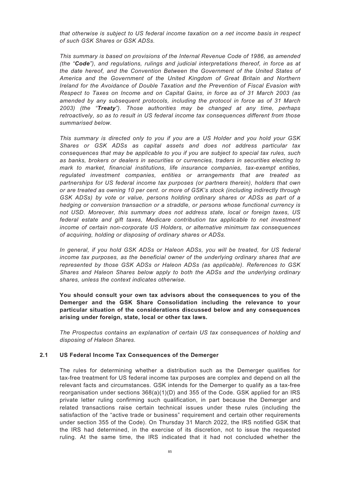*that otherwise is subject to US federal income taxation on a net income basis in respect of such GSK Shares or GSK ADSs.*

*This summary is based on provisions of the Internal Revenue Code of 1986, as amended (the "Code"), and regulations, rulings and judicial interpretations thereof, in force as at the date hereof, and the Convention Between the Government of the United States of America and the Government of the United Kingdom of Great Britain and Northern Ireland for the Avoidance of Double Taxation and the Prevention of Fiscal Evasion with Respect to Taxes on Income and on Capital Gains, in force as of 31 March 2003 (as amended by any subsequent protocols, including the protocol in force as of 31 March 2003) (the "Treaty"). Those authorities may be changed at any time, perhaps retroactively, so as to result in US federal income tax consequences different from those summarised below.*

*This summary is directed only to you if you are a US Holder and you hold your GSK Shares or GSK ADSs as capital assets and does not address particular tax consequences that may be applicable to you if you are subject to special tax rules, such as banks, brokers or dealers in securities or currencies, traders in securities electing to mark to market, financial institutions, life insurance companies, tax-exempt entities, regulated investment companies, entities or arrangements that are treated as partnerships for US federal income tax purposes (or partners therein), holders that own or are treated as owning 10 per cent. or more of GSK's stock (including indirectly through GSK ADSs) by vote or value, persons holding ordinary shares or ADSs as part of a hedging or conversion transaction or a straddle, or persons whose functional currency is not USD. Moreover, this summary does not address state, local or foreign taxes, US federal estate and gift taxes, Medicare contribution tax applicable to net investment income of certain non-corporate US Holders, or alternative minimum tax consequences of acquiring, holding or disposing of ordinary shares or ADSs.*

*In general, if you hold GSK ADSs or Haleon ADSs, you will be treated, for US federal income tax purposes, as the beneficial owner of the underlying ordinary shares that are represented by those GSK ADSs or Haleon ADSs (as applicable). References to GSK Shares and Haleon Shares below apply to both the ADSs and the underlying ordinary shares, unless the context indicates otherwise.*

**You should consult your own tax advisors about the consequences to you of the Demerger and the GSK Share Consolidation including the relevance to your particular situation of the considerations discussed below and any consequences arising under foreign, state, local or other tax laws.**

*The Prospectus contains an explanation of certain US tax consequences of holding and disposing of Haleon Shares.*

## **2.1 US Federal Income Tax Consequences of the Demerger**

The rules for determining whether a distribution such as the Demerger qualifies for tax-free treatment for US federal income tax purposes are complex and depend on all the relevant facts and circumstances. GSK intends for the Demerger to qualify as a tax-free reorganisation under sections 368(a)(1)(D) and 355 of the Code. GSK applied for an IRS private letter ruling confirming such qualification, in part because the Demerger and related transactions raise certain technical issues under these rules (including the satisfaction of the "active trade or business" requirement and certain other requirements under section 355 of the Code). On Thursday 31 March 2022, the IRS notified GSK that the IRS had determined, in the exercise of its discretion, not to issue the requested ruling. At the same time, the IRS indicated that it had not concluded whether the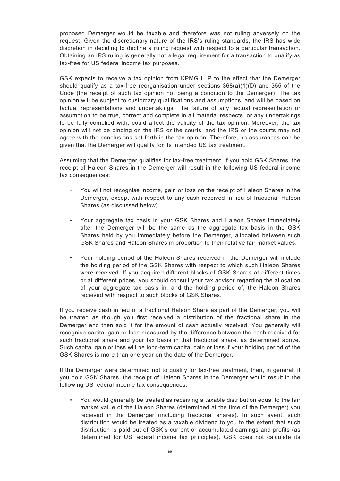proposed Demerger would be taxable and therefore was not ruling adversely on the request. Given the discretionary nature of the IRS's ruling standards, the IRS has wide discretion in deciding to decline a ruling request with respect to a particular transaction. Obtaining an IRS ruling is generally not a legal requirement for a transaction to qualify as tax-free for US federal income tax purposes.

GSK expects to receive a tax opinion from KPMG LLP to the effect that the Demerger should qualify as a tax-free reorganisation under sections 368(a)(1)(D) and 355 of the Code (the receipt of such tax opinion not being a condition to the Demerger). The tax opinion will be subject to customary qualifications and assumptions, and will be based on factual representations and undertakings. The failure of any factual representation or assumption to be true, correct and complete in all material respects, or any undertakings to be fully complied with, could affect the validity of the tax opinion. Moreover, the tax opinion will not be binding on the IRS or the courts, and the IRS or the courts may not agree with the conclusions set forth in the tax opinion. Therefore, no assurances can be given that the Demerger will qualify for its intended US tax treatment.

Assuming that the Demerger qualifies for tax-free treatment, if you hold GSK Shares, the receipt of Haleon Shares in the Demerger will result in the following US federal income tax consequences:

- You will not recognise income, gain or loss on the receipt of Haleon Shares in the Demerger, except with respect to any cash received in lieu of fractional Haleon Shares (as discussed below).
- Your aggregate tax basis in your GSK Shares and Haleon Shares immediately after the Demerger will be the same as the aggregate tax basis in the GSK Shares held by you immediately before the Demerger, allocated between such GSK Shares and Haleon Shares in proportion to their relative fair market values.
- Your holding period of the Haleon Shares received in the Demerger will include the holding period of the GSK Shares with respect to which such Haleon Shares were received. If you acquired different blocks of GSK Shares at different times or at different prices, you should consult your tax advisor regarding the allocation of your aggregate tax basis in, and the holding period of, the Haleon Shares received with respect to such blocks of GSK Shares.

If you receive cash in lieu of a fractional Haleon Share as part of the Demerger, you will be treated as though you first received a distribution of the fractional share in the Demerger and then sold it for the amount of cash actually received. You generally will recognise capital gain or loss measured by the difference between the cash received for such fractional share and your tax basis in that fractional share, as determined above. Such capital gain or loss will be long-term capital gain or loss if your holding period of the GSK Shares is more than one year on the date of the Demerger.

If the Demerger were determined not to qualify for tax-free treatment, then, in general, if you hold GSK Shares, the receipt of Haleon Shares in the Demerger would result in the following US federal income tax consequences:

• You would generally be treated as receiving a taxable distribution equal to the fair market value of the Haleon Shares (determined at the time of the Demerger) you received in the Demerger (including fractional shares). In such event, such distribution would be treated as a taxable dividend to you to the extent that such distribution is paid out of GSK's current or accumulated earnings and profits (as determined for US federal income tax principles). GSK does not calculate its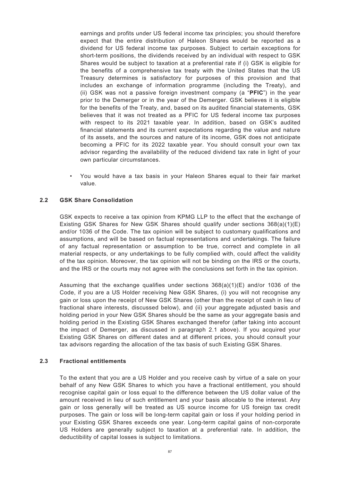earnings and profits under US federal income tax principles; you should therefore expect that the entire distribution of Haleon Shares would be reported as a dividend for US federal income tax purposes. Subject to certain exceptions for short-term positions, the dividends received by an individual with respect to GSK Shares would be subject to taxation at a preferential rate if (i) GSK is eligible for the benefits of a comprehensive tax treaty with the United States that the US Treasury determines is satisfactory for purposes of this provision and that includes an exchange of information programme (including the Treaty), and (ii) GSK was not a passive foreign investment company (a "**PFIC**") in the year prior to the Demerger or in the year of the Demerger. GSK believes it is eligible for the benefits of the Treaty, and, based on its audited financial statements, GSK believes that it was not treated as a PFIC for US federal income tax purposes with respect to its 2021 taxable year. In addition, based on GSK's audited financial statements and its current expectations regarding the value and nature of its assets, and the sources and nature of its income, GSK does not anticipate becoming a PFIC for its 2022 taxable year. You should consult your own tax advisor regarding the availability of the reduced dividend tax rate in light of your own particular circumstances.

• You would have a tax basis in your Haleon Shares equal to their fair market value.

## **2.2 GSK Share Consolidation**

GSK expects to receive a tax opinion from KPMG LLP to the effect that the exchange of Existing GSK Shares for New GSK Shares should qualify under sections 368(a)(1)(E) and/or 1036 of the Code. The tax opinion will be subject to customary qualifications and assumptions, and will be based on factual representations and undertakings. The failure of any factual representation or assumption to be true, correct and complete in all material respects, or any undertakings to be fully complied with, could affect the validity of the tax opinion. Moreover, the tax opinion will not be binding on the IRS or the courts, and the IRS or the courts may not agree with the conclusions set forth in the tax opinion.

Assuming that the exchange qualifies under sections  $368(a)(1)(E)$  and/or 1036 of the Code, if you are a US Holder receiving New GSK Shares, (i) you will not recognise any gain or loss upon the receipt of New GSK Shares (other than the receipt of cash in lieu of fractional share interests, discussed below), and (ii) your aggregate adjusted basis and holding period in your New GSK Shares should be the same as your aggregate basis and holding period in the Existing GSK Shares exchanged therefor (after taking into account the impact of Demerger, as discussed in paragraph 2.1 above). If you acquired your Existing GSK Shares on different dates and at different prices, you should consult your tax advisors regarding the allocation of the tax basis of such Existing GSK Shares.

## **2.3 Fractional entitlements**

To the extent that you are a US Holder and you receive cash by virtue of a sale on your behalf of any New GSK Shares to which you have a fractional entitlement, you should recognise capital gain or loss equal to the difference between the US dollar value of the amount received in lieu of such entitlement and your basis allocable to the interest. Any gain or loss generally will be treated as US source income for US foreign tax credit purposes. The gain or loss will be long-term capital gain or loss if your holding period in your Existing GSK Shares exceeds one year. Long-term capital gains of non-corporate US Holders are generally subject to taxation at a preferential rate. In addition, the deductibility of capital losses is subject to limitations.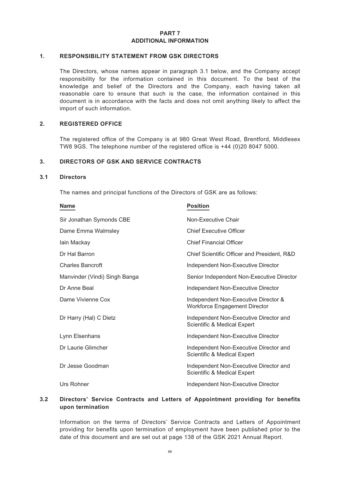## **PART 7 ADDITIONAL INFORMATION**

#### **1. RESPONSIBILITY STATEMENT FROM GSK DIRECTORS**

The Directors, whose names appear in paragraph 3.1 below, and the Company accept responsibility for the information contained in this document. To the best of the knowledge and belief of the Directors and the Company, each having taken all reasonable care to ensure that such is the case, the information contained in this document is in accordance with the facts and does not omit anything likely to affect the import of such information.

#### **2. REGISTERED OFFICE**

The registered office of the Company is at 980 Great West Road, Brentford, Middlesex TW8 9GS. The telephone number of the registered office is +44 (0)20 8047 5000.

## **3. DIRECTORS OF GSK AND SERVICE CONTRACTS**

#### **3.1 Directors**

The names and principal functions of the Directors of GSK are as follows:

| <b>Name</b>                   | <b>Position</b>                                                              |
|-------------------------------|------------------------------------------------------------------------------|
| Sir Jonathan Symonds CBE      | Non-Executive Chair                                                          |
| Dame Emma Walmsley            | <b>Chief Executive Officer</b>                                               |
| lain Mackay                   | <b>Chief Financial Officer</b>                                               |
| Dr Hal Barron                 | Chief Scientific Officer and President, R&D                                  |
| <b>Charles Bancroft</b>       | Independent Non-Executive Director                                           |
| Manvinder (Vindi) Singh Banga | Senior Independent Non-Executive Director                                    |
| Dr Anne Beal                  | Independent Non-Executive Director                                           |
| Dame Vivienne Cox             | Independent Non-Executive Director &<br><b>Workforce Engagement Director</b> |
| Dr Harry (Hal) C Dietz        | Independent Non-Executive Director and<br>Scientific & Medical Expert        |
| Lynn Elsenhans                | Independent Non-Executive Director                                           |
| Dr Laurie Glimcher            | Independent Non-Executive Director and<br>Scientific & Medical Expert        |
| Dr Jesse Goodman              | Independent Non-Executive Director and<br>Scientific & Medical Expert        |
| Urs Rohner                    | Independent Non-Executive Director                                           |

## **3.2 Directors' Service Contracts and Letters of Appointment providing for benefits upon termination**

Information on the terms of Directors' Service Contracts and Letters of Appointment providing for benefits upon termination of employment have been published prior to the date of this document and are set out at page 138 of the GSK 2021 Annual Report.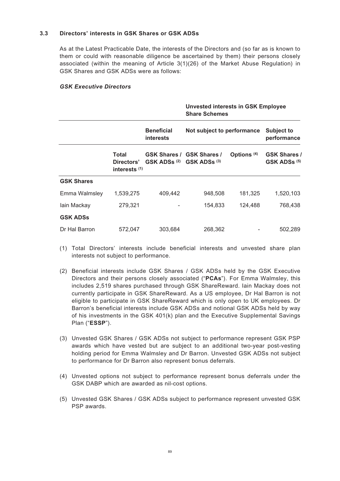# **3.3 Directors' interests in GSK Shares or GSK ADSs**

As at the Latest Practicable Date, the interests of the Directors and (so far as is known to them or could with reasonable diligence be ascertained by them) their persons closely associated (within the meaning of Article 3(1)(26) of the Market Abuse Regulation) in GSK Shares and GSK ADSs were as follows:

**Unvested interests in GSK Employee**

## *GSK Executive Directors*

|                   |                                      |                                                 | <b>Share Schemes</b>             |                        |                                                |
|-------------------|--------------------------------------|-------------------------------------------------|----------------------------------|------------------------|------------------------------------------------|
|                   |                                      | <b>Beneficial</b><br><b>interests</b>           | Not subject to performance       |                        | <b>Subject to</b><br>performance               |
|                   | Total<br>Directors'<br>interests (1) | GSK ADSs <sup>(2)</sup> GSK ADSs <sup>(3)</sup> | <b>GSK Shares / GSK Shares /</b> | Options <sup>(4)</sup> | <b>GSK Shares /</b><br>GSK ADSs <sup>(5)</sup> |
| <b>GSK Shares</b> |                                      |                                                 |                                  |                        |                                                |
| Emma Walmsley     | 1,539,275                            | 409,442                                         | 948,508                          | 181,325                | 1,520,103                                      |
| lain Mackay       | 279,321                              |                                                 | 154,833                          | 124,488                | 768,438                                        |
| <b>GSK ADSs</b>   |                                      |                                                 |                                  |                        |                                                |
| Dr Hal Barron     | 572,047                              | 303,684                                         | 268,362                          |                        | 502,289                                        |

- (1) Total Directors' interests include beneficial interests and unvested share plan interests not subject to performance.
- (2) Beneficial interests include GSK Shares / GSK ADSs held by the GSK Executive Directors and their persons closely associated ("**PCAs**"). For Emma Walmsley, this includes 2,519 shares purchased through GSK ShareReward. Iain Mackay does not currently participate in GSK ShareReward. As a US employee, Dr Hal Barron is not eligible to participate in GSK ShareReward which is only open to UK employees. Dr Barron's beneficial interests include GSK ADSs and notional GSK ADSs held by way of his investments in the GSK 401(k) plan and the Executive Supplemental Savings Plan ("**ESSP**").
- (3) Unvested GSK Shares / GSK ADSs not subject to performance represent GSK PSP awards which have vested but are subject to an additional two-year post-vesting holding period for Emma Walmsley and Dr Barron. Unvested GSK ADSs not subject to performance for Dr Barron also represent bonus deferrals.
- (4) Unvested options not subject to performance represent bonus deferrals under the GSK DABP which are awarded as nil-cost options.
- (5) Unvested GSK Shares / GSK ADSs subject to performance represent unvested GSK PSP awards.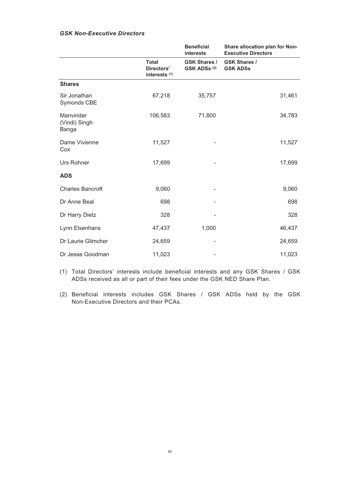# *GSK Non-Executive Directors*

|                                     |                                             | <b>Beneficial</b><br><b>interests</b>          | Share allocation plan for Non-<br><b>Executive Directors</b> |
|-------------------------------------|---------------------------------------------|------------------------------------------------|--------------------------------------------------------------|
|                                     | <b>Total</b><br>Directors'<br>interests (1) | <b>GSK Shares /</b><br>GSK ADSs <sup>(2)</sup> | <b>GSK Shares /</b><br><b>GSK ADSs</b>                       |
| <b>Shares</b>                       |                                             |                                                |                                                              |
| Sir Jonathan<br>Symonds CBE         | 67,218                                      | 35,757                                         | 31,461                                                       |
| Manvinder<br>(Vindi) Singh<br>Banga | 106,583                                     | 71,800                                         | 34,783                                                       |
| Dame Vivienne<br>Cox                | 11,527                                      |                                                | 11,527                                                       |
| Urs Rohner                          | 17,699                                      |                                                | 17,699                                                       |
| <b>ADS</b>                          |                                             |                                                |                                                              |
| <b>Charles Bancroft</b>             | 9,060                                       |                                                | 9,060                                                        |
| Dr Anne Beal                        | 698                                         |                                                | 698                                                          |
| Dr Harry Dietz                      | 328                                         |                                                | 328                                                          |
| Lynn Elsenhans                      | 47,437                                      | 1,000                                          | 46,437                                                       |
| Dr Laurie Glimcher                  | 24,659                                      |                                                | 24,659                                                       |
| Dr Jesse Goodman                    | 11,023                                      |                                                | 11,023                                                       |

(1) Total Directors' interests include beneficial interests and any GSK Shares / GSK ADSs received as all or part of their fees under the GSK NED Share Plan.

(2) Beneficial interests includes GSK Shares / GSK ADSs held by the GSK Non-Executive Directors and their PCAs.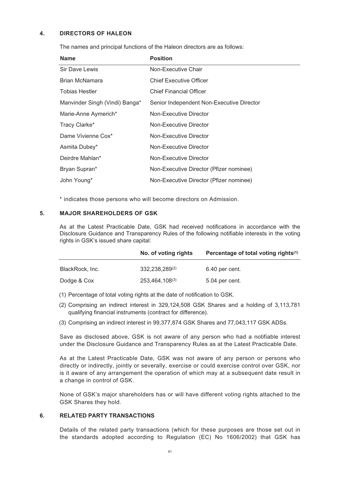## **4. DIRECTORS OF HALEON**

The names and principal functions of the Haleon directors are as follows:

| <b>Name</b>                    | <b>Position</b>                           |
|--------------------------------|-------------------------------------------|
| Sir Dave Lewis                 | Non-Executive Chair                       |
| Brian McNamara                 | <b>Chief Executive Officer</b>            |
| <b>Tobias Hestler</b>          | <b>Chief Financial Officer</b>            |
| Manvinder Singh (Vindi) Banga* | Senior Independent Non-Executive Director |
| Marie-Anne Aymerich*           | Non-Executive Director                    |
| Tracy Clarke*                  | Non-Executive Director                    |
| Dame Vivienne Cox*             | Non-Executive Director                    |
| Asmita Dubey*                  | Non-Executive Director                    |
| Deirdre Mahlan*                | Non-Executive Director                    |
| Bryan Supran*                  | Non-Executive Director (Pfizer nominee)   |
| John Young*                    | Non-Executive Director (Pfizer nominee)   |

\* indicates those persons who will become directors on Admission.

#### **5. MAJOR SHAREHOLDERS OF GSK**

As at the Latest Practicable Date, GSK had received notifications in accordance with the Disclosure Guidance and Transparency Rules of the following notifiable interests in the voting rights in GSK's issued share capital:

|                 | No. of voting rights | Percentage of total voting rights <sup>(1)</sup> |
|-----------------|----------------------|--------------------------------------------------|
| BlackRock, Inc. | 332.238.289(2)       | 6.40 per cent.                                   |
| Dodge & Cox     | 253,464,108(3)       | 5.04 per cent.                                   |

(1) Percentage of total voting rights at the date of notification to GSK.

- (2) Comprising an indirect interest in 329,124,508 GSK Shares and a holding of 3,113,781 qualifying financial instruments (contract for difference).
- (3) Comprising an indirect interest in 99,377,874 GSK Shares and 77,043,117 GSK ADSs.

Save as disclosed above, GSK is not aware of any person who had a notifiable interest under the Disclosure Guidance and Transparency Rules as at the Latest Practicable Date.

As at the Latest Practicable Date, GSK was not aware of any person or persons who directly or indirectly, jointly or severally, exercise or could exercise control over GSK, nor is it aware of any arrangement the operation of which may at a subsequent date result in a change in control of GSK.

None of GSK's major shareholders has or will have different voting rights attached to the GSK Shares they hold.

# **6. RELATED PARTY TRANSACTIONS**

Details of the related party transactions (which for these purposes are those set out in the standards adopted according to Regulation (EC) No 1606/2002) that GSK has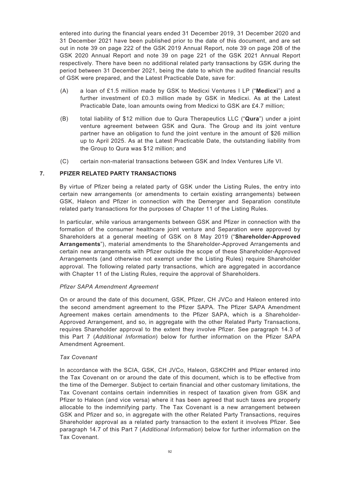entered into during the financial years ended 31 December 2019, 31 December 2020 and 31 December 2021 have been published prior to the date of this document, and are set out in note 39 on page 222 of the GSK 2019 Annual Report, note 39 on page 208 of the GSK 2020 Annual Report and note 39 on page 221 of the GSK 2021 Annual Report respectively. There have been no additional related party transactions by GSK during the period between 31 December 2021, being the date to which the audited financial results of GSK were prepared, and the Latest Practicable Date, save for:

- (A) a loan of £1.5 million made by GSK to Medicxi Ventures I LP ("**Medicxi**") and a further investment of £0.3 million made by GSK in Medicxi. As at the Latest Practicable Date, loan amounts owing from Medicxi to GSK are £4.7 million;
- (B) total liability of \$12 million due to Qura Therapeutics LLC ("**Qura**") under a joint venture agreement between GSK and Qura. The Group and its joint venture partner have an obligation to fund the joint venture in the amount of \$26 million up to April 2025. As at the Latest Practicable Date, the outstanding liability from the Group to Qura was \$12 million; and
- (C) certain non-material transactions between GSK and Index Ventures Life VI.

# **7. PFIZER RELATED PARTY TRANSACTIONS**

By virtue of Pfizer being a related party of GSK under the Listing Rules, the entry into certain new arrangements (or amendments to certain existing arrangements) between GSK, Haleon and Pfizer in connection with the Demerger and Separation constitute related party transactions for the purposes of Chapter 11 of the Listing Rules.

In particular, while various arrangements between GSK and Pfizer in connection with the formation of the consumer healthcare joint venture and Separation were approved by Shareholders at a general meeting of GSK on 8 May 2019 ("**Shareholder-Approved Arrangements**"), material amendments to the Shareholder-Approved Arrangements and certain new arrangements with Pfizer outside the scope of these Shareholder-Approved Arrangements (and otherwise not exempt under the Listing Rules) require Shareholder approval. The following related party transactions, which are aggregated in accordance with Chapter 11 of the Listing Rules, require the approval of Shareholders.

## *Pfizer SAPA Amendment Agreement*

On or around the date of this document, GSK, Pfizer, CH JVCo and Haleon entered into the second amendment agreement to the Pfizer SAPA. The Pfizer SAPA Amendment Agreement makes certain amendments to the Pfizer SAPA, which is a Shareholder-Approved Arrangement, and so, in aggregate with the other Related Party Transactions, requires Shareholder approval to the extent they involve Pfizer. See paragraph 14.3 of this Part 7 (*Additional Information*) below for further information on the Pfizer SAPA Amendment Agreement.

## *Tax Covenant*

In accordance with the SCIA, GSK, CH JVCo, Haleon, GSKCHH and Pfizer entered into the Tax Covenant on or around the date of this document, which is to be effective from the time of the Demerger. Subject to certain financial and other customary limitations, the Tax Covenant contains certain indemnities in respect of taxation given from GSK and Pfizer to Haleon (and vice versa) where it has been agreed that such taxes are properly allocable to the indemnifying party. The Tax Covenant is a new arrangement between GSK and Pfizer and so, in aggregate with the other Related Party Transactions, requires Shareholder approval as a related party transaction to the extent it involves Pfizer. See paragraph 14.7 of this Part 7 (*Additional Information*) below for further information on the Tax Covenant.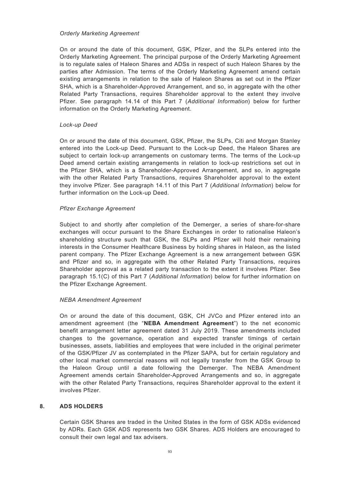#### *Orderly Marketing Agreement*

On or around the date of this document, GSK, Pfizer, and the SLPs entered into the Orderly Marketing Agreement. The principal purpose of the Orderly Marketing Agreement is to regulate sales of Haleon Shares and ADSs in respect of such Haleon Shares by the parties after Admission. The terms of the Orderly Marketing Agreement amend certain existing arrangements in relation to the sale of Haleon Shares as set out in the Pfizer SHA, which is a Shareholder-Approved Arrangement, and so, in aggregate with the other Related Party Transactions, requires Shareholder approval to the extent they involve Pfizer. See paragraph 14.14 of this Part 7 (*Additional Information*) below for further information on the Orderly Marketing Agreement.

## *Lock-up Deed*

On or around the date of this document, GSK, Pfizer, the SLPs, Citi and Morgan Stanley entered into the Lock-up Deed. Pursuant to the Lock-up Deed, the Haleon Shares are subject to certain lock-up arrangements on customary terms. The terms of the Lock-up Deed amend certain existing arrangements in relation to lock-up restrictions set out in the Pfizer SHA, which is a Shareholder-Approved Arrangement, and so, in aggregate with the other Related Party Transactions, requires Shareholder approval to the extent they involve Pfizer. See paragraph 14.11 of this Part 7 (*Additional Information*) below for further information on the Lock-up Deed.

## *Pfizer Exchange Agreement*

Subject to and shortly after completion of the Demerger, a series of share-for-share exchanges will occur pursuant to the Share Exchanges in order to rationalise Haleon's shareholding structure such that GSK, the SLPs and Pfizer will hold their remaining interests in the Consumer Healthcare Business by holding shares in Haleon, as the listed parent company. The Pfizer Exchange Agreement is a new arrangement between GSK and Pfizer and so, in aggregate with the other Related Party Transactions, requires Shareholder approval as a related party transaction to the extent it involves Pfizer. See paragraph 15.1(C) of this Part 7 (*Additional Information*) below for further information on the Pfizer Exchange Agreement.

#### *NEBA Amendment Agreement*

On or around the date of this document, GSK, CH JVCo and Pfizer entered into an amendment agreement (the "**NEBA Amendment Agreement**") to the net economic benefit arrangement letter agreement dated 31 July 2019. These amendments included changes to the governance, operation and expected transfer timings of certain businesses, assets, liabilities and employees that were included in the original perimeter of the GSK/Pfizer JV as contemplated in the Pfizer SAPA, but for certain regulatory and other local market commercial reasons will not legally transfer from the GSK Group to the Haleon Group until a date following the Demerger. The NEBA Amendment Agreement amends certain Shareholder-Approved Arrangements and so, in aggregate with the other Related Party Transactions, requires Shareholder approval to the extent it involves Pfizer.

## **8. ADS HOLDERS**

Certain GSK Shares are traded in the United States in the form of GSK ADSs evidenced by ADRs. Each GSK ADS represents two GSK Shares. ADS Holders are encouraged to consult their own legal and tax advisers.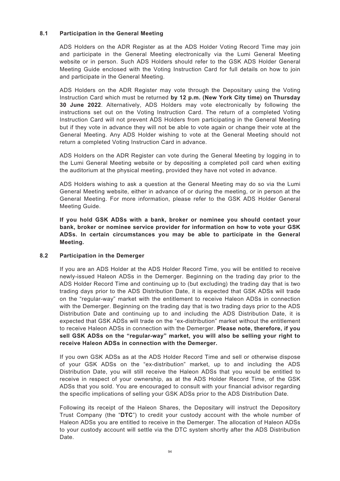# **8.1 Participation in the General Meeting**

ADS Holders on the ADR Register as at the ADS Holder Voting Record Time may join and participate in the General Meeting electronically via the Lumi General Meeting website or in person. Such ADS Holders should refer to the GSK ADS Holder General Meeting Guide enclosed with the Voting Instruction Card for full details on how to join and participate in the General Meeting.

ADS Holders on the ADR Register may vote through the Depositary using the Voting Instruction Card which must be returned **by 12 p.m. (New York City time) on Thursday 30 June 2022**. Alternatively, ADS Holders may vote electronically by following the instructions set out on the Voting Instruction Card. The return of a completed Voting Instruction Card will not prevent ADS Holders from participating in the General Meeting but if they vote in advance they will not be able to vote again or change their vote at the General Meeting. Any ADS Holder wishing to vote at the General Meeting should not return a completed Voting Instruction Card in advance.

ADS Holders on the ADR Register can vote during the General Meeting by logging in to the Lumi General Meeting website or by depositing a completed poll card when exiting the auditorium at the physical meeting, provided they have not voted in advance.

ADS Holders wishing to ask a question at the General Meeting may do so via the Lumi General Meeting website, either in advance of or during the meeting, or in person at the General Meeting. For more information, please refer to the GSK ADS Holder General Meeting Guide.

**If you hold GSK ADSs with a bank, broker or nominee you should contact your bank, broker or nominee service provider for information on how to vote your GSK ADSs. In certain circumstances you may be able to participate in the General Meeting.**

## **8.2 Participation in the Demerger**

If you are an ADS Holder at the ADS Holder Record Time, you will be entitled to receive newly-issued Haleon ADSs in the Demerger. Beginning on the trading day prior to the ADS Holder Record Time and continuing up to (but excluding) the trading day that is two trading days prior to the ADS Distribution Date, it is expected that GSK ADSs will trade on the "regular-way" market with the entitlement to receive Haleon ADSs in connection with the Demerger. Beginning on the trading day that is two trading days prior to the ADS Distribution Date and continuing up to and including the ADS Distribution Date, it is expected that GSK ADSs will trade on the "ex-distribution" market without the entitlement to receive Haleon ADSs in connection with the Demerger. **Please note, therefore, if you sell GSK ADSs on the "regular-way" market, you will also be selling your right to receive Haleon ADSs in connection with the Demerger.**

If you own GSK ADSs as at the ADS Holder Record Time and sell or otherwise dispose of your GSK ADSs on the "ex-distribution" market, up to and including the ADS Distribution Date, you will still receive the Haleon ADSs that you would be entitled to receive in respect of your ownership, as at the ADS Holder Record Time, of the GSK ADSs that you sold. You are encouraged to consult with your financial advisor regarding the specific implications of selling your GSK ADSs prior to the ADS Distribution Date.

Following its receipt of the Haleon Shares, the Depositary will instruct the Depository Trust Company (the "**DTC**") to credit your custody account with the whole number of Haleon ADSs you are entitled to receive in the Demerger. The allocation of Haleon ADSs to your custody account will settle via the DTC system shortly after the ADS Distribution Date.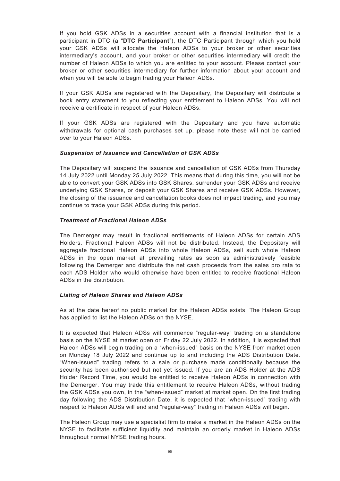If you hold GSK ADSs in a securities account with a financial institution that is a participant in DTC (a "**DTC Participant**"), the DTC Participant through which you hold your GSK ADSs will allocate the Haleon ADSs to your broker or other securities intermediary's account, and your broker or other securities intermediary will credit the number of Haleon ADSs to which you are entitled to your account. Please contact your broker or other securities intermediary for further information about your account and when you will be able to begin trading your Haleon ADSs.

If your GSK ADSs are registered with the Depositary, the Depositary will distribute a book entry statement to you reflecting your entitlement to Haleon ADSs. You will not receive a certificate in respect of your Haleon ADSs.

If your GSK ADSs are registered with the Depositary and you have automatic withdrawals for optional cash purchases set up, please note these will not be carried over to your Haleon ADSs.

## *Suspension of Issuance and Cancellation of GSK ADSs*

The Depositary will suspend the issuance and cancellation of GSK ADSs from Thursday 14 July 2022 until Monday 25 July 2022. This means that during this time, you will not be able to convert your GSK ADSs into GSK Shares, surrender your GSK ADSs and receive underlying GSK Shares, or deposit your GSK Shares and receive GSK ADSs. However, the closing of the issuance and cancellation books does not impact trading, and you may continue to trade your GSK ADSs during this period.

## *Treatment of Fractional Haleon ADSs*

The Demerger may result in fractional entitlements of Haleon ADSs for certain ADS Holders. Fractional Haleon ADSs will not be distributed. Instead, the Depositary will aggregate fractional Haleon ADSs into whole Haleon ADSs, sell such whole Haleon ADSs in the open market at prevailing rates as soon as administratively feasible following the Demerger and distribute the net cash proceeds from the sales pro rata to each ADS Holder who would otherwise have been entitled to receive fractional Haleon ADSs in the distribution.

## *Listing of Haleon Shares and Haleon ADSs*

As at the date hereof no public market for the Haleon ADSs exists. The Haleon Group has applied to list the Haleon ADSs on the NYSE.

It is expected that Haleon ADSs will commence "regular-way" trading on a standalone basis on the NYSE at market open on Friday 22 July 2022. In addition, it is expected that Haleon ADSs will begin trading on a "when-issued" basis on the NYSE from market open on Monday 18 July 2022 and continue up to and including the ADS Distribution Date. "When-issued" trading refers to a sale or purchase made conditionally because the security has been authorised but not yet issued. If you are an ADS Holder at the ADS Holder Record Time, you would be entitled to receive Haleon ADSs in connection with the Demerger. You may trade this entitlement to receive Haleon ADSs, without trading the GSK ADSs you own, in the "when-issued" market at market open. On the first trading day following the ADS Distribution Date, it is expected that "when-issued" trading with respect to Haleon ADSs will end and "regular-way" trading in Haleon ADSs will begin.

The Haleon Group may use a specialist firm to make a market in the Haleon ADSs on the NYSE to facilitate sufficient liquidity and maintain an orderly market in Haleon ADSs throughout normal NYSE trading hours.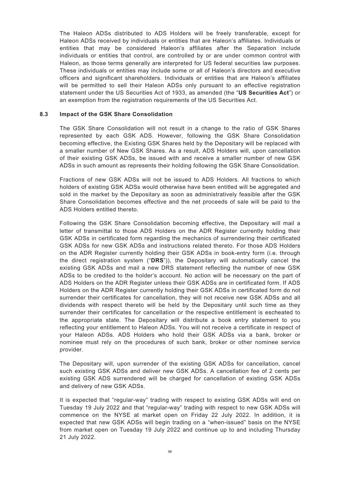The Haleon ADSs distributed to ADS Holders will be freely transferable, except for Haleon ADSs received by individuals or entities that are Haleon's affiliates. Individuals or entities that may be considered Haleon's affiliates after the Separation include individuals or entities that control, are controlled by or are under common control with Haleon, as those terms generally are interpreted for US federal securities law purposes. These individuals or entities may include some or all of Haleon's directors and executive officers and significant shareholders. Individuals or entities that are Haleon's affiliates will be permitted to sell their Haleon ADSs only pursuant to an effective registration statement under the US Securities Act of 1933, as amended (the "**US Securities Act**") or an exemption from the registration requirements of the US Securities Act.

#### **8.3 Impact of the GSK Share Consolidation**

The GSK Share Consolidation will not result in a change to the ratio of GSK Shares represented by each GSK ADS. However, following the GSK Share Consolidation becoming effective, the Existing GSK Shares held by the Depositary will be replaced with a smaller number of New GSK Shares. As a result, ADS Holders will, upon cancellation of their existing GSK ADSs, be issued with and receive a smaller number of new GSK ADSs in such amount as represents their holding following the GSK Share Consolidation.

Fractions of new GSK ADSs will not be issued to ADS Holders. All fractions to which holders of existing GSK ADSs would otherwise have been entitled will be aggregated and sold in the market by the Depositary as soon as administratively feasible after the GSK Share Consolidation becomes effective and the net proceeds of sale will be paid to the ADS Holders entitled thereto.

Following the GSK Share Consolidation becoming effective, the Depositary will mail a letter of transmittal to those ADS Holders on the ADR Register currently holding their GSK ADSs in certificated form regarding the mechanics of surrendering their certificated GSK ADSs for new GSK ADSs and instructions related thereto. For those ADS Holders on the ADR Register currently holding their GSK ADSs in book-entry form (i.e. through the direct registration system ("**DRS**")), the Depositary will automatically cancel the existing GSK ADSs and mail a new DRS statement reflecting the number of new GSK ADSs to be credited to the holder's account. No action will be necessary on the part of ADS Holders on the ADR Register unless their GSK ADSs are in certificated form. If ADS Holders on the ADR Register currently holding their GSK ADSs in certificated form do not surrender their certificates for cancellation, they will not receive new GSK ADSs and all dividends with respect thereto will be held by the Depositary until such time as they surrender their certificates for cancellation or the respective entitlement is escheated to the appropriate state. The Depositary will distribute a book entry statement to you reflecting your entitlement to Haleon ADSs. You will not receive a certificate in respect of your Haleon ADSs. ADS Holders who hold their GSK ADSs via a bank, broker or nominee must rely on the procedures of such bank, broker or other nominee service provider.

The Depositary will, upon surrender of the existing GSK ADSs for cancellation, cancel such existing GSK ADSs and deliver new GSK ADSs. A cancellation fee of 2 cents per existing GSK ADS surrendered will be charged for cancellation of existing GSK ADSs and delivery of new GSK ADSs.

It is expected that "regular-way" trading with respect to existing GSK ADSs will end on Tuesday 19 July 2022 and that "regular-way" trading with respect to new GSK ADSs will commence on the NYSE at market open on Friday 22 July 2022. In addition, it is expected that new GSK ADSs will begin trading on a "when-issued" basis on the NYSE from market open on Tuesday 19 July 2022 and continue up to and including Thursday 21 July 2022.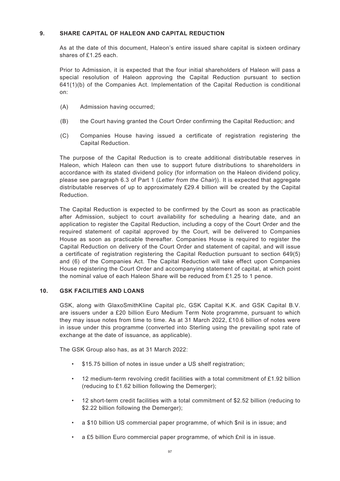# **9. SHARE CAPITAL OF HALEON AND CAPITAL REDUCTION**

As at the date of this document, Haleon's entire issued share capital is sixteen ordinary shares of £1.25 each.

Prior to Admission, it is expected that the four initial shareholders of Haleon will pass a special resolution of Haleon approving the Capital Reduction pursuant to section 641(1)(b) of the Companies Act. Implementation of the Capital Reduction is conditional on:

- (A) Admission having occurred;
- (B) the Court having granted the Court Order confirming the Capital Reduction; and
- (C) Companies House having issued a certificate of registration registering the Capital Reduction.

The purpose of the Capital Reduction is to create additional distributable reserves in Haleon, which Haleon can then use to support future distributions to shareholders in accordance with its stated dividend policy (for information on the Haleon dividend policy, please see paragraph 6.3 of Part 1 (*Letter from the Chair*)). It is expected that aggregate distributable reserves of up to approximately £29.4 billion will be created by the Capital Reduction.

The Capital Reduction is expected to be confirmed by the Court as soon as practicable after Admission, subject to court availability for scheduling a hearing date, and an application to register the Capital Reduction, including a copy of the Court Order and the required statement of capital approved by the Court, will be delivered to Companies House as soon as practicable thereafter. Companies House is required to register the Capital Reduction on delivery of the Court Order and statement of capital, and will issue a certificate of registration registering the Capital Reduction pursuant to section 649(5) and (6) of the Companies Act. The Capital Reduction will take effect upon Companies House registering the Court Order and accompanying statement of capital, at which point the nominal value of each Haleon Share will be reduced from £1.25 to 1 pence.

## **10. GSK FACILITIES AND LOANS**

GSK, along with GlaxoSmithKline Capital plc, GSK Capital K.K. and GSK Capital B.V. are issuers under a £20 billion Euro Medium Term Note programme, pursuant to which they may issue notes from time to time. As at 31 March 2022, £10.6 billion of notes were in issue under this programme (converted into Sterling using the prevailing spot rate of exchange at the date of issuance, as applicable).

The GSK Group also has, as at 31 March 2022:

- \$15.75 billion of notes in issue under a US shelf registration;
- 12 medium-term revolving credit facilities with a total commitment of  $£1.92$  billion (reducing to £1.62 billion following the Demerger);
- 12 short-term credit facilities with a total commitment of \$2.52 billion (reducing to \$2.22 billion following the Demerger);
- a \$10 billion US commercial paper programme, of which \$nil is in issue; and
- a £5 billion Euro commercial paper programme, of which £nil is in issue.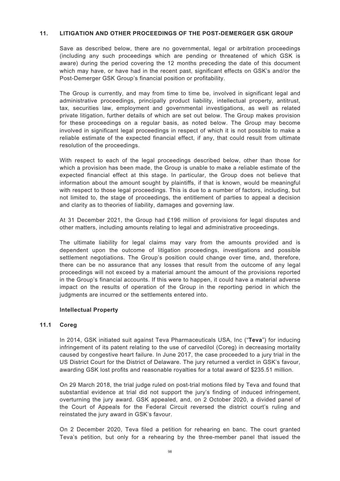## **11. LITIGATION AND OTHER PROCEEDINGS OF THE POST-DEMERGER GSK GROUP**

Save as described below, there are no governmental, legal or arbitration proceedings (including any such proceedings which are pending or threatened of which GSK is aware) during the period covering the 12 months preceding the date of this document which may have, or have had in the recent past, significant effects on GSK's and/or the Post-Demerger GSK Group's financial position or profitability.

The Group is currently, and may from time to time be, involved in significant legal and administrative proceedings, principally product liability, intellectual property, antitrust, tax, securities law, employment and governmental investigations, as well as related private litigation, further details of which are set out below. The Group makes provision for these proceedings on a regular basis, as noted below. The Group may become involved in significant legal proceedings in respect of which it is not possible to make a reliable estimate of the expected financial effect, if any, that could result from ultimate resolution of the proceedings.

With respect to each of the legal proceedings described below, other than those for which a provision has been made, the Group is unable to make a reliable estimate of the expected financial effect at this stage. In particular, the Group does not believe that information about the amount sought by plaintiffs, if that is known, would be meaningful with respect to those legal proceedings. This is due to a number of factors, including, but not limited to, the stage of proceedings, the entitlement of parties to appeal a decision and clarity as to theories of liability, damages and governing law.

At 31 December 2021, the Group had £196 million of provisions for legal disputes and other matters, including amounts relating to legal and administrative proceedings.

The ultimate liability for legal claims may vary from the amounts provided and is dependent upon the outcome of litigation proceedings, investigations and possible settlement negotiations. The Group's position could change over time, and, therefore, there can be no assurance that any losses that result from the outcome of any legal proceedings will not exceed by a material amount the amount of the provisions reported in the Group's financial accounts. If this were to happen, it could have a material adverse impact on the results of operation of the Group in the reporting period in which the judgments are incurred or the settlements entered into.

## **Intellectual Property**

## **11.1 Coreg**

In 2014, GSK initiated suit against Teva Pharmaceuticals USA, Inc ("**Teva**") for inducing infringement of its patent relating to the use of carvedilol (Coreg) in decreasing mortality caused by congestive heart failure. In June 2017, the case proceeded to a jury trial in the US District Court for the District of Delaware. The jury returned a verdict in GSK's favour, awarding GSK lost profits and reasonable royalties for a total award of \$235.51 million.

On 29 March 2018, the trial judge ruled on post-trial motions filed by Teva and found that substantial evidence at trial did not support the jury's finding of induced infringement, overturning the jury award. GSK appealed, and, on 2 October 2020, a divided panel of the Court of Appeals for the Federal Circuit reversed the district court's ruling and reinstated the jury award in GSK's favour.

On 2 December 2020, Teva filed a petition for rehearing en banc. The court granted Teva's petition, but only for a rehearing by the three-member panel that issued the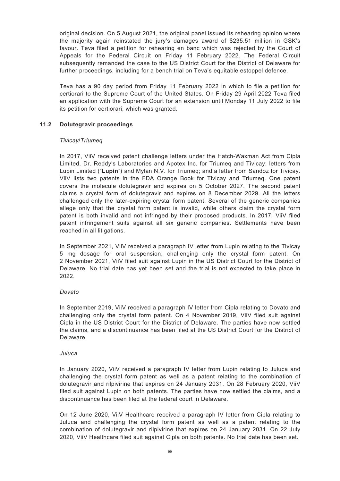original decision. On 5 August 2021, the original panel issued its rehearing opinion where the majority again reinstated the jury's damages award of \$235.51 million in GSK's favour. Teva filed a petition for rehearing en banc which was rejected by the Court of Appeals for the Federal Circuit on Friday 11 February 2022. The Federal Circuit subsequently remanded the case to the US District Court for the District of Delaware for further proceedings, including for a bench trial on Teva's equitable estoppel defence.

Teva has a 90 day period from Friday 11 February 2022 in which to file a petition for certiorari to the Supreme Court of the United States. On Friday 29 April 2022 Teva filed an application with the Supreme Court for an extension until Monday 11 July 2022 to file its petition for certiorari, which was granted.

# **11.2 Dolutegravir proceedings**

## *Tivicay/Triumeq*

In 2017, ViiV received patent challenge letters under the Hatch-Waxman Act from Cipla Limited, Dr. Reddy's Laboratories and Apotex Inc. for Triumeq and Tivicay; letters from Lupin Limited ("**Lupin**") and Mylan N.V. for Triumeq; and a letter from Sandoz for Tivicay. ViiV lists two patents in the FDA Orange Book for Tivicay and Triumeq. One patent covers the molecule dolutegravir and expires on 5 October 2027. The second patent claims a crystal form of dolutegravir and expires on 8 December 2029. All the letters challenged only the later-expiring crystal form patent. Several of the generic companies allege only that the crystal form patent is invalid, while others claim the crystal form patent is both invalid and not infringed by their proposed products. In 2017, ViiV filed patent infringement suits against all six generic companies. Settlements have been reached in all litigations.

In September 2021, ViiV received a paragraph IV letter from Lupin relating to the Tivicay 5 mg dosage for oral suspension, challenging only the crystal form patent. On 2 November 2021, ViiV filed suit against Lupin in the US District Court for the District of Delaware. No trial date has yet been set and the trial is not expected to take place in 2022.

# *Dovato*

In September 2019, ViiV received a paragraph IV letter from Cipla relating to Dovato and challenging only the crystal form patent. On 4 November 2019, ViiV filed suit against Cipla in the US District Court for the District of Delaware. The parties have now settled the claims, and a discontinuance has been filed at the US District Court for the District of Delaware.

# *Juluca*

In January 2020, ViiV received a paragraph IV letter from Lupin relating to Juluca and challenging the crystal form patent as well as a patent relating to the combination of dolutegravir and rilpivirine that expires on 24 January 2031. On 28 February 2020, ViiV filed suit against Lupin on both patents. The parties have now settled the claims, and a discontinuance has been filed at the federal court in Delaware.

On 12 June 2020, ViiV Healthcare received a paragraph IV letter from Cipla relating to Juluca and challenging the crystal form patent as well as a patent relating to the combination of dolutegravir and rilpivirine that expires on 24 January 2031. On 22 July 2020, ViiV Healthcare filed suit against Cipla on both patents. No trial date has been set.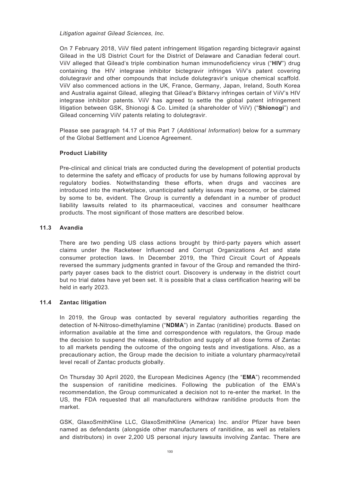*Litigation against Gilead Sciences, Inc.*

On 7 February 2018, ViiV filed patent infringement litigation regarding bictegravir against Gilead in the US District Court for the District of Delaware and Canadian federal court. ViiV alleged that Gilead's triple combination human immunodeficiency virus ("**HIV**") drug containing the HIV integrase inhibitor bictegravir infringes ViiV's patent covering dolutegravir and other compounds that include dolutegravir's unique chemical scaffold. ViiV also commenced actions in the UK, France, Germany, Japan, Ireland, South Korea and Australia against Gilead, alleging that Gilead's Biktarvy infringes certain of ViiV's HIV integrase inhibitor patents. ViiV has agreed to settle the global patent infringement litigation between GSK, Shionogi & Co. Limited (a shareholder of ViiV) ("**Shionogi**") and Gilead concerning ViiV patents relating to dolutegravir.

Please see paragraph 14.17 of this Part 7 (*Additional Information*) below for a summary of the Global Settlement and Licence Agreement.

# **Product Liability**

Pre-clinical and clinical trials are conducted during the development of potential products to determine the safety and efficacy of products for use by humans following approval by regulatory bodies. Notwithstanding these efforts, when drugs and vaccines are introduced into the marketplace, unanticipated safety issues may become, or be claimed by some to be, evident. The Group is currently a defendant in a number of product liability lawsuits related to its pharmaceutical, vaccines and consumer healthcare products. The most significant of those matters are described below.

## **11.3 Avandia**

There are two pending US class actions brought by third-party payers which assert claims under the Racketeer Influenced and Corrupt Organizations Act and state consumer protection laws. In December 2019, the Third Circuit Court of Appeals reversed the summary judgments granted in favour of the Group and remanded the thirdparty payer cases back to the district court. Discovery is underway in the district court but no trial dates have yet been set. It is possible that a class certification hearing will be held in early 2023.

## **11.4 Zantac litigation**

In 2019, the Group was contacted by several regulatory authorities regarding the detection of N-Nitroso-dimethylamine ("**NDMA**") in Zantac (ranitidine) products. Based on information available at the time and correspondence with regulators, the Group made the decision to suspend the release, distribution and supply of all dose forms of Zantac to all markets pending the outcome of the ongoing tests and investigations. Also, as a precautionary action, the Group made the decision to initiate a voluntary pharmacy/retail level recall of Zantac products globally.

On Thursday 30 April 2020, the European Medicines Agency (the "**EMA**") recommended the suspension of ranitidine medicines. Following the publication of the EMA's recommendation, the Group communicated a decision not to re-enter the market. In the US, the FDA requested that all manufacturers withdraw ranitidine products from the market.

GSK, GlaxoSmithKline LLC, GlaxoSmithKline (America) Inc. and/or Pfizer have been named as defendants (alongside other manufacturers of ranitidine, as well as retailers and distributors) in over 2,200 US personal injury lawsuits involving Zantac. There are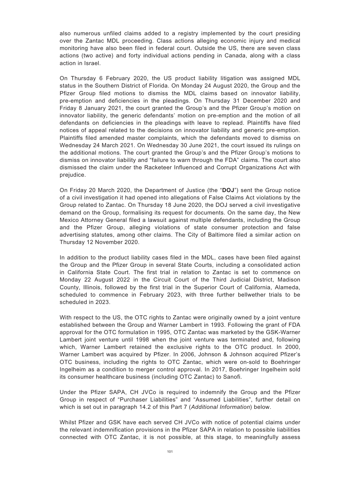also numerous unfiled claims added to a registry implemented by the court presiding over the Zantac MDL proceeding. Class actions alleging economic injury and medical monitoring have also been filed in federal court. Outside the US, there are seven class actions (two active) and forty individual actions pending in Canada, along with a class action in Israel.

On Thursday 6 February 2020, the US product liability litigation was assigned MDL status in the Southern District of Florida. On Monday 24 August 2020, the Group and the Pfizer Group filed motions to dismiss the MDL claims based on innovator liability, pre-emption and deficiencies in the pleadings. On Thursday 31 December 2020 and Friday 8 January 2021, the court granted the Group's and the Pfizer Group's motion on innovator liability, the generic defendants' motion on pre-emption and the motion of all defendants on deficiencies in the pleadings with leave to replead. Plaintiffs have filed notices of appeal related to the decisions on innovator liability and generic pre-emption. Plaintiffs filed amended master complaints, which the defendants moved to dismiss on Wednesday 24 March 2021. On Wednesday 30 June 2021, the court issued its rulings on the additional motions. The court granted the Group's and the Pfizer Group's motions to dismiss on innovator liability and "failure to warn through the FDA" claims. The court also dismissed the claim under the Racketeer Influenced and Corrupt Organizations Act with prejudice.

On Friday 20 March 2020, the Department of Justice (the "**DOJ**") sent the Group notice of a civil investigation it had opened into allegations of False Claims Act violations by the Group related to Zantac. On Thursday 18 June 2020, the DOJ served a civil investigative demand on the Group, formalising its request for documents. On the same day, the New Mexico Attorney General filed a lawsuit against multiple defendants, including the Group and the Pfizer Group, alleging violations of state consumer protection and false advertising statutes, among other claims. The City of Baltimore filed a similar action on Thursday 12 November 2020.

In addition to the product liability cases filed in the MDL, cases have been filed against the Group and the Pfizer Group in several State Courts, including a consolidated action in California State Court. The first trial in relation to Zantac is set to commence on Monday 22 August 2022 in the Circuit Court of the Third Judicial District, Madison County, Illinois, followed by the first trial in the Superior Court of California, Alameda, scheduled to commence in February 2023, with three further bellwether trials to be scheduled in 2023.

With respect to the US, the OTC rights to Zantac were originally owned by a joint venture established between the Group and Warner Lambert in 1993. Following the grant of FDA approval for the OTC formulation in 1995, OTC Zantac was marketed by the GSK-Warner Lambert joint venture until 1998 when the joint venture was terminated and, following which, Warner Lambert retained the exclusive rights to the OTC product. In 2000, Warner Lambert was acquired by Pfizer. In 2006, Johnson & Johnson acquired Pfizer's OTC business, including the rights to OTC Zantac, which were on-sold to Boehringer Ingelheim as a condition to merger control approval. In 2017, Boehringer Ingelheim sold its consumer healthcare business (including OTC Zantac) to Sanofi.

Under the Pfizer SAPA, CH JVCo is required to indemnify the Group and the Pfizer Group in respect of "Purchaser Liabilities" and "Assumed Liabilities", further detail on which is set out in paragraph 14.2 of this Part 7 (*Additional Information*) below.

Whilst Pfizer and GSK have each served CH JVCo with notice of potential claims under the relevant indemnification provisions in the Pfizer SAPA in relation to possible liabilities connected with OTC Zantac, it is not possible, at this stage, to meaningfully assess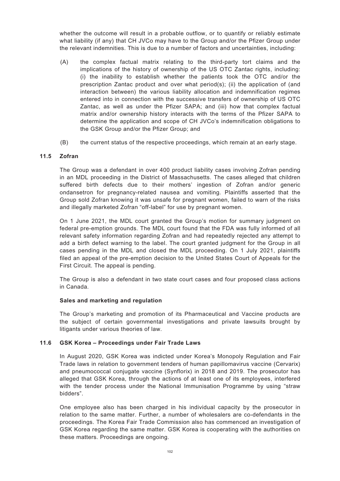whether the outcome will result in a probable outflow, or to quantify or reliably estimate what liability (if any) that CH JVCo may have to the Group and/or the Pfizer Group under the relevant indemnities. This is due to a number of factors and uncertainties, including:

- (A) the complex factual matrix relating to the third-party tort claims and the implications of the history of ownership of the US OTC Zantac rights, including: (i) the inability to establish whether the patients took the OTC and/or the prescription Zantac product and over what period(s); (ii) the application of (and interaction between) the various liability allocation and indemnification regimes entered into in connection with the successive transfers of ownership of US OTC Zantac, as well as under the Pfizer SAPA; and (iii) how that complex factual matrix and/or ownership history interacts with the terms of the Pfizer SAPA to determine the application and scope of CH JVCo's indemnification obligations to the GSK Group and/or the Pfizer Group; and
- (B) the current status of the respective proceedings, which remain at an early stage.

## **11.5 Zofran**

The Group was a defendant in over 400 product liability cases involving Zofran pending in an MDL proceeding in the District of Massachusetts. The cases alleged that children suffered birth defects due to their mothers' ingestion of Zofran and/or generic ondansetron for pregnancy-related nausea and vomiting. Plaintiffs asserted that the Group sold Zofran knowing it was unsafe for pregnant women, failed to warn of the risks and illegally marketed Zofran "off-label" for use by pregnant women.

On 1 June 2021, the MDL court granted the Group's motion for summary judgment on federal pre-emption grounds. The MDL court found that the FDA was fully informed of all relevant safety information regarding Zofran and had repeatedly rejected any attempt to add a birth defect warning to the label. The court granted judgment for the Group in all cases pending in the MDL and closed the MDL proceeding. On 1 July 2021, plaintiffs filed an appeal of the pre-emption decision to the United States Court of Appeals for the First Circuit. The appeal is pending.

The Group is also a defendant in two state court cases and four proposed class actions in Canada.

#### **Sales and marketing and regulation**

The Group's marketing and promotion of its Pharmaceutical and Vaccine products are the subject of certain governmental investigations and private lawsuits brought by litigants under various theories of law.

#### **11.6 GSK Korea – Proceedings under Fair Trade Laws**

In August 2020, GSK Korea was indicted under Korea's Monopoly Regulation and Fair Trade laws in relation to government tenders of human papillomavirus vaccine (Cervarix) and pneumococcal conjugate vaccine (Synflorix) in 2018 and 2019. The prosecutor has alleged that GSK Korea, through the actions of at least one of its employees, interfered with the tender process under the National Immunisation Programme by using "straw bidders".

One employee also has been charged in his individual capacity by the prosecutor in relation to the same matter. Further, a number of wholesalers are co-defendants in the proceedings. The Korea Fair Trade Commission also has commenced an investigation of GSK Korea regarding the same matter. GSK Korea is cooperating with the authorities on these matters. Proceedings are ongoing.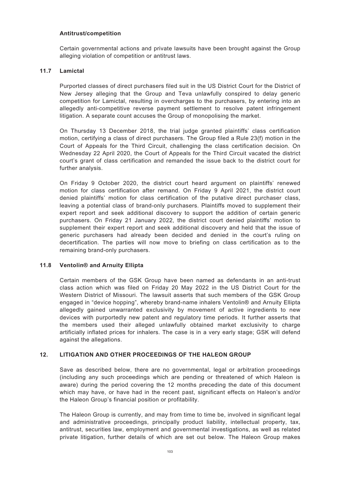## **Antitrust/competition**

Certain governmental actions and private lawsuits have been brought against the Group alleging violation of competition or antitrust laws.

#### **11.7 Lamictal**

Purported classes of direct purchasers filed suit in the US District Court for the District of New Jersey alleging that the Group and Teva unlawfully conspired to delay generic competition for Lamictal, resulting in overcharges to the purchasers, by entering into an allegedly anti-competitive reverse payment settlement to resolve patent infringement litigation. A separate count accuses the Group of monopolising the market.

On Thursday 13 December 2018, the trial judge granted plaintiffs' class certification motion, certifying a class of direct purchasers. The Group filed a Rule 23(f) motion in the Court of Appeals for the Third Circuit, challenging the class certification decision. On Wednesday 22 April 2020, the Court of Appeals for the Third Circuit vacated the district court's grant of class certification and remanded the issue back to the district court for further analysis.

On Friday 9 October 2020, the district court heard argument on plaintiffs' renewed motion for class certification after remand. On Friday 9 April 2021, the district court denied plaintiffs' motion for class certification of the putative direct purchaser class, leaving a potential class of brand-only purchasers. Plaintiffs moved to supplement their expert report and seek additional discovery to support the addition of certain generic purchasers. On Friday 21 January 2022, the district court denied plaintiffs' motion to supplement their expert report and seek additional discovery and held that the issue of generic purchasers had already been decided and denied in the court's ruling on decertification. The parties will now move to briefing on class certification as to the remaining brand-only purchasers.

## **11.8 Ventolin® and Arnuity Ellipta**

Certain members of the GSK Group have been named as defendants in an anti-trust class action which was filed on Friday 20 May 2022 in the US District Court for the Western District of Missouri. The lawsuit asserts that such members of the GSK Group engaged in "device hopping", whereby brand-name inhalers Ventolin® and Arnuity Ellipta allegedly gained unwarranted exclusivity by movement of active ingredients to new devices with purportedly new patent and regulatory time periods. It further asserts that the members used their alleged unlawfully obtained market exclusivity to charge artificially inflated prices for inhalers. The case is in a very early stage; GSK will defend against the allegations.

## **12. LITIGATION AND OTHER PROCEEDINGS OF THE HALEON GROUP**

Save as described below, there are no governmental, legal or arbitration proceedings (including any such proceedings which are pending or threatened of which Haleon is aware) during the period covering the 12 months preceding the date of this document which may have, or have had in the recent past, significant effects on Haleon's and/or the Haleon Group's financial position or profitability.

The Haleon Group is currently, and may from time to time be, involved in significant legal and administrative proceedings, principally product liability, intellectual property, tax, antitrust, securities law, employment and governmental investigations, as well as related private litigation, further details of which are set out below. The Haleon Group makes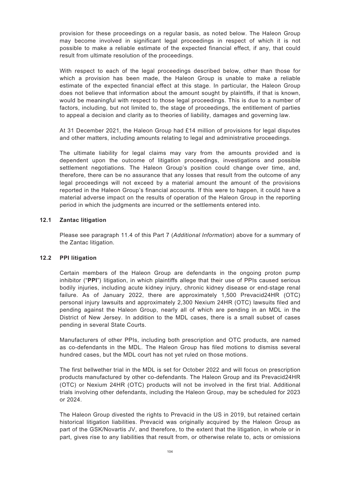provision for these proceedings on a regular basis, as noted below. The Haleon Group may become involved in significant legal proceedings in respect of which it is not possible to make a reliable estimate of the expected financial effect, if any, that could result from ultimate resolution of the proceedings.

With respect to each of the legal proceedings described below, other than those for which a provision has been made, the Haleon Group is unable to make a reliable estimate of the expected financial effect at this stage. In particular, the Haleon Group does not believe that information about the amount sought by plaintiffs, if that is known, would be meaningful with respect to those legal proceedings. This is due to a number of factors, including, but not limited to, the stage of proceedings, the entitlement of parties to appeal a decision and clarity as to theories of liability, damages and governing law.

At 31 December 2021, the Haleon Group had £14 million of provisions for legal disputes and other matters, including amounts relating to legal and administrative proceedings.

The ultimate liability for legal claims may vary from the amounts provided and is dependent upon the outcome of litigation proceedings, investigations and possible settlement negotiations. The Haleon Group's position could change over time, and, therefore, there can be no assurance that any losses that result from the outcome of any legal proceedings will not exceed by a material amount the amount of the provisions reported in the Haleon Group's financial accounts. If this were to happen, it could have a material adverse impact on the results of operation of the Haleon Group in the reporting period in which the judgments are incurred or the settlements entered into.

## **12.1 Zantac litigation**

Please see paragraph 11.4 of this Part 7 (*Additional Information*) above for a summary of the Zantac litigation.

## **12.2 PPI litigation**

Certain members of the Haleon Group are defendants in the ongoing proton pump inhibitor ("**PPI**") litigation, in which plaintiffs allege that their use of PPIs caused serious bodily injuries, including acute kidney injury, chronic kidney disease or end-stage renal failure. As of January 2022, there are approximately 1,500 Prevacid24HR (OTC) personal injury lawsuits and approximately 2,300 Nexium 24HR (OTC) lawsuits filed and pending against the Haleon Group, nearly all of which are pending in an MDL in the District of New Jersey. In addition to the MDL cases, there is a small subset of cases pending in several State Courts.

Manufacturers of other PPIs, including both prescription and OTC products, are named as co-defendants in the MDL. The Haleon Group has filed motions to dismiss several hundred cases, but the MDL court has not yet ruled on those motions.

The first bellwether trial in the MDL is set for October 2022 and will focus on prescription products manufactured by other co-defendants. The Haleon Group and its Prevacid24HR (OTC) or Nexium 24HR (OTC) products will not be involved in the first trial. Additional trials involving other defendants, including the Haleon Group, may be scheduled for 2023 or 2024.

The Haleon Group divested the rights to Prevacid in the US in 2019, but retained certain historical litigation liabilities. Prevacid was originally acquired by the Haleon Group as part of the GSK/Novartis JV, and therefore, to the extent that the litigation, in whole or in part, gives rise to any liabilities that result from, or otherwise relate to, acts or omissions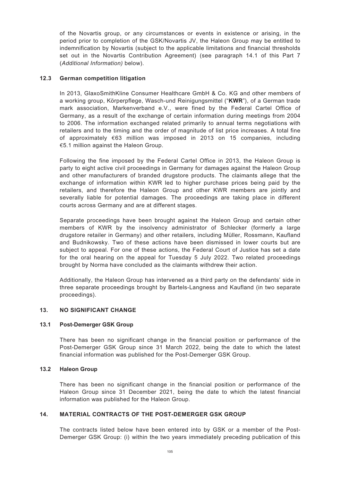of the Novartis group, or any circumstances or events in existence or arising, in the period prior to completion of the GSK/Novartis JV, the Haleon Group may be entitled to indemnification by Novartis (subject to the applicable limitations and financial thresholds set out in the Novartis Contribution Agreement) (see paragraph 14.1 of this Part 7 (*Additional Information)* below).

## **12.3 German competition litigation**

In 2013, GlaxoSmithKline Consumer Healthcare GmbH & Co. KG and other members of a working group, Körperpflege, Wasch-und Reinigungsmittel ("**KWR**"), of a German trade mark association, Markenverband e.V., were fined by the Federal Cartel Office of Germany, as a result of the exchange of certain information during meetings from 2004 to 2006. The information exchanged related primarily to annual terms negotiations with retailers and to the timing and the order of magnitude of list price increases. A total fine of approximately €63 million was imposed in 2013 on 15 companies, including €5.1 million against the Haleon Group.

Following the fine imposed by the Federal Cartel Office in 2013, the Haleon Group is party to eight active civil proceedings in Germany for damages against the Haleon Group and other manufacturers of branded drugstore products. The claimants allege that the exchange of information within KWR led to higher purchase prices being paid by the retailers, and therefore the Haleon Group and other KWR members are jointly and severally liable for potential damages. The proceedings are taking place in different courts across Germany and are at different stages.

Separate proceedings have been brought against the Haleon Group and certain other members of KWR by the insolvency administrator of Schlecker (formerly a large drugstore retailer in Germany) and other retailers, including Müller, Rossmann, Kaufland and Budnikowsky. Two of these actions have been dismissed in lower courts but are subject to appeal. For one of these actions, the Federal Court of Justice has set a date for the oral hearing on the appeal for Tuesday 5 July 2022. Two related proceedings brought by Norma have concluded as the claimants withdrew their action.

Additionally, the Haleon Group has intervened as a third party on the defendants' side in three separate proceedings brought by Bartels-Langness and Kaufland (in two separate proceedings).

## **13. NO SIGNIFICANT CHANGE**

## **13.1 Post-Demerger GSK Group**

There has been no significant change in the financial position or performance of the Post-Demerger GSK Group since 31 March 2022, being the date to which the latest financial information was published for the Post-Demerger GSK Group.

## **13.2 Haleon Group**

There has been no significant change in the financial position or performance of the Haleon Group since 31 December 2021, being the date to which the latest financial information was published for the Haleon Group.

## **14. MATERIAL CONTRACTS OF THE POST-DEMERGER GSK GROUP**

The contracts listed below have been entered into by GSK or a member of the Post-Demerger GSK Group: (i) within the two years immediately preceding publication of this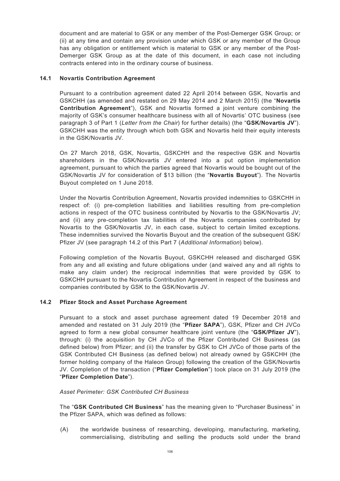document and are material to GSK or any member of the Post-Demerger GSK Group; or (ii) at any time and contain any provision under which GSK or any member of the Group has any obligation or entitlement which is material to GSK or any member of the Post-Demerger GSK Group as at the date of this document, in each case not including contracts entered into in the ordinary course of business.

## **14.1 Novartis Contribution Agreement**

Pursuant to a contribution agreement dated 22 April 2014 between GSK, Novartis and GSKCHH (as amended and restated on 29 May 2014 and 2 March 2015) (the "**Novartis Contribution Agreement**"), GSK and Novartis formed a joint venture combining the majority of GSK's consumer healthcare business with all of Novartis' OTC business (see paragraph 3 of Part 1 (*Letter from the Chair*) for further details) (the "**GSK/Novartis JV**"). GSKCHH was the entity through which both GSK and Novartis held their equity interests in the GSK/Novartis JV.

On 27 March 2018, GSK, Novartis, GSKCHH and the respective GSK and Novartis shareholders in the GSK/Novartis JV entered into a put option implementation agreement, pursuant to which the parties agreed that Novartis would be bought out of the GSK/Novartis JV for consideration of \$13 billion (the "**Novartis Buyout**"). The Novartis Buyout completed on 1 June 2018.

Under the Novartis Contribution Agreement, Novartis provided indemnities to GSKCHH in respect of: (i) pre-completion liabilities and liabilities resulting from pre-completion actions in respect of the OTC business contributed by Novartis to the GSK/Novartis JV; and (ii) any pre-completion tax liabilities of the Novartis companies contributed by Novartis to the GSK/Novartis JV, in each case, subject to certain limited exceptions. These indemnities survived the Novartis Buyout and the creation of the subsequent GSK/ Pfizer JV (see paragraph 14.2 of this Part 7 (*Additional Information*) below).

Following completion of the Novartis Buyout, GSKCHH released and discharged GSK from any and all existing and future obligations under (and waived any and all rights to make any claim under) the reciprocal indemnities that were provided by GSK to GSKCHH pursuant to the Novartis Contribution Agreement in respect of the business and companies contributed by GSK to the GSK/Novartis JV.

# **14.2 Pfizer Stock and Asset Purchase Agreement**

Pursuant to a stock and asset purchase agreement dated 19 December 2018 and amended and restated on 31 July 2019 (the "**Pfizer SAPA**"), GSK, Pfizer and CH JVCo agreed to form a new global consumer healthcare joint venture (the "**GSK/Pfizer JV**"), through: (i) the acquisition by CH JVCo of the Pfizer Contributed CH Business (as defined below) from Pfizer; and (ii) the transfer by GSK to CH JVCo of those parts of the GSK Contributed CH Business (as defined below) not already owned by GSKCHH (the former holding company of the Haleon Group) following the creation of the GSK/Novartis JV. Completion of the transaction ("**Pfizer Completion**") took place on 31 July 2019 (the "**Pfizer Completion Date**").

## *Asset Perimeter: GSK Contributed CH Business*

The "**GSK Contributed CH Business**" has the meaning given to "Purchaser Business" in the Pfizer SAPA, which was defined as follows:

(A) the worldwide business of researching, developing, manufacturing, marketing, commercialising, distributing and selling the products sold under the brand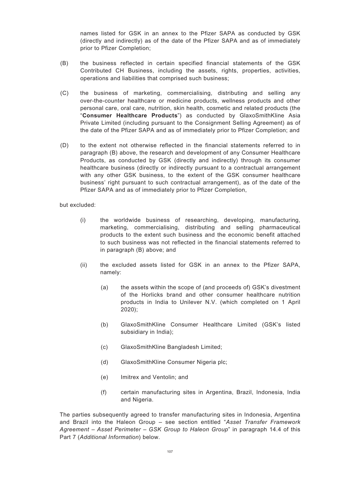names listed for GSK in an annex to the Pfizer SAPA as conducted by GSK (directly and indirectly) as of the date of the Pfizer SAPA and as of immediately prior to Pfizer Completion;

- (B) the business reflected in certain specified financial statements of the GSK Contributed CH Business, including the assets, rights, properties, activities, operations and liabilities that comprised such business;
- (C) the business of marketing, commercialising, distributing and selling any over-the-counter healthcare or medicine products, wellness products and other personal care, oral care, nutrition, skin health, cosmetic and related products (the "**Consumer Healthcare Products**") as conducted by GlaxoSmithKline Asia Private Limited (including pursuant to the Consignment Selling Agreement) as of the date of the Pfizer SAPA and as of immediately prior to Pfizer Completion; and
- (D) to the extent not otherwise reflected in the financial statements referred to in paragraph (B) above, the research and development of any Consumer Healthcare Products, as conducted by GSK (directly and indirectly) through its consumer healthcare business (directly or indirectly pursuant to a contractual arrangement with any other GSK business, to the extent of the GSK consumer healthcare business' right pursuant to such contractual arrangement), as of the date of the Pfizer SAPA and as of immediately prior to Pfizer Completion,

but excluded:

- (i) the worldwide business of researching, developing, manufacturing, marketing, commercialising, distributing and selling pharmaceutical products to the extent such business and the economic benefit attached to such business was not reflected in the financial statements referred to in paragraph (B) above; and
- (ii) the excluded assets listed for GSK in an annex to the Pfizer SAPA, namely:
	- (a) the assets within the scope of (and proceeds of) GSK's divestment of the Horlicks brand and other consumer healthcare nutrition products in India to Unilever N.V. (which completed on 1 April 2020);
	- (b) GlaxoSmithKline Consumer Healthcare Limited (GSK's listed subsidiary in India);
	- (c) GlaxoSmithKline Bangladesh Limited;
	- (d) GlaxoSmithKline Consumer Nigeria plc;
	- (e) Imitrex and Ventolin; and
	- (f) certain manufacturing sites in Argentina, Brazil, Indonesia, India and Nigeria.

The parties subsequently agreed to transfer manufacturing sites in Indonesia, Argentina and Brazil into the Haleon Group – see section entitled "*Asset Transfer Framework Agreement – Asset Perimeter – GSK Group to Haleon Group*" in paragraph 14.4 of this Part 7 (*Additional Information*) below.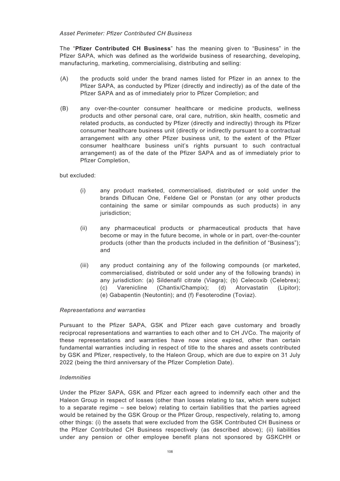## *Asset Perimeter: Pfizer Contributed CH Business*

The "**Pfizer Contributed CH Business**" has the meaning given to "Business" in the Pfizer SAPA, which was defined as the worldwide business of researching, developing, manufacturing, marketing, commercialising, distributing and selling:

- (A) the products sold under the brand names listed for Pfizer in an annex to the Pfizer SAPA, as conducted by Pfizer (directly and indirectly) as of the date of the Pfizer SAPA and as of immediately prior to Pfizer Completion; and
- (B) any over-the-counter consumer healthcare or medicine products, wellness products and other personal care, oral care, nutrition, skin health, cosmetic and related products, as conducted by Pfizer (directly and indirectly) through its Pfizer consumer healthcare business unit (directly or indirectly pursuant to a contractual arrangement with any other Pfizer business unit, to the extent of the Pfizer consumer healthcare business unit's rights pursuant to such contractual arrangement) as of the date of the Pfizer SAPA and as of immediately prior to Pfizer Completion,

but excluded:

- (i) any product marketed, commercialised, distributed or sold under the brands Diflucan One, Feldene Gel or Ponstan (or any other products containing the same or similar compounds as such products) in any jurisdiction;
- (ii) any pharmaceutical products or pharmaceutical products that have become or may in the future become, in whole or in part, over-the-counter products (other than the products included in the definition of "Business"); and
- (iii) any product containing any of the following compounds (or marketed, commercialised, distributed or sold under any of the following brands) in any jurisdiction: (a) Sildenafil citrate (Viagra); (b) Celecoxib (Celebrex); (c) Varenicline (Chantix/Champix); (d) Atorvastatin (Lipitor); (e) Gabapentin (Neutontin); and (f) Fesoterodine (Toviaz).

## *Representations and warranties*

Pursuant to the Pfizer SAPA, GSK and Pfizer each gave customary and broadly reciprocal representations and warranties to each other and to CH JVCo. The majority of these representations and warranties have now since expired, other than certain fundamental warranties including in respect of title to the shares and assets contributed by GSK and Pfizer, respectively, to the Haleon Group, which are due to expire on 31 July 2022 (being the third anniversary of the Pfizer Completion Date).

## *Indemnities*

Under the Pfizer SAPA, GSK and Pfizer each agreed to indemnify each other and the Haleon Group in respect of losses (other than losses relating to tax, which were subject to a separate regime – see below) relating to certain liabilities that the parties agreed would be retained by the GSK Group or the Pfizer Group, respectively, relating to, among other things: (i) the assets that were excluded from the GSK Contributed CH Business or the Pfizer Contributed CH Business respectively (as described above); (ii) liabilities under any pension or other employee benefit plans not sponsored by GSKCHH or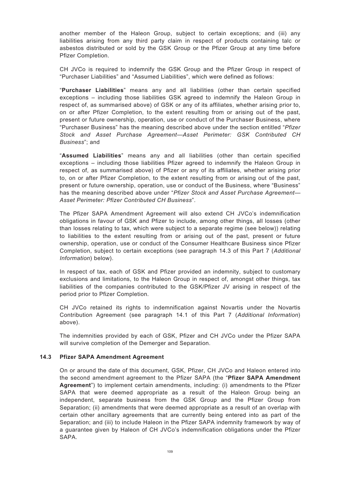another member of the Haleon Group, subject to certain exceptions; and (iii) any liabilities arising from any third party claim in respect of products containing talc or asbestos distributed or sold by the GSK Group or the Pfizer Group at any time before Pfizer Completion.

CH JVCo is required to indemnify the GSK Group and the Pfizer Group in respect of "Purchaser Liabilities" and "Assumed Liabilities", which were defined as follows:

"**Purchaser Liabilities**" means any and all liabilities (other than certain specified exceptions – including those liabilities GSK agreed to indemnify the Haleon Group in respect of, as summarised above) of GSK or any of its affiliates, whether arising prior to, on or after Pfizer Completion, to the extent resulting from or arising out of the past, present or future ownership, operation, use or conduct of the Purchaser Business, where "Purchaser Business" has the meaning described above under the section entitled "*Pfizer Stock and Asset Purchase Agreement—Asset Perimeter: GSK Contributed CH Business*"; and

"**Assumed Liabilities**" means any and all liabilities (other than certain specified exceptions – including those liabilities Pfizer agreed to indemnify the Haleon Group in respect of, as summarised above) of Pfizer or any of its affiliates, whether arising prior to, on or after Pfizer Completion, to the extent resulting from or arising out of the past, present or future ownership, operation, use or conduct of the Business, where "Business" has the meaning described above under "*Pfizer Stock and Asset Purchase Agreement— Asset Perimeter: Pfizer Contributed CH Business*".

The Pfizer SAPA Amendment Agreement will also extend CH JVCo's indemnification obligations in favour of GSK and Pfizer to include, among other things, all losses (other than losses relating to tax, which were subject to a separate regime (see below)) relating to liabilities to the extent resulting from or arising out of the past, present or future ownership, operation, use or conduct of the Consumer Healthcare Business since Pfizer Completion, subject to certain exceptions (see paragraph 14.3 of this Part 7 (*Additional Information*) below).

In respect of tax, each of GSK and Pfizer provided an indemnity, subject to customary exclusions and limitations, to the Haleon Group in respect of, amongst other things, tax liabilities of the companies contributed to the GSK/Pfizer JV arising in respect of the period prior to Pfizer Completion.

CH JVCo retained its rights to indemnification against Novartis under the Novartis Contribution Agreement (see paragraph 14.1 of this Part 7 (*Additional Information*) above).

The indemnities provided by each of GSK, Pfizer and CH JVCo under the Pfizer SAPA will survive completion of the Demerger and Separation.

### **14.3 Pfizer SAPA Amendment Agreement**

On or around the date of this document, GSK, Pfizer, CH JVCo and Haleon entered into the second amendment agreement to the Pfizer SAPA (the "**Pfizer SAPA Amendment Agreement**") to implement certain amendments, including: (i) amendments to the Pfizer SAPA that were deemed appropriate as a result of the Haleon Group being an independent, separate business from the GSK Group and the Pfizer Group from Separation; (ii) amendments that were deemed appropriate as a result of an overlap with certain other ancillary agreements that are currently being entered into as part of the Separation; and (iii) to include Haleon in the Pfizer SAPA indemnity framework by way of a guarantee given by Haleon of CH JVCo's indemnification obligations under the Pfizer SAPA.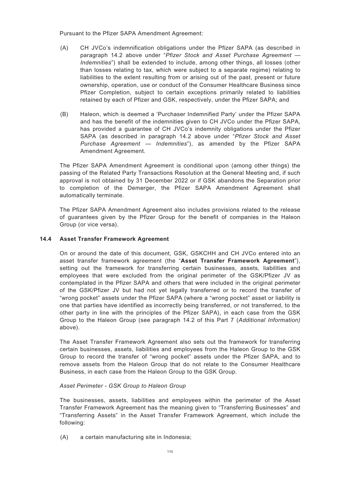Pursuant to the Pfizer SAPA Amendment Agreement:

- (A) CH JVCo's indemnification obligations under the Pfizer SAPA (as described in paragraph 14.2 above under "*Pfizer Stock and Asset Purchase Agreement — Indemnities*") shall be extended to include, among other things, all losses (other than losses relating to tax, which were subject to a separate regime) relating to liabilities to the extent resulting from or arising out of the past, present or future ownership, operation, use or conduct of the Consumer Healthcare Business since Pfizer Completion, subject to certain exceptions primarily related to liabilities retained by each of Pfizer and GSK, respectively, under the Pfizer SAPA; and
- (B) Haleon, which is deemed a 'Purchaser Indemnified Party' under the Pfizer SAPA and has the benefit of the indemnities given to CH JVCo under the Pfizer SAPA, has provided a guarantee of CH JVCo's indemnity obligations under the Pfizer SAPA (as described in paragraph 14.2 above under "*Pfizer Stock and Asset Purchase Agreement — Indemnities*"), as amended by the Pfizer SAPA Amendment Agreement.

The Pfizer SAPA Amendment Agreement is conditional upon (among other things) the passing of the Related Party Transactions Resolution at the General Meeting and, if such approval is not obtained by 31 December 2022 or if GSK abandons the Separation prior to completion of the Demerger, the Pfizer SAPA Amendment Agreement shall automatically terminate.

The Pfizer SAPA Amendment Agreement also includes provisions related to the release of guarantees given by the Pfizer Group for the benefit of companies in the Haleon Group (or vice versa).

## **14.4 Asset Transfer Framework Agreement**

On or around the date of this document, GSK, GSKCHH and CH JVCo entered into an asset transfer framework agreement (the "**Asset Transfer Framework Agreement**"), setting out the framework for transferring certain businesses, assets, liabilities and employees that were excluded from the original perimeter of the GSK/Pfizer JV as contemplated in the Pfizer SAPA and others that were included in the original perimeter of the GSK/Pfizer JV but had not yet legally transferred or to record the transfer of "wrong pocket" assets under the Pfizer SAPA (where a "wrong pocket" asset or liability is one that parties have identified as incorrectly being transferred, or not transferred, to the other party in line with the principles of the Pfizer SAPA), in each case from the GSK Group to the Haleon Group (see paragraph 14.2 of this Part 7 (*Additional Information)* above).

The Asset Transfer Framework Agreement also sets out the framework for transferring certain businesses, assets, liabilities and employees from the Haleon Group to the GSK Group to record the transfer of "wrong pocket" assets under the Pfizer SAPA, and to remove assets from the Haleon Group that do not relate to the Consumer Healthcare Business, in each case from the Haleon Group to the GSK Group.

### *Asset Perimeter - GSK Group to Haleon Group*

The businesses, assets, liabilities and employees within the perimeter of the Asset Transfer Framework Agreement has the meaning given to "Transferring Businesses" and "Transferring Assets" in the Asset Transfer Framework Agreement, which include the following:

(A) a certain manufacturing site in Indonesia;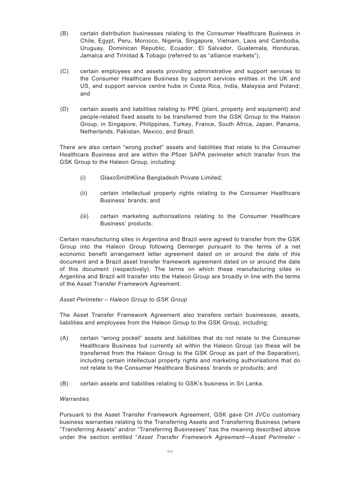- (B) certain distribution businesses relating to the Consumer Healthcare Business in Chile, Egypt, Peru, Morocco, Nigeria, Singapore, Vietnam, Laos and Cambodia, Uruguay, Dominican Republic, Ecuador, El Salvador, Guatemala, Honduras, Jamaica and Trinidad & Tobago (referred to as "alliance markets");
- (C) certain employees and assets providing administrative and support services to the Consumer Healthcare Business by support services entities in the UK and US, and support service centre hubs in Costa Rica, India, Malaysia and Poland; and
- (D) certain assets and liabilities relating to PPE (plant, property and equipment) and people-related fixed assets to be transferred from the GSK Group to the Haleon Group, in Singapore, Philippines, Turkey, France, South Africa, Japan, Panama, Netherlands, Pakistan, Mexico, and Brazil.

There are also certain "wrong pocket" assets and liabilities that relate to the Consumer Healthcare Business and are within the Pfizer SAPA perimeter which transfer from the GSK Group to the Haleon Group, including:

- (i) GlaxoSmithKline Bangladesh Private Limited;
- (ii) certain intellectual property rights relating to the Consumer Healthcare Business' brands; and
- (iii) certain marketing authorisations relating to the Consumer Healthcare Business' products.

Certain manufacturing sites in Argentina and Brazil were agreed to transfer from the GSK Group into the Haleon Group following Demerger pursuant to the terms of a net economic benefit arrangement letter agreement dated on or around the date of this document and a Brazil asset transfer framework agreement dated on or around the date of this document (respectively). The terms on which these manufacturing sites in Argentina and Brazil will transfer into the Haleon Group are broadly in line with the terms of the Asset Transfer Framework Agreement.

### *Asset Perimeter – Haleon Group to GSK Group*

The Asset Transfer Framework Agreement also transfers certain businesses, assets, liabilities and employees from the Haleon Group to the GSK Group, including:

- (A) certain "wrong pocket" assets and liabilities that do not relate to the Consumer Healthcare Business but currently sit within the Haleon Group (so these will be transferred from the Haleon Group to the GSK Group as part of the Separation), including certain intellectual property rights and marketing authorisations that do not relate to the Consumer Healthcare Business' brands or products; and
- (B) certain assets and liabilities relating to GSK's business in Sri Lanka.

### *Warranties*

Pursuant to the Asset Transfer Framework Agreement, GSK gave CH JVCo customary business warranties relating to the Transferring Assets and Transferring Business (where "Transferring Assets" and/or "Transferring Businesses" has the meaning described above under the section entitled "*Asset Transfer Framework Agreement—Asset Perimeter -*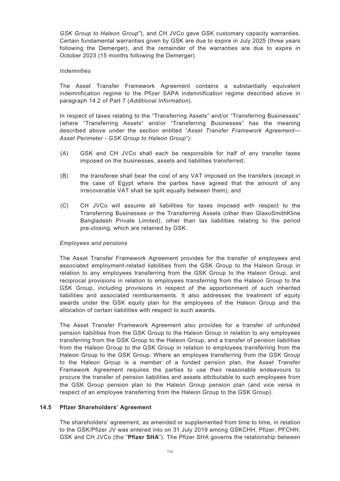*GSK Group to Haleon Group*"), and CH JVCo gave GSK customary capacity warranties. Certain fundamental warranties given by GSK are due to expire in July 2025 (three years following the Demerger), and the remainder of the warranties are due to expire in October 2023 (15 months following the Demerger).

### *Indemnities*

The Asset Transfer Framework Agreement contains a substantially equivalent indemnification regime to the Pfizer SAPA indemnification regime described above in paragraph 14.2 of Part 7 (*Additional Information*).

In respect of taxes relating to the "Transferring Assets" and/or "Transferring Businesses" (where "Transferring Assets" and/or "Transferring Businesses" has the meaning described above under the section entitled "*Asset Transfer Framework Agreement— Asset Perimeter - GSK Group to Haleon Group*"):

- (A) GSK and CH JVCo shall each be responsible for half of any transfer taxes imposed on the businesses, assets and liabilities transferred;
- (B) the transferee shall bear the cost of any VAT imposed on the transfers (except in the case of Egypt where the parties have agreed that the amount of any irrecoverable VAT shall be split equally between them); and
- (C) CH JVCo will assume all liabilities for taxes imposed with respect to the Transferring Businesses or the Transferring Assets (other than GlaxoSmithKline Bangladesh Private Limited), other than tax liabilities relating to the period pre-closing, which are retained by GSK.

### *Employees and pensions*

The Asset Transfer Framework Agreement provides for the transfer of employees and associated employment-related liabilities from the GSK Group to the Haleon Group in relation to any employees transferring from the GSK Group to the Haleon Group, and reciprocal provisions in relation to employees transferring from the Haleon Group to the GSK Group, including provisions in respect of the apportionment of such inherited liabilities and associated reimbursements. It also addresses the treatment of equity awards under the GSK equity plan for the employees of the Haleon Group and the allocation of certain liabilities with respect to such awards.

The Asset Transfer Framework Agreement also provides for a transfer of unfunded pension liabilities from the GSK Group to the Haleon Group in relation to any employees transferring from the GSK Group to the Haleon Group, and a transfer of pension liabilities from the Haleon Group to the GSK Group in relation to employees transferring from the Haleon Group to the GSK Group. Where an employee transferring from the GSK Group to the Haleon Group is a member of a funded pension plan, the Asset Transfer Framework Agreement requires the parties to use their reasonable endeavours to procure the transfer of pension liabilities and assets attributable to such employees from the GSK Group pension plan to the Haleon Group pension plan (and vice versa in respect of an employee transferring from the Haleon Group to the GSK Group).

### **14.5 Pfizer Shareholders' Agreement**

The shareholders' agreement, as amended or supplemented from time to time, in relation to the GSK/Pfizer JV was entered into on 31 July 2019 among GSKCHH, Pfizer, PFCHH, GSK and CH JVCo (the "**Pfizer SHA**"). The Pfizer SHA governs the relationship between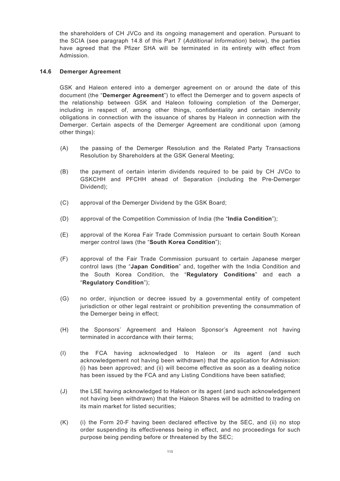the shareholders of CH JVCo and its ongoing management and operation. Pursuant to the SCIA (see paragraph 14.8 of this Part 7 (*Additional Information*) below), the parties have agreed that the Pfizer SHA will be terminated in its entirety with effect from Admission.

# **14.6 Demerger Agreement**

GSK and Haleon entered into a demerger agreement on or around the date of this document (the "**Demerger Agreement**") to effect the Demerger and to govern aspects of the relationship between GSK and Haleon following completion of the Demerger, including in respect of, among other things, confidentiality and certain indemnity obligations in connection with the issuance of shares by Haleon in connection with the Demerger. Certain aspects of the Demerger Agreement are conditional upon (among other things):

- (A) the passing of the Demerger Resolution and the Related Party Transactions Resolution by Shareholders at the GSK General Meeting;
- (B) the payment of certain interim dividends required to be paid by CH JVCo to GSKCHH and PFCHH ahead of Separation (including the Pre-Demerger Dividend);
- (C) approval of the Demerger Dividend by the GSK Board;
- (D) approval of the Competition Commission of India (the "**India Condition**");
- (E) approval of the Korea Fair Trade Commission pursuant to certain South Korean merger control laws (the "**South Korea Condition**");
- (F) approval of the Fair Trade Commission pursuant to certain Japanese merger control laws (the "**Japan Condition**" and, together with the India Condition and the South Korea Condition, the "**Regulatory Conditions**" and each a "**Regulatory Condition**");
- (G) no order, injunction or decree issued by a governmental entity of competent jurisdiction or other legal restraint or prohibition preventing the consummation of the Demerger being in effect;
- (H) the Sponsors' Agreement and Haleon Sponsor's Agreement not having terminated in accordance with their terms;
- (I) the FCA having acknowledged to Haleon or its agent (and such acknowledgement not having been withdrawn) that the application for Admission: (i) has been approved; and (ii) will become effective as soon as a dealing notice has been issued by the FCA and any Listing Conditions have been satisfied;
- (J) the LSE having acknowledged to Haleon or its agent (and such acknowledgement not having been withdrawn) that the Haleon Shares will be admitted to trading on its main market for listed securities;
- (K) (i) the Form 20-F having been declared effective by the SEC, and (ii) no stop order suspending its effectiveness being in effect, and no proceedings for such purpose being pending before or threatened by the SEC;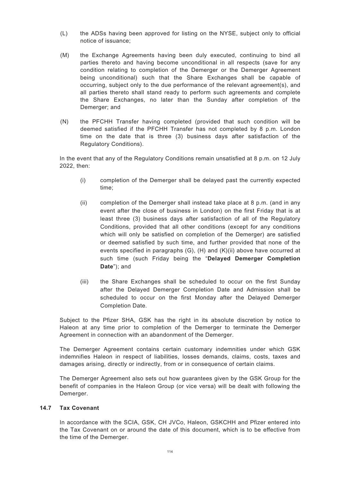- (L) the ADSs having been approved for listing on the NYSE, subject only to official notice of issuance;
- (M) the Exchange Agreements having been duly executed, continuing to bind all parties thereto and having become unconditional in all respects (save for any condition relating to completion of the Demerger or the Demerger Agreement being unconditional) such that the Share Exchanges shall be capable of occurring, subject only to the due performance of the relevant agreement(s), and all parties thereto shall stand ready to perform such agreements and complete the Share Exchanges, no later than the Sunday after completion of the Demerger; and
- (N) the PFCHH Transfer having completed (provided that such condition will be deemed satisfied if the PFCHH Transfer has not completed by 8 p.m. London time on the date that is three (3) business days after satisfaction of the Regulatory Conditions).

In the event that any of the Regulatory Conditions remain unsatisfied at 8 p.m. on 12 July 2022, then:

- (i) completion of the Demerger shall be delayed past the currently expected time;
- (ii) completion of the Demerger shall instead take place at 8 p.m. (and in any event after the close of business in London) on the first Friday that is at least three (3) business days after satisfaction of all of the Regulatory Conditions, provided that all other conditions (except for any conditions which will only be satisfied on completion of the Demerger) are satisfied or deemed satisfied by such time, and further provided that none of the events specified in paragraphs (G), (H) and (K)(ii) above have occurred at such time (such Friday being the "**Delayed Demerger Completion Date**"); and
- (iii) the Share Exchanges shall be scheduled to occur on the first Sunday after the Delayed Demerger Completion Date and Admission shall be scheduled to occur on the first Monday after the Delayed Demerger Completion Date.

Subject to the Pfizer SHA, GSK has the right in its absolute discretion by notice to Haleon at any time prior to completion of the Demerger to terminate the Demerger Agreement in connection with an abandonment of the Demerger.

The Demerger Agreement contains certain customary indemnities under which GSK indemnifies Haleon in respect of liabilities, losses demands, claims, costs, taxes and damages arising, directly or indirectly, from or in consequence of certain claims.

The Demerger Agreement also sets out how guarantees given by the GSK Group for the benefit of companies in the Haleon Group (or vice versa) will be dealt with following the Demerger.

## **14.7 Tax Covenant**

In accordance with the SCIA, GSK, CH JVCo, Haleon, GSKCHH and Pfizer entered into the Tax Covenant on or around the date of this document, which is to be effective from the time of the Demerger.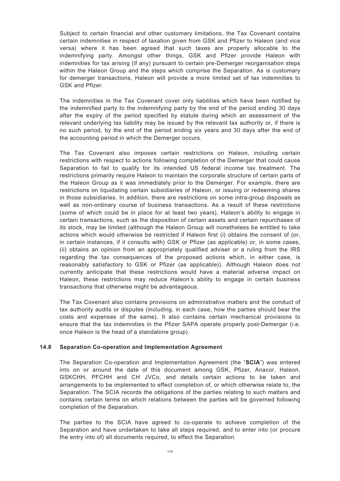Subject to certain financial and other customary limitations, the Tax Covenant contains certain indemnities in respect of taxation given from GSK and Pfizer to Haleon (and vice versa) where it has been agreed that such taxes are properly allocable to the indemnifying party. Amongst other things, GSK and Pfizer provide Haleon with indemnities for tax arising (if any) pursuant to certain pre-Demerger reorganisation steps within the Haleon Group and the steps which comprise the Separation. As is customary for demerger transactions, Haleon will provide a more limited set of tax indemnities to GSK and Pfizer.

The indemnities in the Tax Covenant cover only liabilities which have been notified by the indemnified party to the indemnifying party by the end of the period ending 30 days after the expiry of the period specified by statute during which an assessment of the relevant underlying tax liability may be issued by the relevant tax authority or, if there is no such period, by the end of the period ending six years and 30 days after the end of the accounting period in which the Demerger occurs.

The Tax Covenant also imposes certain restrictions on Haleon, including certain restrictions with respect to actions following completion of the Demerger that could cause Separation to fail to qualify for its intended US federal income tax treatment. The restrictions primarily require Haleon to maintain the corporate structure of certain parts of the Haleon Group as it was immediately prior to the Demerger. For example, there are restrictions on liquidating certain subsidiaries of Haleon, or issuing or redeeming shares in those subsidiaries. In addition, there are restrictions on some intra-group disposals as well as non-ordinary course of business transactions. As a result of these restrictions (some of which could be in place for at least two years), Haleon's ability to engage in certain transactions, such as the disposition of certain assets and certain repurchases of its stock, may be limited (although the Haleon Group will nonetheless be entitled to take actions which would otherwise be restricted if Haleon first (i) obtains the consent of (or, in certain instances, if it consults with) GSK or Pfizer (as applicable) or, in some cases, (ii) obtains an opinion from an appropriately qualified adviser or a ruling from the IRS regarding the tax consequences of the proposed actions which, in either case, is reasonably satisfactory to GSK or Pfizer (as applicable)). Although Haleon does not currently anticipate that these restrictions would have a material adverse impact on Haleon, these restrictions may reduce Haleon's ability to engage in certain business transactions that otherwise might be advantageous.

The Tax Covenant also contains provisions on administrative matters and the conduct of tax authority audits or disputes (including, in each case, how the parties should bear the costs and expenses of the same). It also contains certain mechanical provisions to ensure that the tax indemnities in the Pfizer SAPA operate properly post-Demerger (i.e. once Haleon is the head of a standalone group).

### **14.8 Separation Co-operation and Implementation Agreement**

The Separation Co-operation and Implementation Agreement (the "**SCIA**") was entered into on or around the date of this document among GSK, Pfizer, Anacor, Haleon, GSKCHH, PFCHH and CH JVCo, and details certain actions to be taken and arrangements to be implemented to effect completion of, or which otherwise relate to, the Separation. The SCIA records the obligations of the parties relating to such matters and contains certain terms on which relations between the parties will be governed following completion of the Separation.

The parties to the SCIA have agreed to co-operate to achieve completion of the Separation and have undertaken to take all steps required, and to enter into (or procure the entry into of) all documents required, to effect the Separation.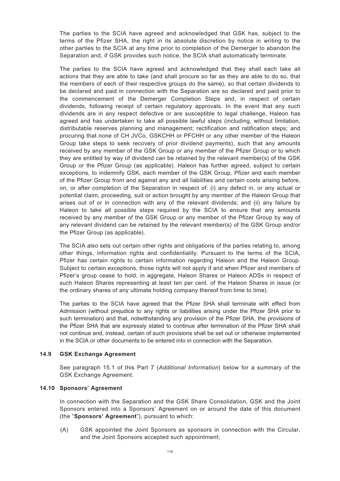The parties to the SCIA have agreed and acknowledged that GSK has, subject to the terms of the Pfizer SHA, the right in its absolute discretion by notice in writing to the other parties to the SCIA at any time prior to completion of the Demerger to abandon the Separation and, if GSK provides such notice, the SCIA shall automatically terminate.

The parties to the SCIA have agreed and acknowledged that they shall each take all actions that they are able to take (and shall procure so far as they are able to do so, that the members of each of their respective groups do the same), so that certain dividends to be declared and paid in connection with the Separation are so declared and paid prior to the commencement of the Demerger Completion Steps and, in respect of certain dividends, following receipt of certain regulatory approvals. In the event that any such dividends are in any respect defective or are susceptible to legal challenge, Haleon has agreed and has undertaken to take all possible lawful steps (including, without limitation, distributable reserves planning and management; rectification and ratification steps; and procuring that none of CH JVCo, GSKCHH or PFCHH or any other member of the Haleon Group take steps to seek recovery of prior dividend payments), such that any amounts received by any member of the GSK Group or any member of the Pfizer Group or to which they are entitled by way of dividend can be retained by the relevant member(s) of the GSK Group or the Pfizer Group (as applicable). Haleon has further agreed, subject to certain exceptions, to indemnify GSK, each member of the GSK Group, Pfizer and each member of the Pfizer Group from and against any and all liabilities and certain costs arising before, on, or after completion of the Separation in respect of: (i) any defect in, or any actual or potential claim, proceeding, suit or action brought by any member of the Haleon Group that arises out of or in connection with any of the relevant dividends; and (ii) any failure by Haleon to take all possible steps required by the SCIA to ensure that any amounts received by any member of the GSK Group or any member of the Pfizer Group by way of any relevant dividend can be retained by the relevant member(s) of the GSK Group and/or the Pfizer Group (as applicable).

The SCIA also sets out certain other rights and obligations of the parties relating to, among other things, information rights and confidentiality. Pursuant to the terms of the SCIA, Pfizer has certain rights to certain information regarding Haleon and the Haleon Group. Subject to certain exceptions, those rights will not apply if and when Pfizer and members of Pfizer's group cease to hold, in aggregate, Haleon Shares or Haleon ADSs in respect of such Haleon Shares representing at least ten per cent. of the Haleon Shares in issue (or the ordinary shares of any ultimate holding company thereof from time to time).

The parties to the SCIA have agreed that the Pfizer SHA shall terminate with effect from Admission (without prejudice to any rights or liabilities arising under the Pfizer SHA prior to such termination) and that, notwithstanding any provision of the Pfizer SHA, the provisions of the Pfizer SHA that are expressly stated to continue after termination of the Pfizer SHA shall not continue and, instead, certain of such provisions shall be set out or otherwise implemented in the SCIA or other documents to be entered into in connection with the Separation.

### **14.9 GSK Exchange Agreement**

See paragraph 15.1 of this Part 7 (*Additional Information*) below for a summary of the GSK Exchange Agreement.

#### **14.10 Sponsors' Agreement**

In connection with the Separation and the GSK Share Consolidation, GSK and the Joint Sponsors entered into a Sponsors' Agreement on or around the date of this document (the "**Sponsors' Agreement**"), pursuant to which:

(A) GSK appointed the Joint Sponsors as sponsors in connection with the Circular, and the Joint Sponsors accepted such appointment;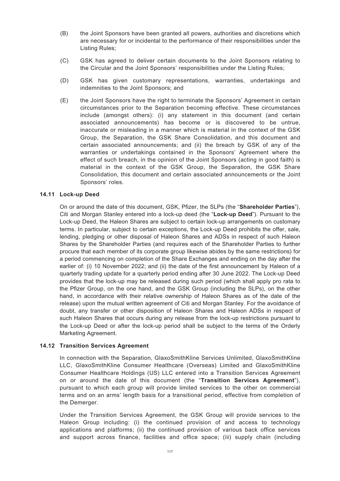- (B) the Joint Sponsors have been granted all powers, authorities and discretions which are necessary for or incidental to the performance of their responsibilities under the Listing Rules;
- (C) GSK has agreed to deliver certain documents to the Joint Sponsors relating to the Circular and the Joint Sponsors' responsibilities under the Listing Rules;
- (D) GSK has given customary representations, warranties, undertakings and indemnities to the Joint Sponsors; and
- (E) the Joint Sponsors have the right to terminate the Sponsors' Agreement in certain circumstances prior to the Separation becoming effective. These circumstances include (amongst others): (i) any statement in this document (and certain associated announcements) has become or is discovered to be untrue, inaccurate or misleading in a manner which is material in the context of the GSK Group, the Separation, the GSK Share Consolidation, and this document and certain associated announcements; and (ii) the breach by GSK of any of the warranties or undertakings contained in the Sponsors' Agreement where the effect of such breach, in the opinion of the Joint Sponsors (acting in good faith) is material in the context of the GSK Group, the Separation, the GSK Share Consolidation, this document and certain associated announcements or the Joint Sponsors' roles.

#### **14.11 Lock-up Deed**

On or around the date of this document, GSK, Pfizer, the SLPs (the "**Shareholder Parties**"), Citi and Morgan Stanley entered into a lock-up deed (the "**Lock-up Deed**"). Pursuant to the Lock-up Deed, the Haleon Shares are subject to certain lock-up arrangements on customary terms. In particular, subject to certain exceptions, the Lock-up Deed prohibits the offer, sale, lending, pledging or other disposal of Haleon Shares and ADSs in respect of such Haleon Shares by the Shareholder Parties (and requires each of the Shareholder Parties to further procure that each member of its corporate group likewise abides by the same restrictions) for a period commencing on completion of the Share Exchanges and ending on the day after the earlier of: (i) 10 November 2022; and (ii) the date of the first announcement by Haleon of a quarterly trading update for a quarterly period ending after 30 June 2022. The Lock-up Deed provides that the lock-up may be released during such period (which shall apply pro rata to the Pfizer Group, on the one hand, and the GSK Group (including the SLPs), on the other hand, in accordance with their relative ownership of Haleon Shares as of the date of the release) upon the mutual written agreement of Citi and Morgan Stanley. For the avoidance of doubt, any transfer or other disposition of Haleon Shares and Haleon ADSs in respect of such Haleon Shares that occurs during any release from the lock-up restrictions pursuant to the Lock-up Deed or after the lock-up period shall be subject to the terms of the Orderly Marketing Agreement.

#### **14.12 Transition Services Agreement**

In connection with the Separation, GlaxoSmithKline Services Unlimited, GlaxoSmithKline LLC, GlaxoSmithKline Consumer Healthcare (Overseas) Limited and GlaxoSmithKline Consumer Healthcare Holdings (US) LLC entered into a Transition Services Agreement on or around the date of this document (the "**Transition Services Agreement**"), pursuant to which each group will provide limited services to the other on commercial terms and on an arms' length basis for a transitional period, effective from completion of the Demerger.

Under the Transition Services Agreement, the GSK Group will provide services to the Haleon Group including: (i) the continued provision of and access to technology applications and platforms; (ii) the continued provision of various back office services and support across finance, facilities and office space; (iii) supply chain (including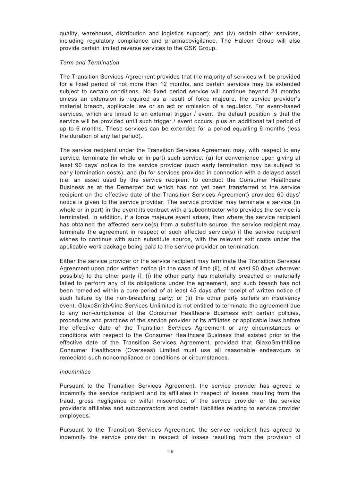quality, warehouse, distribution and logistics support); and (iv) certain other services, including regulatory compliance and pharmacovigilance. The Haleon Group will also provide certain limited reverse services to the GSK Group.

#### *Term and Termination*

The Transition Services Agreement provides that the majority of services will be provided for a fixed period of not more than 12 months, and certain services may be extended subject to certain conditions. No fixed period service will continue beyond 24 months unless an extension is required as a result of force majeure, the service provider's material breach, applicable law or an act or omission of a regulator. For event-based services, which are linked to an external trigger / event, the default position is that the service will be provided until such trigger / event occurs, plus an additional tail period of up to 6 months. These services can be extended for a period equalling 6 months (less the duration of any tail period).

The service recipient under the Transition Services Agreement may, with respect to any service, terminate (in whole or in part) such service: (a) for convenience upon giving at least 90 days' notice to the service provider (such early termination may be subject to early termination costs); and (b) for services provided in connection with a delayed asset (i.e. an asset used by the service recipient to conduct the Consumer Healthcare Business as at the Demerger but which has not yet been transferred to the service recipient on the effective date of the Transition Services Agreement) provided 60 days' notice is given to the service provider. The service provider may terminate a service (in whole or in part) in the event its contract with a subcontractor who provides the service is terminated. In addition, if a force majeure event arises, then where the service recipient has obtained the affected service(s) from a substitute source, the service recipient may terminate the agreement in respect of such affected service(s) if the service recipient wishes to continue with such substitute source, with the relevant exit costs under the applicable work package being paid to the service provider on termination.

Either the service provider or the service recipient may terminate the Transition Services Agreement upon prior written notice (in the case of limb (ii), of at least 90 days wherever possible) to the other party if: (i) the other party has materially breached or materially failed to perform any of its obligations under the agreement, and such breach has not been remedied within a cure period of at least 45 days after receipt of written notice of such failure by the non-breaching party; or (ii) the other party suffers an insolvency event. GlaxoSmithKline Services Unlimited is not entitled to terminate the agreement due to any non-compliance of the Consumer Healthcare Business with certain policies, procedures and practices of the service provider or its affiliates or applicable laws before the effective date of the Transition Services Agreement or any circumstances or conditions with respect to the Consumer Healthcare Business that existed prior to the effective date of the Transition Services Agreement, provided that GlaxoSmithKline Consumer Healthcare (Overseas) Limited must use all reasonable endeavours to remediate such noncompliance or conditions or circumstances.

#### *Indemnities*

Pursuant to the Transition Services Agreement, the service provider has agreed to indemnify the service recipient and its affiliates in respect of losses resulting from the fraud, gross negligence or wilful misconduct of the service provider or the service provider's affiliates and subcontractors and certain liabilities relating to service provider employees.

Pursuant to the Transition Services Agreement, the service recipient has agreed to indemnify the service provider in respect of losses resulting from the provision of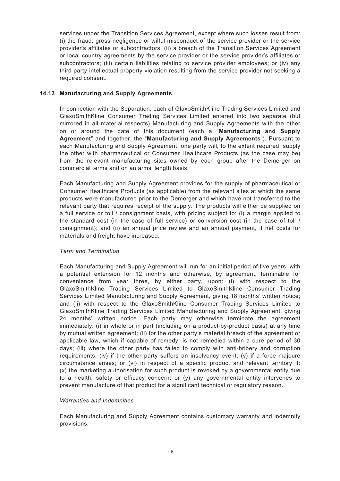services under the Transition Services Agreement, except where such losses result from: (i) the fraud, gross negligence or wilful misconduct of the service provider or the service provider's affiliates or subcontractors; (ii) a breach of the Transition Services Agreement or local country agreements by the service provider or the service provider's affiliates or subcontractors; (iii) certain liabilities relating to service provider employees; or (iv) any third party intellectual property violation resulting from the service provider not seeking a required consent.

# **14.13 Manufacturing and Supply Agreements**

In connection with the Separation, each of GlaxoSmithKline Trading Services Limited and GlaxoSmithKline Consumer Trading Services Limited entered into two separate (but mirrored in all material respects) Manufacturing and Supply Agreements with the other on or around the date of this document (each a "**Manufacturing and Supply Agreement**" and together, the "**Manufacturing and Supply Agreements**"). Pursuant to each Manufacturing and Supply Agreement, one party will, to the extent required, supply the other with pharmaceutical or Consumer Healthcare Products (as the case may be) from the relevant manufacturing sites owned by each group after the Demerger on commercial terms and on an arms' length basis.

Each Manufacturing and Supply Agreement provides for the supply of pharmaceutical or Consumer Healthcare Products (as applicable) from the relevant sites at which the same products were manufactured prior to the Demerger and which have not transferred to the relevant party that requires receipt of the supply. The products will either be supplied on a full service or toll / consignment basis, with pricing subject to: (i) a margin applied to the standard cost (in the case of full service) or conversion cost (in the case of toll / consignment); and (ii) an annual price review and an annual payment, if net costs for materials and freight have increased.

### *Term and Termination*

Each Manufacturing and Supply Agreement will run for an initial period of five years, with a potential extension for 12 months and otherwise, by agreement, terminable for convenience from year three, by either party, upon: (i) with respect to the GlaxoSmithKline Trading Services Limited to GlaxoSmithKline Consumer Trading Services Limited Manufacturing and Supply Agreement, giving 18 months' written notice; and (ii) with respect to the GlaxoSmithKline Consumer Trading Services Limited to GlaxoSmithKline Trading Services Limited Manufacturing and Supply Agreement, giving 24 months' written notice. Each party may otherwise terminate the agreement immediately: (i) in whole or in part (including on a product-by-product basis) at any time by mutual written agreement; (ii) for the other party's material breach of the agreement or applicable law, which if capable of remedy, is not remedied within a cure period of 30 days; (iii) where the other party has failed to comply with anti-bribery and corruption requirements; (iv) if the other party suffers an insolvency event; (v) if a force majeure circumstance arises; or (vi) in respect of a specific product and relevant territory if: (x) the marketing authorisation for such product is revoked by a governmental entity due to a health, safety or efficacy concern; or (y) any governmental entity intervenes to prevent manufacture of that product for a significant technical or regulatory reason.

### *Warranties and Indemnities*

Each Manufacturing and Supply Agreement contains customary warranty and indemnity provisions.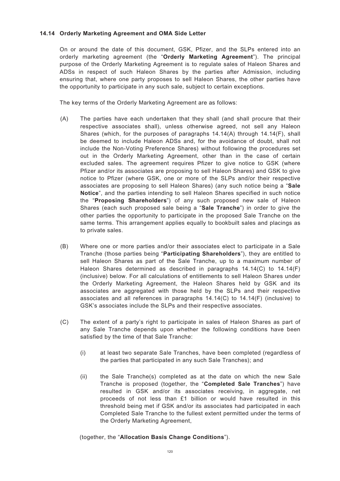## **14.14 Orderly Marketing Agreement and OMA Side Letter**

On or around the date of this document, GSK, Pfizer, and the SLPs entered into an orderly marketing agreement (the "**Orderly Marketing Agreement**"). The principal purpose of the Orderly Marketing Agreement is to regulate sales of Haleon Shares and ADSs in respect of such Haleon Shares by the parties after Admission, including ensuring that, where one party proposes to sell Haleon Shares, the other parties have the opportunity to participate in any such sale, subject to certain exceptions.

The key terms of the Orderly Marketing Agreement are as follows:

- (A) The parties have each undertaken that they shall (and shall procure that their respective associates shall), unless otherwise agreed, not sell any Haleon Shares (which, for the purposes of paragraphs 14.14(A) through 14.14(F), shall be deemed to include Haleon ADSs and, for the avoidance of doubt, shall not include the Non-Voting Preference Shares) without following the procedures set out in the Orderly Marketing Agreement, other than in the case of certain excluded sales. The agreement requires Pfizer to give notice to GSK (where Pfizer and/or its associates are proposing to sell Haleon Shares) and GSK to give notice to Pfizer (where GSK, one or more of the SLPs and/or their respective associates are proposing to sell Haleon Shares) (any such notice being a "**Sale Notice**", and the parties intending to sell Haleon Shares specified in such notice the "**Proposing Shareholders**") of any such proposed new sale of Haleon Shares (each such proposed sale being a "**Sale Tranche**") in order to give the other parties the opportunity to participate in the proposed Sale Tranche on the same terms. This arrangement applies equally to bookbuilt sales and placings as to private sales.
- (B) Where one or more parties and/or their associates elect to participate in a Sale Tranche (those parties being "**Participating Shareholders**"), they are entitled to sell Haleon Shares as part of the Sale Tranche, up to a maximum number of Haleon Shares determined as described in paragraphs 14.14(C) to 14.14(F) (inclusive) below. For all calculations of entitlements to sell Haleon Shares under the Orderly Marketing Agreement, the Haleon Shares held by GSK and its associates are aggregated with those held by the SLPs and their respective associates and all references in paragraphs 14.14(C) to 14.14(F) (inclusive) to GSK's associates include the SLPs and their respective associates.
- (C) The extent of a party's right to participate in sales of Haleon Shares as part of any Sale Tranche depends upon whether the following conditions have been satisfied by the time of that Sale Tranche:
	- (i) at least two separate Sale Tranches, have been completed (regardless of the parties that participated in any such Sale Tranches); and
	- (ii) the Sale Tranche(s) completed as at the date on which the new Sale Tranche is proposed (together, the "**Completed Sale Tranches**") have resulted in GSK and/or its associates receiving, in aggregate, net proceeds of not less than £1 billion or would have resulted in this threshold being met if GSK and/or its associates had participated in each Completed Sale Tranche to the fullest extent permitted under the terms of the Orderly Marketing Agreement,

(together, the "**Allocation Basis Change Conditions**").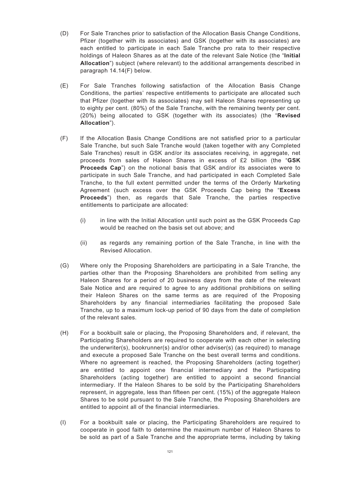- (D) For Sale Tranches prior to satisfaction of the Allocation Basis Change Conditions, Pfizer (together with its associates) and GSK (together with its associates) are each entitled to participate in each Sale Tranche pro rata to their respective holdings of Haleon Shares as at the date of the relevant Sale Notice (the "**Initial Allocation**") subject (where relevant) to the additional arrangements described in paragraph 14.14(F) below.
- (E) For Sale Tranches following satisfaction of the Allocation Basis Change Conditions, the parties' respective entitlements to participate are allocated such that Pfizer (together with its associates) may sell Haleon Shares representing up to eighty per cent. (80%) of the Sale Tranche, with the remaining twenty per cent. (20%) being allocated to GSK (together with its associates) (the "**Revised Allocation**").
- (F) If the Allocation Basis Change Conditions are not satisfied prior to a particular Sale Tranche, but such Sale Tranche would (taken together with any Completed Sale Tranches) result in GSK and/or its associates receiving, in aggregate, net proceeds from sales of Haleon Shares in excess of £2 billion (the "**GSK Proceeds Cap**") on the notional basis that GSK and/or its associates were to participate in such Sale Tranche, and had participated in each Completed Sale Tranche, to the full extent permitted under the terms of the Orderly Marketing Agreement (such excess over the GSK Proceeds Cap being the "**Excess Proceeds**") then, as regards that Sale Tranche, the parties respective entitlements to participate are allocated:
	- (i) in line with the Initial Allocation until such point as the GSK Proceeds Cap would be reached on the basis set out above; and
	- (ii) as regards any remaining portion of the Sale Tranche, in line with the Revised Allocation.
- (G) Where only the Proposing Shareholders are participating in a Sale Tranche, the parties other than the Proposing Shareholders are prohibited from selling any Haleon Shares for a period of 20 business days from the date of the relevant Sale Notice and are required to agree to any additional prohibitions on selling their Haleon Shares on the same terms as are required of the Proposing Shareholders by any financial intermediaries facilitating the proposed Sale Tranche, up to a maximum lock-up period of 90 days from the date of completion of the relevant sales.
- (H) For a bookbuilt sale or placing, the Proposing Shareholders and, if relevant, the Participating Shareholders are required to cooperate with each other in selecting the underwriter(s), bookrunner(s) and/or other adviser(s) (as required) to manage and execute a proposed Sale Tranche on the best overall terms and conditions. Where no agreement is reached, the Proposing Shareholders (acting together) are entitled to appoint one financial intermediary and the Participating Shareholders (acting together) are entitled to appoint a second financial intermediary. If the Haleon Shares to be sold by the Participating Shareholders represent, in aggregate, less than fifteen per cent. (15%) of the aggregate Haleon Shares to be sold pursuant to the Sale Tranche, the Proposing Shareholders are entitled to appoint all of the financial intermediaries.
- (I) For a bookbuilt sale or placing, the Participating Shareholders are required to cooperate in good faith to determine the maximum number of Haleon Shares to be sold as part of a Sale Tranche and the appropriate terms, including by taking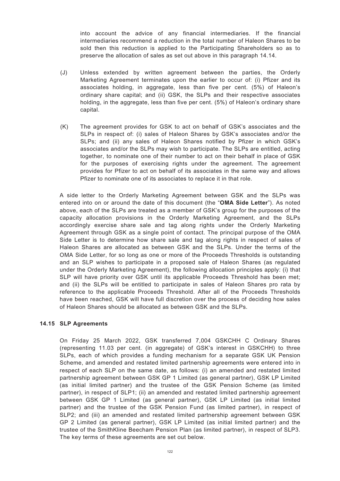into account the advice of any financial intermediaries. If the financial intermediaries recommend a reduction in the total number of Haleon Shares to be sold then this reduction is applied to the Participating Shareholders so as to preserve the allocation of sales as set out above in this paragraph 14.14.

- (J) Unless extended by written agreement between the parties, the Orderly Marketing Agreement terminates upon the earlier to occur of: (i) Pfizer and its associates holding, in aggregate, less than five per cent. (5%) of Haleon's ordinary share capital; and (ii) GSK, the SLPs and their respective associates holding, in the aggregate, less than five per cent. (5%) of Haleon's ordinary share capital.
- (K) The agreement provides for GSK to act on behalf of GSK's associates and the SLPs in respect of: (i) sales of Haleon Shares by GSK's associates and/or the SLPs; and (ii) any sales of Haleon Shares notified by Pfizer in which GSK's associates and/or the SLPs may wish to participate. The SLPs are entitled, acting together, to nominate one of their number to act on their behalf in place of GSK for the purposes of exercising rights under the agreement. The agreement provides for Pfizer to act on behalf of its associates in the same way and allows Pfizer to nominate one of its associates to replace it in that role.

A side letter to the Orderly Marketing Agreement between GSK and the SLPs was entered into on or around the date of this document (the "**OMA Side Letter**"). As noted above, each of the SLPs are treated as a member of GSK's group for the purposes of the capacity allocation provisions in the Orderly Marketing Agreement, and the SLPs accordingly exercise share sale and tag along rights under the Orderly Marketing Agreement through GSK as a single point of contact. The principal purpose of the OMA Side Letter is to determine how share sale and tag along rights in respect of sales of Haleon Shares are allocated as between GSK and the SLPs. Under the terms of the OMA Side Letter, for so long as one or more of the Proceeds Thresholds is outstanding and an SLP wishes to participate in a proposed sale of Haleon Shares (as regulated under the Orderly Marketing Agreement), the following allocation principles apply: (i) that SLP will have priority over GSK until its applicable Proceeds Threshold has been met; and (ii) the SLPs will be entitled to participate in sales of Haleon Shares pro rata by reference to the applicable Proceeds Threshold. After all of the Proceeds Thresholds have been reached, GSK will have full discretion over the process of deciding how sales of Haleon Shares should be allocated as between GSK and the SLPs.

### **14.15 SLP Agreements**

On Friday 25 March 2022, GSK transferred 7,004 GSKCHH C Ordinary Shares (representing 11.03 per cent. (in aggregate) of GSK's interest in GSKCHH) to three SLPs, each of which provides a funding mechanism for a separate GSK UK Pension Scheme, and amended and restated limited partnership agreements were entered into in respect of each SLP on the same date, as follows: (i) an amended and restated limited partnership agreement between GSK GP 1 Limited (as general partner), GSK LP Limited (as initial limited partner) and the trustee of the GSK Pension Scheme (as limited partner), in respect of SLP1; (ii) an amended and restated limited partnership agreement between GSK GP 1 Limited (as general partner), GSK LP Limited (as initial limited partner) and the trustee of the GSK Pension Fund (as limited partner), in respect of SLP2; and (iii) an amended and restated limited partnership agreement between GSK GP 2 Limited (as general partner), GSK LP Limited (as initial limited partner) and the trustee of the SmithKline Beecham Pension Plan (as limited partner), in respect of SLP3. The key terms of these agreements are set out below.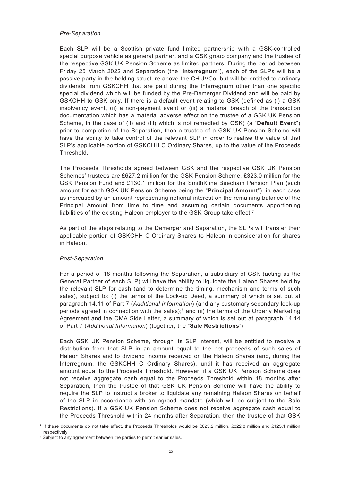#### *Pre-Separation*

Each SLP will be a Scottish private fund limited partnership with a GSK-controlled special purpose vehicle as general partner, and a GSK group company and the trustee of the respective GSK UK Pension Scheme as limited partners. During the period between Friday 25 March 2022 and Separation (the "**Interregnum**"), each of the SLPs will be a passive party in the holding structure above the CH JVCo, but will be entitled to ordinary dividends from GSKCHH that are paid during the Interregnum other than one specific special dividend which will be funded by the Pre-Demerger Dividend and will be paid by GSKCHH to GSK only. If there is a default event relating to GSK (defined as (i) a GSK insolvency event, (ii) a non-payment event or (iii) a material breach of the transaction documentation which has a material adverse effect on the trustee of a GSK UK Pension Scheme, in the case of (ii) and (iii) which is not remedied by GSK) (a "**Default Event**") prior to completion of the Separation, then a trustee of a GSK UK Pension Scheme will have the ability to take control of the relevant SLP in order to realise the value of that SLP's applicable portion of GSKCHH C Ordinary Shares, up to the value of the Proceeds Threshold.

The Proceeds Thresholds agreed between GSK and the respective GSK UK Pension Schemes' trustees are £627.2 million for the GSK Pension Scheme, £323.0 million for the GSK Pension Fund and £130.1 million for the SmithKline Beecham Pension Plan (such amount for each GSK UK Pension Scheme being the "**Principal Amount**"), in each case as increased by an amount representing notional interest on the remaining balance of the Principal Amount from time to time and assuming certain documents apportioning liabilities of the existing Haleon employer to the GSK Group take effect.**<sup>7</sup>**

As part of the steps relating to the Demerger and Separation, the SLPs will transfer their applicable portion of GSKCHH C Ordinary Shares to Haleon in consideration for shares in Haleon.

### *Post-Separation*

For a period of 18 months following the Separation, a subsidiary of GSK (acting as the General Partner of each SLP) will have the ability to liquidate the Haleon Shares held by the relevant SLP for cash (and to determine the timing, mechanism and terms of such sales), subject to: (i) the terms of the Lock-up Deed, a summary of which is set out at paragraph 14.11 of Part 7 (*Additional Information*) (and any customary secondary lock-up periods agreed in connection with the sales);**<sup>8</sup>** and (ii) the terms of the Orderly Marketing Agreement and the OMA Side Letter, a summary of which is set out at paragraph 14.14 of Part 7 (*Additional Information*) (together, the "**Sale Restrictions**").

Each GSK UK Pension Scheme, through its SLP interest, will be entitled to receive a distribution from that SLP in an amount equal to the net proceeds of such sales of Haleon Shares and to dividend income received on the Haleon Shares (and, during the Interregnum, the GSKCHH C Ordinary Shares), until it has received an aggregate amount equal to the Proceeds Threshold. However, if a GSK UK Pension Scheme does not receive aggregate cash equal to the Proceeds Threshold within 18 months after Separation, then the trustee of that GSK UK Pension Scheme will have the ability to require the SLP to instruct a broker to liquidate any remaining Haleon Shares on behalf of the SLP in accordance with an agreed mandate (which will be subject to the Sale Restrictions). If a GSK UK Pension Scheme does not receive aggregate cash equal to the Proceeds Threshold within 24 months after Separation, then the trustee of that GSK

**<sup>7</sup>** If these documents do not take effect, the Proceeds Thresholds would be £625.2 million, £322.8 million and £125.1 million respectively.

**<sup>8</sup>** Subject to any agreement between the parties to permit earlier sales.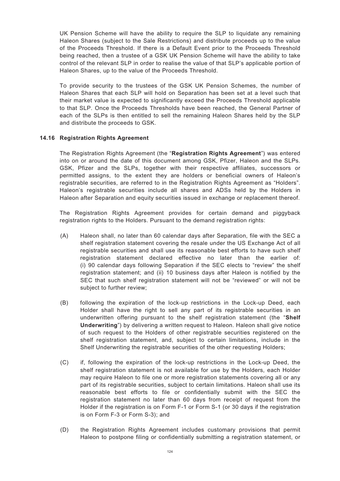UK Pension Scheme will have the ability to require the SLP to liquidate any remaining Haleon Shares (subject to the Sale Restrictions) and distribute proceeds up to the value of the Proceeds Threshold. If there is a Default Event prior to the Proceeds Threshold being reached, then a trustee of a GSK UK Pension Scheme will have the ability to take control of the relevant SLP in order to realise the value of that SLP's applicable portion of Haleon Shares, up to the value of the Proceeds Threshold.

To provide security to the trustees of the GSK UK Pension Schemes, the number of Haleon Shares that each SLP will hold on Separation has been set at a level such that their market value is expected to significantly exceed the Proceeds Threshold applicable to that SLP. Once the Proceeds Thresholds have been reached, the General Partner of each of the SLPs is then entitled to sell the remaining Haleon Shares held by the SLP and distribute the proceeds to GSK.

# **14.16 Registration Rights Agreement**

The Registration Rights Agreement (the "**Registration Rights Agreement**") was entered into on or around the date of this document among GSK, Pfizer, Haleon and the SLPs. GSK, Pfizer and the SLPs, together with their respective affiliates, successors or permitted assigns, to the extent they are holders or beneficial owners of Haleon's registrable securities, are referred to in the Registration Rights Agreement as "Holders". Haleon's registrable securities include all shares and ADSs held by the Holders in Haleon after Separation and equity securities issued in exchange or replacement thereof.

The Registration Rights Agreement provides for certain demand and piggyback registration rights to the Holders. Pursuant to the demand registration rights:

- (A) Haleon shall, no later than 60 calendar days after Separation, file with the SEC a shelf registration statement covering the resale under the US Exchange Act of all registrable securities and shall use its reasonable best efforts to have such shelf registration statement declared effective no later than the earlier of: (i) 90 calendar days following Separation if the SEC elects to "review" the shelf registration statement; and (ii) 10 business days after Haleon is notified by the SEC that such shelf registration statement will not be "reviewed" or will not be subject to further review;
- (B) following the expiration of the lock-up restrictions in the Lock-up Deed, each Holder shall have the right to sell any part of its registrable securities in an underwritten offering pursuant to the shelf registration statement (the "**Shelf Underwriting**") by delivering a written request to Haleon. Haleon shall give notice of such request to the Holders of other registrable securities registered on the shelf registration statement, and, subject to certain limitations, include in the Shelf Underwriting the registrable securities of the other requesting Holders;
- (C) if, following the expiration of the lock-up restrictions in the Lock-up Deed, the shelf registration statement is not available for use by the Holders, each Holder may require Haleon to file one or more registration statements covering all or any part of its registrable securities, subject to certain limitations. Haleon shall use its reasonable best efforts to file or confidentially submit with the SEC the registration statement no later than 60 days from receipt of request from the Holder if the registration is on Form F-1 or Form S-1 (or 30 days if the registration is on Form F-3 or Form S-3); and
- (D) the Registration Rights Agreement includes customary provisions that permit Haleon to postpone filing or confidentially submitting a registration statement, or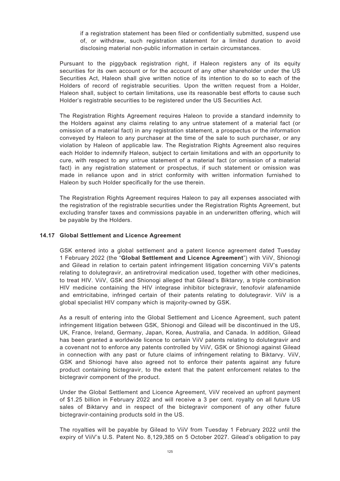if a registration statement has been filed or confidentially submitted, suspend use of, or withdraw, such registration statement for a limited duration to avoid disclosing material non-public information in certain circumstances.

Pursuant to the piggyback registration right, if Haleon registers any of its equity securities for its own account or for the account of any other shareholder under the US Securities Act, Haleon shall give written notice of its intention to do so to each of the Holders of record of registrable securities. Upon the written request from a Holder, Haleon shall, subject to certain limitations, use its reasonable best efforts to cause such Holder's registrable securities to be registered under the US Securities Act.

The Registration Rights Agreement requires Haleon to provide a standard indemnity to the Holders against any claims relating to any untrue statement of a material fact (or omission of a material fact) in any registration statement, a prospectus or the information conveyed by Haleon to any purchaser at the time of the sale to such purchaser, or any violation by Haleon of applicable law. The Registration Rights Agreement also requires each Holder to indemnify Haleon, subject to certain limitations and with an opportunity to cure, with respect to any untrue statement of a material fact (or omission of a material fact) in any registration statement or prospectus, if such statement or omission was made in reliance upon and in strict conformity with written information furnished to Haleon by such Holder specifically for the use therein.

The Registration Rights Agreement requires Haleon to pay all expenses associated with the registration of the registrable securities under the Registration Rights Agreement, but excluding transfer taxes and commissions payable in an underwritten offering, which will be payable by the Holders.

### **14.17 Global Settlement and Licence Agreement**

GSK entered into a global settlement and a patent licence agreement dated Tuesday 1 February 2022 (the "**Global Settlement and Licence Agreement**") with ViiV, Shionogi and Gilead in relation to certain patent infringement litigation concerning ViiV's patents relating to dolutegravir, an antiretroviral medication used, together with other medicines, to treat HIV. ViiV, GSK and Shionogi alleged that Gilead's Biktarvy, a triple combination HIV medicine containing the HIV integrase inhibitor bictegravir, tenofovir alafenamide and emtricitabine, infringed certain of their patents relating to dolutegravir. ViiV is a global specialist HIV company which is majority-owned by GSK.

As a result of entering into the Global Settlement and Licence Agreement, such patent infringement litigation between GSK, Shionogi and Gilead will be discontinued in the US, UK, France, Ireland, Germany, Japan, Korea, Australia, and Canada. In addition, Gilead has been granted a worldwide licence to certain ViiV patents relating to dolutegravir and a covenant not to enforce any patents controlled by ViiV, GSK or Shionogi against Gilead in connection with any past or future claims of infringement relating to Biktarvy. ViiV, GSK and Shionogi have also agreed not to enforce their patents against any future product containing bictegravir, to the extent that the patent enforcement relates to the bictegravir component of the product.

Under the Global Settlement and Licence Agreement, ViiV received an upfront payment of \$1.25 billion in February 2022 and will receive a 3 per cent. royalty on all future US sales of Biktarvy and in respect of the bictegravir component of any other future bictegravir-containing products sold in the US.

The royalties will be payable by Gilead to ViiV from Tuesday 1 February 2022 until the expiry of ViiV's U.S. Patent No. 8,129,385 on 5 October 2027. Gilead's obligation to pay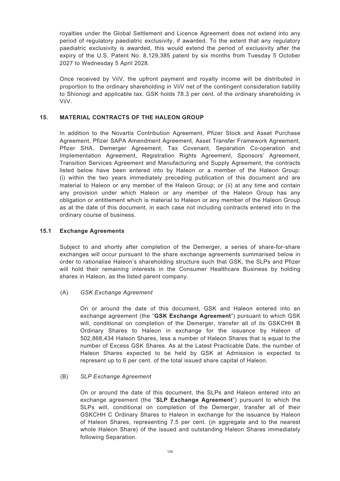royalties under the Global Settlement and Licence Agreement does not extend into any period of regulatory paediatric exclusivity, if awarded. To the extent that any regulatory paediatric exclusivity is awarded, this would extend the period of exclusivity after the expiry of the U.S. Patent No. 8,129,385 patent by six months from Tuesday 5 October 2027 to Wednesday 5 April 2028.

Once received by ViiV, the upfront payment and royalty income will be distributed in proportion to the ordinary shareholding in ViiV net of the contingent consideration liability to Shionogi and applicable tax. GSK holds 78.3 per cent. of the ordinary shareholding in ViiV.

# **15. MATERIAL CONTRACTS OF THE HALEON GROUP**

In addition to the Novartis Contribution Agreement, Pfizer Stock and Asset Purchase Agreement, Pfizer SAPA Amendment Agreement, Asset Transfer Framework Agreement, Pfizer SHA, Demerger Agreement, Tax Covenant, Separation Co-operation and Implementation Agreement, Registration Rights Agreement, Sponsors' Agreement, Transition Services Agreement and Manufacturing and Supply Agreement, the contracts listed below have been entered into by Haleon or a member of the Haleon Group: (i) within the two years immediately preceding publication of this document and are material to Haleon or any member of the Haleon Group; or (ii) at any time and contain any provision under which Haleon or any member of the Haleon Group has any obligation or entitlement which is material to Haleon or any member of the Haleon Group as at the date of this document, in each case not including contracts entered into in the ordinary course of business.

### **15.1 Exchange Agreements**

Subject to and shortly after completion of the Demerger, a series of share-for-share exchanges will occur pursuant to the share exchange agreements summarised below in order to rationalise Haleon's shareholding structure such that GSK, the SLPs and Pfizer will hold their remaining interests in the Consumer Healthcare Business by holding shares in Haleon, as the listed parent company.

### (A) *GSK Exchange Agreement*

On or around the date of this document, GSK and Haleon entered into an exchange agreement (the "**GSK Exchange Agreement**") pursuant to which GSK will, conditional on completion of the Demerger, transfer all of its GSKCHH B Ordinary Shares to Haleon in exchange for the issuance by Haleon of 502,868,434 Haleon Shares, less a number of Haleon Shares that is equal to the number of Excess GSK Shares. As at the Latest Practicable Date, the number of Haleon Shares expected to be held by GSK at Admission is expected to represent up to 6 per cent. of the total issued share capital of Haleon.

### (B) *SLP Exchange Agreement*

On or around the date of this document, the SLPs and Haleon entered into an exchange agreement (the "**SLP Exchange Agreement**") pursuant to which the SLPs will, conditional on completion of the Demerger, transfer all of their GSKCHH C Ordinary Shares to Haleon in exchange for the issuance by Haleon of Haleon Shares, representing 7.5 per cent. (in aggregate and to the nearest whole Haleon Share) of the issued and outstanding Haleon Shares immediately following Separation.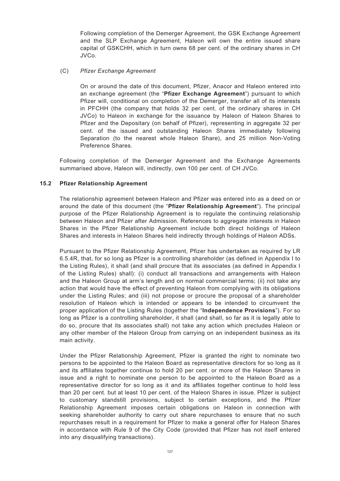Following completion of the Demerger Agreement, the GSK Exchange Agreement and the SLP Exchange Agreement, Haleon will own the entire issued share capital of GSKCHH, which in turn owns 68 per cent. of the ordinary shares in CH JVCo.

## (C) *Pfizer Exchange Agreement*

On or around the date of this document, Pfizer, Anacor and Haleon entered into an exchange agreement (the "**Pfizer Exchange Agreement**") pursuant to which Pfizer will, conditional on completion of the Demerger, transfer all of its interests in PFCHH (the company that holds 32 per cent. of the ordinary shares in CH JVCo) to Haleon in exchange for the issuance by Haleon of Haleon Shares to Pfizer and the Depositary (on behalf of Pfizer), representing in aggregate 32 per cent. of the issued and outstanding Haleon Shares immediately following Separation (to the nearest whole Haleon Share), and 25 million Non-Voting Preference Shares.

Following completion of the Demerger Agreement and the Exchange Agreements summarised above, Haleon will, indirectly, own 100 per cent. of CH JVCo.

# **15.2 Pfizer Relationship Agreement**

The relationship agreement between Haleon and Pfizer was entered into as a deed on or around the date of this document (the "**Pfizer Relationship Agreement**"). The principal purpose of the Pfizer Relationship Agreement is to regulate the continuing relationship between Haleon and Pfizer after Admission. References to aggregate interests in Haleon Shares in the Pfizer Relationship Agreement include both direct holdings of Haleon Shares and interests in Haleon Shares held indirectly through holdings of Haleon ADSs.

Pursuant to the Pfizer Relationship Agreement, Pfizer has undertaken as required by LR 6.5.4R, that, for so long as Pfizer is a controlling shareholder (as defined in Appendix I to the Listing Rules), it shall (and shall procure that its associates (as defined in Appendix I of the Listing Rules) shall): (i) conduct all transactions and arrangements with Haleon and the Haleon Group at arm's length and on normal commercial terms; (ii) not take any action that would have the effect of preventing Haleon from complying with its obligations under the Listing Rules; and (iii) not propose or procure the proposal of a shareholder resolution of Haleon which is intended or appears to be intended to circumvent the proper application of the Listing Rules (together the "**Independence Provisions**"). For so long as Pfizer is a controlling shareholder, it shall (and shall, so far as it is legally able to do so, procure that its associates shall) not take any action which precludes Haleon or any other member of the Haleon Group from carrying on an independent business as its main activity.

Under the Pfizer Relationship Agreement, Pfizer is granted the right to nominate two persons to be appointed to the Haleon Board as representative directors for so long as it and its affiliates together continue to hold 20 per cent. or more of the Haleon Shares in issue and a right to nominate one person to be appointed to the Haleon Board as a representative director for so long as it and its affiliates together continue to hold less than 20 per cent. but at least 10 per cent. of the Haleon Shares in issue. Pfizer is subject to customary standstill provisions, subject to certain exceptions, and the Pfizer Relationship Agreement imposes certain obligations on Haleon in connection with seeking shareholder authority to carry out share repurchases to ensure that no such repurchases result in a requirement for Pfizer to make a general offer for Haleon Shares in accordance with Rule 9 of the City Code (provided that Pfizer has not itself entered into any disqualifying transactions).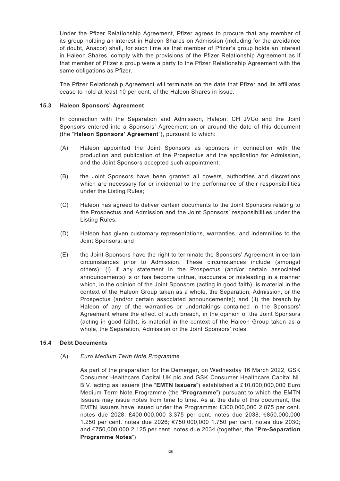Under the Pfizer Relationship Agreement, Pfizer agrees to procure that any member of its group holding an interest in Haleon Shares on Admission (including for the avoidance of doubt, Anacor) shall, for such time as that member of Pfizer's group holds an interest in Haleon Shares, comply with the provisions of the Pfizer Relationship Agreement as if that member of Pfizer's group were a party to the Pfizer Relationship Agreement with the same obligations as Pfizer.

The Pfizer Relationship Agreement will terminate on the date that Pfizer and its affiliates cease to hold at least 10 per cent. of the Haleon Shares in issue.

### **15.3 Haleon Sponsors' Agreement**

In connection with the Separation and Admission, Haleon, CH JVCo and the Joint Sponsors entered into a Sponsors' Agreement on or around the date of this document (the "**Haleon Sponsors' Agreement**"), pursuant to which:

- (A) Haleon appointed the Joint Sponsors as sponsors in connection with the production and publication of the Prospectus and the application for Admission, and the Joint Sponsors accepted such appointment;
- (B) the Joint Sponsors have been granted all powers, authorities and discretions which are necessary for or incidental to the performance of their responsibilities under the Listing Rules;
- (C) Haleon has agreed to deliver certain documents to the Joint Sponsors relating to the Prospectus and Admission and the Joint Sponsors' responsibilities under the Listing Rules;
- (D) Haleon has given customary representations, warranties, and indemnities to the Joint Sponsors; and
- (E) the Joint Sponsors have the right to terminate the Sponsors' Agreement in certain circumstances prior to Admission. These circumstances include (amongst others): (i) if any statement in the Prospectus (and/or certain associated announcements) is or has become untrue, inaccurate or misleading in a manner which, in the opinion of the Joint Sponsors (acting in good faith), is material in the context of the Haleon Group taken as a whole, the Separation, Admission, or the Prospectus (and/or certain associated announcements); and (ii) the breach by Haleon of any of the warranties or undertakings contained in the Sponsors' Agreement where the effect of such breach, in the opinion of the Joint Sponsors (acting in good faith), is material in the context of the Haleon Group taken as a whole, the Separation, Admission or the Joint Sponsors' roles.

### **15.4 Debt Documents**

(A) *Euro Medium Term Note Programme*

As part of the preparation for the Demerger, on Wednesday 16 March 2022, GSK Consumer Healthcare Capital UK plc and GSK Consumer Healthcare Capital NL B.V. acting as issuers (the "**EMTN Issuers**") established a £10,000,000,000 Euro Medium Term Note Programme (the "**Programme**") pursuant to which the EMTN Issuers may issue notes from time to time. As at the date of this document, the EMTN Issuers have issued under the Programme: £300,000,000 2.875 per cent. notes due 2028; £400,000,000 3.375 per cent. notes due 2038; €850,000,000 1.250 per cent. notes due 2026; €750,000,000 1.750 per cent. notes due 2030; and €750,000,000 2.125 per cent. notes due 2034 (together, the "**Pre-Separation Programme Notes**").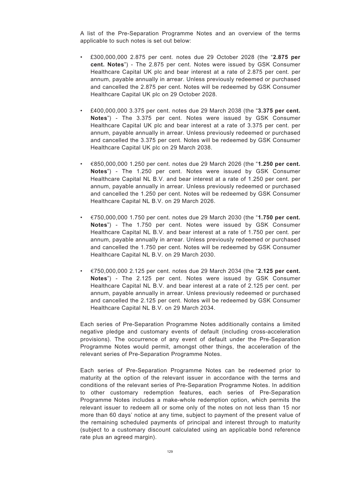A list of the Pre-Separation Programme Notes and an overview of the terms applicable to such notes is set out below:

- £300,000,000 2.875 per cent. notes due 29 October 2028 (the "**2.875 per cent. Notes**") - The 2.875 per cent. Notes were issued by GSK Consumer Healthcare Capital UK plc and bear interest at a rate of 2.875 per cent. per annum, payable annually in arrear. Unless previously redeemed or purchased and cancelled the 2.875 per cent. Notes will be redeemed by GSK Consumer Healthcare Capital UK plc on 29 October 2028.
- £400,000,000 3.375 per cent. notes due 29 March 2038 (the "**3.375 per cent. Notes**") - The 3.375 per cent. Notes were issued by GSK Consumer Healthcare Capital UK plc and bear interest at a rate of 3.375 per cent. per annum, payable annually in arrear. Unless previously redeemed or purchased and cancelled the 3.375 per cent. Notes will be redeemed by GSK Consumer Healthcare Capital UK plc on 29 March 2038.
- €850,000,000 1.250 per cent. notes due 29 March 2026 (the "**1.250 per cent. Notes**") - The 1.250 per cent. Notes were issued by GSK Consumer Healthcare Capital NL B.V. and bear interest at a rate of 1.250 per cent. per annum, payable annually in arrear. Unless previously redeemed or purchased and cancelled the 1.250 per cent. Notes will be redeemed by GSK Consumer Healthcare Capital NL B.V. on 29 March 2026.
- €750,000,000 1.750 per cent. notes due 29 March 2030 (the "**1.750 per cent. Notes**") - The 1.750 per cent. Notes were issued by GSK Consumer Healthcare Capital NL B.V. and bear interest at a rate of 1.750 per cent. per annum, payable annually in arrear. Unless previously redeemed or purchased and cancelled the 1.750 per cent. Notes will be redeemed by GSK Consumer Healthcare Capital NL B.V. on 29 March 2030.
- €750,000,000 2.125 per cent. notes due 29 March 2034 (the "**2.125 per cent. Notes**") - The 2.125 per cent. Notes were issued by GSK Consumer Healthcare Capital NL B.V. and bear interest at a rate of 2.125 per cent. per annum, payable annually in arrear. Unless previously redeemed or purchased and cancelled the 2.125 per cent. Notes will be redeemed by GSK Consumer Healthcare Capital NL B.V. on 29 March 2034.

Each series of Pre-Separation Programme Notes additionally contains a limited negative pledge and customary events of default (including cross-acceleration provisions). The occurrence of any event of default under the Pre-Separation Programme Notes would permit, amongst other things, the acceleration of the relevant series of Pre-Separation Programme Notes.

Each series of Pre-Separation Programme Notes can be redeemed prior to maturity at the option of the relevant issuer in accordance with the terms and conditions of the relevant series of Pre-Separation Programme Notes. In addition to other customary redemption features, each series of Pre-Separation Programme Notes includes a make-whole redemption option, which permits the relevant issuer to redeem all or some only of the notes on not less than 15 nor more than 60 days' notice at any time, subject to payment of the present value of the remaining scheduled payments of principal and interest through to maturity (subject to a customary discount calculated using an applicable bond reference rate plus an agreed margin).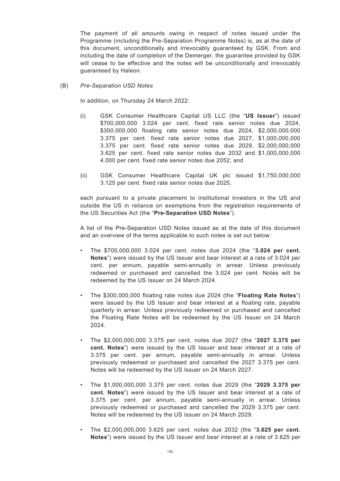The payment of all amounts owing in respect of notes issued under the Programme (including the Pre-Separation Programme Notes) is, as at the date of this document, unconditionally and irrevocably guaranteed by GSK. From and including the date of completion of the Demerger, the guarantee provided by GSK will cease to be effective and the notes will be unconditionally and irrevocably guaranteed by Haleon.

(B) *Pre-Separation USD Notes*

In addition, on Thursday 24 March 2022:

- (i) GSK Consumer Healthcare Capital US LLC (the "**US Issuer**") issued \$700,000,000 3.024 per cent. fixed rate senior notes due 2024, \$300,000,000 floating rate senior notes due 2024, \$2,000,000,000 3.375 per cent. fixed rate senior notes due 2027, \$1,000,000,000 3.375 per cent. fixed rate senior notes due 2029, \$2,000,000,000 3.625 per cent. fixed rate senior notes due 2032 and \$1,000,000,000 4.000 per cent. fixed rate senior notes due 2052; and
- (ii) GSK Consumer Healthcare Capital UK plc issued \$1,750,000,000 3.125 per cent. fixed rate senior notes due 2025,

each pursuant to a private placement to institutional investors in the US and outside the US in reliance on exemptions from the registration requirements of the US Securities Act (the "**Pre-Separation USD Notes**").

A list of the Pre-Separation USD Notes issued as at the date of this document and an overview of the terms applicable to such notes is set out below:

- The \$700,000,000 3.024 per cent. notes due 2024 (the "**3.024 per cent. Notes**") were issued by the US Issuer and bear interest at a rate of 3.024 per cent. per annum, payable semi-annually in arrear. Unless previously redeemed or purchased and cancelled the 3.024 per cent. Notes will be redeemed by the US Issuer on 24 March 2024.
- The \$300,000,000 floating rate notes due 2024 (the "**Floating Rate Notes**") were issued by the US Issuer and bear interest at a floating rate, payable quarterly in arrear. Unless previously redeemed or purchased and cancelled the Floating Rate Notes will be redeemed by the US Issuer on 24 March 2024.
- The \$2,000,000,000 3.375 per cent. notes due 2027 (the "**2027 3.375 per cent. Notes**") were issued by the US Issuer and bear interest at a rate of 3.375 per cent. per annum, payable semi-annually in arrear. Unless previously redeemed or purchased and cancelled the 2027 3.375 per cent. Notes will be redeemed by the US Issuer on 24 March 2027.
- The \$1,000,000,000 3.375 per cent. notes due 2029 (the "**2029 3.375 per cent. Notes**") were issued by the US Issuer and bear interest at a rate of 3.375 per cent. per annum, payable semi-annually in arrear. Unless previously redeemed or purchased and cancelled the 2029 3.375 per cent. Notes will be redeemed by the US Issuer on 24 March 2029.
- The \$2,000,000,000 3.625 per cent. notes due 2032 (the "**3.625 per cent. Notes**") were issued by the US Issuer and bear interest at a rate of 3.625 per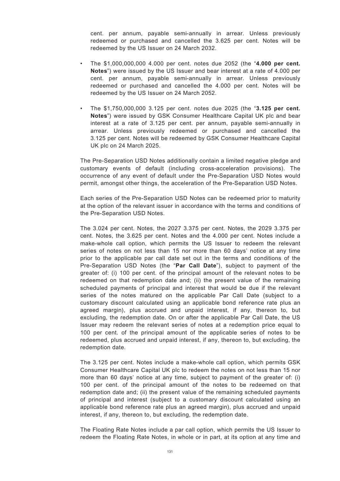cent. per annum, payable semi-annually in arrear. Unless previously redeemed or purchased and cancelled the 3.625 per cent. Notes will be redeemed by the US Issuer on 24 March 2032.

- The \$1,000,000,000 4.000 per cent. notes due 2052 (the "**4.000 per cent. Notes**") were issued by the US Issuer and bear interest at a rate of 4.000 per cent. per annum, payable semi-annually in arrear. Unless previously redeemed or purchased and cancelled the 4.000 per cent. Notes will be redeemed by the US Issuer on 24 March 2052.
- The \$1,750,000,000 3.125 per cent. notes due 2025 (the "**3.125 per cent. Notes**") were issued by GSK Consumer Healthcare Capital UK plc and bear interest at a rate of 3.125 per cent. per annum, payable semi-annually in arrear. Unless previously redeemed or purchased and cancelled the 3.125 per cent. Notes will be redeemed by GSK Consumer Healthcare Capital UK plc on 24 March 2025.

The Pre-Separation USD Notes additionally contain a limited negative pledge and customary events of default (including cross-acceleration provisions). The occurrence of any event of default under the Pre-Separation USD Notes would permit, amongst other things, the acceleration of the Pre-Separation USD Notes.

Each series of the Pre-Separation USD Notes can be redeemed prior to maturity at the option of the relevant issuer in accordance with the terms and conditions of the Pre-Separation USD Notes.

The 3.024 per cent. Notes, the 2027 3.375 per cent. Notes, the 2029 3.375 per cent. Notes, the 3.625 per cent. Notes and the 4.000 per cent. Notes include a make-whole call option, which permits the US Issuer to redeem the relevant series of notes on not less than 15 nor more than 60 days' notice at any time prior to the applicable par call date set out in the terms and conditions of the Pre-Separation USD Notes (the "**Par Call Date**"), subject to payment of the greater of: (i) 100 per cent. of the principal amount of the relevant notes to be redeemed on that redemption date and; (ii) the present value of the remaining scheduled payments of principal and interest that would be due if the relevant series of the notes matured on the applicable Par Call Date (subject to a customary discount calculated using an applicable bond reference rate plus an agreed margin), plus accrued and unpaid interest, if any, thereon to, but excluding, the redemption date. On or after the applicable Par Call Date, the US Issuer may redeem the relevant series of notes at a redemption price equal to 100 per cent. of the principal amount of the applicable series of notes to be redeemed, plus accrued and unpaid interest, if any, thereon to, but excluding, the redemption date.

The 3.125 per cent. Notes include a make-whole call option, which permits GSK Consumer Healthcare Capital UK plc to redeem the notes on not less than 15 nor more than 60 days' notice at any time, subject to payment of the greater of: (i) 100 per cent. of the principal amount of the notes to be redeemed on that redemption date and; (ii) the present value of the remaining scheduled payments of principal and interest (subject to a customary discount calculated using an applicable bond reference rate plus an agreed margin), plus accrued and unpaid interest, if any, thereon to, but excluding, the redemption date.

The Floating Rate Notes include a par call option, which permits the US Issuer to redeem the Floating Rate Notes, in whole or in part, at its option at any time and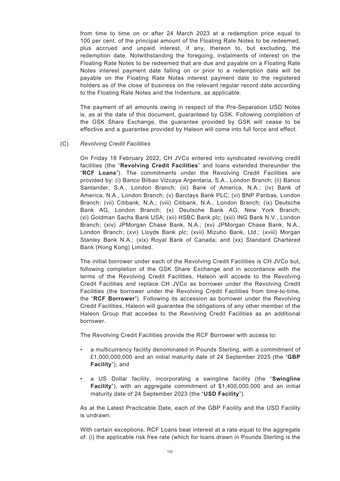from time to time on or after 24 March 2023 at a redemption price equal to 100 per cent. of the principal amount of the Floating Rate Notes to be redeemed, plus accrued and unpaid interest, if any, thereon to, but excluding, the redemption date. Notwithstanding the foregoing, instalments of interest on the Floating Rate Notes to be redeemed that are due and payable on a Floating Rate Notes interest payment date falling on or prior to a redemption date will be payable on the Floating Rate Notes interest payment date to the registered holders as of the close of business on the relevant regular record date according to the Floating Rate Notes and the Indenture, as applicable.

The payment of all amounts owing in respect of the Pre-Separation USD Notes is, as at the date of this document, guaranteed by GSK. Following completion of the GSK Share Exchange, the guarantee provided by GSK will cease to be effective and a guarantee provided by Haleon will come into full force and effect.

### (C) *Revolving Credit Facilities*

On Friday 18 February 2022, CH JVCo entered into syndicated revolving credit facilities (the "**Revolving Credit Facilities**" and loans extended thereunder the "**RCF Loans**"). The commitments under the Revolving Credit Facilities are provided by: (i) Banco Bilbao Vizcaya Argentaria, S.A., London Branch; (ii) Banco Santander, S.A., London Branch; (iii) Bank of America, N.A.; (iv) Bank of America, N.A., London Branch; (v) Barclays Bank PLC; (vi) BNP Paribas, London Branch; (vii) Citibank, N.A.; (viii) Citibank, N.A., London Branch; (ix) Deutsche Bank AG, London Branch; (x) Deutsche Bank AG, New York Branch; (xi) Goldman Sachs Bank USA; (xii) HSBC Bank plc; (xiii) ING Bank N.V., London Branch; (xiv) JPMorgan Chase Bank, N.A.; (xv) JPMorgan Chase Bank, N.A., London Branch; (xvi) Lloyds Bank plc; (xvii) Mizuho Bank, Ltd.; (xviii) Morgan Stanley Bank N.A.; (xix) Royal Bank of Canada; and (xx) Standard Chartered Bank (Hong Kong) Limited.

The initial borrower under each of the Revolving Credit Facilities is CH JVCo but, following completion of the GSK Share Exchange and in accordance with the terms of the Revolving Credit Facilities, Haleon will accede to the Revolving Credit Facilities and replace CH JVCo as borrower under the Revolving Credit Facilities (the borrower under the Revolving Credit Facilities from time-to-time, the "**RCF Borrower**"). Following its accession as borrower under the Revolving Credit Facilities, Haleon will guarantee the obligations of any other member of the Haleon Group that accedes to the Revolving Credit Facilities as an additional borrower.

The Revolving Credit Facilities provide the RCF Borrower with access to:

- a multicurrency facility denominated in Pounds Sterling, with a commitment of £1,000,000,000 and an initial maturity date of 24 September 2025 (the "**GBP Facility**"); and
- a US Dollar facility, incorporating a swingline facility (the "**Swingline Facility**"), with an aggregate commitment of \$1,400,000,000 and an initial maturity date of 24 September 2023 (the "**USD Facility**").

As at the Latest Practicable Date, each of the GBP Facility and the USD Facility is undrawn.

With certain exceptions, RCF Loans bear interest at a rate equal to the aggregate of: (i) the applicable risk free rate (which for loans drawn in Pounds Sterling is the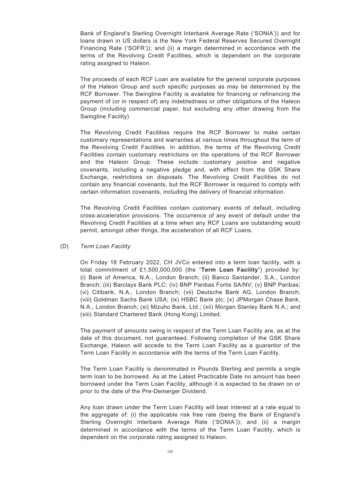Bank of England's Sterling Overnight Interbank Average Rate ('SONIA')) and for loans drawn in US dollars is the New York Federal Reserves Secured Overnight Financing Rate ('SOFR')); and (ii) a margin determined in accordance with the terms of the Revolving Credit Facilities, which is dependent on the corporate rating assigned to Haleon.

The proceeds of each RCF Loan are available for the general corporate purposes of the Haleon Group and such specific purposes as may be determined by the RCF Borrower. The Swingline Facility is available for financing or refinancing the payment of (or in respect of) any indebtedness or other obligations of the Haleon Group (including commercial paper, but excluding any other drawing from the Swingline Facility).

The Revolving Credit Facilities require the RCF Borrower to make certain customary representations and warranties at various times throughout the term of the Revolving Credit Facilities. In addition, the terms of the Revolving Credit Facilities contain customary restrictions on the operations of the RCF Borrower and the Haleon Group. These include customary positive and negative covenants, including a negative pledge and, with effect from the GSK Share Exchange, restrictions on disposals. The Revolving Credit Facilities do not contain any financial covenants, but the RCF Borrower is required to comply with certain information covenants, including the delivery of financial information.

The Revolving Credit Facilities contain customary events of default, including cross-acceleration provisions. The occurrence of any event of default under the Revolving Credit Facilities at a time when any RCF Loans are outstanding would permit, amongst other things, the acceleration of all RCF Loans.

#### (D) *Term Loan Facility*

On Friday 18 February 2022, CH JVCo entered into a term loan facility, with a total commitment of £1,500,000,000 (the "**Term Loan Facility**") provided by: (i) Bank of America, N.A., London Branch; (ii) Banco Santander, S.A., London Branch; (iii) Barclays Bank PLC; (iv) BNP Paribas Fortis SA/NV; (v) BNP Paribas; (vi) Citibank, N.A., London Branch; (vii) Deutsche Bank AG, London Branch; (viii) Goldman Sachs Bank USA; (ix) HSBC Bank plc; (x) JPMorgan Chase Bank, N.A., London Branch; (xi) Mizuho Bank, Ltd.; (xii) Morgan Stanley Bank N.A.; and (xiii) Standard Chartered Bank (Hong Kong) Limited.

The payment of amounts owing in respect of the Term Loan Facility are, as at the date of this document, not guaranteed. Following completion of the GSK Share Exchange, Haleon will accede to the Term Loan Facility as a guarantor of the Term Loan Facility in accordance with the terms of the Term Loan Facility.

The Term Loan Facility is denominated in Pounds Sterling and permits a single term loan to be borrowed. As at the Latest Practicable Date no amount has been borrowed under the Term Loan Facility, although it is expected to be drawn on or prior to the date of the Pre-Demerger Dividend.

Any loan drawn under the Term Loan Facility will bear interest at a rate equal to the aggregate of: (i) the applicable risk free rate (being the Bank of England's Sterling Overnight Interbank Average Rate ('SONIA')); and (ii) a margin determined in accordance with the terms of the Term Loan Facility, which is dependent on the corporate rating assigned to Haleon.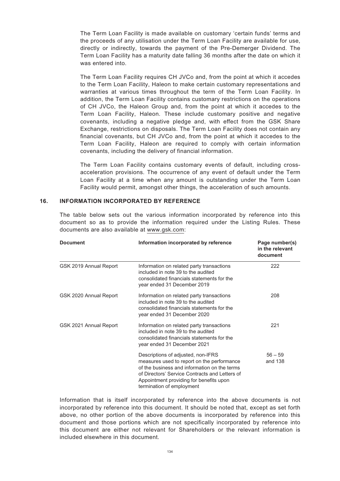The Term Loan Facility is made available on customary 'certain funds' terms and the proceeds of any utilisation under the Term Loan Facility are available for use, directly or indirectly, towards the payment of the Pre-Demerger Dividend. The Term Loan Facility has a maturity date falling 36 months after the date on which it was entered into.

The Term Loan Facility requires CH JVCo and, from the point at which it accedes to the Term Loan Facility, Haleon to make certain customary representations and warranties at various times throughout the term of the Term Loan Facility. In addition, the Term Loan Facility contains customary restrictions on the operations of CH JVCo, the Haleon Group and, from the point at which it accedes to the Term Loan Facility, Haleon. These include customary positive and negative covenants, including a negative pledge and, with effect from the GSK Share Exchange, restrictions on disposals. The Term Loan Facility does not contain any financial covenants, but CH JVCo and, from the point at which it accedes to the Term Loan Facility, Haleon are required to comply with certain information covenants, including the delivery of financial information.

The Term Loan Facility contains customary events of default, including crossacceleration provisions. The occurrence of any event of default under the Term Loan Facility at a time when any amount is outstanding under the Term Loan Facility would permit, amongst other things, the acceleration of such amounts.

#### **16. INFORMATION INCORPORATED BY REFERENCE**

The table below sets out the various information incorporated by reference into this document so as to provide the information required under the Listing Rules. These documents are also available at www.gsk.com:

| <b>Document</b>        | Information incorporated by reference                                                                                                                                                                                                                      | Page number(s)<br>in the relevant<br>document |
|------------------------|------------------------------------------------------------------------------------------------------------------------------------------------------------------------------------------------------------------------------------------------------------|-----------------------------------------------|
| GSK 2019 Annual Report | Information on related party transactions<br>included in note 39 to the audited<br>consolidated financials statements for the<br>year ended 31 December 2019                                                                                               | 222                                           |
| GSK 2020 Annual Report | Information on related party transactions<br>included in note 39 to the audited<br>consolidated financials statements for the<br>year ended 31 December 2020                                                                                               | 208                                           |
| GSK 2021 Annual Report | Information on related party transactions<br>included in note 39 to the audited<br>consolidated financials statements for the<br>year ended 31 December 2021                                                                                               | 221                                           |
|                        | Descriptions of adjusted, non-IFRS<br>measures used to report on the performance<br>of the business and information on the terms<br>of Directors' Service Contracts and Letters of<br>Appointment providing for benefits upon<br>termination of employment | $56 - 59$<br>and 138                          |

Information that is itself incorporated by reference into the above documents is not incorporated by reference into this document. It should be noted that, except as set forth above, no other portion of the above documents is incorporated by reference into this document and those portions which are not specifically incorporated by reference into this document are either not relevant for Shareholders or the relevant information is included elsewhere in this document.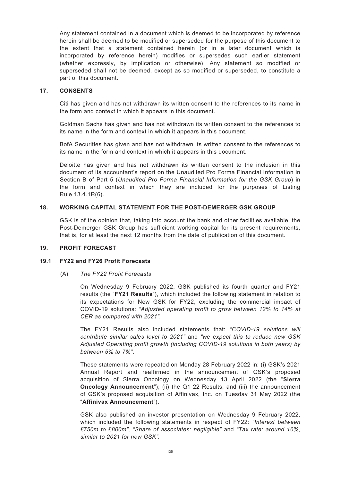Any statement contained in a document which is deemed to be incorporated by reference herein shall be deemed to be modified or superseded for the purpose of this document to the extent that a statement contained herein (or in a later document which is incorporated by reference herein) modifies or supersedes such earlier statement (whether expressly, by implication or otherwise). Any statement so modified or superseded shall not be deemed, except as so modified or superseded, to constitute a part of this document.

### **17. CONSENTS**

Citi has given and has not withdrawn its written consent to the references to its name in the form and context in which it appears in this document.

Goldman Sachs has given and has not withdrawn its written consent to the references to its name in the form and context in which it appears in this document.

BofA Securities has given and has not withdrawn its written consent to the references to its name in the form and context in which it appears in this document.

Deloitte has given and has not withdrawn its written consent to the inclusion in this document of its accountant's report on the Unaudited Pro Forma Financial Information in Section B of Part 5 (*Unaudited Pro Forma Financial Information for the GSK Group*) in the form and context in which they are included for the purposes of Listing Rule 13.4.1R(6).

# **18. WORKING CAPITAL STATEMENT FOR THE POST-DEMERGER GSK GROUP**

GSK is of the opinion that, taking into account the bank and other facilities available, the Post-Demerger GSK Group has sufficient working capital for its present requirements, that is, for at least the next 12 months from the date of publication of this document.

### **19. PROFIT FORECAST**

### **19.1 FY22 and FY26 Profit Forecasts**

### (A) *The FY22 Profit Forecasts*

On Wednesday 9 February 2022, GSK published its fourth quarter and FY21 results (the "**FY21 Results**"), which included the following statement in relation to its expectations for New GSK for FY22, excluding the commercial impact of COVID-19 solutions: *"Adjusted operating profit to grow between 12% to 14% at CER as compared with 2021".*

The FY21 Results also included statements that: *"COVID-19 solutions will contribute similar sales level to 2021"* and *"we expect this to reduce new GSK Adjusted Operating profit growth (including COVID-19 solutions in both years) by between 5% to 7%".*

These statements were repeated on Monday 28 February 2022 in: (i) GSK's 2021 Annual Report and reaffirmed in the announcement of GSK's proposed acquisition of Sierra Oncology on Wednesday 13 April 2022 (the "**Sierra Oncology Announcement**"); (ii) the Q1 22 Results; and (iii) the announcement of GSK's proposed acquisition of Affinivax, Inc. on Tuesday 31 May 2022 (the "**Affinivax Announcement**").

GSK also published an investor presentation on Wednesday 9 February 2022, which included the following statements in respect of FY22: *"Interest between £750m to £800m", "Share of associates: negligible"* and *"Tax rate: around 16%, similar to 2021 for new GSK".*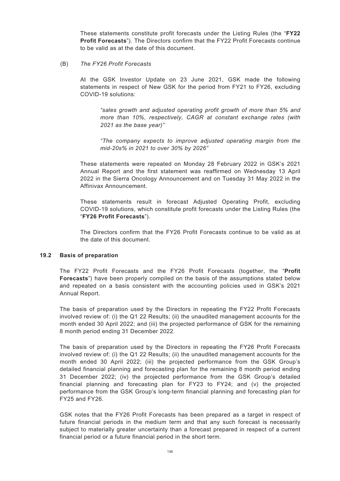These statements constitute profit forecasts under the Listing Rules (the "**FY22 Profit Forecasts**"). The Directors confirm that the FY22 Profit Forecasts continue to be valid as at the date of this document.

(B) *The FY26 Profit Forecasts*

At the GSK Investor Update on 23 June 2021, GSK made the following statements in respect of New GSK for the period from FY21 to FY26, excluding COVID-19 solutions:

*"sales growth and adjusted operating profit growth of more than 5% and more than 10%, respectively, CAGR at constant exchange rates (with 2021 as the base year)"*

*"The company expects to improve adjusted operating margin from the mid-20s% in 2021 to over 30% by 2026"*

These statements were repeated on Monday 28 February 2022 in GSK's 2021 Annual Report and the first statement was reaffirmed on Wednesday 13 April 2022 in the Sierra Oncology Announcement and on Tuesday 31 May 2022 in the Affinivax Announcement.

These statements result in forecast Adjusted Operating Profit, excluding COVID-19 solutions, which constitute profit forecasts under the Listing Rules (the "**FY26 Profit Forecasts**").

The Directors confirm that the FY26 Profit Forecasts continue to be valid as at the date of this document.

### **19.2 Basis of preparation**

The FY22 Profit Forecasts and the FY26 Profit Forecasts (together, the "**Profit Forecasts**") have been properly compiled on the basis of the assumptions stated below and repeated on a basis consistent with the accounting policies used in GSK's 2021 Annual Report.

The basis of preparation used by the Directors in repeating the FY22 Profit Forecasts involved review of: (i) the Q1 22 Results; (ii) the unaudited management accounts for the month ended 30 April 2022; and (iii) the projected performance of GSK for the remaining 8 month period ending 31 December 2022.

The basis of preparation used by the Directors in repeating the FY26 Profit Forecasts involved review of: (i) the Q1 22 Results; (ii) the unaudited management accounts for the month ended 30 April 2022; (iii) the projected performance from the GSK Group's detailed financial planning and forecasting plan for the remaining 8 month period ending 31 December 2022; (iv) the projected performance from the GSK Group's detailed financial planning and forecasting plan for FY23 to FY24; and (v) the projected performance from the GSK Group's long-term financial planning and forecasting plan for FY25 and FY26.

GSK notes that the FY26 Profit Forecasts has been prepared as a target in respect of future financial periods in the medium term and that any such forecast is necessarily subject to materially greater uncertainty than a forecast prepared in respect of a current financial period or a future financial period in the short term.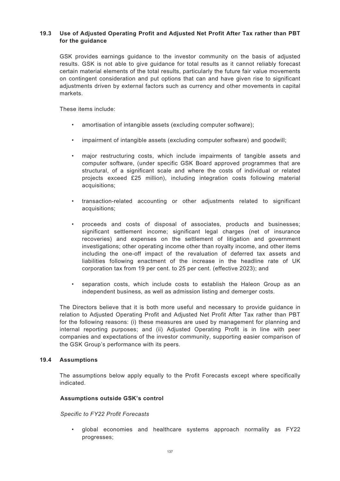# **19.3 Use of Adjusted Operating Profit and Adjusted Net Profit After Tax rather than PBT for the guidance**

GSK provides earnings guidance to the investor community on the basis of adjusted results. GSK is not able to give guidance for total results as it cannot reliably forecast certain material elements of the total results, particularly the future fair value movements on contingent consideration and put options that can and have given rise to significant adjustments driven by external factors such as currency and other movements in capital markets.

These items include:

- amortisation of intangible assets (excluding computer software);
- impairment of intangible assets (excluding computer software) and goodwill;
- major restructuring costs, which include impairments of tangible assets and computer software, (under specific GSK Board approved programmes that are structural, of a significant scale and where the costs of individual or related projects exceed £25 million), including integration costs following material acquisitions;
- transaction-related accounting or other adjustments related to significant acquisitions;
- proceeds and costs of disposal of associates, products and businesses; significant settlement income; significant legal charges (net of insurance recoveries) and expenses on the settlement of litigation and government investigations; other operating income other than royalty income, and other items including the one-off impact of the revaluation of deferred tax assets and liabilities following enactment of the increase in the headline rate of UK corporation tax from 19 per cent. to 25 per cent. (effective 2023); and
- separation costs, which include costs to establish the Haleon Group as an independent business, as well as admission listing and demerger costs.

The Directors believe that it is both more useful and necessary to provide guidance in relation to Adjusted Operating Profit and Adjusted Net Profit After Tax rather than PBT for the following reasons: (i) these measures are used by management for planning and internal reporting purposes; and (ii) Adjusted Operating Profit is in line with peer companies and expectations of the investor community, supporting easier comparison of the GSK Group's performance with its peers.

# **19.4 Assumptions**

The assumptions below apply equally to the Profit Forecasts except where specifically indicated.

### **Assumptions outside GSK's control**

*Specific to FY22 Profit Forecasts*

• global economies and healthcare systems approach normality as FY22 progresses;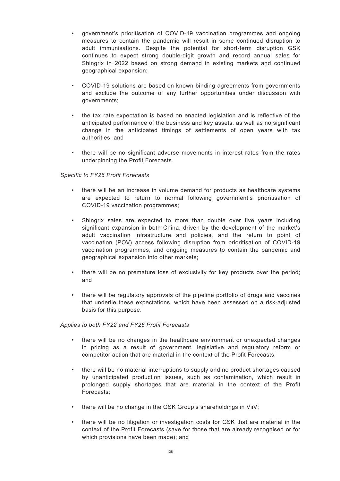- government's prioritisation of COVID-19 vaccination programmes and ongoing measures to contain the pandemic will result in some continued disruption to adult immunisations. Despite the potential for short-term disruption GSK continues to expect strong double-digit growth and record annual sales for Shingrix in 2022 based on strong demand in existing markets and continued geographical expansion;
- COVID-19 solutions are based on known binding agreements from governments and exclude the outcome of any further opportunities under discussion with governments;
- the tax rate expectation is based on enacted legislation and is reflective of the anticipated performance of the business and key assets, as well as no significant change in the anticipated timings of settlements of open years with tax authorities; and
- there will be no significant adverse movements in interest rates from the rates underpinning the Profit Forecasts.

# *Specific to FY26 Profit Forecasts*

- there will be an increase in volume demand for products as healthcare systems are expected to return to normal following government's prioritisation of COVID-19 vaccination programmes;
- Shingrix sales are expected to more than double over five years including significant expansion in both China, driven by the development of the market's adult vaccination infrastructure and policies, and the return to point of vaccination (POV) access following disruption from prioritisation of COVID-19 vaccination programmes, and ongoing measures to contain the pandemic and geographical expansion into other markets;
- there will be no premature loss of exclusivity for key products over the period; and
- there will be regulatory approvals of the pipeline portfolio of drugs and vaccines that underlie these expectations, which have been assessed on a risk-adjusted basis for this purpose.

### *Applies to both FY22 and FY26 Profit Forecasts*

- there will be no changes in the healthcare environment or unexpected changes in pricing as a result of government, legislative and regulatory reform or competitor action that are material in the context of the Profit Forecasts;
- there will be no material interruptions to supply and no product shortages caused by unanticipated production issues, such as contamination, which result in prolonged supply shortages that are material in the context of the Profit Forecasts;
- there will be no change in the GSK Group's shareholdings in ViiV;
- there will be no litigation or investigation costs for GSK that are material in the context of the Profit Forecasts (save for those that are already recognised or for which provisions have been made); and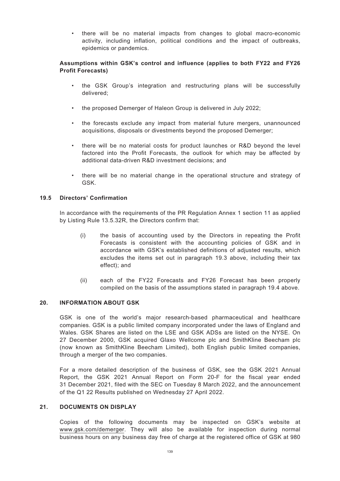• there will be no material impacts from changes to global macro-economic activity, including inflation, political conditions and the impact of outbreaks, epidemics or pandemics.

# **Assumptions within GSK's control and influence (applies to both FY22 and FY26 Profit Forecasts)**

- the GSK Group's integration and restructuring plans will be successfully delivered;
- the proposed Demerger of Haleon Group is delivered in July 2022;
- the forecasts exclude any impact from material future mergers, unannounced acquisitions, disposals or divestments beyond the proposed Demerger;
- there will be no material costs for product launches or R&D beyond the level factored into the Profit Forecasts, the outlook for which may be affected by additional data-driven R&D investment decisions; and
- there will be no material change in the operational structure and strategy of GSK.

# **19.5 Directors' Confirmation**

In accordance with the requirements of the PR Regulation Annex 1 section 11 as applied by Listing Rule 13.5.32R, the Directors confirm that:

- (i) the basis of accounting used by the Directors in repeating the Profit Forecasts is consistent with the accounting policies of GSK and in accordance with GSK's established definitions of adjusted results, which excludes the items set out in paragraph 19.3 above, including their tax effect); and
- (ii) each of the FY22 Forecasts and FY26 Forecast has been properly compiled on the basis of the assumptions stated in paragraph 19.4 above.

### **20. INFORMATION ABOUT GSK**

GSK is one of the world's major research-based pharmaceutical and healthcare companies. GSK is a public limited company incorporated under the laws of England and Wales. GSK Shares are listed on the LSE and GSK ADSs are listed on the NYSE. On 27 December 2000, GSK acquired Glaxo Wellcome plc and SmithKline Beecham plc (now known as SmithKline Beecham Limited), both English public limited companies, through a merger of the two companies.

For a more detailed description of the business of GSK, see the GSK 2021 Annual Report, the GSK 2021 Annual Report on Form 20-F for the fiscal year ended 31 December 2021, filed with the SEC on Tuesday 8 March 2022, and the announcement of the Q1 22 Results published on Wednesday 27 April 2022.

### **21. DOCUMENTS ON DISPLAY**

Copies of the following documents may be inspected on GSK's website at www.gsk.com/demerger. They will also be available for inspection during normal business hours on any business day free of charge at the registered office of GSK at 980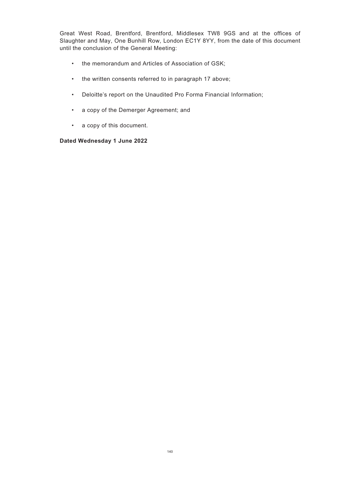Great West Road, Brentford, Brentford, Middlesex TW8 9GS and at the offices of Slaughter and May, One Bunhill Row, London EC1Y 8YY, from the date of this document until the conclusion of the General Meeting:

- the memorandum and Articles of Association of GSK;
- the written consents referred to in paragraph 17 above;
- Deloitte's report on the Unaudited Pro Forma Financial Information;
- a copy of the Demerger Agreement; and
- a copy of this document.

# **Dated Wednesday 1 June 2022**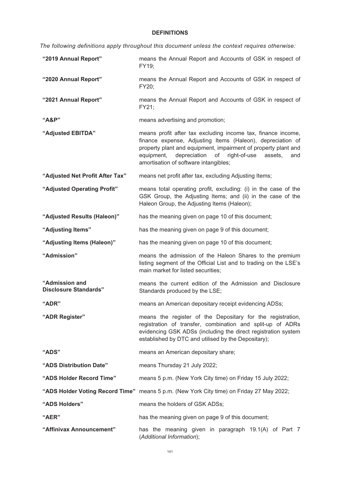## **DEFINITIONS**

*The following definitions apply throughout this document unless the context requires otherwise:*

| "2019 Annual Report"                           | means the Annual Report and Accounts of GSK in respect of<br>FY19;                                                                                                                                                                                                                                       |
|------------------------------------------------|----------------------------------------------------------------------------------------------------------------------------------------------------------------------------------------------------------------------------------------------------------------------------------------------------------|
| "2020 Annual Report"                           | means the Annual Report and Accounts of GSK in respect of<br>FY20;                                                                                                                                                                                                                                       |
| "2021 Annual Report"                           | means the Annual Report and Accounts of GSK in respect of<br>FY21;                                                                                                                                                                                                                                       |
| "A&P"                                          | means advertising and promotion;                                                                                                                                                                                                                                                                         |
| "Adjusted EBITDA"                              | means profit after tax excluding income tax, finance income,<br>finance expense, Adjusting Items (Haleon), depreciation of<br>property plant and equipment, impairment of property plant and<br>depreciation<br>of right-of-use<br>equipment,<br>assets,<br>and<br>amortisation of software intangibles; |
| "Adjusted Net Profit After Tax"                | means net profit after tax, excluding Adjusting Items;                                                                                                                                                                                                                                                   |
| "Adjusted Operating Profit"                    | means total operating profit, excluding: (i) in the case of the<br>GSK Group, the Adjusting Items; and (ii) in the case of the<br>Haleon Group, the Adjusting Items (Haleon);                                                                                                                            |
| "Adjusted Results (Haleon)"                    | has the meaning given on page 10 of this document;                                                                                                                                                                                                                                                       |
| "Adjusting Items"                              | has the meaning given on page 9 of this document;                                                                                                                                                                                                                                                        |
| "Adjusting Items (Haleon)"                     | has the meaning given on page 10 of this document;                                                                                                                                                                                                                                                       |
| "Admission"                                    | means the admission of the Haleon Shares to the premium<br>listing segment of the Official List and to trading on the LSE's<br>main market for listed securities;                                                                                                                                        |
| "Admission and<br><b>Disclosure Standards"</b> | means the current edition of the Admission and Disclosure<br>Standards produced by the LSE;                                                                                                                                                                                                              |
| "ADR"                                          | means an American depositary receipt evidencing ADSs;                                                                                                                                                                                                                                                    |
| "ADR Register"                                 | means the register of the Depositary for the registration,<br>registration of transfer, combination and split-up of ADRs<br>evidencing GSK ADSs (including the direct registration system<br>established by DTC and utilised by the Depositary);                                                         |
| "ADS"                                          | means an American depositary share;                                                                                                                                                                                                                                                                      |
| "ADS Distribution Date"                        | means Thursday 21 July 2022;                                                                                                                                                                                                                                                                             |
| "ADS Holder Record Time"                       | means 5 p.m. (New York City time) on Friday 15 July 2022;                                                                                                                                                                                                                                                |
|                                                | "ADS Holder Voting Record Time" means 5 p.m. (New York City time) on Friday 27 May 2022;                                                                                                                                                                                                                 |
| "ADS Holders"                                  | means the holders of GSK ADSs;                                                                                                                                                                                                                                                                           |
| "AER"                                          | has the meaning given on page 9 of this document;                                                                                                                                                                                                                                                        |
| "Affinivax Announcement"                       | has the meaning given in paragraph 19.1(A) of Part 7<br>(Additional Information);                                                                                                                                                                                                                        |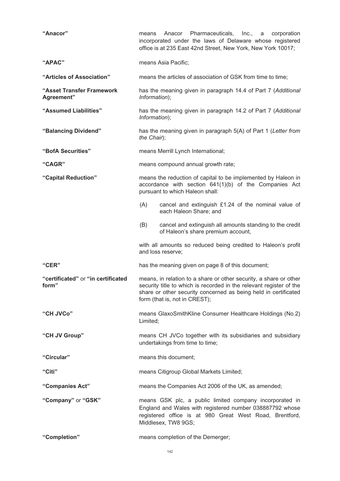| "Anacor"                                    | Anacor Pharmaceuticals, Inc., a<br>corporation<br>means<br>incorporated under the laws of Delaware whose registered<br>office is at 235 East 42nd Street, New York, New York 10017;                                                          |  |
|---------------------------------------------|----------------------------------------------------------------------------------------------------------------------------------------------------------------------------------------------------------------------------------------------|--|
| "APAC"                                      | means Asia Pacific;                                                                                                                                                                                                                          |  |
| "Articles of Association"                   | means the articles of association of GSK from time to time;                                                                                                                                                                                  |  |
| "Asset Transfer Framework<br>Agreement"     | has the meaning given in paragraph 14.4 of Part 7 (Additional<br>Information);                                                                                                                                                               |  |
| "Assumed Liabilities"                       | has the meaning given in paragraph 14.2 of Part 7 (Additional<br>Information);                                                                                                                                                               |  |
| "Balancing Dividend"                        | has the meaning given in paragraph 5(A) of Part 1 (Letter from<br>the Chair);                                                                                                                                                                |  |
| "BofA Securities"                           | means Merrill Lynch International;                                                                                                                                                                                                           |  |
| "CAGR"                                      | means compound annual growth rate;                                                                                                                                                                                                           |  |
| "Capital Reduction"                         | means the reduction of capital to be implemented by Haleon in<br>accordance with section 641(1)(b) of the Companies Act<br>pursuant to which Haleon shall:                                                                                   |  |
|                                             | cancel and extinguish £1.24 of the nominal value of<br>(A)<br>each Haleon Share; and                                                                                                                                                         |  |
|                                             | cancel and extinguish all amounts standing to the credit<br>(B)<br>of Haleon's share premium account,                                                                                                                                        |  |
|                                             | with all amounts so reduced being credited to Haleon's profit<br>and loss reserve;                                                                                                                                                           |  |
| "CER"                                       | has the meaning given on page 8 of this document;                                                                                                                                                                                            |  |
| "certificated" or "in certificated<br>form" | means, in relation to a share or other security, a share or other<br>security title to which is recorded in the relevant register of the<br>share or other security concerned as being held in certificated<br>form (that is, not in CREST); |  |
| "CH JVCo"                                   | means GlaxoSmithKline Consumer Healthcare Holdings (No.2)<br>Limited;                                                                                                                                                                        |  |
| "CH JV Group"                               | means CH JVCo together with its subsidiaries and subsidiary<br>undertakings from time to time;                                                                                                                                               |  |
| "Circular"                                  | means this document;                                                                                                                                                                                                                         |  |
| "Citi"                                      | means Citigroup Global Markets Limited;                                                                                                                                                                                                      |  |
| "Companies Act"                             | means the Companies Act 2006 of the UK, as amended;                                                                                                                                                                                          |  |
| "Company" or "GSK"                          | means GSK plc, a public limited company incorporated in<br>England and Wales with registered number 038887792 whose<br>registered office is at 980 Great West Road, Brentford,<br>Middlesex, TW8 9GS;                                        |  |
| "Completion"                                | means completion of the Demerger;                                                                                                                                                                                                            |  |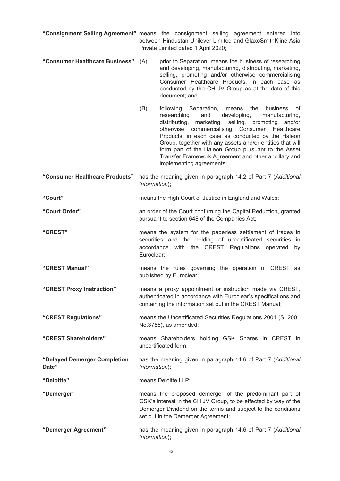- **"Consignment Selling Agreement"** means the consignment selling agreement entered into between Hindustan Unilever Limited and GlaxoSmithKline Asia Private Limited dated 1 April 2020;
- **"Consumer Healthcare Business"** (A) prior to Separation, means the business of researching and developing, manufacturing, distributing, marketing, selling, promoting and/or otherwise commercialising Consumer Healthcare Products, in each case as conducted by the CH JV Group as at the date of this document; and
	- (B) following Separation, means the business of researching and developing, manufacturing, distributing, marketing, selling, promoting and/or otherwise commercialising Consumer Healthcare Products, in each case as conducted by the Haleon Group, together with any assets and/or entities that will form part of the Haleon Group pursuant to the Asset Transfer Framework Agreement and other ancillary and implementing agreements;
- **"Consumer Healthcare Products"** has the meaning given in paragraph 14.2 of Part 7 (*Additional Information*);
- **"Court"** means the High Court of Justice in England and Wales;
- **"Court Order"** an order of the Court confirming the Capital Reduction, granted pursuant to section 648 of the Companies Act;
- **"CREST"** means the system for the paperless settlement of trades in securities and the holding of uncertificated securities in accordance with the CREST Regulations operated by Euroclear;
- **"CREST Manual"** means the rules governing the operation of CREST as published by Euroclear;
- **"CREST Proxy Instruction"** means a proxy appointment or instruction made via CREST, authenticated in accordance with Euroclear's specifications and containing the information set out in the CREST Manual;
- **"CREST Regulations"** means the Uncertificated Securities Regulations 2001 (SI 2001 No.3755), as amended;
- **"CREST Shareholders"** means Shareholders holding GSK Shares in CREST in uncertificated form;
- **"Delayed Demerger Completion Date"** has the meaning given in paragraph 14.6 of Part 7 (*Additional Information*);
- **"Deloitte"** means Deloitte LLP;
- 
- **"Demerger"** means the proposed demerger of the predominant part of GSK's interest in the CH JV Group, to be effected by way of the Demerger Dividend on the terms and subject to the conditions set out in the Demerger Agreement:
- **"Demerger Agreement"** has the meaning given in paragraph 14.6 of Part 7 (*Additional Information*);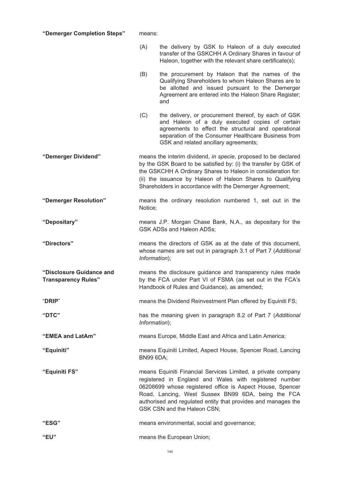**"Demerger Completion Steps"** means:

- (A) the delivery by GSK to Haleon of a duly executed transfer of the GSKCHH A Ordinary Shares in favour of Haleon, together with the relevant share certificate(s);
- (B) the procurement by Haleon that the names of the Qualifying Shareholders to whom Haleon Shares are to be allotted and issued pursuant to the Demerger Agreement are entered into the Haleon Share Register; and
- (C) the delivery, or procurement thereof, by each of GSK and Haleon of a duly executed copies of certain agreements to effect the structural and operational separation of the Consumer Healthcare Business from GSK and related ancillary agreements;
- **"Demerger Dividend"** means the interim dividend, *in specie*, proposed to be declared by the GSK Board to be satisfied by: (i) the transfer by GSK of the GSKCHH A Ordinary Shares to Haleon in consideration for: (ii) the issuance by Haleon of Haleon Shares to Qualifying Shareholders in accordance with the Demerger Agreement;
- **"Demerger Resolution"** means the ordinary resolution numbered 1, set out in the Notice;
- **"Depositary"** means J.P. Morgan Chase Bank, N.A., as depositary for the GSK ADSs and Haleon ADSs;
- **"Directors"** means the directors of GSK as at the date of this document, whose names are set out in paragraph 3.1 of Part 7 (*Additional Information*);
- **"Disclosure Guidance and Transparency Rules"** means the disclosure guidance and transparency rules made by the FCA under Part VI of FSMA (as set out in the FCA's Handbook of Rules and Guidance), as amended;
- "**DRIP**" means the Dividend Reinvestment Plan offered by Equiniti FS;
- **"DTC"** has the meaning given in paragraph 8.2 of Part 7 (*Additional Information*);
- **"EMEA and LatAm"** means Europe, Middle East and Africa and Latin America;
- **"Equiniti"** means Equiniti Limited, Aspect House, Spencer Road, Lancing BN99 6DA;
- **"Equiniti FS"** means Equiniti Financial Services Limited, a private company registered in England and Wales with registered number 06208699 whose registered office is Aspect House, Spencer Road, Lancing, West Sussex BN99 6DA, being the FCA authorised and regulated entity that provides and manages the GSK CSN and the Haleon CSN;
- **"ESG"** means environmental, social and governance;
- **"EU"** means the European Union;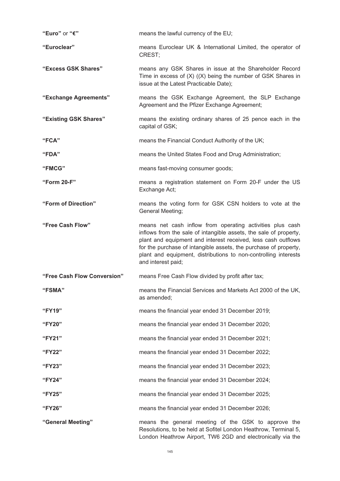| "Euro" or "€"               | means the lawful currency of the EU;                                                                                                                                                                                                                                                                                                                         |
|-----------------------------|--------------------------------------------------------------------------------------------------------------------------------------------------------------------------------------------------------------------------------------------------------------------------------------------------------------------------------------------------------------|
| "Euroclear"                 | means Euroclear UK & International Limited, the operator of<br>CREST;                                                                                                                                                                                                                                                                                        |
| "Excess GSK Shares"         | means any GSK Shares in issue at the Shareholder Record<br>Time in excess of $(X)$ $((X)$ being the number of GSK Shares in<br>issue at the Latest Practicable Date);                                                                                                                                                                                        |
| "Exchange Agreements"       | means the GSK Exchange Agreement, the SLP Exchange<br>Agreement and the Pfizer Exchange Agreement;                                                                                                                                                                                                                                                           |
| "Existing GSK Shares"       | means the existing ordinary shares of 25 pence each in the<br>capital of GSK;                                                                                                                                                                                                                                                                                |
| "FCA"                       | means the Financial Conduct Authority of the UK;                                                                                                                                                                                                                                                                                                             |
| "FDA"                       | means the United States Food and Drug Administration;                                                                                                                                                                                                                                                                                                        |
| "FMCG"                      | means fast-moving consumer goods;                                                                                                                                                                                                                                                                                                                            |
| "Form 20-F"                 | means a registration statement on Form 20-F under the US<br>Exchange Act;                                                                                                                                                                                                                                                                                    |
| "Form of Direction"         | means the voting form for GSK CSN holders to vote at the<br>General Meeting;                                                                                                                                                                                                                                                                                 |
| "Free Cash Flow"            | means net cash inflow from operating activities plus cash<br>inflows from the sale of intangible assets, the sale of property,<br>plant and equipment and interest received, less cash outflows<br>for the purchase of intangible assets, the purchase of property,<br>plant and equipment, distributions to non-controlling interests<br>and interest paid; |
| "Free Cash Flow Conversion" | means Free Cash Flow divided by profit after tax;                                                                                                                                                                                                                                                                                                            |
| "FSMA"                      | means the Financial Services and Markets Act 2000 of the UK,<br>as amended;                                                                                                                                                                                                                                                                                  |
| "FY19"                      | means the financial year ended 31 December 2019;                                                                                                                                                                                                                                                                                                             |
| "FY20"                      | means the financial year ended 31 December 2020;                                                                                                                                                                                                                                                                                                             |
| "FY21"                      | means the financial year ended 31 December 2021;                                                                                                                                                                                                                                                                                                             |
| "FY22"                      | means the financial year ended 31 December 2022;                                                                                                                                                                                                                                                                                                             |
| "FY23"                      | means the financial year ended 31 December 2023;                                                                                                                                                                                                                                                                                                             |
| "FY24"                      | means the financial year ended 31 December 2024;                                                                                                                                                                                                                                                                                                             |
| "FY25"                      | means the financial year ended 31 December 2025;                                                                                                                                                                                                                                                                                                             |
| "FY26"                      | means the financial year ended 31 December 2026;                                                                                                                                                                                                                                                                                                             |
| "General Meeting"           | means the general meeting of the GSK to approve the<br>Resolutions, to be held at Sofitel London Heathrow, Terminal 5,<br>London Heathrow Airport, TW6 2GD and electronically via the                                                                                                                                                                        |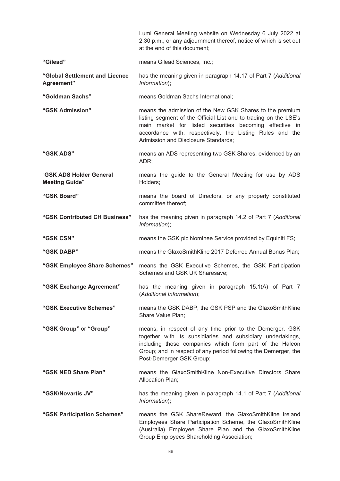|                                                  | Lumi General Meeting website on Wednesday 6 July 2022 at<br>2.30 p.m., or any adjournment thereof, notice of which is set out<br>at the end of this document;                                                                                                                              |  |  |
|--------------------------------------------------|--------------------------------------------------------------------------------------------------------------------------------------------------------------------------------------------------------------------------------------------------------------------------------------------|--|--|
| "Gilead"                                         | means Gilead Sciences, Inc.;                                                                                                                                                                                                                                                               |  |  |
| "Global Settlement and Licence<br>Agreement"     | has the meaning given in paragraph 14.17 of Part 7 (Additional<br>Information);                                                                                                                                                                                                            |  |  |
| "Goldman Sachs"                                  | means Goldman Sachs International;                                                                                                                                                                                                                                                         |  |  |
| "GSK Admission"                                  | means the admission of the New GSK Shares to the premium<br>listing segment of the Official List and to trading on the LSE's<br>main market for listed securities becoming effective in<br>accordance with, respectively, the Listing Rules and the<br>Admission and Disclosure Standards; |  |  |
| "GSK ADS"                                        | means an ADS representing two GSK Shares, evidenced by an<br>ADR;                                                                                                                                                                                                                          |  |  |
| "GSK ADS Holder General<br><b>Meeting Guide"</b> | means the guide to the General Meeting for use by ADS<br>Holders;                                                                                                                                                                                                                          |  |  |
| "GSK Board"                                      | means the board of Directors, or any properly constituted<br>committee thereof;                                                                                                                                                                                                            |  |  |
| "GSK Contributed CH Business"                    | has the meaning given in paragraph 14.2 of Part 7 (Additional<br>Information);                                                                                                                                                                                                             |  |  |
| "GSK CSN"                                        | means the GSK plc Nominee Service provided by Equiniti FS;                                                                                                                                                                                                                                 |  |  |
| "GSK DABP"                                       | means the GlaxoSmithKline 2017 Deferred Annual Bonus Plan;                                                                                                                                                                                                                                 |  |  |
| "GSK Employee Share Schemes"                     | means the GSK Executive Schemes, the GSK Participation<br>Schemes and GSK UK Sharesave;                                                                                                                                                                                                    |  |  |
| "GSK Exchange Agreement"                         | has the meaning given in paragraph 15.1(A) of Part 7<br>(Additional Information);                                                                                                                                                                                                          |  |  |
| "GSK Executive Schemes"                          | means the GSK DABP, the GSK PSP and the GlaxoSmithKline<br>Share Value Plan;                                                                                                                                                                                                               |  |  |
| "GSK Group" or "Group"                           | means, in respect of any time prior to the Demerger, GSK<br>together with its subsidiaries and subsidiary undertakings,<br>including those companies which form part of the Haleon<br>Group; and in respect of any period following the Demerger, the<br>Post-Demerger GSK Group;          |  |  |
| "GSK NED Share Plan"                             | means the GlaxoSmithKline Non-Executive Directors Share<br>Allocation Plan;                                                                                                                                                                                                                |  |  |
| "GSK/Novartis JV"                                | has the meaning given in paragraph 14.1 of Part 7 (Additional<br>Information);                                                                                                                                                                                                             |  |  |
| "GSK Participation Schemes"                      | means the GSK ShareReward, the GlaxoSmithKline Ireland<br>Employees Share Participation Scheme, the GlaxoSmithKline<br>(Australia) Employee Share Plan and the GlaxoSmithKline<br>Group Employees Shareholding Association;                                                                |  |  |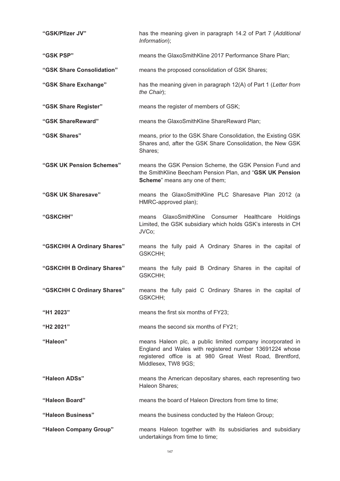| "GSK/Pfizer JV"            | has the meaning given in paragraph 14.2 of Part 7 (Additional<br>Information);                                                                                                                          |  |  |  |
|----------------------------|---------------------------------------------------------------------------------------------------------------------------------------------------------------------------------------------------------|--|--|--|
| "GSK PSP"                  | means the GlaxoSmithKline 2017 Performance Share Plan;                                                                                                                                                  |  |  |  |
| "GSK Share Consolidation"  | means the proposed consolidation of GSK Shares;                                                                                                                                                         |  |  |  |
| "GSK Share Exchange"       | has the meaning given in paragraph 12(A) of Part 1 (Letter from<br>the Chair);                                                                                                                          |  |  |  |
| "GSK Share Register"       | means the register of members of GSK;                                                                                                                                                                   |  |  |  |
| "GSK ShareReward"          | means the GlaxoSmithKline ShareReward Plan;                                                                                                                                                             |  |  |  |
| "GSK Shares"               | means, prior to the GSK Share Consolidation, the Existing GSK<br>Shares and, after the GSK Share Consolidation, the New GSK<br>Shares;                                                                  |  |  |  |
| "GSK UK Pension Schemes"   | means the GSK Pension Scheme, the GSK Pension Fund and<br>the SmithKline Beecham Pension Plan, and "GSK UK Pension<br>Scheme" means any one of them;                                                    |  |  |  |
| "GSK UK Sharesave"         | means the GlaxoSmithKline PLC Sharesave Plan 2012 (a<br>HMRC-approved plan);                                                                                                                            |  |  |  |
| "GSKCHH"                   | GlaxoSmithKline Consumer Healthcare<br><b>Holdings</b><br>means<br>Limited, the GSK subsidiary which holds GSK's interests in CH<br>JVCo;                                                               |  |  |  |
| "GSKCHH A Ordinary Shares" | means the fully paid A Ordinary Shares in the capital of<br>GSKCHH;                                                                                                                                     |  |  |  |
| "GSKCHH B Ordinary Shares" | means the fully paid B Ordinary Shares in the capital of<br>GSKCHH;                                                                                                                                     |  |  |  |
| "GSKCHH C Ordinary Shares" | means the fully paid C Ordinary Shares in the capital of<br>GSKCHH;                                                                                                                                     |  |  |  |
| "H1 2023"                  | means the first six months of FY23;                                                                                                                                                                     |  |  |  |
| "H2 2021"                  | means the second six months of FY21;                                                                                                                                                                    |  |  |  |
| "Haleon"                   | means Haleon plc, a public limited company incorporated in<br>England and Wales with registered number 13691224 whose<br>registered office is at 980 Great West Road, Brentford,<br>Middlesex, TW8 9GS; |  |  |  |
| "Haleon ADSs"              | means the American depositary shares, each representing two<br>Haleon Shares;                                                                                                                           |  |  |  |
| "Haleon Board"             | means the board of Haleon Directors from time to time;                                                                                                                                                  |  |  |  |
| "Haleon Business"          | means the business conducted by the Haleon Group;                                                                                                                                                       |  |  |  |
| "Haleon Company Group"     | means Haleon together with its subsidiaries and subsidiary<br>undertakings from time to time;                                                                                                           |  |  |  |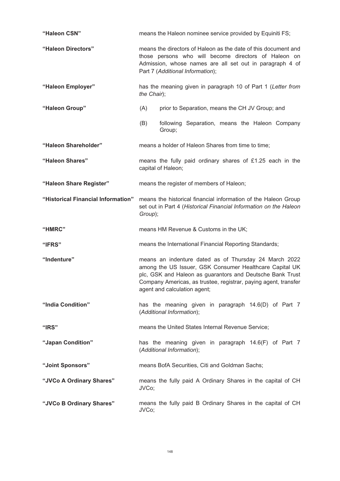| "Haleon CSN"                       | means the Haleon nominee service provided by Equiniti FS;                                                                                                                                                                                                                        |  |  |  |
|------------------------------------|----------------------------------------------------------------------------------------------------------------------------------------------------------------------------------------------------------------------------------------------------------------------------------|--|--|--|
| "Haleon Directors"                 | means the directors of Haleon as the date of this document and<br>those persons who will become directors of Haleon on<br>Admission, whose names are all set out in paragraph 4 of<br>Part 7 (Additional Information);                                                           |  |  |  |
| "Haleon Employer"                  | has the meaning given in paragraph 10 of Part 1 (Letter from<br>the Chair);                                                                                                                                                                                                      |  |  |  |
| "Haleon Group"                     | (A)<br>prior to Separation, means the CH JV Group; and                                                                                                                                                                                                                           |  |  |  |
|                                    | (B)<br>following Separation, means the Haleon Company<br>Group;                                                                                                                                                                                                                  |  |  |  |
| "Haleon Shareholder"               | means a holder of Haleon Shares from time to time;                                                                                                                                                                                                                               |  |  |  |
| "Haleon Shares"                    | means the fully paid ordinary shares of £1.25 each in the<br>capital of Haleon;                                                                                                                                                                                                  |  |  |  |
| "Haleon Share Register"            | means the register of members of Haleon;                                                                                                                                                                                                                                         |  |  |  |
| "Historical Financial Information" | means the historical financial information of the Haleon Group<br>set out in Part 4 (Historical Financial Information on the Haleon<br>Group);                                                                                                                                   |  |  |  |
|                                    |                                                                                                                                                                                                                                                                                  |  |  |  |
| "HMRC"                             | means HM Revenue & Customs in the UK;                                                                                                                                                                                                                                            |  |  |  |
| "IFRS"                             | means the International Financial Reporting Standards;                                                                                                                                                                                                                           |  |  |  |
| "Indenture"                        | means an indenture dated as of Thursday 24 March 2022<br>among the US Issuer, GSK Consumer Healthcare Capital UK<br>plc, GSK and Haleon as guarantors and Deutsche Bank Trust<br>Company Americas, as trustee, registrar, paying agent, transfer<br>agent and calculation agent; |  |  |  |
| "India Condition"                  | has the meaning given in paragraph 14.6(D) of Part 7<br>(Additional Information);                                                                                                                                                                                                |  |  |  |
| "IRS"                              | means the United States Internal Revenue Service;                                                                                                                                                                                                                                |  |  |  |
| "Japan Condition"                  | has the meaning given in paragraph 14.6(F) of Part 7<br>(Additional Information);                                                                                                                                                                                                |  |  |  |
| "Joint Sponsors"                   | means BofA Securities, Citi and Goldman Sachs;                                                                                                                                                                                                                                   |  |  |  |
| "JVCo A Ordinary Shares"           | means the fully paid A Ordinary Shares in the capital of CH<br>JVCo;                                                                                                                                                                                                             |  |  |  |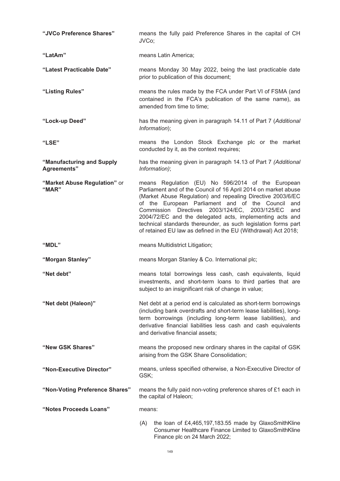| "JVCo Preference Shares"                        | means the fully paid Preference Shares in the capital of CH<br>JVCo;                                                                                                                                                                                                                                                                                                                                                                                                                                |  |  |
|-------------------------------------------------|-----------------------------------------------------------------------------------------------------------------------------------------------------------------------------------------------------------------------------------------------------------------------------------------------------------------------------------------------------------------------------------------------------------------------------------------------------------------------------------------------------|--|--|
| "LatAm"                                         | means Latin America;                                                                                                                                                                                                                                                                                                                                                                                                                                                                                |  |  |
| "Latest Practicable Date"                       | means Monday 30 May 2022, being the last practicable date<br>prior to publication of this document;                                                                                                                                                                                                                                                                                                                                                                                                 |  |  |
| "Listing Rules"                                 | means the rules made by the FCA under Part VI of FSMA (and<br>contained in the FCA's publication of the same name), as<br>amended from time to time;                                                                                                                                                                                                                                                                                                                                                |  |  |
| "Lock-up Deed"                                  | has the meaning given in paragraph 14.11 of Part 7 (Additional<br>Information);                                                                                                                                                                                                                                                                                                                                                                                                                     |  |  |
| "LSE"                                           | means the London Stock Exchange plc or the market<br>conducted by it, as the context requires;                                                                                                                                                                                                                                                                                                                                                                                                      |  |  |
| "Manufacturing and Supply<br><b>Agreements"</b> | has the meaning given in paragraph 14.13 of Part 7 (Additional<br>Information);                                                                                                                                                                                                                                                                                                                                                                                                                     |  |  |
| "Market Abuse Regulation" or<br>"MAR"           | means Regulation (EU) No 596/2014 of the European<br>Parliament and of the Council of 16 April 2014 on market abuse<br>(Market Abuse Regulation) and repealing Directive 2003/6/EC<br>of the European Parliament and of the Council<br>and<br>Commission Directives 2003/124/EC, 2003/125/EC<br>and<br>2004/72/EC and the delegated acts, implementing acts and<br>technical standards thereunder, as such legislation forms part<br>of retained EU law as defined in the EU (Withdrawal) Act 2018; |  |  |
| "MDL"                                           | means Multidistrict Litigation;                                                                                                                                                                                                                                                                                                                                                                                                                                                                     |  |  |
| "Morgan Stanley"                                | means Morgan Stanley & Co. International plc;                                                                                                                                                                                                                                                                                                                                                                                                                                                       |  |  |
| "Net debt"                                      | means total borrowings less cash, cash equivalents, liquid<br>investments, and short-term loans to third parties that are<br>subject to an insignificant risk of change in value;                                                                                                                                                                                                                                                                                                                   |  |  |
| "Net debt (Haleon)"                             | Net debt at a period end is calculated as short-term borrowings<br>(including bank overdrafts and short-term lease liabilities), long-<br>term borrowings (including long-term lease liabilities), and<br>derivative financial liabilities less cash and cash equivalents<br>and derivative financial assets;                                                                                                                                                                                       |  |  |
| "New GSK Shares"                                | means the proposed new ordinary shares in the capital of GSK<br>arising from the GSK Share Consolidation;                                                                                                                                                                                                                                                                                                                                                                                           |  |  |
| "Non-Executive Director"                        | means, unless specified otherwise, a Non-Executive Director of<br>GSK;                                                                                                                                                                                                                                                                                                                                                                                                                              |  |  |
| "Non-Voting Preference Shares"                  | means the fully paid non-voting preference shares of £1 each in<br>the capital of Haleon;                                                                                                                                                                                                                                                                                                                                                                                                           |  |  |
| "Notes Proceeds Loans"                          | means:                                                                                                                                                                                                                                                                                                                                                                                                                                                                                              |  |  |
|                                                 | the loan of £4,465,197,183.55 made by GlaxoSmithKline<br>(A)<br>Consumer Healthcare Finance Limited to GlaxoSmithKline<br>Finance plc on 24 March 2022;                                                                                                                                                                                                                                                                                                                                             |  |  |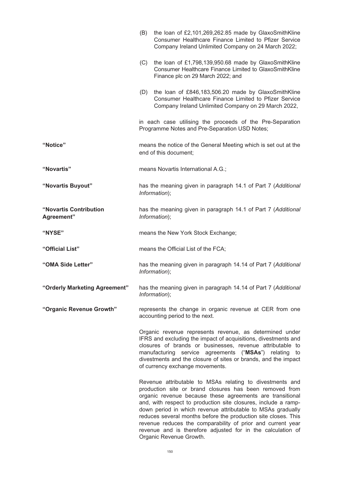|                                      | (B) | the loan of £2,101,269,262.85 made by GlaxoSmithKline<br>Consumer Healthcare Finance Limited to Pfizer Service<br>Company Ireland Unlimited Company on 24 March 2022;                                                                                                                                                                                                                                                                                                                                                                        |
|--------------------------------------|-----|----------------------------------------------------------------------------------------------------------------------------------------------------------------------------------------------------------------------------------------------------------------------------------------------------------------------------------------------------------------------------------------------------------------------------------------------------------------------------------------------------------------------------------------------|
|                                      | (C) | the loan of £1,798,139,950.68 made by GlaxoSmithKline<br>Consumer Healthcare Finance Limited to GlaxoSmithKline<br>Finance plc on 29 March 2022; and                                                                                                                                                                                                                                                                                                                                                                                         |
|                                      |     | (D) the loan of £846,183,506.20 made by GlaxoSmithKline<br>Consumer Healthcare Finance Limited to Pfizer Service<br>Company Ireland Unlimited Company on 29 March 2022,                                                                                                                                                                                                                                                                                                                                                                      |
|                                      |     | in each case utilising the proceeds of the Pre-Separation<br>Programme Notes and Pre-Separation USD Notes;                                                                                                                                                                                                                                                                                                                                                                                                                                   |
| "Notice"                             |     | means the notice of the General Meeting which is set out at the<br>end of this document;                                                                                                                                                                                                                                                                                                                                                                                                                                                     |
| "Novartis"                           |     | means Novartis International A.G.;                                                                                                                                                                                                                                                                                                                                                                                                                                                                                                           |
| "Novartis Buyout"                    |     | has the meaning given in paragraph 14.1 of Part 7 (Additional<br>Information);                                                                                                                                                                                                                                                                                                                                                                                                                                                               |
| "Novartis Contribution<br>Agreement" |     | has the meaning given in paragraph 14.1 of Part 7 (Additional<br>Information);                                                                                                                                                                                                                                                                                                                                                                                                                                                               |
| "NYSE"                               |     | means the New York Stock Exchange;                                                                                                                                                                                                                                                                                                                                                                                                                                                                                                           |
| "Official List"                      |     | means the Official List of the FCA;                                                                                                                                                                                                                                                                                                                                                                                                                                                                                                          |
| "OMA Side Letter"                    |     | has the meaning given in paragraph 14.14 of Part 7 (Additional<br>Information);                                                                                                                                                                                                                                                                                                                                                                                                                                                              |
| "Orderly Marketing Agreement"        |     | has the meaning given in paragraph 14.14 of Part 7 (Additional<br>Information);                                                                                                                                                                                                                                                                                                                                                                                                                                                              |
| "Organic Revenue Growth"             |     | represents the change in organic revenue at CER from one<br>accounting period to the next.                                                                                                                                                                                                                                                                                                                                                                                                                                                   |
|                                      |     | Organic revenue represents revenue, as determined under<br>IFRS and excluding the impact of acquisitions, divestments and<br>closures of brands or businesses, revenue attributable to<br>manufacturing service agreements ("MSAs") relating to<br>divestments and the closure of sites or brands, and the impact<br>of currency exchange movements.                                                                                                                                                                                         |
|                                      |     | Revenue attributable to MSAs relating to divestments and<br>production site or brand closures has been removed from<br>organic revenue because these agreements are transitional<br>and, with respect to production site closures, include a ramp-<br>down period in which revenue attributable to MSAs gradually<br>reduces several months before the production site closes. This<br>revenue reduces the comparability of prior and current year<br>revenue and is therefore adjusted for in the calculation of<br>Organic Revenue Growth. |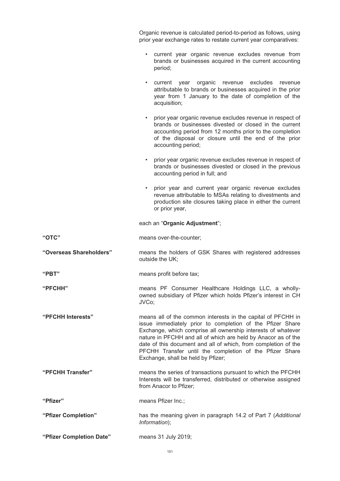| Organic revenue is calculated period-to-period as follows, using |  |
|------------------------------------------------------------------|--|
| prior year exchange rates to restate current year comparatives:  |  |

- current year organic revenue excludes revenue from brands or businesses acquired in the current accounting period;
- current year organic revenue excludes revenue attributable to brands or businesses acquired in the prior year from 1 January to the date of completion of the acquisition;
- prior year organic revenue excludes revenue in respect of brands or businesses divested or closed in the current accounting period from 12 months prior to the completion of the disposal or closure until the end of the prior accounting period;
- prior year organic revenue excludes revenue in respect of brands or businesses divested or closed in the previous accounting period in full; and
- prior year and current year organic revenue excludes revenue attributable to MSAs relating to divestments and production site closures taking place in either the current or prior year,

## each an "**Organic Adjustment**";

| "OTC"                    | means over-the-counter;                                                                                                                                                                                                                                                                                                                                                                                                       |
|--------------------------|-------------------------------------------------------------------------------------------------------------------------------------------------------------------------------------------------------------------------------------------------------------------------------------------------------------------------------------------------------------------------------------------------------------------------------|
| "Overseas Shareholders"  | means the holders of GSK Shares with registered addresses<br>outside the UK;                                                                                                                                                                                                                                                                                                                                                  |
| "PBT"                    | means profit before tax;                                                                                                                                                                                                                                                                                                                                                                                                      |
| "PFCHH"                  | means PF Consumer Healthcare Holdings LLC, a wholly-<br>owned subsidiary of Pfizer which holds Pfizer's interest in CH<br>JVCo;                                                                                                                                                                                                                                                                                               |
| "PFCHH Interests"        | means all of the common interests in the capital of PFCHH in<br>issue immediately prior to completion of the Pfizer Share<br>Exchange, which comprise all ownership interests of whatever<br>nature in PFCHH and all of which are held by Anacor as of the<br>date of this document and all of which, from completion of the<br>PFCHH Transfer until the completion of the Pfizer Share<br>Exchange, shall be held by Pfizer; |
| "PFCHH Transfer"         | means the series of transactions pursuant to which the PFCHH<br>Interests will be transferred, distributed or otherwise assigned<br>from Anacor to Pfizer;                                                                                                                                                                                                                                                                    |
| "Pfizer"                 | means Pfizer Inc.;                                                                                                                                                                                                                                                                                                                                                                                                            |
| "Pfizer Completion"      | has the meaning given in paragraph 14.2 of Part 7 (Additional<br>Information);                                                                                                                                                                                                                                                                                                                                                |
| "Pfizer Completion Date" | means 31 July 2019;                                                                                                                                                                                                                                                                                                                                                                                                           |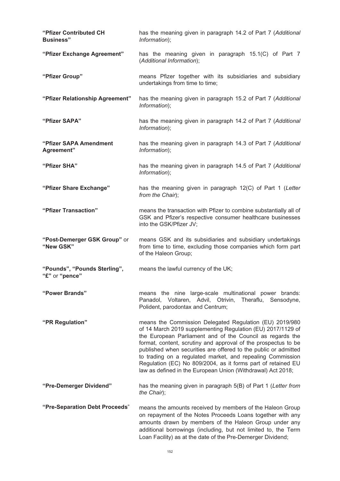| "Pfizer Contributed CH<br><b>Business</b> "    | has the meaning given in paragraph 14.2 of Part 7 (Additional<br>Information);                                                                                                                                                                                                                                                                                                                                                                                                                                        |  |  |  |
|------------------------------------------------|-----------------------------------------------------------------------------------------------------------------------------------------------------------------------------------------------------------------------------------------------------------------------------------------------------------------------------------------------------------------------------------------------------------------------------------------------------------------------------------------------------------------------|--|--|--|
| "Pfizer Exchange Agreement"                    | has the meaning given in paragraph 15.1(C) of Part 7<br>(Additional Information);                                                                                                                                                                                                                                                                                                                                                                                                                                     |  |  |  |
| "Pfizer Group"                                 | means Pfizer together with its subsidiaries and subsidiary<br>undertakings from time to time;                                                                                                                                                                                                                                                                                                                                                                                                                         |  |  |  |
| "Pfizer Relationship Agreement"                | has the meaning given in paragraph 15.2 of Part 7 (Additional<br>Information);                                                                                                                                                                                                                                                                                                                                                                                                                                        |  |  |  |
| "Pfizer SAPA"                                  | has the meaning given in paragraph 14.2 of Part 7 (Additional<br>Information);                                                                                                                                                                                                                                                                                                                                                                                                                                        |  |  |  |
| "Pfizer SAPA Amendment<br>Agreement"           | has the meaning given in paragraph 14.3 of Part 7 (Additional<br>Information);                                                                                                                                                                                                                                                                                                                                                                                                                                        |  |  |  |
| "Pfizer SHA"                                   | has the meaning given in paragraph 14.5 of Part 7 (Additional<br>Information);                                                                                                                                                                                                                                                                                                                                                                                                                                        |  |  |  |
| "Pfizer Share Exchange"                        | has the meaning given in paragraph 12(C) of Part 1 (Letter<br>from the Chair);                                                                                                                                                                                                                                                                                                                                                                                                                                        |  |  |  |
| "Pfizer Transaction"                           | means the transaction with Pfizer to combine substantially all of<br>GSK and Pfizer's respective consumer healthcare businesses<br>into the GSK/Pfizer JV;                                                                                                                                                                                                                                                                                                                                                            |  |  |  |
| "Post-Demerger GSK Group" or<br>"New GSK"      | means GSK and its subsidiaries and subsidiary undertakings<br>from time to time, excluding those companies which form part<br>of the Haleon Group;                                                                                                                                                                                                                                                                                                                                                                    |  |  |  |
| "Pounds", "Pounds Sterling",<br>"£" or "pence" | means the lawful currency of the UK;                                                                                                                                                                                                                                                                                                                                                                                                                                                                                  |  |  |  |
| "Power Brands"                                 | means the nine large-scale multinational power brands:<br>Panadol, Voltaren, Advil, Otrivin, Theraflu,<br>Sensodyne,<br>Polident, parodontax and Centrum;                                                                                                                                                                                                                                                                                                                                                             |  |  |  |
| "PR Regulation"                                | means the Commission Delegated Regulation (EU) 2019/980<br>of 14 March 2019 supplementing Regulation (EU) 2017/1129 of<br>the European Parliament and of the Council as regards the<br>format, content, scrutiny and approval of the prospectus to be<br>published when securities are offered to the public or admitted<br>to trading on a regulated market, and repealing Commission<br>Regulation (EC) No 809/2004, as it forms part of retained EU<br>law as defined in the European Union (Withdrawal) Act 2018; |  |  |  |
| "Pre-Demerger Dividend"                        | has the meaning given in paragraph 5(B) of Part 1 (Letter from<br>the Chair);                                                                                                                                                                                                                                                                                                                                                                                                                                         |  |  |  |
| "Pre-Separation Debt Proceeds"                 | means the amounts received by members of the Haleon Group<br>on repayment of the Notes Proceeds Loans together with any<br>amounts drawn by members of the Haleon Group under any<br>additional borrowings (including, but not limited to, the Term<br>Loan Facility) as at the date of the Pre-Demerger Dividend;                                                                                                                                                                                                    |  |  |  |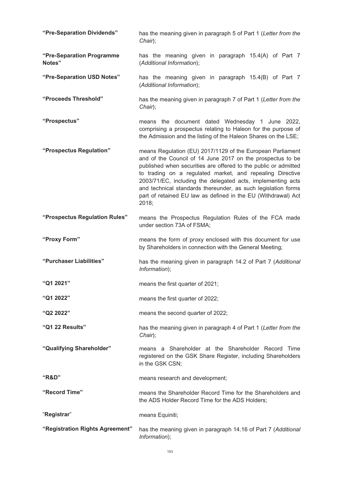| "Pre-Separation Dividends"          | has the meaning given in paragraph 5 of Part 1 (Letter from the<br>Chair);                                                                                                                                                                                                                                                                                                                                                                                         |  |  |  |  |
|-------------------------------------|--------------------------------------------------------------------------------------------------------------------------------------------------------------------------------------------------------------------------------------------------------------------------------------------------------------------------------------------------------------------------------------------------------------------------------------------------------------------|--|--|--|--|
| "Pre-Separation Programme<br>Notes" | has the meaning given in paragraph 15.4(A) of Part 7<br>(Additional Information);                                                                                                                                                                                                                                                                                                                                                                                  |  |  |  |  |
| "Pre-Separation USD Notes"          | has the meaning given in paragraph 15.4(B) of Part 7<br>(Additional Information);                                                                                                                                                                                                                                                                                                                                                                                  |  |  |  |  |
| "Proceeds Threshold"                | has the meaning given in paragraph 7 of Part 1 (Letter from the<br>Chair);                                                                                                                                                                                                                                                                                                                                                                                         |  |  |  |  |
| "Prospectus"                        | means the document dated Wednesday 1 June 2022,<br>comprising a prospectus relating to Haleon for the purpose of<br>the Admission and the listing of the Haleon Shares on the LSE;                                                                                                                                                                                                                                                                                 |  |  |  |  |
| "Prospectus Regulation"             | means Regulation (EU) 2017/1129 of the European Parliament<br>and of the Council of 14 June 2017 on the prospectus to be<br>published when securities are offered to the public or admitted<br>to trading on a regulated market, and repealing Directive<br>2003/71/EC, including the delegated acts, implementing acts<br>and technical standards thereunder, as such legislation forms<br>part of retained EU law as defined in the EU (Withdrawal) Act<br>2018; |  |  |  |  |
| "Prospectus Regulation Rules"       | means the Prospectus Regulation Rules of the FCA made<br>under section 73A of FSMA;                                                                                                                                                                                                                                                                                                                                                                                |  |  |  |  |
| "Proxy Form"                        | means the form of proxy enclosed with this document for use<br>by Shareholders in connection with the General Meeting;                                                                                                                                                                                                                                                                                                                                             |  |  |  |  |
| "Purchaser Liabilities"             | has the meaning given in paragraph 14.2 of Part 7 (Additional<br>Information);                                                                                                                                                                                                                                                                                                                                                                                     |  |  |  |  |
| "Q1 2021"                           | means the first quarter of 2021;                                                                                                                                                                                                                                                                                                                                                                                                                                   |  |  |  |  |
| "Q1 2022"                           | means the first quarter of 2022;                                                                                                                                                                                                                                                                                                                                                                                                                                   |  |  |  |  |
|                                     |                                                                                                                                                                                                                                                                                                                                                                                                                                                                    |  |  |  |  |
| "Q2 2022"                           | means the second quarter of 2022;                                                                                                                                                                                                                                                                                                                                                                                                                                  |  |  |  |  |
| "Q1 22 Results"                     | has the meaning given in paragraph 4 of Part 1 (Letter from the<br>Chair);                                                                                                                                                                                                                                                                                                                                                                                         |  |  |  |  |
| "Qualifying Shareholder"            | means a Shareholder at the Shareholder Record Time<br>registered on the GSK Share Register, including Shareholders<br>in the GSK CSN;                                                                                                                                                                                                                                                                                                                              |  |  |  |  |
| "R&D"                               | means research and development;                                                                                                                                                                                                                                                                                                                                                                                                                                    |  |  |  |  |
| "Record Time"                       | means the Shareholder Record Time for the Shareholders and<br>the ADS Holder Record Time for the ADS Holders;                                                                                                                                                                                                                                                                                                                                                      |  |  |  |  |
| "Registrar"                         | means Equiniti;                                                                                                                                                                                                                                                                                                                                                                                                                                                    |  |  |  |  |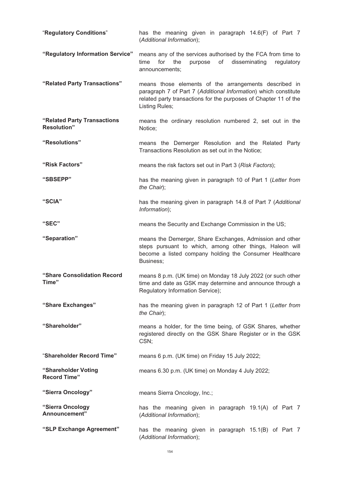| "Regulatory Conditions"                           | has the meaning given in paragraph 14.6(F) of Part 7<br>(Additional Information);                                                                                                                              |  |  |  |  |
|---------------------------------------------------|----------------------------------------------------------------------------------------------------------------------------------------------------------------------------------------------------------------|--|--|--|--|
| "Regulatory Information Service"                  | means any of the services authorised by the FCA from time to<br>time<br>for<br>of<br>disseminating<br>the<br>purpose<br>regulatory<br>announcements;                                                           |  |  |  |  |
| "Related Party Transactions"                      | means those elements of the arrangements described in<br>paragraph 7 of Part 7 (Additional Information) which constitute<br>related party transactions for the purposes of Chapter 11 of the<br>Listing Rules; |  |  |  |  |
| "Related Party Transactions<br><b>Resolution"</b> | means the ordinary resolution numbered 2, set out in the<br>Notice;                                                                                                                                            |  |  |  |  |
| "Resolutions"                                     | means the Demerger Resolution and the Related Party<br>Transactions Resolution as set out in the Notice;                                                                                                       |  |  |  |  |
| "Risk Factors"                                    | means the risk factors set out in Part 3 (Risk Factors);                                                                                                                                                       |  |  |  |  |
| "SBSEPP"                                          | has the meaning given in paragraph 10 of Part 1 (Letter from<br>the Chair);                                                                                                                                    |  |  |  |  |
| "SCIA"                                            | has the meaning given in paragraph 14.8 of Part 7 (Additional<br>Information);                                                                                                                                 |  |  |  |  |
| "SEC"                                             | means the Security and Exchange Commission in the US;                                                                                                                                                          |  |  |  |  |
| "Separation"                                      | means the Demerger, Share Exchanges, Admission and other<br>steps pursuant to which, among other things, Haleon will<br>become a listed company holding the Consumer Healthcare<br>Business;                   |  |  |  |  |
| "Share Consolidation Record                       | means 8 p.m. (UK time) on Monday 18 July 2022 (or such other                                                                                                                                                   |  |  |  |  |
| Time"                                             | time and date as GSK may determine and announce through a<br>Regulatory Information Service);                                                                                                                  |  |  |  |  |
| "Share Exchanges"                                 | has the meaning given in paragraph 12 of Part 1 (Letter from<br>the Chair);                                                                                                                                    |  |  |  |  |
| "Shareholder"                                     | means a holder, for the time being, of GSK Shares, whether<br>registered directly on the GSK Share Register or in the GSK<br>CSN;                                                                              |  |  |  |  |
| "Shareholder Record Time"                         | means 6 p.m. (UK time) on Friday 15 July 2022;                                                                                                                                                                 |  |  |  |  |
| "Shareholder Voting<br><b>Record Time"</b>        | means 6.30 p.m. (UK time) on Monday 4 July 2022;                                                                                                                                                               |  |  |  |  |
| "Sierra Oncology"                                 | means Sierra Oncology, Inc.;                                                                                                                                                                                   |  |  |  |  |
| "Sierra Oncology<br>Announcement"                 | has the meaning given in paragraph 19.1(A) of Part 7<br>(Additional Information);                                                                                                                              |  |  |  |  |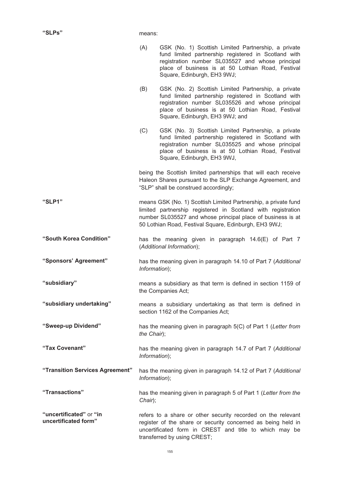|                                                 | (A)                                                                                             | GSK (No. 1) Scottish Limited Partnership, a private<br>fund limited partnership registered in Scotland with<br>registration number SL035527 and whose principal<br>place of business is at 50 Lothian Road, Festival<br>Square, Edinburgh, EH3 9WJ;     |  |
|-------------------------------------------------|-------------------------------------------------------------------------------------------------|---------------------------------------------------------------------------------------------------------------------------------------------------------------------------------------------------------------------------------------------------------|--|
|                                                 | (B)                                                                                             | GSK (No. 2) Scottish Limited Partnership, a private<br>fund limited partnership registered in Scotland with<br>registration number SL035526 and whose principal<br>place of business is at 50 Lothian Road, Festival<br>Square, Edinburgh, EH3 9WJ; and |  |
|                                                 | (C)                                                                                             | GSK (No. 3) Scottish Limited Partnership, a private<br>fund limited partnership registered in Scotland with<br>registration number SL035525 and whose principal<br>place of business is at 50 Lothian Road, Festival<br>Square, Edinburgh, EH3 9WJ,     |  |
|                                                 |                                                                                                 | being the Scottish limited partnerships that will each receive<br>Haleon Shares pursuant to the SLP Exchange Agreement, and<br>"SLP" shall be construed accordingly;                                                                                    |  |
| "SLP1"                                          |                                                                                                 | means GSK (No. 1) Scottish Limited Partnership, a private fund<br>limited partnership registered in Scotland with registration<br>number SL035527 and whose principal place of business is at<br>50 Lothian Road, Festival Square, Edinburgh, EH3 9WJ;  |  |
| "South Korea Condition"                         | has the meaning given in paragraph 14.6(E) of Part 7<br>(Additional Information);               |                                                                                                                                                                                                                                                         |  |
| "Sponsors' Agreement"                           | has the meaning given in paragraph 14.10 of Part 7 (Additional<br>Information);                 |                                                                                                                                                                                                                                                         |  |
| "subsidiary"                                    | means a subsidiary as that term is defined in section 1159 of<br>the Companies Act;             |                                                                                                                                                                                                                                                         |  |
| "subsidiary undertaking"                        | means a subsidiary undertaking as that term is defined in<br>section 1162 of the Companies Act; |                                                                                                                                                                                                                                                         |  |
| "Sweep-up Dividend"                             | has the meaning given in paragraph 5(C) of Part 1 (Letter from<br>the Chair);                   |                                                                                                                                                                                                                                                         |  |
| "Tax Covenant"                                  | has the meaning given in paragraph 14.7 of Part 7 (Additional<br>Information);                  |                                                                                                                                                                                                                                                         |  |
| "Transition Services Agreement"                 | has the meaning given in paragraph 14.12 of Part 7 (Additional<br>Information);                 |                                                                                                                                                                                                                                                         |  |
| "Transactions"                                  | Chair);                                                                                         | has the meaning given in paragraph 5 of Part 1 (Letter from the                                                                                                                                                                                         |  |
| "uncertificated" or "in<br>uncertificated form" |                                                                                                 | refers to a share or other security recorded on the relevant<br>register of the share or security concerned as being held in<br>uncertificated form in CREST and title to which may be<br>transferred by using CREST;                                   |  |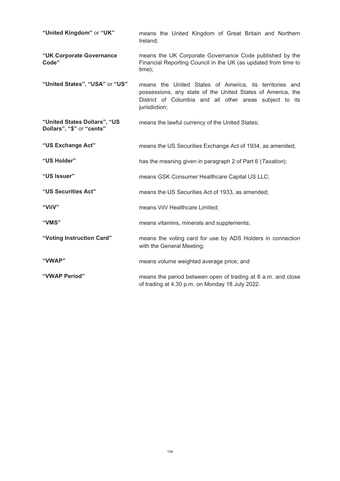| "United Kingdom" or "UK"                                  | means the United Kingdom of Great Britain and Northern<br>Ireland;                                                                                                                                 |
|-----------------------------------------------------------|----------------------------------------------------------------------------------------------------------------------------------------------------------------------------------------------------|
| "UK Corporate Governance<br>Code"                         | means the UK Corporate Governance Code published by the<br>Financial Reporting Council in the UK (as updated from time to<br>time);                                                                |
| "United States", "USA" or "US"                            | means the United States of America, its territories and<br>possessions, any state of the United States of America, the<br>District of Columbia and all other areas subject to its<br>jurisdiction; |
| "United States Dollars", "US<br>Dollars", "\$" or "cents" | means the lawful currency of the United States;                                                                                                                                                    |
| "US Exchange Act"                                         | means the US Securities Exchange Act of 1934, as amended;                                                                                                                                          |
| "US Holder"                                               | has the meaning given in paragraph 2 of Part 6 (Taxation);                                                                                                                                         |
| "US Issuer"                                               | means GSK Consumer Healthcare Capital US LLC;                                                                                                                                                      |
| "US Securities Act"                                       | means the US Securities Act of 1933, as amended;                                                                                                                                                   |
| "ViiV"                                                    | means ViiV Healthcare Limited;                                                                                                                                                                     |
| "VMS"                                                     | means vitamins, minerals and supplements;                                                                                                                                                          |
| "Voting Instruction Card"                                 | means the voting card for use by ADS Holders in connection<br>with the General Meeting;                                                                                                            |
| "VWAP"                                                    | means volume weighted average price; and                                                                                                                                                           |
| "VWAP Period"                                             | means the period between open of trading at 8 a.m. and close<br>of trading at 4.30 p.m. on Monday 18 July 2022.                                                                                    |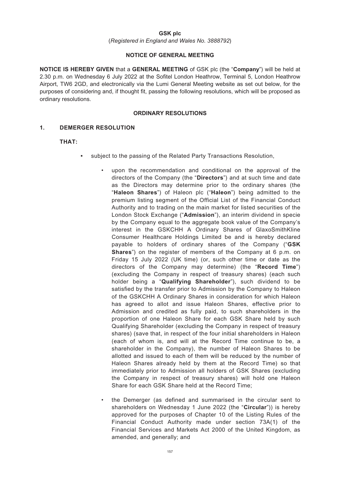### **GSK plc**

(*Registered in England and Wales No. 3888792*)

## **NOTICE OF GENERAL MEETING**

**NOTICE IS HEREBY GIVEN** that a **GENERAL MEETING** of GSK plc (the "**Company**") will be held at 2.30 p.m. on Wednesday 6 July 2022 at the Sofitel London Heathrow, Terminal 5, London Heathrow Airport, TW6 2GD, and electronically via the Lumi General Meeting website as set out below, for the purposes of considering and, if thought fit, passing the following resolutions, which will be proposed as ordinary resolutions.

#### **ORDINARY RESOLUTIONS**

## **1. DEMERGER RESOLUTION**

## **THAT:**

- subject to the passing of the Related Party Transactions Resolution,
	- upon the recommendation and conditional on the approval of the directors of the Company (the "**Directors**") and at such time and date as the Directors may determine prior to the ordinary shares (the "**Haleon Shares**") of Haleon plc ("**Haleon**") being admitted to the premium listing segment of the Official List of the Financial Conduct Authority and to trading on the main market for listed securities of the London Stock Exchange ("**Admission**"), an interim dividend in specie by the Company equal to the aggregate book value of the Company's interest in the GSKCHH A Ordinary Shares of GlaxoSmithKline Consumer Healthcare Holdings Limited be and is hereby declared payable to holders of ordinary shares of the Company ("**GSK Shares**") on the register of members of the Company at 6 p.m. on Friday 15 July 2022 (UK time) (or, such other time or date as the directors of the Company may determine) (the "**Record Time**") (excluding the Company in respect of treasury shares) (each such holder being a "**Qualifying Shareholder**"), such dividend to be satisfied by the transfer prior to Admission by the Company to Haleon of the GSKCHH A Ordinary Shares in consideration for which Haleon has agreed to allot and issue Haleon Shares, effective prior to Admission and credited as fully paid, to such shareholders in the proportion of one Haleon Share for each GSK Share held by such Qualifying Shareholder (excluding the Company in respect of treasury shares) (save that, in respect of the four initial shareholders in Haleon (each of whom is, and will at the Record Time continue to be, a shareholder in the Company), the number of Haleon Shares to be allotted and issued to each of them will be reduced by the number of Haleon Shares already held by them at the Record Time) so that immediately prior to Admission all holders of GSK Shares (excluding the Company in respect of treasury shares) will hold one Haleon Share for each GSK Share held at the Record Time;
	- the Demerger (as defined and summarised in the circular sent to shareholders on Wednesday 1 June 2022 (the "**Circular**")) is hereby approved for the purposes of Chapter 10 of the Listing Rules of the Financial Conduct Authority made under section 73A(1) of the Financial Services and Markets Act 2000 of the United Kingdom, as amended, and generally; and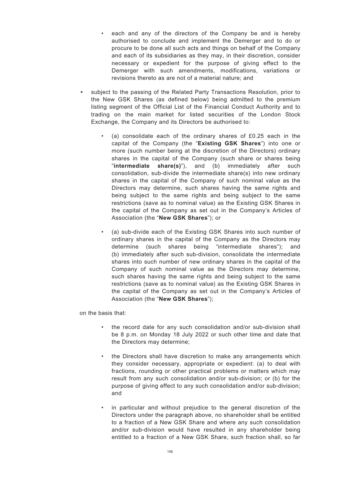- each and any of the directors of the Company be and is hereby authorised to conclude and implement the Demerger and to do or procure to be done all such acts and things on behalf of the Company and each of its subsidiaries as they may, in their discretion, consider necessary or expedient for the purpose of giving effect to the Demerger with such amendments, modifications, variations or revisions thereto as are not of a material nature; and
- subject to the passing of the Related Party Transactions Resolution, prior to the New GSK Shares (as defined below) being admitted to the premium listing segment of the Official List of the Financial Conduct Authority and to trading on the main market for listed securities of the London Stock Exchange, the Company and its Directors be authorised to:
	- (a) consolidate each of the ordinary shares of  $£0.25$  each in the capital of the Company (the "**Existing GSK Shares**") into one or more (such number being at the discretion of the Directors) ordinary shares in the capital of the Company (such share or shares being "**intermediate share(s)**"), and (b) immediately after such consolidation, sub-divide the intermediate share(s) into new ordinary shares in the capital of the Company of such nominal value as the Directors may determine, such shares having the same rights and being subject to the same rights and being subject to the same restrictions (save as to nominal value) as the Existing GSK Shares in the capital of the Company as set out in the Company's Articles of Association (the "**New GSK Shares**"); or
	- (a) sub-divide each of the Existing GSK Shares into such number of ordinary shares in the capital of the Company as the Directors may determine (such shares being "intermediate shares"); and (b) immediately after such sub-division, consolidate the intermediate shares into such number of new ordinary shares in the capital of the Company of such nominal value as the Directors may determine, such shares having the same rights and being subject to the same restrictions (save as to nominal value) as the Existing GSK Shares in the capital of the Company as set out in the Company's Articles of Association (the "**New GSK Shares**");

on the basis that:

- the record date for any such consolidation and/or sub-division shall be 8 p.m. on Monday 18 July 2022 or such other time and date that the Directors may determine;
- the Directors shall have discretion to make any arrangements which they consider necessary, appropriate or expedient: (a) to deal with fractions, rounding or other practical problems or matters which may result from any such consolidation and/or sub-division; or (b) for the purpose of giving effect to any such consolidation and/or sub-division; and
- in particular and without prejudice to the general discretion of the Directors under the paragraph above, no shareholder shall be entitled to a fraction of a New GSK Share and where any such consolidation and/or sub-division would have resulted in any shareholder being entitled to a fraction of a New GSK Share, such fraction shall, so far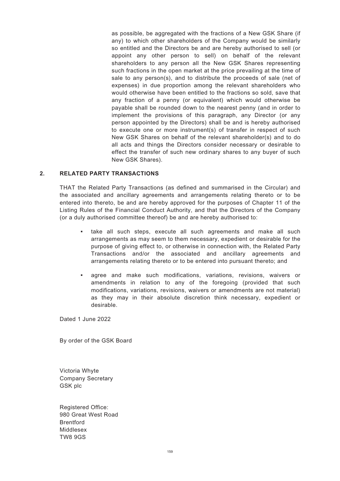as possible, be aggregated with the fractions of a New GSK Share (if any) to which other shareholders of the Company would be similarly so entitled and the Directors be and are hereby authorised to sell (or appoint any other person to sell) on behalf of the relevant shareholders to any person all the New GSK Shares representing such fractions in the open market at the price prevailing at the time of sale to any person(s), and to distribute the proceeds of sale (net of expenses) in due proportion among the relevant shareholders who would otherwise have been entitled to the fractions so sold, save that any fraction of a penny (or equivalent) which would otherwise be payable shall be rounded down to the nearest penny (and in order to implement the provisions of this paragraph, any Director (or any person appointed by the Directors) shall be and is hereby authorised to execute one or more instrument(s) of transfer in respect of such New GSK Shares on behalf of the relevant shareholder(s) and to do all acts and things the Directors consider necessary or desirable to effect the transfer of such new ordinary shares to any buyer of such New GSK Shares).

### **2. RELATED PARTY TRANSACTIONS**

THAT the Related Party Transactions (as defined and summarised in the Circular) and the associated and ancillary agreements and arrangements relating thereto or to be entered into thereto, be and are hereby approved for the purposes of Chapter 11 of the Listing Rules of the Financial Conduct Authority, and that the Directors of the Company (or a duly authorised committee thereof) be and are hereby authorised to:

- take all such steps, execute all such agreements and make all such arrangements as may seem to them necessary, expedient or desirable for the purpose of giving effect to, or otherwise in connection with, the Related Party Transactions and/or the associated and ancillary agreements and arrangements relating thereto or to be entered into pursuant thereto; and
- agree and make such modifications, variations, revisions, waivers or amendments in relation to any of the foregoing (provided that such modifications, variations, revisions, waivers or amendments are not material) as they may in their absolute discretion think necessary, expedient or desirable.

Dated 1 June 2022

By order of the GSK Board

Victoria Whyte Company Secretary GSK plc

Registered Office: 980 Great West Road **Brentford** Middlesex TW8 9GS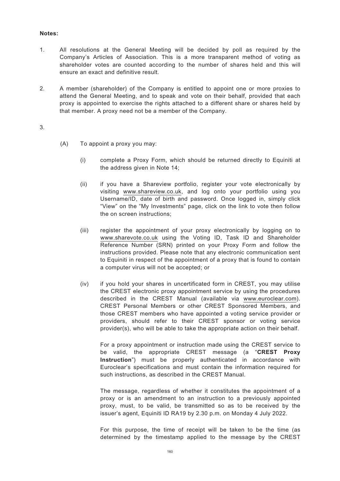## **Notes:**

- 1. All resolutions at the General Meeting will be decided by poll as required by the Company's Articles of Association. This is a more transparent method of voting as shareholder votes are counted according to the number of shares held and this will ensure an exact and definitive result.
- 2. A member (shareholder) of the Company is entitled to appoint one or more proxies to attend the General Meeting, and to speak and vote on their behalf, provided that each proxy is appointed to exercise the rights attached to a different share or shares held by that member. A proxy need not be a member of the Company.

3.

- (A) To appoint a proxy you may:
	- (i) complete a Proxy Form, which should be returned directly to Equiniti at the address given in Note 14;
	- (ii) if you have a Shareview portfolio, register your vote electronically by visiting www.shareview.co.uk, and log onto your portfolio using you Username/ID, date of birth and password. Once logged in, simply click "View" on the "My Investments" page, click on the link to vote then follow the on screen instructions;
	- (iii) register the appointment of your proxy electronically by logging on to www.sharevote.co.uk using the Voting ID, Task ID and Shareholder Reference Number (SRN) printed on your Proxy Form and follow the instructions provided. Please note that any electronic communication sent to Equiniti in respect of the appointment of a proxy that is found to contain a computer virus will not be accepted; or
	- (iv) if you hold your shares in uncertificated form in CREST, you may utilise the CREST electronic proxy appointment service by using the procedures described in the CREST Manual (available via www.euroclear.com). CREST Personal Members or other CREST Sponsored Members, and those CREST members who have appointed a voting service provider or providers, should refer to their CREST sponsor or voting service provider(s), who will be able to take the appropriate action on their behalf.

For a proxy appointment or instruction made using the CREST service to be valid, the appropriate CREST message (a "**CREST Proxy Instruction**") must be properly authenticated in accordance with Euroclear's specifications and must contain the information required for such instructions, as described in the CREST Manual.

The message, regardless of whether it constitutes the appointment of a proxy or is an amendment to an instruction to a previously appointed proxy, must, to be valid, be transmitted so as to be received by the issuer's agent, Equiniti ID RA19 by 2.30 p.m. on Monday 4 July 2022.

For this purpose, the time of receipt will be taken to be the time (as determined by the timestamp applied to the message by the CREST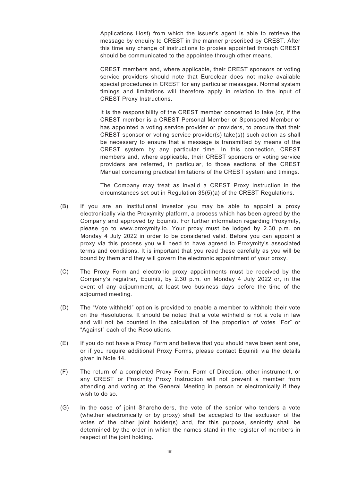Applications Host) from which the issuer's agent is able to retrieve the message by enquiry to CREST in the manner prescribed by CREST. After this time any change of instructions to proxies appointed through CREST should be communicated to the appointee through other means.

CREST members and, where applicable, their CREST sponsors or voting service providers should note that Euroclear does not make available special procedures in CREST for any particular messages. Normal system timings and limitations will therefore apply in relation to the input of CREST Proxy Instructions.

It is the responsibility of the CREST member concerned to take (or, if the CREST member is a CREST Personal Member or Sponsored Member or has appointed a voting service provider or providers, to procure that their CREST sponsor or voting service provider(s) take(s)) such action as shall be necessary to ensure that a message is transmitted by means of the CREST system by any particular time. In this connection, CREST members and, where applicable, their CREST sponsors or voting service providers are referred, in particular, to those sections of the CREST Manual concerning practical limitations of the CREST system and timings.

The Company may treat as invalid a CREST Proxy Instruction in the circumstances set out in Regulation 35(5)(a) of the CREST Regulations.

- (B) If you are an institutional investor you may be able to appoint a proxy electronically via the Proxymity platform, a process which has been agreed by the Company and approved by Equiniti. For further information regarding Proxymity, please go to www.proxymity.io. Your proxy must be lodged by 2.30 p.m. on Monday 4 July 2022 in order to be considered valid. Before you can appoint a proxy via this process you will need to have agreed to Proxymity's associated terms and conditions. It is important that you read these carefully as you will be bound by them and they will govern the electronic appointment of your proxy.
- (C) The Proxy Form and electronic proxy appointments must be received by the Company's registrar, Equiniti, by 2.30 p.m. on Monday 4 July 2022 or, in the event of any adjournment, at least two business days before the time of the adjourned meeting.
- (D) The "Vote withheld" option is provided to enable a member to withhold their vote on the Resolutions. It should be noted that a vote withheld is not a vote in law and will not be counted in the calculation of the proportion of votes "For" or "Against" each of the Resolutions.
- (E) If you do not have a Proxy Form and believe that you should have been sent one, or if you require additional Proxy Forms, please contact Equiniti via the details given in Note 14.
- (F) The return of a completed Proxy Form, Form of Direction, other instrument, or any CREST or Proximity Proxy Instruction will not prevent a member from attending and voting at the General Meeting in person or electronically if they wish to do so.
- (G) In the case of joint Shareholders, the vote of the senior who tenders a vote (whether electronically or by proxy) shall be accepted to the exclusion of the votes of the other joint holder(s) and, for this purpose, seniority shall be determined by the order in which the names stand in the register of members in respect of the joint holding.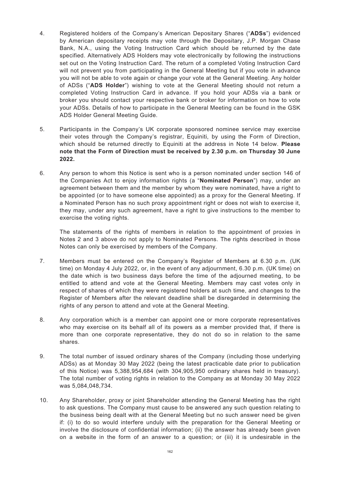- 4. Registered holders of the Company's American Depositary Shares ("**ADSs**") evidenced by American depositary receipts may vote through the Depositary, J.P. Morgan Chase Bank, N.A., using the Voting Instruction Card which should be returned by the date specified. Alternatively ADS Holders may vote electronically by following the instructions set out on the Voting Instruction Card. The return of a completed Voting Instruction Card will not prevent you from participating in the General Meeting but if you vote in advance you will not be able to vote again or change your vote at the General Meeting. Any holder of ADSs ("**ADS Holder**") wishing to vote at the General Meeting should not return a completed Voting Instruction Card in advance. If you hold your ADSs via a bank or broker you should contact your respective bank or broker for information on how to vote your ADSs. Details of how to participate in the General Meeting can be found in the GSK ADS Holder General Meeting Guide.
- 5. Participants in the Company's UK corporate sponsored nominee service may exercise their votes through the Company's registrar, Equiniti, by using the Form of Direction, which should be returned directly to Equiniti at the address in Note 14 below. **Please note that the Form of Direction must be received by 2.30 p.m. on Thursday 30 June 2022.**
- 6. Any person to whom this Notice is sent who is a person nominated under section 146 of the Companies Act to enjoy information rights (a "**Nominated Person**") may, under an agreement between them and the member by whom they were nominated, have a right to be appointed (or to have someone else appointed) as a proxy for the General Meeting. If a Nominated Person has no such proxy appointment right or does not wish to exercise it, they may, under any such agreement, have a right to give instructions to the member to exercise the voting rights.

The statements of the rights of members in relation to the appointment of proxies in Notes 2 and 3 above do not apply to Nominated Persons. The rights described in those Notes can only be exercised by members of the Company.

- 7. Members must be entered on the Company's Register of Members at 6.30 p.m. (UK time) on Monday 4 July 2022, or, in the event of any adjournment, 6.30 p.m. (UK time) on the date which is two business days before the time of the adjourned meeting, to be entitled to attend and vote at the General Meeting. Members may cast votes only in respect of shares of which they were registered holders at such time, and changes to the Register of Members after the relevant deadline shall be disregarded in determining the rights of any person to attend and vote at the General Meeting.
- 8. Any corporation which is a member can appoint one or more corporate representatives who may exercise on its behalf all of its powers as a member provided that, if there is more than one corporate representative, they do not do so in relation to the same shares.
- 9. The total number of issued ordinary shares of the Company (including those underlying ADSs) as at Monday 30 May 2022 (being the latest practicable date prior to publication of this Notice) was 5,388,954,684 (with 304,905,950 ordinary shares held in treasury). The total number of voting rights in relation to the Company as at Monday 30 May 2022 was 5,084,048,734.
- 10. Any Shareholder, proxy or joint Shareholder attending the General Meeting has the right to ask questions. The Company must cause to be answered any such question relating to the business being dealt with at the General Meeting but no such answer need be given if: (i) to do so would interfere unduly with the preparation for the General Meeting or involve the disclosure of confidential information; (ii) the answer has already been given on a website in the form of an answer to a question; or (iii) it is undesirable in the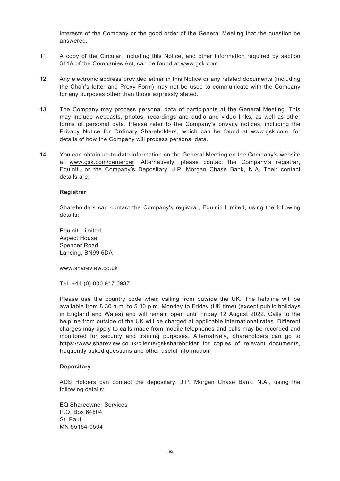interests of the Company or the good order of the General Meeting that the question be answered.

- 11. A copy of the Circular, including this Notice, and other information required by section 311A of the Companies Act, can be found at www.gsk.com.
- 12. Any electronic address provided either in this Notice or any related documents (including the Chair's letter and Proxy Form) may not be used to communicate with the Company for any purposes other than those expressly stated.
- 13. The Company may process personal data of participants at the General Meeting. This may include webcasts, photos, recordings and audio and video links, as well as other forms of personal data. Please refer to the Company's privacy notices, including the Privacy Notice for Ordinary Shareholders, which can be found at www.gsk.com, for details of how the Company will process personal data.
- 14. You can obtain up-to-date information on the General Meeting on the Company's website at www.gsk.com/demerger. Alternatively, please contact the Company's registrar, Equiniti, or the Company's Depositary, J.P. Morgan Chase Bank, N.A. Their contact details are:

## **Registrar**

Shareholders can contact the Company's registrar, Equiniti Limited, using the following details:

Equiniti Limited Aspect House Spencer Road Lancing, BN99 6DA

www.shareview.co.uk

Tel: +44 (0) 800 917 0937

Please use the country code when calling from outside the UK. The helpline will be available from 8.30 a.m. to 5.30 p.m. Monday to Friday (UK time) (except public holidays in England and Wales) and will remain open until Friday 12 August 2022. Calls to the helpline from outside of the UK will be charged at applicable international rates. Different charges may apply to calls made from mobile telephones and calls may be recorded and monitored for security and training purposes. Alternatively, Shareholders can go to https://www.shareview.co.uk/clients/gskshareholder for copies of relevant documents, frequently asked questions and other useful information.

#### **Depositary**

ADS Holders can contact the depositary, J.P. Morgan Chase Bank, N.A., using the following details:

EQ Shareowner Services P.O. Box 64504 St. Paul MN 55164-0504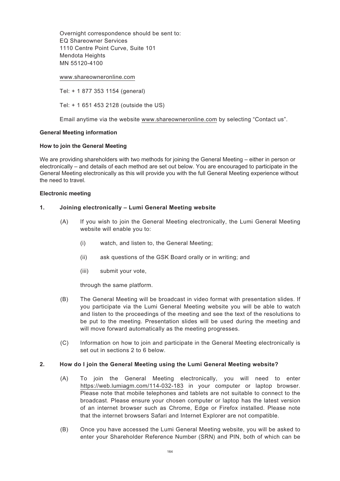Overnight correspondence should be sent to: EQ Shareowner Services 1110 Centre Point Curve, Suite 101 Mendota Heights MN 55120-4100

#### www.shareowneronline.com

Tel: + 1 877 353 1154 (general)

Tel: + 1 651 453 2128 (outside the US)

Email anytime via the website www.shareowneronline.com by selecting "Contact us".

### **General Meeting information**

#### **How to join the General Meeting**

We are providing shareholders with two methods for joining the General Meeting – either in person or electronically – and details of each method are set out below. You are encouraged to participate in the General Meeting electronically as this will provide you with the full General Meeting experience without the need to travel.

#### **Electronic meeting**

### **1. Joining electronically – Lumi General Meeting website**

- (A) If you wish to join the General Meeting electronically, the Lumi General Meeting website will enable you to:
	- (i) watch, and listen to, the General Meeting;
	- (ii) ask questions of the GSK Board orally or in writing; and
	- (iii) submit your vote,

through the same platform.

- (B) The General Meeting will be broadcast in video format with presentation slides. If you participate via the Lumi General Meeting website you will be able to watch and listen to the proceedings of the meeting and see the text of the resolutions to be put to the meeting. Presentation slides will be used during the meeting and will move forward automatically as the meeting progresses.
- (C) Information on how to join and participate in the General Meeting electronically is set out in sections 2 to 6 below.

#### **2. How do I join the General Meeting using the Lumi General Meeting website?**

- (A) To join the General Meeting electronically, you will need to enter https://web.lumiagm.com/114-032-183 in your computer or laptop browser. Please note that mobile telephones and tablets are not suitable to connect to the broadcast. Please ensure your chosen computer or laptop has the latest version of an internet browser such as Chrome, Edge or Firefox installed. Please note that the internet browsers Safari and Internet Explorer are not compatible.
- (B) Once you have accessed the Lumi General Meeting website, you will be asked to enter your Shareholder Reference Number (SRN) and PIN, both of which can be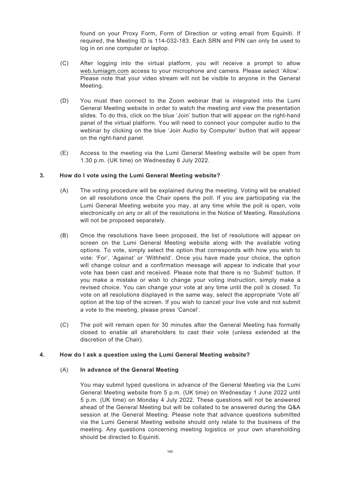found on your Proxy Form, Form of Direction or voting email from Equiniti. If required, the Meeting ID is 114-032-183. Each SRN and PIN can only be used to log in on one computer or laptop.

- (C) After logging into the virtual platform, you will receive a prompt to allow web.lumiagm.com access to your microphone and camera. Please select 'Allow'. Please note that your video stream will not be visible to anyone in the General Meeting.
- (D) You must then connect to the Zoom webinar that is integrated into the Lumi General Meeting website in order to watch the meeting and view the presentation slides. To do this, click on the blue 'Join' button that will appear on the right-hand panel of the virtual platform. You will need to connect your computer audio to the webinar by clicking on the blue 'Join Audio by Computer' button that will appear on the right-hand panel.
- (E) Access to the meeting via the Lumi General Meeting website will be open from 1.30 p.m. (UK time) on Wednesday 6 July 2022.

# **3. How do I vote using the Lumi General Meeting website?**

- (A) The voting procedure will be explained during the meeting. Voting will be enabled on all resolutions once the Chair opens the poll. If you are participating via the Lumi General Meeting website you may, at any time while the poll is open, vote electronically on any or all of the resolutions in the Notice of Meeting. Resolutions will not be proposed separately.
- (B) Once the resolutions have been proposed, the list of resolutions will appear on screen on the Lumi General Meeting website along with the available voting options. To vote, simply select the option that corresponds with how you wish to vote: 'For', 'Against' or 'Withheld'. Once you have made your choice, the option will change colour and a confirmation message will appear to indicate that your vote has been cast and received. Please note that there is no 'Submit' button. If you make a mistake or wish to change your voting instruction, simply make a revised choice. You can change your vote at any time until the poll is closed. To vote on all resolutions displayed in the same way, select the appropriate 'Vote all' option at the top of the screen. If you wish to cancel your live vote and not submit a vote to the meeting, please press 'Cancel'.
- (C) The poll will remain open for 30 minutes after the General Meeting has formally closed to enable all shareholders to cast their vote (unless extended at the discretion of the Chair).

## **4. How do I ask a question using the Lumi General Meeting website?**

## (A) **In advance of the General Meeting**

You may submit typed questions in advance of the General Meeting via the Lumi General Meeting website from 5 p.m. (UK time) on Wednesday 1 June 2022 until 5 p.m. (UK time) on Monday 4 July 2022. These questions will not be answered ahead of the General Meeting but will be collated to be answered during the Q&A session at the General Meeting. Please note that advance questions submitted via the Lumi General Meeting website should only relate to the business of the meeting. Any questions concerning meeting logistics or your own shareholding should be directed to Equiniti.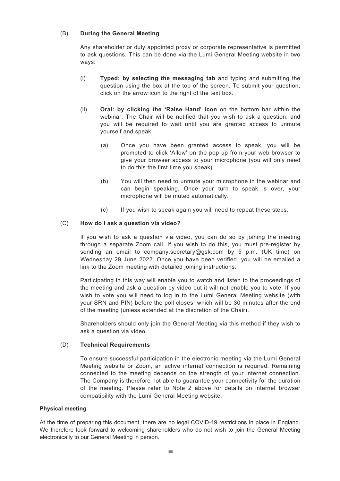# (B) **During the General Meeting**

Any shareholder or duly appointed proxy or corporate representative is permitted to ask questions. This can be done via the Lumi General Meeting website in two ways:

- (i) **Typed: by selecting the messaging tab** and typing and submitting the question using the box at the top of the screen. To submit your question, click on the arrow icon to the right of the text box.
- (ii) **Oral: by clicking the 'Raise Hand' icon** on the bottom bar within the webinar. The Chair will be notified that you wish to ask a question, and you will be required to wait until you are granted access to unmute yourself and speak.
	- (a) Once you have been granted access to speak, you will be prompted to click 'Allow' on the pop up from your web browser to give your browser access to your microphone (you will only need to do this the first time you speak).
	- (b) You will then need to unmute your microphone in the webinar and can begin speaking. Once your turn to speak is over, your microphone will be muted automatically.
	- (c) If you wish to speak again you will need to repeat these steps.

# (C) **How do I ask a question via video?**

If you wish to ask a question via video, you can do so by joining the meeting through a separate Zoom call. If you wish to do this, you must pre-register by sending an email to company.secretary@gsk.com by 5 p.m. (UK time) on Wednesday 29 June 2022. Once you have been verified, you will be emailed a link to the Zoom meeting with detailed joining instructions.

Participating in this way will enable you to watch and listen to the proceedings of the meeting and ask a question by video but it will not enable you to vote. If you wish to vote you will need to log in to the Lumi General Meeting website (with your SRN and PIN) before the poll closes, which will be 30 minutes after the end of the meeting (unless extended at the discretion of the Chair).

Shareholders should only join the General Meeting via this method if they wish to ask a question via video.

## (D) **Technical Requirements**

To ensure successful participation in the electronic meeting via the Lumi General Meeting website or Zoom, an active internet connection is required. Remaining connected to the meeting depends on the strength of your internet connection. The Company is therefore not able to guarantee your connectivity for the duration of the meeting. Please refer to Note 2 above for details on internet browser compatibility with the Lumi General Meeting website.

## **Physical meeting**

At the time of preparing this document, there are no legal COVID-19 restrictions in place in England. We therefore look forward to welcoming shareholders who do not wish to join the General Meeting electronically to our General Meeting in person.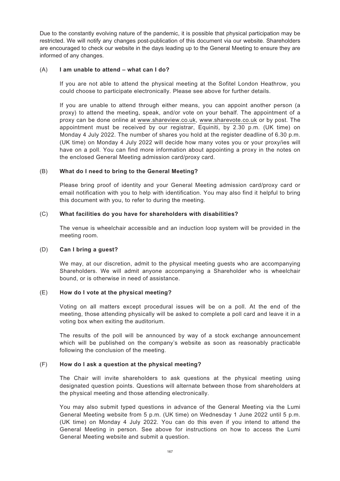Due to the constantly evolving nature of the pandemic, it is possible that physical participation may be restricted. We will notify any changes post-publication of this document via our website. Shareholders are encouraged to check our website in the days leading up to the General Meeting to ensure they are informed of any changes.

## (A) **I am unable to attend – what can I do?**

If you are not able to attend the physical meeting at the Sofitel London Heathrow, you could choose to participate electronically. Please see above for further details.

If you are unable to attend through either means, you can appoint another person (a proxy) to attend the meeting, speak, and/or vote on your behalf. The appointment of a proxy can be done online at www.shareview.co.uk, www.sharevote.co.uk or by post. The appointment must be received by our registrar, Equiniti, by 2.30 p.m. (UK time) on Monday 4 July 2022. The number of shares you hold at the register deadline of 6.30 p.m. (UK time) on Monday 4 July 2022 will decide how many votes you or your proxy/ies will have on a poll. You can find more information about appointing a proxy in the notes on the enclosed General Meeting admission card/proxy card.

# (B) **What do I need to bring to the General Meeting?**

Please bring proof of identity and your General Meeting admission card/proxy card or email notification with you to help with identification. You may also find it helpful to bring this document with you, to refer to during the meeting.

# (C) **What facilities do you have for shareholders with disabilities?**

The venue is wheelchair accessible and an induction loop system will be provided in the meeting room.

## (D) **Can I bring a guest?**

We may, at our discretion, admit to the physical meeting guests who are accompanying Shareholders. We will admit anyone accompanying a Shareholder who is wheelchair bound, or is otherwise in need of assistance.

# (E) **How do I vote at the physical meeting?**

Voting on all matters except procedural issues will be on a poll. At the end of the meeting, those attending physically will be asked to complete a poll card and leave it in a voting box when exiting the auditorium.

The results of the poll will be announced by way of a stock exchange announcement which will be published on the company's website as soon as reasonably practicable following the conclusion of the meeting.

# (F) **How do I ask a question at the physical meeting?**

The Chair will invite shareholders to ask questions at the physical meeting using designated question points. Questions will alternate between those from shareholders at the physical meeting and those attending electronically.

You may also submit typed questions in advance of the General Meeting via the Lumi General Meeting website from 5 p.m. (UK time) on Wednesday 1 June 2022 until 5 p.m. (UK time) on Monday 4 July 2022. You can do this even if you intend to attend the General Meeting in person. See above for instructions on how to access the Lumi General Meeting website and submit a question.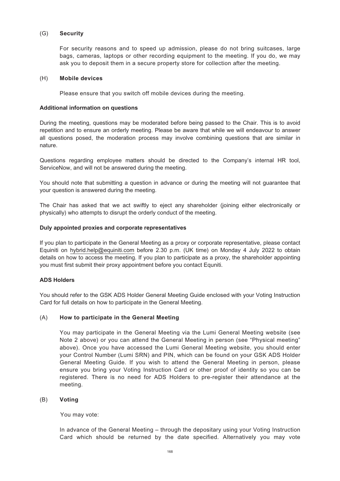## (G) **Security**

For security reasons and to speed up admission, please do not bring suitcases, large bags, cameras, laptops or other recording equipment to the meeting. If you do, we may ask you to deposit them in a secure property store for collection after the meeting.

#### (H) **Mobile devices**

Please ensure that you switch off mobile devices during the meeting.

### **Additional information on questions**

During the meeting, questions may be moderated before being passed to the Chair. This is to avoid repetition and to ensure an orderly meeting. Please be aware that while we will endeavour to answer all questions posed, the moderation process may involve combining questions that are similar in nature.

Questions regarding employee matters should be directed to the Company's internal HR tool, ServiceNow, and will not be answered during the meeting.

You should note that submitting a question in advance or during the meeting will not guarantee that your question is answered during the meeting.

The Chair has asked that we act swiftly to eject any shareholder (joining either electronically or physically) who attempts to disrupt the orderly conduct of the meeting.

### **Duly appointed proxies and corporate representatives**

If you plan to participate in the General Meeting as a proxy or corporate representative, please contact Equiniti on hybrid.help@equiniti.com before 2.30 p.m. (UK time) on Monday 4 July 2022 to obtain details on how to access the meeting. If you plan to participate as a proxy, the shareholder appointing you must first submit their proxy appointment before you contact Equniti.

## **ADS Holders**

You should refer to the GSK ADS Holder General Meeting Guide enclosed with your Voting Instruction Card for full details on how to participate in the General Meeting.

## (A) **How to participate in the General Meeting**

You may participate in the General Meeting via the Lumi General Meeting website (see Note 2 above) or you can attend the General Meeting in person (see "Physical meeting" above). Once you have accessed the Lumi General Meeting website, you should enter your Control Number (Lumi SRN) and PIN, which can be found on your GSK ADS Holder General Meeting Guide. If you wish to attend the General Meeting in person, please ensure you bring your Voting Instruction Card or other proof of identity so you can be registered. There is no need for ADS Holders to pre-register their attendance at the meeting.

## (B) **Voting**

You may vote:

In advance of the General Meeting – through the depositary using your Voting Instruction Card which should be returned by the date specified. Alternatively you may vote